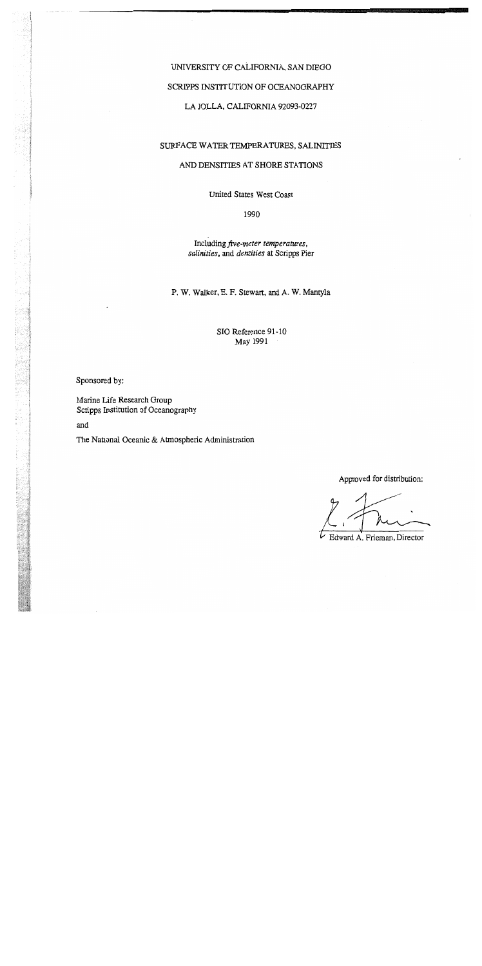## UNIVERSITY OF CALIFORNIA, SAN DIEGO

### SCRIPPS INSTITUTION OF OCEANOGRAPHY

LA JOLLA, CALIFORNIA 92093-0227

## SURFACE WATER TEMPERATURES, SALINITIES

### AND DENSITIES AT SHORE STATIONS

United States West Coast

1990

Including *five-meter temperatures, salinities,* and *densities* at Scripps Pier

P. W. Walker, E. F. Stewart, and A. W. Mantyla

SIO Reference 91-10 May 1991

Sponsored by:

Marine Life Research Group Scripps Institution of Oceanography

and

The National Oceanic & Atmospheric Administration

Approved for distribution:

*t* Approved not distinguishing

Edward A. Frieman, Director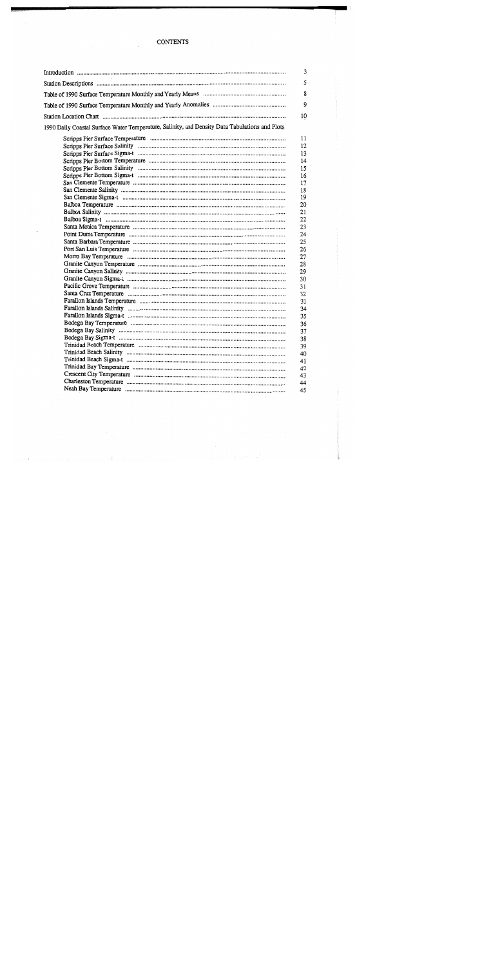### **CONTENTS**

 $\overline{\phantom{a}}$ 

 $\sim$   $\sim$ 

|                                                                                                | 3                                                                                                                                                                                            |
|------------------------------------------------------------------------------------------------|----------------------------------------------------------------------------------------------------------------------------------------------------------------------------------------------|
|                                                                                                | 5                                                                                                                                                                                            |
|                                                                                                | 8                                                                                                                                                                                            |
|                                                                                                | 9                                                                                                                                                                                            |
|                                                                                                | 10                                                                                                                                                                                           |
| 1990 Daily Coastal Surface Water Temperature, Salinity, and Density Data Tabulations and Plots |                                                                                                                                                                                              |
|                                                                                                | 11<br>12<br>13<br>14<br>15<br>16<br>17<br>18<br>19<br>20<br>21<br>22<br>23<br>24<br>25<br>26<br>27<br>28<br>29<br>30<br>31<br>32<br>33<br>34<br>35<br>36<br>37<br>38<br>39<br>40<br>41<br>42 |
|                                                                                                | 43<br>44                                                                                                                                                                                     |
|                                                                                                | 45                                                                                                                                                                                           |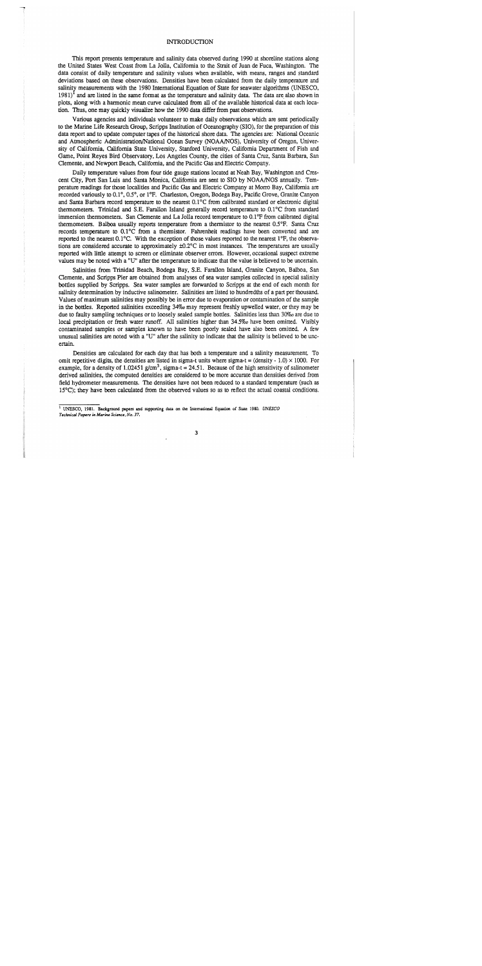### **INTRODUCTION**

This report presents temperature and salinity data observed during 1990 at shoreline stations along the United States West Coast from La Jolla, California to the Strait of Juan de Fuca, Washington. The data consist of daily temperature and salinity values when available, with means, ranges and standard deviations based on these observations. Densities have been calculated from the daily temperature and salinity measurements with the 1980 International Equation of State for seawater algorithms (UNESCO,  $1981$ <sup>1</sup> and are listed in the same format as the temperature and salinity data. The data are also shown in plots, along with a harmonic mean curve calculated from all of the available historical data at each location. Thus, one may quickly visualize how the 1990 data differ from past observations.

Various agencies and individuals volunteer to make daily observations which are sent periodically to the Marine Life Research Group, Scripps Institution of Oceanography (SIO), for the preparation of this data report and to update computer tapes of the historical shore data. The agencies are: National Oceanic and Atmospheric Administration/National Ocean Survey (NOAA/NOS), University of Oregon, University of California, California State University, Stanford University, California Department of Fish and Game, Point Reyes Bird Observatory, Los Angeles County, the cities of Santa Cruz, Santa Barbara, San Clemente, and Newport Beach, California, and the Pacific Gas and Electric Company.

Daily temperature values from four tide gauge stations located at Neah Bay, Washington and Crescent City, Port San Luis and Santa Monica, California are sent to SIO by NOAA/NOS annually. Temperature readings for those localities and Pacific Gas and Electric Company at Morro Bay, California are recorded variously to 0.1°,0.5°, or 1°F. Charleston, Oregon, Bodega Bay, Pacific Grove, Granite Canyon and Santa Barbara record temperature to the nearest  $0.1^{\circ}$ C from calibrated standard or electronic digital thermometers. Trinidad and S.E. Farallon Island generally record temperature to O.I°C from standard immersion thermometers. San Clemente and La Jolla record temperature to 0.1°F from calibrated digital thermometers. Balboa usually reports temperature from a thermistor to the nearest 0.5°F. Santa Cruz records temperature to  $0.1^{\circ}$ C from a thermistor. Fahrenheit readings have been converted and are reported to the nearest  $0.1^{\circ}$ C. With the exception of those values reported to the nearest  $1^{\circ}$ F, the observations are considered accurate to approximately  $\pm 0.2^{\circ}$ C in most instances. The temperatures are usually reported with little attempt to screen or eliminate observer errors. However, occasional suspect extreme values may be noted with a "U" after the temperature to indicate that the value is believed to be uncertain.

Salinities from Trinidad Beach, Bodega Bay, S.E. Farallon Island, Granite Canyon, Balboa, San Clemente, and Scripps Pier are obtained from analyses of sea water samples collected in special salinity bottles supplied by Scripps. Sea water samples are forwarded to Scripps at the end of each month for salinity determination by inductive salinometer. Salinities are listed to hundredths of a part per thousand. Values of maximum salinities may possibly be in error due to evaporation or contamination of the sample in the bottles. Reported salinities exceeding 34% may represent freshly upwelled water, or they may be due to faulty sampling techniques or to loosely sealed sample bottles. Salinities less than 30‰ are due to local precipitation or fresh water runoff. All salinities higher than  $34.5\%$  have been omitted. Visibly contaminated samples or samples known to have been poorly sealed have also been omitted. A few unusual salinities are noted with a "U" after the salinity to indicate that the salinity is believed to be uncertain.

Densities are calculated for each day that has both a temperature and a salinity measurement. To omit repetitive digits, the densities are listed in sigma-t units where sigma-t = (density - 1.0)  $\times$  1000. For example, for a density of 1.02451 g/cm<sup>3</sup>, sigma-t = 24.51. Because of the high sensitivity of salinometer derived salinities, the computed densities are considered to be more accurate than densities derived from field hydrometer measurements. The densities have not been reduced to a standard temperature (such as 15°C); they have been calculated from the observed values so as to rellect the actual coastal conditions.

<sup>&</sup>lt;sup>1</sup> UNESCO, 1981. Background papers and supporting data on the International Equation of State 1980. *UNESCO TtchnicaJ Papers* **in** *Marin, Sci,nCl, No. 37.*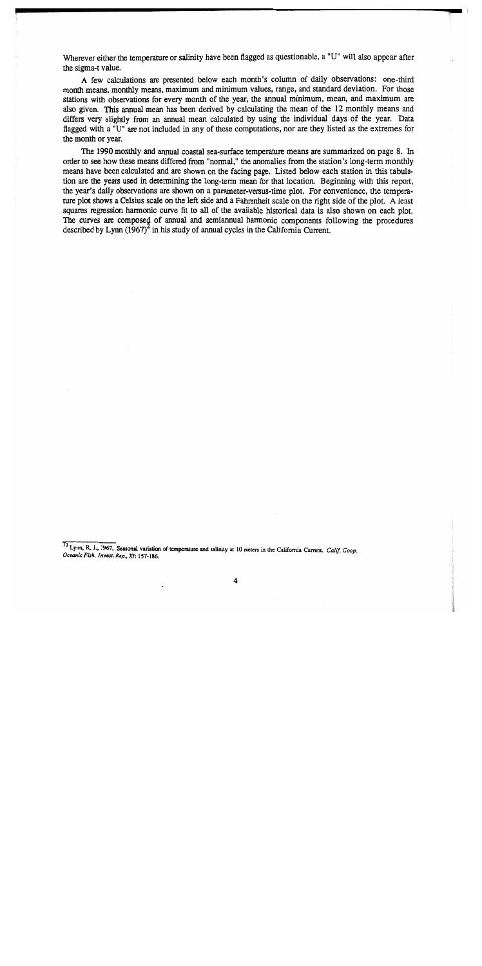Wherever either the temperature or salinity have been flagged as questionable, a "U" will also appear after the sigma-t value.

A few calculations are presented below each month's column of daily observations: one-third month means, monthly means, maximum and minimum values, range, and standard deviation. For those stations with observations for every month of the year, the annual minimum, mean, and maximum are also given. This annual mean has been derived by calculating the mean of the 12 monthly means and differs very slightly from an annual mean calculated by using the individual days of the year. Data flagged with a "V" are not included in any of these computations, nor are they listed as the extremes for the month or year.

The 1990 monthly and annual coastal sea-surface temperature means are summarized on page 8. In order to see how these means differed from "normal," the anomalies from the station's long-term monthly means have been calculated and are shown on the facing page. Listed below each station in this tabulation are the years used in determining the long-term mean for that location. Beginning with this report, the year's daily observations are shown on a parameter-versus-time plot. For convenience, the temperature plot shows a Celsius scale on the left side and a Fahrenheit scale on the right side of the plot. A least squares regression harmonic curve fit to all of the available historical data is also shown on each plot. The curves are composed of annual and semiannual harmonic components following the procedures described by Lynn  $(1967)^2$  in his study of annual cycles in the California Current.

 $\frac{72 \text{ Lynn}}{2}$ , R. J., 1967. Seasonal variation of temperature and salinity at 10 meters in the California Current. *Calif. Coop. OceanIC FISh. Invest. Rep.• XI: 157-186.*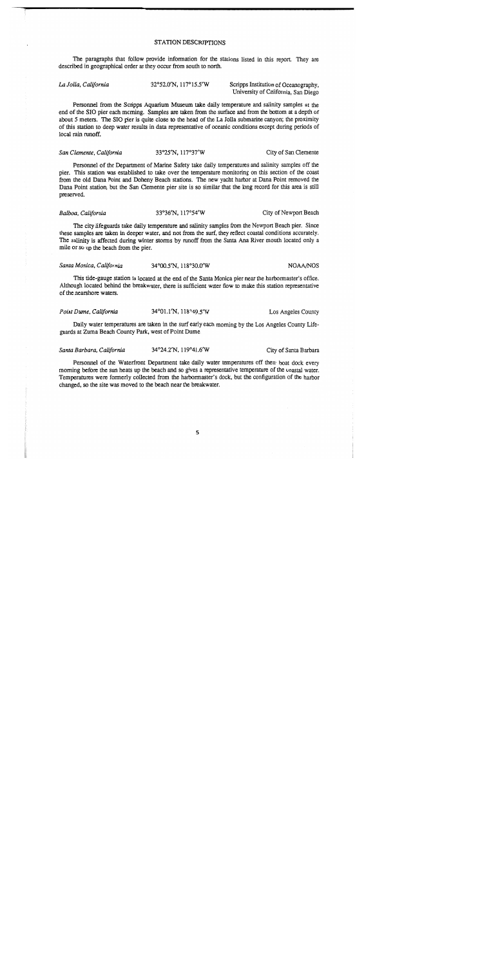### STATION DESCRIPTIONS

The paragraphs that follow provide information for the stations listed in this report. They are described in geographical order as they occur from south to north.

| La Jolla, California | 32°52.0'N, 117°15.5'W | Scripps Institution of Oceanography, |  |  |  |
|----------------------|-----------------------|--------------------------------------|--|--|--|
|                      |                       | University of California. San Diego  |  |  |  |

Personnel from the Scripps Aquarium Museum take daily temperature and salinity samples at the end of the SIO pier each morning. Samples are taken from the surface and from the bottom at a depth of about 5 meters. The SIO pier is quite close to the head of the La Jolla submarine canyon; the proximity of this station to deep water results in data representative of oceanic conditions except during periods of local rain runoff.

#### 33°25'N, 117°37'W City of San Clemente San Clemente, California

Personnel of the Department of Marine Safety take daily temperatures and salinity samples off the pier. This station was established to take over the temperature monitoring on this section of the coast from the old Dana Point and Doheny Beach stations. The new vacht harbor at Dana Point removed the Dana Point station, but the San Clemente pier site is so similar that the long record for this area is still preserved.

#### Balboa, California 33°36'N, 117°54'W City of Newport Beach

The city lifeguards take daily temperature and salinity samples from the Newport Beach pier. Since these samples are taken in deeper water, and not from the surf, they reflect coastal conditions accurately. The salinity is affected during winter storms by runoff from the Santa Ana River mouth located only a mile or so up the beach from the pier.

#### Santa Monica, California 34°00.5'N, 118°30.0'W **NOAA/NOS**

This tide-gauge station is located at the end of the Santa Monica pier near the harbormaster's office. Although located behind the breakwater, there is sufficient water flow to make this station representative of the nearshore waters.

| Point Dume, California | 34°01.1'N, 118°49.5'W | Los Angeles County |
|------------------------|-----------------------|--------------------|
|------------------------|-----------------------|--------------------|

Daily water temperatures are taken in the surf early each moming by the Los Angeles County Lifeguards at Zuma Beach County Park, west of Point Dume.

| Santa Barbara, California | 34°24.2'N, 119°41.6'W | City of Santa Barbara |
|---------------------------|-----------------------|-----------------------|
|---------------------------|-----------------------|-----------------------|

Personnel of the Waterfront Department take daily water temperatures off their boat dock every morning before the sun heats up the beach and so gives a representative temperature of the coastal water. Temperatures were formerly collected from the harbormaster's dock, but the configuration of the harbor changed, so the site was moved to the beach near the breakwater.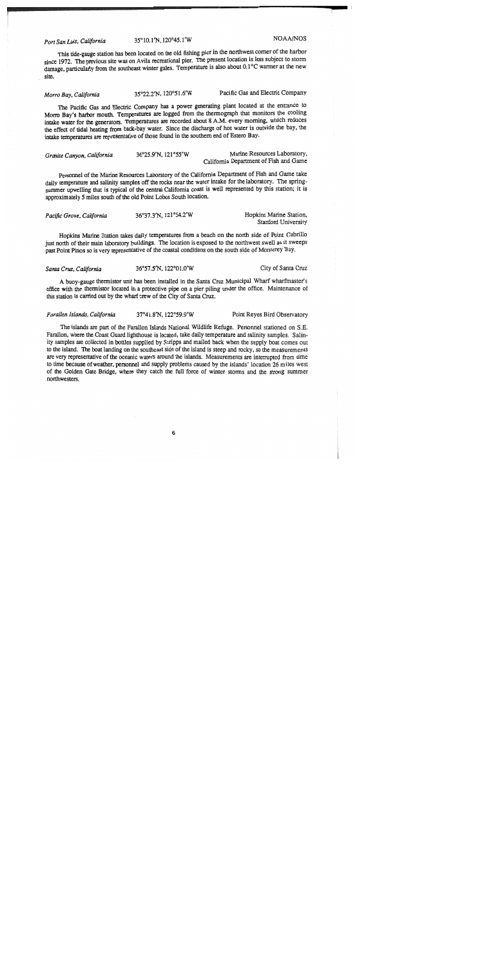Port San Luis, California

35°10.1'N. 120°45.1'W

NOAA/NOS

This tide-gauge station has been located on the old fishing pier in the northwest comer of the harbor since 1972. The previous site was on Avila recreational pier. The present location is less subject to storm damage, particularly from the southeast winter gales. Temperature is also about 0.1°C warmer at the new site.

Pacific Gas and Electric Company 35°22.2'N. 120°51.6'W Morro Bay, California

The Pacific Gas and Electric Company has a power generating plant located at the entrance to Morro Bay's harbor mouth. Temperatures are logged from the thermograph that monitors the cooling intake water for the generators. Temperatures are recorded about 8 A.M. every morning, which reduces the effect of tidal heating from back-bay water. Since the discharge of hot water is outside the bay, the intake temperatures are representative of those found in the southern end of Estero Bav.

Marine Resources Laboratory, 36°25.9'N. 121°55'W Granite Canvon, California California Department of Fish and Game

Personnel of the Marine Resources Laboratory of the California Department of Fish and Game take daily temperature and salinity samples off the rocks near the water intake for the laboratory. The springsummer upwelling that is typical of the central California coast is well represented by this station; it is approximately 5 miles south of the old Point Lobos South location.

| Pacific Grove, California | 36°37.3'N, 121°54.2'W | Hopkins Marine Station, |
|---------------------------|-----------------------|-------------------------|
|                           |                       | Stanford University     |

Hopkins Marine Station takes daily temperatures from a beach on the north side of Point Cabrillo just north of their main laboratory buildings. The location is exposed to the northwest swell as it sweeps past Point Pinos so is very representative of the coastal conditions on the south side of Monterey Bay.

Santa Cruz, California

36°57.5'N, 122°01.0'W

City of Santa Cruz

A buoy-gauge thermistor unit has been installed in the Santa Cruz Municipal Wharf wharfmaster's office with the thermistor located in a protective pipe on a pier piling under the office. Maintenance of this station is carried out by the wharf crew of the City of Santa Cruz.

37°41.8'N, 122°59.9'W Farallon Islands, California Point Reyes Bird Observatory

The islands are part of the Farallon Islands National Wildlife Refuge. Personnel stationed on S.E. Farallon, where the Coast Guard lighthouse is located, take daily temperature and salinity samples. Salinity samples are collected in bottles supplied by Scripps and mailed back when the supply boat comes out to the island. The boat landing on the southeast side of the island is steep and rocky, so the measurements are very representative of the oceanic waters around the islands. Measurements are interrupted from time to time because of weather, personnel and supply problems caused by the islands' location 26 miles west of the Golden Gate Bridge, where they catch the full force of winter storms and the strong summer northwesters.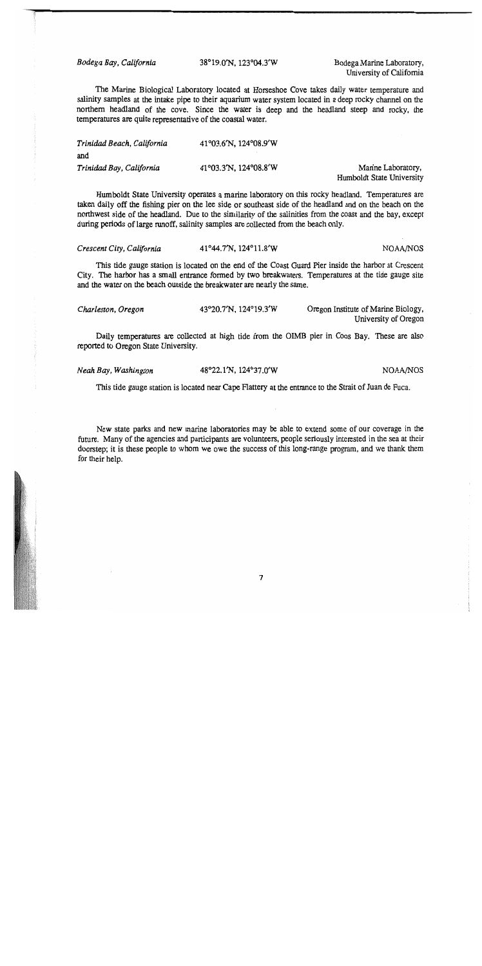Bodega Bay, California

38°19.0'N, 123°04.3'W

Bodega Marine Laboratory, University of California

The Marine Biological Laboratory located at Horseshoe Cove takes daily water temperature and salinity samples at the intake pipe to their aquarium water system located in a deep rocky channel on the northern headland of the cove. Since the water is deep and the headland steep and rocky, the temperatures are quite representative of the coastal water.

| Trinidad Beach, California | 41°03.6'N, 124°08.9'W |                           |
|----------------------------|-----------------------|---------------------------|
| and                        |                       |                           |
| Trinidad Bay, California   | 41°03.3'N, 124°08.8'W | Marine Laboratory,        |
|                            |                       | Humboldt State University |

Humboldt State University operates a marine laboratory on this rocky headland. Temperatures are taken daily off the fishing pier on the lee side or southeast side of the headland and on the beach on the northwest side of the headland. Due to the similarity of the salinities from the coast and the bay, except during periods of large runoff, salinity samples are collected from the beach only.

| Crescent City, California | $41^{\circ}44.7^{\prime}N$ , $124^{\circ}11.8^{\prime}W$ | NOAA/NOS |
|---------------------------|----------------------------------------------------------|----------|
|                           |                                                          |          |

This tide gauge station is located on the end of the Coast Guard Pier inside the harbor at Crescent City. The harbor has a small entrance formed by two breakwaters. Temperatures at the tide gauge site and the water on the beach outside the breakwater are nearly the same.

| Charleston, Oregon | 43°20.7′N, 124°19.3′W | Oregon Institute of Marine Biology, |
|--------------------|-----------------------|-------------------------------------|
|                    |                       | University of Oregon                |

Daily temperatures are collected at high tide from the OIMB pier in Coos Bay. These are also reported to Oregon State University.

| Neah Bay, Washington | 48°22.1'N, 124°37.0'W |
|----------------------|-----------------------|
|----------------------|-----------------------|

NOAA/NOS

This tide gauge station is located near Cape Flattery at the entrance to the Strait of Juan de Fuca.

New state parks and new marine laboratories may be able to extend some of our coverage in the future. Many of the agencies and participants are volunteers, people seriously interested in the sea at their doorstep; it is these people to whom we owe the success of this long-range program, and we thank them for their help.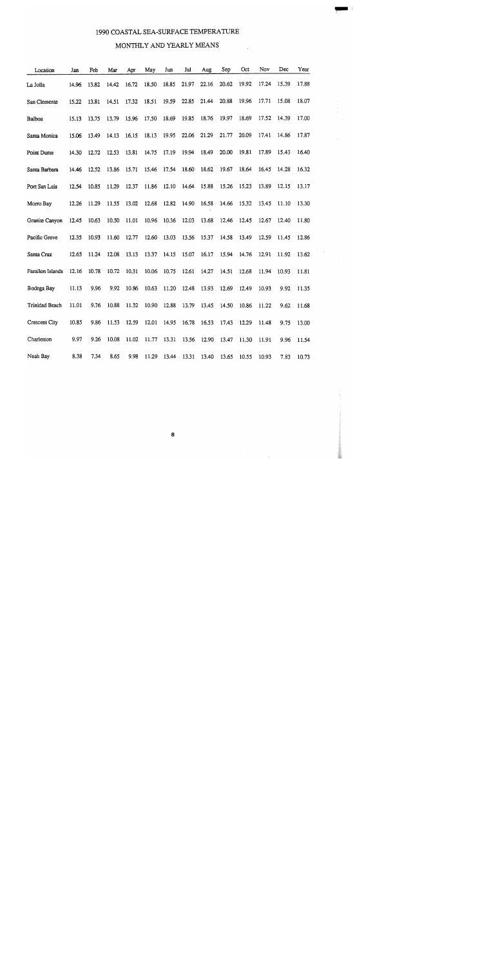### 1990 COASTAL SEA-SURFACE TEMPERATURE

### MONTHLY AND YEARLY MEANS

| Location              | Jan   | Feb   | Mar   | Apr   | May   | Jun   | Jul   | Aug   | Sep   | Oct   | Nov   | Dec   | Year  |
|-----------------------|-------|-------|-------|-------|-------|-------|-------|-------|-------|-------|-------|-------|-------|
| La Jolla              | 14.96 | 13.82 | 14.42 | 16.72 | 18.50 | 18.85 | 21.97 | 22.16 | 20.62 | 19.92 | 17.24 | 15.39 | 17.88 |
| San Clemente          | 15.22 | 13.81 | 14.51 | 17.32 | 18.51 | 19.59 | 22.85 | 21.44 | 20.88 | 19.96 | 17.71 | 15.08 | 18.07 |
| Balboa                | 15.13 | 13.75 | 13.79 | 15.96 | 17.50 | 18.69 | 19.85 | 18.76 | 19.97 | 18.69 | 17.52 | 14.39 | 17.00 |
| Santa Monica          | 15.06 | 13.49 | 14.13 | 16.15 | 18.13 | 19.95 | 22.06 | 21.29 | 21.77 | 20.09 | 17.41 | 14.86 | 17.87 |
| Point Dume            | 14.30 | 12.72 | 12.53 | 13.81 | 14.75 | 17.19 | 19.94 | 18.49 | 20.00 | 19.81 | 17.89 | 15.43 | 16.40 |
| Santa Barbara         | 14.46 | 12.52 | 13.86 | 15.71 | 15.46 | 17.54 | 18.60 | 18.62 | 19.67 | 18.64 | 16.45 | 14.28 | 16.32 |
| Port San Luis         | 12.54 | 10.85 | 11.29 | 12.37 | 11.86 | 12.10 | 14.64 | 15.88 | 15.26 | 15.23 | 13.89 | 12.15 | 13.17 |
| Morro Bay             | 12.26 | 11.29 | 11.55 | 13.02 | 12.68 | 12.82 | 14.90 | 16.58 | 14.66 | 15.32 | 13.45 | 11.10 | 13.30 |
| Granite Canyon        | 12.45 | 10.63 | 10.50 | 11.01 | 10.96 | 10.36 | 12.03 | 13.68 | 12.46 | 12.45 | 12.67 | 12.40 | 11.80 |
| Pacific Grove         | 12.35 | 10.93 | 11.60 | 12.77 | 12.60 | 13.03 | 13.56 | 15.37 | 14.58 | 13.49 | 12.59 | 11.45 | 12.86 |
| Santa Cruz            | 12.65 | 11.24 | 12.08 | 13.13 | 13.37 | 14.15 | 15.07 | 16.17 | 15.94 | 14.76 | 12.91 | 11.92 | 13.62 |
| Farallon Islands      | 12.16 | 10.78 | 10.72 | 10.31 | 10.06 | 10.75 | 12.61 | 14.27 | 14.51 | 12.68 | 11.94 | 10.93 | 11.81 |
| Bodega Bay            | 11.13 | 9.96  | 9.92  | 10.86 | 10.63 | 11.20 | 12.48 | 13.93 | 12.69 | 12.49 | 10.93 | 9.92  | 11.35 |
| <b>Trinidad Beach</b> | 11.01 | 9.76  | 10.88 | 11.32 | 10.90 | 12.88 | 13.79 | 13.45 | 14.50 | 10.86 | 11.22 | 9.62  | 11.68 |
| Crescent City         | 10.85 | 9.86  | 11.53 | 12.59 | 12.01 | 14.95 | 16.78 | 16.53 | 17.43 | 12.29 | 11.48 | 9.75  | 13.00 |
| Charleston            | 9.97  | 9.26  | 10.08 | 11.02 | 11.77 | 13.31 | 13.56 | 12.90 | 13.47 | 11.30 | 11.91 | 9.96  | 11.54 |
| Neah Bay              | 8.38  | 7.34  | 8.65  | 9.98  | 11.29 | 13.44 | 13.31 | 13.40 | 13.65 | 10.55 | 10.93 | 7.83  | 10.73 |

 $\bf{8}$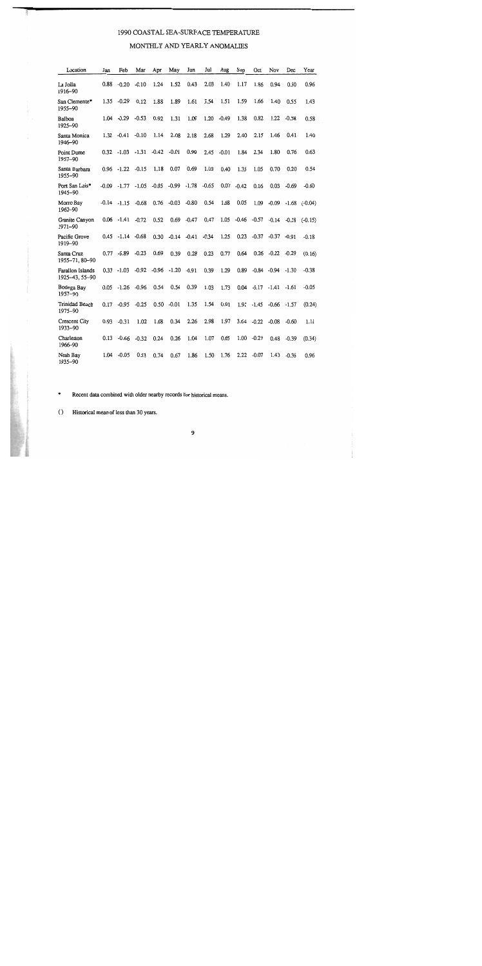### 1990 COASTAL SEA-SURFACE TEMPERATURE

### MONTHLY AND YEARLY ANOMALIES

| Location                           | Jan     | Feb           | Mar     | Apr     | May            | Jun     | Jul     | Aug     | Sep     | Oct     | Nov     | Dec     | Year      |
|------------------------------------|---------|---------------|---------|---------|----------------|---------|---------|---------|---------|---------|---------|---------|-----------|
| La Jolla<br>1916-90                | 0.88    | $-0.20$       | $-0.10$ | 1.24    | 1.52           | 0.43    | 2.03    | 1.40    | 1.17    | 1.86    | 0.94    | 0.50    | 0.96      |
| San Clemente*<br>1955-90           | 1.35    | $-0.29$       | 0.12    | 1.88    | 1.89           | 1.61    | 3.54    | 1.51    | 1.59    | 1.66    | 1.40    | 0.55    | 1.43      |
| Balboa<br>1925-90                  | 1.04    | $-0.29$       | $-0.53$ | 0.92    | 1.31           | 1.09    | 1.20    | $-0.49$ | 1.38    | 0.82    | 1.22    | $-0.58$ | 0.58      |
| Santa Monica<br>1946-90            | 1.32    | $-0.41$       | $-0.10$ | 1.14    | 2.08           | 2.18    | 2.68    | 1.29    | 2.40    | 2.15    | 1.46    | 0.41    | 1.40      |
| Point Dume<br>1957-90              | 0.32    | $-1.03$       | $-1.31$ | $-0.42$ | $-0.01$        | 0.99    | 2.45    | $-0.01$ | 1.84    | 2.34    | 1.80    | 0.76    | 0.63      |
| Santa Barbara<br>1955-90           |         | $0.96 - 1.22$ | $-0.15$ | 1.18    | 0.07           | 0.69    | 1.03    | 0.40    | 1.35    | 1.05    | 0.70    | 0.20    | 0.54      |
| Port San Luis*<br>1945-90          | $-0.09$ | $-1.77$       | $-1.05$ |         | $-0.05 - 0.99$ | $-1.78$ | $-0.65$ | 0.07    | $-0.42$ | 0.16    | 0.03    | $-0.69$ | $-0.60$   |
| Morro Bay<br>1962-90               | $-0.14$ | $-1.15$       | $-0.68$ | 0.76    | $-0.03$        | $-0.80$ | 0.54    | 1.68    | 0.05    | 1.09    | $-0.09$ | $-1.68$ | $(-0.04)$ |
| Granite Canyon<br>1971-90          | 0.06    | $-1.41$       | $-0.72$ | 0.52    | 0.69           | $-0.47$ | 0.47    | 1.05    | $-0.46$ | $-0.57$ | $-0.14$ | $-0.18$ | $(-0.15)$ |
| Pacific Grove<br>1919-90           | 0.45    | $-1.14$       | $-0.68$ | 0.30    | $-0.14$        | $-0.41$ | $-0.34$ | 1.25    | 0.23    | $-0.37$ | $-0.37$ | $-0.91$ | $-0.18$   |
| Santa Cruz<br>1955-71, 80-90       | 0.77    | $-0.89$       | $-0.23$ | 0.69    | 0.39           | 0.28    | 0.23    | 0.77    | 0.64    | 0.26    | $-0.22$ | $-0.29$ | (0.16)    |
| Farallon Islands<br>1925-43, 55-90 | 0.33    | $-1.03$       | $-0.92$ | $-0.96$ | $-1.20$        | $-0.91$ | 0.39    | 1.29    | 0.89    | $-0.84$ | $-0.94$ | $-1.30$ | $-0.38$   |
| Bodega Bay<br>1957-90              | 0.05    | $-1.26$       | $-0.96$ | 0.54    | 0.54           | 0.39    | 1.03    | 1.73    | 0.04    | $-0.17$ | $-1.41$ | $-1.61$ | $-0.05$   |
| Trinidad Beach<br>1975-90          | 0.17    | $-0.95$       | $-0.25$ | 0.50    | $-0.01$        | 1.35    | 1.54    | 0.91    | 1.91    | $-1.45$ | $-0.66$ | -1.57   | (0.24)    |
| Crescent City<br>1933-90           | 0.93    | $-0.31$       | 1.02    | 1.68    | 0.34           | 2.26    | 2.98    | 1.97    | 3.64    | $-0.22$ | $-0.08$ | $-0.60$ | 1.11      |
| Charleston<br>1966-90              | 0.13    | $-0.66$       | $-0.32$ | 0.24    | 0.26           | 1.04    | 1.07    | 0.65    | 1.00    | $-0.27$ | 0.48    | $-0.39$ | (0.34)    |
| Neah Bay<br>1935-90                | 1.04    | $-0.05$       | 0.53    | 0.74    | 0.67           | 1.86    | 1.50    | 1.76    | 2.22    | $-0.07$ | 1.43    | $-0.36$ | 0.96      |

Recent data combined with older nearby records for historical means.  $\ast$ 

Historical mean of less than 30 years.  $\left( \right)$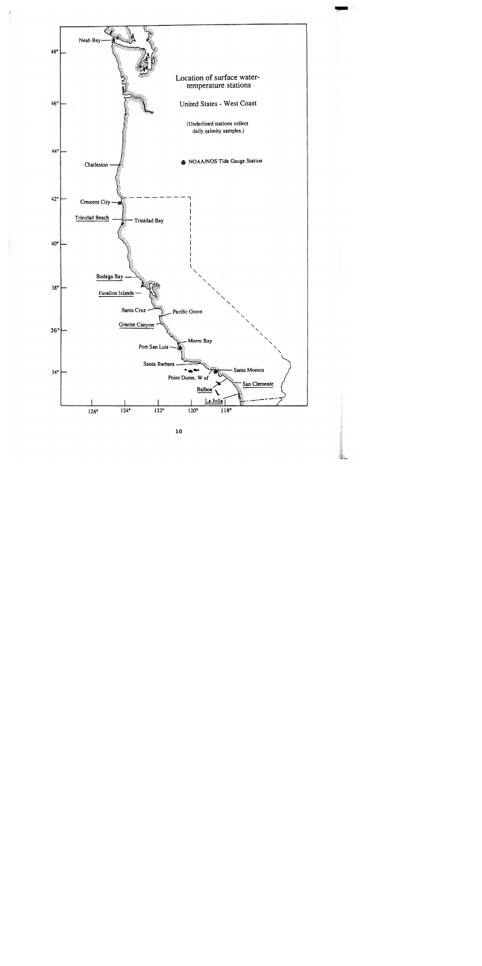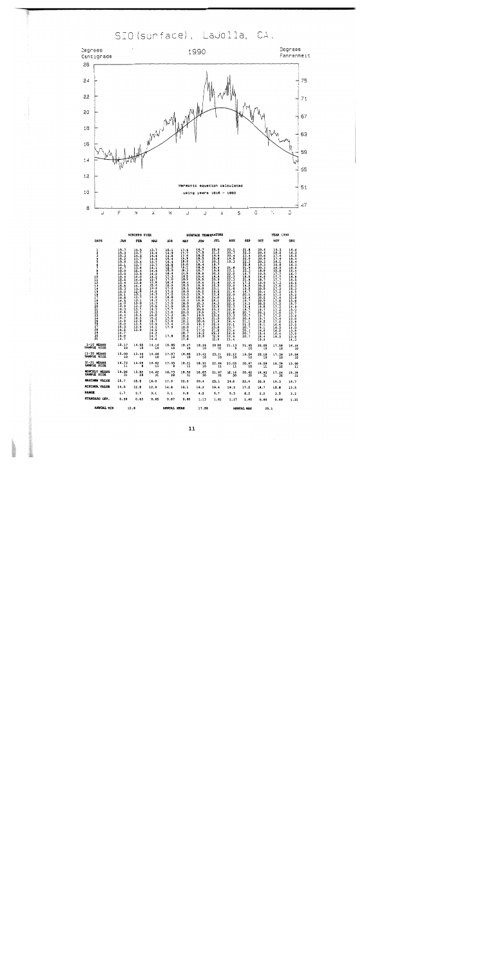SIO (surface), LaJolla, CA.



 ${\bf 11}$ 

**UAL MAX**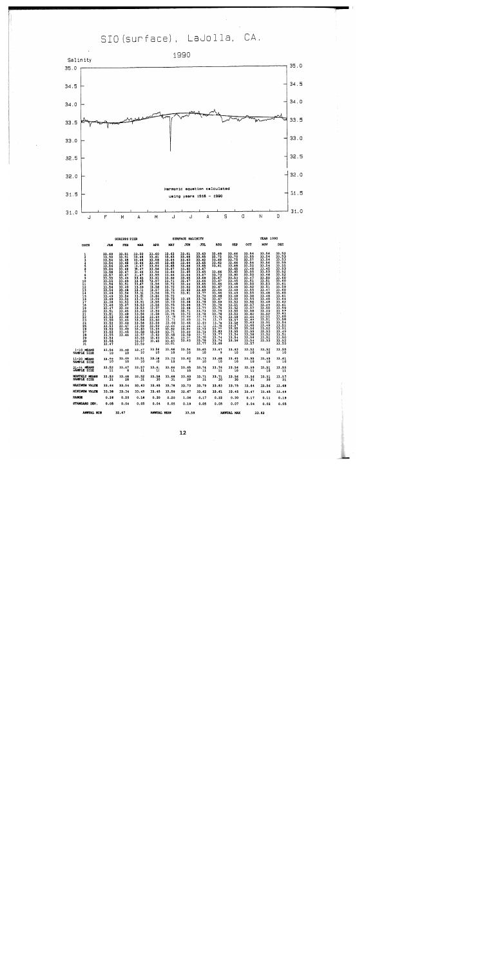SIO (surface), LaJolla, CA.



|                                                                                                                                 |                                                                                                                                                                                                                                      | <b>SCRIPPS PIER</b>                                                                                                                                                                                                                                                                                    |                                                                                                                                                                                                                                                                                         |                                                                                                                                                                    |                                                                                                                                                                                                                                                                                                                 | SURFACE SALINITY                                                                                                                                                                                                                                             |                                                                                                                                                                                                                                                                                                                            |                                                                                                                                                                                                                                                                                                                    |                                                                                                                                                                                                                                                                    |                                                                                                                                                                                                                                                                                                                         | <b>YEAR 1990</b>                                                                                                                                                                                                                                                                                                                |                                                                 |
|---------------------------------------------------------------------------------------------------------------------------------|--------------------------------------------------------------------------------------------------------------------------------------------------------------------------------------------------------------------------------------|--------------------------------------------------------------------------------------------------------------------------------------------------------------------------------------------------------------------------------------------------------------------------------------------------------|-----------------------------------------------------------------------------------------------------------------------------------------------------------------------------------------------------------------------------------------------------------------------------------------|--------------------------------------------------------------------------------------------------------------------------------------------------------------------|-----------------------------------------------------------------------------------------------------------------------------------------------------------------------------------------------------------------------------------------------------------------------------------------------------------------|--------------------------------------------------------------------------------------------------------------------------------------------------------------------------------------------------------------------------------------------------------------|----------------------------------------------------------------------------------------------------------------------------------------------------------------------------------------------------------------------------------------------------------------------------------------------------------------------------|--------------------------------------------------------------------------------------------------------------------------------------------------------------------------------------------------------------------------------------------------------------------------------------------------------------------|--------------------------------------------------------------------------------------------------------------------------------------------------------------------------------------------------------------------------------------------------------------------|-------------------------------------------------------------------------------------------------------------------------------------------------------------------------------------------------------------------------------------------------------------------------------------------------------------------------|---------------------------------------------------------------------------------------------------------------------------------------------------------------------------------------------------------------------------------------------------------------------------------------------------------------------------------|-----------------------------------------------------------------|
| <b>DAYS</b>                                                                                                                     | <b>JAN</b>                                                                                                                                                                                                                           | FEB                                                                                                                                                                                                                                                                                                    | <b>MAR</b>                                                                                                                                                                                                                                                                              | <b>APR</b>                                                                                                                                                         | MAY                                                                                                                                                                                                                                                                                                             | JUN                                                                                                                                                                                                                                                          | JUL                                                                                                                                                                                                                                                                                                                        | <b>AUG</b>                                                                                                                                                                                                                                                                                                         | <b>SEP</b>                                                                                                                                                                                                                                                         | OCT                                                                                                                                                                                                                                                                                                                     | NOV                                                                                                                                                                                                                                                                                                                             | DEC                                                             |
| $\frac{1}{2}$<br>$\frac{6}{7}$<br>8<br>9<br>10<br>11<br>11<br>14<br>15<br>15<br>17<br>18<br>19012234567<br>28<br>29<br>30<br>31 | 001 - 1988 - 1989 - 1989 - 1989 - 1989 - 1989 - 1989 - 1989 - 1989 - 1989 - 1989 - 1989 - 1989 - 198<br>1980 - 1980 - 1980 - 1980 - 1980 - 1980 - 1980 - 1980 - 1980 - 1980 - 1980 - 1980 - 1980 - 1980 - 1980 - 1980<br>1980 - 1980 | $\frac{33.51}{33.51}$<br>33.45<br>33.48<br>33.45<br>33.46<br>33.47<br>33.47<br>33.49<br>33.49<br>33.51<br>33.49<br>33.48<br>$33.54$<br>$33.54$<br>$33.52$<br>$33.52$<br>$\frac{33}{33}$ ; $\frac{47}{34}$<br>33.45<br>$33.48$<br>$33.48$<br>33.49<br>33.46<br>$33.47$<br>$33.49$<br>$33.45$<br>$33.46$ | 33.50<br>33.46<br>33.46<br>33.46<br>33.47<br>33.47<br>$\frac{33.46}{33.47}$<br>$33.45$<br>$33.45$<br>$33.47$<br>33.49<br>33.51<br>33.51<br>33.51<br>33.51<br>33.53<br>33.53<br>33.53<br>33.53<br>13.56<br>13.56<br>13.56<br>13.56<br>13.59<br>13.58<br>13.55<br>13.55<br>13.55<br>13.55 | 33.60<br>33.61<br>33.58<br>33.45<br>33.54<br>33.56<br>$\frac{13}{33}$ $\frac{53}{55}$<br>33.61<br>$\frac{33.57}{33.56}$<br>$\frac{13.58}{13.57}$<br>33.63<br>33.65 | 33.63<br>33.63<br>33.64<br>33.65<br>33.65<br>33.67<br>33.66<br>33.66<br>33.66<br>33.71<br>33.72<br>$\frac{33}{33}$ . 72<br>33.73<br>$33.72$<br>$33.72$<br>$33.73$<br>$33.75$<br>$33.74$<br>$33.76$<br>$33.75$<br>$33.75$<br>$33.75$<br>33.68<br>33.64<br>33.62<br>33.71<br>33.58<br>33.61<br>$33.62$<br>$33.61$ | 33.61<br>33.66<br>33.63<br>33.64<br>33.66<br>33.62<br>33.65<br>33.64<br>33.65<br>32.67<br>33.44<br>33.52<br>33.62<br>33.61<br>33.65<br>33.66<br>33.69<br>$33.68$<br>$33.71$<br>33.73<br>33:43<br>13.66<br>33.66<br>33.64<br>33.62<br>33.59<br>33.57<br>33.63 | 33.63<br>33.65<br>$33.62$<br>$33.65$<br>33.65<br>33.67<br>33.65<br>33.67<br>33.69<br>33.66<br>33.65<br>33.65<br>33.69<br>33.77<br>$\frac{33}{33}$ : 72<br>33.79<br>$\frac{33}{33}$ . 77<br>$\frac{77}{33}$ . 77<br>$\frac{33.76}{33.78}$<br>$\frac{15}{33}$ . $\frac{69}{72}$<br>33.73<br>33.74<br>33.71<br>33.70<br>33.78 | $33.68$<br>$33.72$<br>$33.66$<br>$33.62$<br>$33.61$<br>$33.66$<br>$33.70$<br>$33.67$<br>$33.66$<br>$33.66$<br>$33.64$<br>$33.66$<br>$33.66$<br>33.66<br>33.67<br>33.69<br>33.70<br>33.76<br>33.76<br>33.76<br>33.76<br>$\frac{33}{33}$ , $\frac{76}{7}$<br>$\frac{33.83}{33.77}$<br>33.74<br>$\frac{33.74}{33.69}$ | 33.66<br>33.75<br>$33.66$<br>$33.68$<br>$33.65$<br>$33.60$<br>$33.60$<br>33.53<br>33.45<br>33.48<br>33.46<br>33.48<br>33.49<br>33.48<br>33.52<br>33.52<br>33.52<br>33.52<br>33.52<br>33.58<br>33.58<br>33.58<br>33.58<br>33.55<br>33.55<br>33.54<br>33.54<br>33.56 | 33.54<br>33.55<br>33.57<br>33.54<br>33.52<br>33.48<br>$\frac{33.55}{33.50}$<br>$33.47$<br>$33.51$<br>$33.50$<br>33.52<br>33.55<br>33.55<br>$\frac{33.56}{33.55}$<br>33.56<br>$33.57$<br>$33.57$<br>$33.58$<br>33.62<br>33.64<br>33.63<br>33.63<br>33.60<br>$33.56$<br>$33.55$<br>$33.58$<br>33.56<br>$33.54$<br>$33.57$ | 33.56<br>33.54<br>33.54<br>33.56<br>33.54<br>33.45<br>$\frac{33.53}{33.46}$<br>$\frac{33.50}{33.51}$<br>$\frac{33.51}{33.51}$<br>33.47<br>33.48<br>33.48<br>33.48<br>33.48<br>$33.49$<br>$33.50$<br>$33.49$<br>33.50<br>$\frac{11}{33}$ , $\frac{51}{31}$<br>33.51<br>33.49<br>$\frac{33.52}{33.53}$<br>33.52<br>33.52<br>33.53 | $33.52$<br>$33.53$<br>33.49<br>33.51<br>33.50<br>33.52<br>33.55 |
| $1 - 10$ HEANS<br>SAMPLE SIZE                                                                                                   | 33.56                                                                                                                                                                                                                                | 33.48                                                                                                                                                                                                                                                                                                  | 33.47<br>$-10$                                                                                                                                                                                                                                                                          | 33.56                                                                                                                                                              | 33.66<br>10                                                                                                                                                                                                                                                                                                     | 33.54                                                                                                                                                                                                                                                        | 33.65<br>$\overline{10}$                                                                                                                                                                                                                                                                                                   | 33.67                                                                                                                                                                                                                                                                                                              | 33.63                                                                                                                                                                                                                                                              | 33.52                                                                                                                                                                                                                                                                                                                   | 33.52                                                                                                                                                                                                                                                                                                                           | 33.55<br>$\overline{\text{io}}$                                 |
| 11-20 HEANS<br>SAMPLE SIZE                                                                                                      | $33.50$<br>$10$                                                                                                                                                                                                                      | $33.49$<br>$10$                                                                                                                                                                                                                                                                                        | 33,51                                                                                                                                                                                                                                                                                   | 33.58<br>10                                                                                                                                                        | J3.73<br>10                                                                                                                                                                                                                                                                                                     | 33.62<br>9                                                                                                                                                                                                                                                   | 33.73<br>10                                                                                                                                                                                                                                                                                                                | 33.68                                                                                                                                                                                                                                                                                                              | 33.49                                                                                                                                                                                                                                                              | 33.55<br>10                                                                                                                                                                                                                                                                                                             | 33.49<br>$\overline{10}$                                                                                                                                                                                                                                                                                                        | 33.61                                                           |
| 21-31 HEANS<br>SAMPLE SIZE                                                                                                      | $33.52$<br>11                                                                                                                                                                                                                        | 33.47<br>×                                                                                                                                                                                                                                                                                             | $33.57$<br>$11$                                                                                                                                                                                                                                                                         | 33.61                                                                                                                                                              | $33.66$<br>11                                                                                                                                                                                                                                                                                                   | 33.65                                                                                                                                                                                                                                                        | 33.74<br>$\overline{11}$                                                                                                                                                                                                                                                                                                   | $33.76$<br>$11$                                                                                                                                                                                                                                                                                                    | 33.56                                                                                                                                                                                                                                                              | 33.59                                                                                                                                                                                                                                                                                                                   | 33.51                                                                                                                                                                                                                                                                                                                           | 33.55<br>11                                                     |
| <b>MONTHLY MEANS</b><br>SAMPLE SIZE                                                                                             | $33.53$<br>$31$                                                                                                                                                                                                                      | 33.48<br>28                                                                                                                                                                                                                                                                                            | 33.52                                                                                                                                                                                                                                                                                   | 33.58<br>30                                                                                                                                                        | 33.68<br>31                                                                                                                                                                                                                                                                                                     | 33.60<br>29                                                                                                                                                                                                                                                  | 33.71<br>31                                                                                                                                                                                                                                                                                                                | 33.71                                                                                                                                                                                                                                                                                                              | 33.56<br>30                                                                                                                                                                                                                                                        | $33.56$<br>$31$                                                                                                                                                                                                                                                                                                         | $33.51$<br>$30$                                                                                                                                                                                                                                                                                                                 | 33.57<br>3i                                                     |
| <b>MAXIMUM VALUE</b>                                                                                                            | 33.64                                                                                                                                                                                                                                | 33.54                                                                                                                                                                                                                                                                                                  | 33.63                                                                                                                                                                                                                                                                                   | 33.65                                                                                                                                                              | 33.78                                                                                                                                                                                                                                                                                                           | 33.73                                                                                                                                                                                                                                                        | 33.79                                                                                                                                                                                                                                                                                                                      | 33.83                                                                                                                                                                                                                                                                                                              | 33.75                                                                                                                                                                                                                                                              | 33.64                                                                                                                                                                                                                                                                                                                   | 33.56                                                                                                                                                                                                                                                                                                                           | 33.68                                                           |
| <b>MINIMUM VALUE</b>                                                                                                            | 33.38                                                                                                                                                                                                                                | 33.34                                                                                                                                                                                                                                                                                                  | 33.45                                                                                                                                                                                                                                                                                   | 33.45                                                                                                                                                              | 33.58                                                                                                                                                                                                                                                                                                           | 32.67                                                                                                                                                                                                                                                        | 33.62                                                                                                                                                                                                                                                                                                                      | 33.61                                                                                                                                                                                                                                                                                                              | 33.45                                                                                                                                                                                                                                                              | 33.47                                                                                                                                                                                                                                                                                                                   | 33.45                                                                                                                                                                                                                                                                                                                           | 33.49                                                           |
| <b>RANGE</b>                                                                                                                    | 0.26                                                                                                                                                                                                                                 | 0.20                                                                                                                                                                                                                                                                                                   | 0.18                                                                                                                                                                                                                                                                                    | 0.20                                                                                                                                                               | 0.20                                                                                                                                                                                                                                                                                                            | 1.06                                                                                                                                                                                                                                                         | 0.17                                                                                                                                                                                                                                                                                                                       | 0.22                                                                                                                                                                                                                                                                                                               | 0.30                                                                                                                                                                                                                                                               | 0.17                                                                                                                                                                                                                                                                                                                    | 0.11                                                                                                                                                                                                                                                                                                                            | 0.19                                                            |
| STANDARD DEV.                                                                                                                   | 0.05                                                                                                                                                                                                                                 | 0.04                                                                                                                                                                                                                                                                                                   | 0.05                                                                                                                                                                                                                                                                                    | 0.04                                                                                                                                                               | 0.05                                                                                                                                                                                                                                                                                                            | 0.19                                                                                                                                                                                                                                                         | 0.05                                                                                                                                                                                                                                                                                                                       | 0.05                                                                                                                                                                                                                                                                                                               | 0.07                                                                                                                                                                                                                                                               | 0.04                                                                                                                                                                                                                                                                                                                    | 0.02                                                                                                                                                                                                                                                                                                                            | 0.05                                                            |
| <b>AMORAY MYM</b>                                                                                                               |                                                                                                                                                                                                                                      | $\frac{1}{2}$                                                                                                                                                                                                                                                                                          |                                                                                                                                                                                                                                                                                         | <b>AMMAY MOAM</b>                                                                                                                                                  |                                                                                                                                                                                                                                                                                                                 | 226                                                                                                                                                                                                                                                          |                                                                                                                                                                                                                                                                                                                            |                                                                                                                                                                                                                                                                                                                    | <b>AMMERY MEM</b>                                                                                                                                                                                                                                                  |                                                                                                                                                                                                                                                                                                                         | 33.83                                                                                                                                                                                                                                                                                                                           |                                                                 |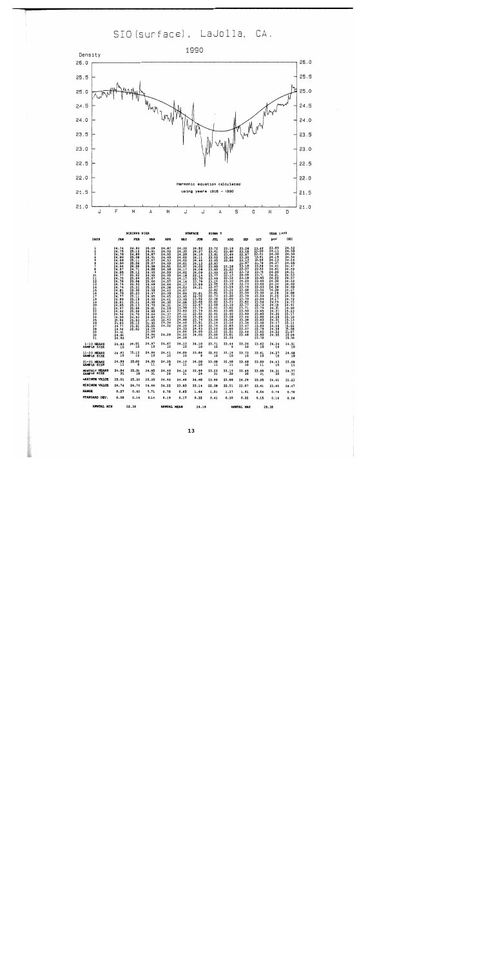SIO (surface), LaJolla, CA.



| ANNUAL NTN                                                                                                                                                                                                                |                                                                                                                                                                                                                                                                                                               | 22.38                                                                                                                                                                                                                                                     |                                                                                                                                                                                                                                                                                     | AMMINAT, MEAN                                                                                                                                                                                                                                            |                                                                                                                                                                                                                                                                                     | 24 19                                                                                                                                                                                                                                             |                                                                                                                                                                                                                                                                                       | AMMINT MAY                                                                                                                                                                                                                                                                       |                                                                                                                                                                                                                                                                                |                                                                                                                                                                                                                                                                                     | 28.25                                                                                                                                                                                                                                                                      |                                                                                                                                                                                                                                                                                           |
|---------------------------------------------------------------------------------------------------------------------------------------------------------------------------------------------------------------------------|---------------------------------------------------------------------------------------------------------------------------------------------------------------------------------------------------------------------------------------------------------------------------------------------------------------|-----------------------------------------------------------------------------------------------------------------------------------------------------------------------------------------------------------------------------------------------------------|-------------------------------------------------------------------------------------------------------------------------------------------------------------------------------------------------------------------------------------------------------------------------------------|----------------------------------------------------------------------------------------------------------------------------------------------------------------------------------------------------------------------------------------------------------|-------------------------------------------------------------------------------------------------------------------------------------------------------------------------------------------------------------------------------------------------------------------------------------|---------------------------------------------------------------------------------------------------------------------------------------------------------------------------------------------------------------------------------------------------|---------------------------------------------------------------------------------------------------------------------------------------------------------------------------------------------------------------------------------------------------------------------------------------|----------------------------------------------------------------------------------------------------------------------------------------------------------------------------------------------------------------------------------------------------------------------------------|--------------------------------------------------------------------------------------------------------------------------------------------------------------------------------------------------------------------------------------------------------------------------------|-------------------------------------------------------------------------------------------------------------------------------------------------------------------------------------------------------------------------------------------------------------------------------------|----------------------------------------------------------------------------------------------------------------------------------------------------------------------------------------------------------------------------------------------------------------------------|-------------------------------------------------------------------------------------------------------------------------------------------------------------------------------------------------------------------------------------------------------------------------------------------|
| STANDARD DEV.                                                                                                                                                                                                             | 0.08                                                                                                                                                                                                                                                                                                          | 0.14                                                                                                                                                                                                                                                      | 0.14                                                                                                                                                                                                                                                                                | 0.19                                                                                                                                                                                                                                                     | 0.17                                                                                                                                                                                                                                                                                | 0.32                                                                                                                                                                                                                                              | 0.41                                                                                                                                                                                                                                                                                  | 0.30                                                                                                                                                                                                                                                                             | 0.32                                                                                                                                                                                                                                                                           | 0.15                                                                                                                                                                                                                                                                                | 0.16                                                                                                                                                                                                                                                                       | 0.26                                                                                                                                                                                                                                                                                      |
| <b>RANGE</b>                                                                                                                                                                                                              | 0.27                                                                                                                                                                                                                                                                                                          | 0.60                                                                                                                                                                                                                                                      | 0.71                                                                                                                                                                                                                                                                                | 0.70                                                                                                                                                                                                                                                     | 0.85                                                                                                                                                                                                                                                                                | 1.46                                                                                                                                                                                                                                              | 1.51                                                                                                                                                                                                                                                                                  | 1.37                                                                                                                                                                                                                                                                             | 1.41                                                                                                                                                                                                                                                                           | 0.54                                                                                                                                                                                                                                                                                | 0.76                                                                                                                                                                                                                                                                       | 0.76                                                                                                                                                                                                                                                                                      |
| <b>MINIMUM VALUE</b>                                                                                                                                                                                                      | 24.74                                                                                                                                                                                                                                                                                                         | 24.70                                                                                                                                                                                                                                                     | 24.64                                                                                                                                                                                                                                                                               | 24.22                                                                                                                                                                                                                                                    | 23.83                                                                                                                                                                                                                                                                               | 23.14                                                                                                                                                                                                                                             | 22.30                                                                                                                                                                                                                                                                                 | 22.51                                                                                                                                                                                                                                                                            | 22.87                                                                                                                                                                                                                                                                          | 23.41                                                                                                                                                                                                                                                                               | 23.85                                                                                                                                                                                                                                                                      | 24.47                                                                                                                                                                                                                                                                                     |
| <b>MAXIMUM VALUE</b>                                                                                                                                                                                                      | 25.01                                                                                                                                                                                                                                                                                                         | 25.30                                                                                                                                                                                                                                                     | 25.35                                                                                                                                                                                                                                                                               | 24.92                                                                                                                                                                                                                                                    | 24.68                                                                                                                                                                                                                                                                               | 24.60                                                                                                                                                                                                                                             | 23.89                                                                                                                                                                                                                                                                                 | 23.88                                                                                                                                                                                                                                                                            | 24.29                                                                                                                                                                                                                                                                          | 23.95                                                                                                                                                                                                                                                                               | 24.61                                                                                                                                                                                                                                                                      | 25.23                                                                                                                                                                                                                                                                                     |
| <b>HONTHLY HEANS</b><br>SAMPLE SIZE                                                                                                                                                                                       | 24.84<br>31                                                                                                                                                                                                                                                                                                   | 25.05<br>28                                                                                                                                                                                                                                               | 24.95<br>31                                                                                                                                                                                                                                                                         | 24.49<br>28                                                                                                                                                                                                                                              | 24.14<br>31                                                                                                                                                                                                                                                                         | 23.99<br>29                                                                                                                                                                                                                                       | 23.23<br>31                                                                                                                                                                                                                                                                           | 23.19<br>30                                                                                                                                                                                                                                                                      | 23.49<br>30                                                                                                                                                                                                                                                                    | 23.68<br>31                                                                                                                                                                                                                                                                         | 24.31<br>30                                                                                                                                                                                                                                                                | 24.77<br>$\overline{\mathbf{31}}$                                                                                                                                                                                                                                                         |
| 21-31 MEANS<br>SAMPLE SIZE                                                                                                                                                                                                | 24.89<br>$^{\circ}$ 11                                                                                                                                                                                                                                                                                        | 25.00<br>8                                                                                                                                                                                                                                                | 24.95<br>$\overline{11}$                                                                                                                                                                                                                                                            | 24.35<br>ā                                                                                                                                                                                                                                               | $24.19$<br>$11$                                                                                                                                                                                                                                                                     | 24.00<br>10                                                                                                                                                                                                                                       | 23.08<br>11                                                                                                                                                                                                                                                                           | 22.98<br>11                                                                                                                                                                                                                                                                      | 23.48<br>10                                                                                                                                                                                                                                                                    | 23.80<br>-11                                                                                                                                                                                                                                                                        | 24.43<br>10                                                                                                                                                                                                                                                                | 25.08<br>11                                                                                                                                                                                                                                                                               |
| 11-20 MEANS<br>SAMPLE SIZE                                                                                                                                                                                                | 24.81<br>$\cdot \cdot$ 10                                                                                                                                                                                                                                                                                     | 25.13<br>10                                                                                                                                                                                                                                               | 24.94<br>10                                                                                                                                                                                                                                                                         | 24.41<br>10                                                                                                                                                                                                                                              | 24.09<br>10                                                                                                                                                                                                                                                                         | 23.86<br>9                                                                                                                                                                                                                                        | 22.92<br>10                                                                                                                                                                                                                                                                           | 23.19<br>10                                                                                                                                                                                                                                                                      | 23.73<br>10                                                                                                                                                                                                                                                                    | 23.61<br>10                                                                                                                                                                                                                                                                         | 24.27<br>10                                                                                                                                                                                                                                                                | 24.68<br>10                                                                                                                                                                                                                                                                               |
| $1-10$ MEANS<br>SAMPLE SIZE                                                                                                                                                                                               | 24.83<br>10                                                                                                                                                                                                                                                                                                   | 25.01<br>10                                                                                                                                                                                                                                               | 24.97<br>10                                                                                                                                                                                                                                                                         | 24.67<br>10                                                                                                                                                                                                                                              | 24.13<br>10                                                                                                                                                                                                                                                                         | 24.10<br>10                                                                                                                                                                                                                                       | 23.71<br>10                                                                                                                                                                                                                                                                           | 23.44<br>ؘ٥                                                                                                                                                                                                                                                                      | 23.26<br>10                                                                                                                                                                                                                                                                    | 23.62<br>10                                                                                                                                                                                                                                                                         | 24.24<br>10                                                                                                                                                                                                                                                                | 24.52<br>10                                                                                                                                                                                                                                                                               |
| ı<br>2<br>3<br>Ś<br>7<br>8<br>9<br>$^{10}_{11}$<br>$\frac{1}{1}$<br>$\frac{15}{16}$<br>17<br>$\frac{18}{19}$<br>$\sim$<br>žō<br>$\frac{21}{22}$<br>24<br>25<br>$\overline{26}$<br>27<br>$\overline{28}$<br>29<br>30<br>3ī | 24.74<br>24.75<br>24.78<br>24.80<br>24.86<br>24.90<br>24.94<br>24.87<br>24.85<br>24.77<br>$\frac{24.75}{24.78}$<br>$\frac{24.74}{24.81}$<br>24.79<br>$\frac{24.77}{24.89}$<br>$\frac{25.01}{24.85}$<br>24.97<br>24.92<br>24.94<br>24.90<br>$\frac{21.86}{24.83}$<br>24.77<br>24.96<br>24.91<br>24.88<br>24.86 | 24.93<br>25.10<br>24.89<br>25.08<br>25.11<br>25.06<br>25.05<br>25.12<br>25.02<br>25.04<br>25.06<br>24.93<br>25.22<br>25.30<br>25.23<br>$\frac{25}{25}$ .11<br>$\frac{25}{25}$ .11<br>25.08<br>25.08<br>24.70<br>24.94<br>25.03<br>25.12<br>25.01<br>25.02 | 25.09<br>24.91<br>24.87<br>24.91<br>25.07<br>25.07<br>24.98<br>24.88<br>24.95<br>24.95<br>25.07<br>25.06<br>24.69<br>25.12<br>24.99<br>24.97<br>24.85<br>24.99<br>24.90<br>24.73<br>25.01<br>24.80<br>24.64<br>24.82<br>24.95<br>25.35<br>25.05<br>24.96<br>25.00<br>24.94<br>24.97 | 24.87<br>24.92<br>24.92<br>24.69<br>24.53<br>24.69<br>24.51<br>24.66<br>24.59<br>24.35<br>24.41<br>24.57<br>24.44<br>24.36<br>24.42<br>24.39<br>24.45<br>24.41<br>24.30<br>24.31<br>24.26<br>24.47<br>24.37<br>24.43<br>24.43<br>24.34<br>24.22<br>24.29 | 24.32<br>24.30<br>24.28<br>24.02<br>24.02<br>24.01<br>23.97<br>24.17<br>24.02<br>24.16<br>24.17<br>24.14<br>24.17<br>24.03<br>24.07<br>24.04<br>23.95<br>23.99<br>24.08<br>24.25<br>23.99<br>23.83<br>24.11<br>23.94<br>24.68<br>24.46<br>24.29<br>24.33<br>24.04<br>24.22<br>24.26 | 24.52<br>24.10<br>24.11<br>24.44<br>24.12<br>24.02<br>24.06<br>24.09<br>23.14<br>23.79<br>23.99<br>24.21<br>23.81<br>24.02<br>23.82<br>23.68<br>23.67<br>23.79<br>23.79<br>23.82<br>$23.54$<br>23.74<br>23.91<br>24.29<br>24.43<br>24.60<br>24.03 | $23.72$<br>23.41<br>23.81<br>23.52<br>23.65<br>23.83<br>23.89<br>23.85<br>23.69<br>23.77<br>23.49<br>23.25<br>23.08<br>22.97<br>22.82<br>22.81<br>22.73<br>22.38<br>22.62<br>23.09<br>22.91<br>22.81<br>22.91<br>23.42<br>23.36<br>23.14<br>22.75<br>23.29<br>23.15<br>23.04<br>23.12 | $23.19$<br>$23.60$<br>23.64<br>23.84<br>23.88<br>$23.26$<br>23.20<br>23.21<br>23.13<br>23.12<br>23.10<br>23.19<br>23.26<br>23.31<br>23.21<br>23.20<br>23.09<br>23.21<br>23.19<br>23.02<br>23.05<br>22.92<br>23.28<br>22.58<br>23.26<br>22.85<br>22.89<br>22.51<br>23.01<br>23.39 | $23.26$<br>$23.15$<br>22.87<br>23.20<br>23.13<br>22.97<br>23.18<br>23.07<br>23.72<br>24.09<br>23.18<br>24.29<br>23.73<br>23.74<br>23.68<br>23.59<br>23.79<br>23.70<br>23.82<br>23.77<br>23.71<br>23.50<br>23.49<br>23.44<br>23.38<br>23.34<br>23.47<br>23.57<br>23,46<br>23.48 | 23.49<br>23.50<br>23.51<br>23.41<br>23.56<br>23.78<br>23.58<br>23.93<br>23.73<br>23.73<br>23.95<br>23.66<br>23.60<br>23.53<br>23.56<br>23.50<br>23.53<br>23.54<br>23.54<br>23.73<br>23.79<br>23.65<br>23.80<br>23.80<br>23.83<br>23.90<br>23.89<br>23.78<br>23.82<br>23.80<br>23.70 | 23.85<br>24.11<br>24.30<br>24.19<br>24.13<br>24.37<br>24.41<br>24.61<br>24.20<br>24.21<br>24.22<br>24.30<br>24.34<br>24.28<br>24.30<br>24.28<br>24.25<br>24.17<br>24.29<br>24.29<br>24.32<br>24.37<br>24.32<br>24.28<br>24.31<br>24.47<br>24.SS<br>24.56<br>24.52<br>24.55 | 24.52<br>24.55<br>24.50<br>24.54<br>24.54<br>24.55<br>24.47<br>24.52<br>$24.51$<br>24.53<br>24.57<br>24.53<br>24.60<br>24.60<br>24.57<br>24.88<br>24.73<br>24.72<br>24.73<br>24.91<br>24.90<br>25.23<br>25.17<br>$25.19$<br>$25.13$<br>25.14<br>25.02<br>25.08<br>25.07<br>25.09<br>25.00 |
|                                                                                                                                                                                                                           |                                                                                                                                                                                                                                                                                                               |                                                                                                                                                                                                                                                           |                                                                                                                                                                                                                                                                                     |                                                                                                                                                                                                                                                          |                                                                                                                                                                                                                                                                                     |                                                                                                                                                                                                                                                   |                                                                                                                                                                                                                                                                                       |                                                                                                                                                                                                                                                                                  |                                                                                                                                                                                                                                                                                |                                                                                                                                                                                                                                                                                     |                                                                                                                                                                                                                                                                            |                                                                                                                                                                                                                                                                                           |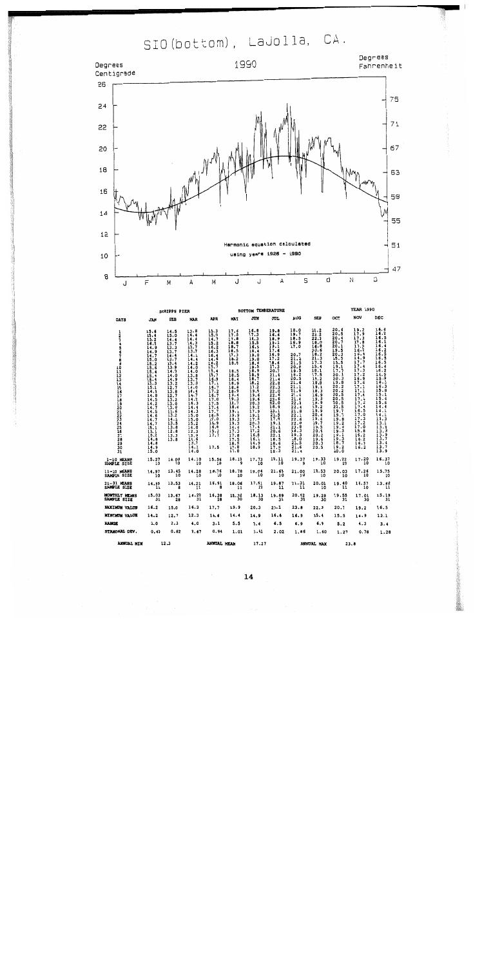SIO (bottom), LaJolla, CA.



|                                                                                                                     |                                                                                                                                                                                                                                                                                                | <b>SCRIPPS PIER</b>                                                                                                                                                                                                                                            |                                                                                                                                                                                                                                                                |                                                                                                                                                                                                                                                            |                                                                                                                                                                                                                                                     | <b>BOTTOM TEMPERATURE</b>                                                                                                                                                                                                                                  |                                                                                                                                                                                                                                                                                   |                                                                                                                                                                                                                                                                                                                     |                                                                                                                                                                                                                                                            |                                                                                                                                                                                                                                                                                                               | YEAR 1990                                                                                                                                                                                                                                                                                      |                                                                                                                                                                                                                                                                                                                                      |
|---------------------------------------------------------------------------------------------------------------------|------------------------------------------------------------------------------------------------------------------------------------------------------------------------------------------------------------------------------------------------------------------------------------------------|----------------------------------------------------------------------------------------------------------------------------------------------------------------------------------------------------------------------------------------------------------------|----------------------------------------------------------------------------------------------------------------------------------------------------------------------------------------------------------------------------------------------------------------|------------------------------------------------------------------------------------------------------------------------------------------------------------------------------------------------------------------------------------------------------------|-----------------------------------------------------------------------------------------------------------------------------------------------------------------------------------------------------------------------------------------------------|------------------------------------------------------------------------------------------------------------------------------------------------------------------------------------------------------------------------------------------------------------|-----------------------------------------------------------------------------------------------------------------------------------------------------------------------------------------------------------------------------------------------------------------------------------|---------------------------------------------------------------------------------------------------------------------------------------------------------------------------------------------------------------------------------------------------------------------------------------------------------------------|------------------------------------------------------------------------------------------------------------------------------------------------------------------------------------------------------------------------------------------------------------|---------------------------------------------------------------------------------------------------------------------------------------------------------------------------------------------------------------------------------------------------------------------------------------------------------------|------------------------------------------------------------------------------------------------------------------------------------------------------------------------------------------------------------------------------------------------------------------------------------------------|--------------------------------------------------------------------------------------------------------------------------------------------------------------------------------------------------------------------------------------------------------------------------------------------------------------------------------------|
| DAYS                                                                                                                | JAN                                                                                                                                                                                                                                                                                            | FEB                                                                                                                                                                                                                                                            | <b>MAR</b>                                                                                                                                                                                                                                                     | <b>APR</b>                                                                                                                                                                                                                                                 | MAY                                                                                                                                                                                                                                                 | JUN                                                                                                                                                                                                                                                        | JUL                                                                                                                                                                                                                                                                               | <b>AUG</b>                                                                                                                                                                                                                                                                                                          | <b>SEP</b>                                                                                                                                                                                                                                                 | OCT                                                                                                                                                                                                                                                                                                           | NOV                                                                                                                                                                                                                                                                                            | DEC                                                                                                                                                                                                                                                                                                                                  |
| $\frac{1}{2}$<br>6<br>7<br>8<br>9<br>10<br>īī<br>12<br>13<br>14<br>15<br>16<br>17<br>18<br>122223456783<br>30<br>31 | $\frac{15.5}{15.4}$<br>$\frac{15.2}{16.2}$<br>14.9<br>$\frac{14.9}{14.7}$<br>$\frac{15.2}{15.5}$<br>$\frac{15.4}{15.4}$<br>15.3<br>15.1<br>$14.9$<br>$14.8$<br>$14.5$<br>$14.2$<br>$14.7$<br>$14.5$<br>$14.6$<br>$14.7$<br>$14.7$<br>$15.1$<br>$15.1$<br>$\frac{15.2}{14.8}$<br>$14.9$<br>15.0 | 14.5<br>15.0<br>14.4<br>13.7<br>13.3<br>13.7<br>14.4<br>13.7<br>$\frac{13.4}{13.9}$<br>14.0<br>$\frac{14.0}{14.9}$<br>13.2<br>12.7<br>$\frac{13.8}{12.7}$<br>$\frac{13.2}{13.0}$<br>13.6<br>13.2<br>$\frac{14.2}{13.5}$<br>13.8<br>12.8<br>$\frac{13.3}{13.8}$ | 13.8<br>14.4<br>14.4<br>14.3<br>13.7<br>13.7<br>14.1<br>14.4<br>14.2<br>14.0<br>14.0<br>$\frac{13.8}{13.7}$<br>14.0<br>$\frac{1}{14.7}$<br>$\frac{14.2}{16.3}$<br>14.4<br>14.3<br>15,0<br>15.0<br>15.2<br>14.0<br>12.3<br>13.9<br>14.6<br>13,7<br>14.3<br>14.0 | 15.3<br>15.0<br>14.7<br>$\frac{15.2}{16.2}$<br>16.3<br>16.4<br>14.6<br>$16.2$<br>15.7<br>15.4<br>15.7<br>$\frac{16.9}{17.1}$<br>$\frac{16.7}{17.2}$<br>16.7<br>17.0<br>17.5<br>17.4<br>17.7<br>16.5<br>17.0<br>16.9<br>16.8<br>$\frac{15.2}{17.7}$<br>17.5 | 17.6<br>17.5<br>17.8<br>18.8<br>18.7<br>18.5<br>17.3<br>18.2<br>18.8<br>18.5<br>18.5<br>18.4<br>18.9<br>$\frac{18.8}{18.9}$<br>19.4<br>19.3<br>18.7<br>18.4<br>19.1<br>19.9<br>19.3<br>19.3<br>14.4<br>17.3<br>17.8<br>17.5<br>18.5<br>17.8<br>17.8 | 16.8<br>17.3<br>16.3<br>15.5<br>16.9<br>18.4<br>19.0<br>19.0<br>$\frac{18.6}{19.5}$<br>18.9<br>18.9<br>18.7<br>18.2<br>17.2<br>19.8<br>19.6<br>19.6<br>$\frac{20.3}{19.2}$<br>17.9<br>19.1<br>17.5<br>20,3<br>17.4<br>17.2<br>16.8<br>16.1<br>14.9<br>18.9 | 19.8<br>16.6<br>18.9<br>19.1<br>19.1<br>17.6<br>$16.9$<br>17.2<br>18.6<br>17.3<br>20.7<br>21.6<br>$\frac{21.4}{22.8}$<br>$\frac{22.3}{22.3}$<br>$\frac{22.6}{22.6}$<br>18.9<br>$\frac{23.1}{21.5}$<br>17.8<br>19.1<br>21.1<br>20.6<br>$\frac{22.1}{18.5}$<br>18.6<br>17.9<br>18.3 | 18.0<br>19.7<br>18.5<br>16.9<br>17.0<br>20.7<br>21.2<br>21.5<br>$\frac{20.8}{19.5}$<br>$\frac{18.2}{20.5}$<br>21.6<br>$\frac{21.1}{21.9}$<br>21.4<br>$\frac{21.4}{22.0}$<br>$\frac{22.4}{21.8}$<br>22.1<br>22.6<br>$\frac{22.0}{23.8}$<br>$\frac{23.8}{18.3}$<br>19.3<br>$\frac{18.0}{23.5}$<br>$\frac{21.6}{21.4}$ | 21.2<br>22.2<br>$\frac{22.3}{18.0}$<br>16.8<br>20.6<br>18.2<br>21.3<br>17.3<br>$\frac{15.4}{18.1}$<br>17.5<br>19.2<br>18.8<br>19.1<br>18.3<br>16.9<br>19.3<br>18.9<br>19.2<br>19.9<br>20.4<br>19.4<br>19.7<br>19.5<br>20.6<br>20.2<br>19.6<br>20.3<br>20.5 | 20.6<br>20.5<br>20.4<br>20.7<br>20.1<br>19.5<br>$\frac{20.3}{15.5}$<br>15.5<br>$\frac{19.1}{17.7}$<br>$\frac{20.1}{20.3}$<br>19.8<br>$\frac{20.2}{20.2}$<br>$\frac{20.5}{20.5}$<br>20.5<br>$\frac{20.5}{20.5}$<br>$\frac{19.7}{19.7}$<br>19.8<br>19.2<br>19.4<br>19.3<br>19.1<br>19.3<br>18.7<br>19.2<br>20.0 | $19.2$<br>17.9<br>$17.3$<br>$17.8$<br>$17.2$<br>$16.2$<br>$16.4$<br>$14.9$<br>$17.7$<br>$17.4$<br>17.3<br>$\frac{17.2}{16.9}$<br>17.6<br>$\frac{17.1}{17.1}$<br>17.4<br>$\frac{17.4}{17.2}$<br>17.4<br>$16.5$<br>$17.0$<br>17.3<br>$\frac{17.2}{17.0}$<br>15.8<br>16.2<br>16.2<br>16.3<br>16.2 | 16.4<br>16.2<br>16.5<br>16.1<br>16.4<br>$\frac{16.2}{16.5}$<br>16.5<br>$\frac{16.5}{16.4}$<br>$\frac{16.2}{16.5}$<br>16.3<br>16.3<br>$\frac{15.8}{15.1}$<br>$\frac{15.4}{15.6}$<br>14.4<br>$14.1$<br>$14.1$<br>$13.3$<br>$13.1$<br>$13.3$<br>$13.3$<br>$13.9$<br>$\begin{array}{c} 13.7 \\ 13.4 \\ 13.7 \\ 13.7 \\ 13.9 \end{array}$ |
| $1-10$ MEANS<br>SAMPLE SIZE                                                                                         | $15.27$<br>10                                                                                                                                                                                                                                                                                  | 14.00<br>ĩō                                                                                                                                                                                                                                                    | 14.10<br>10                                                                                                                                                                                                                                                    | 15.56<br>10                                                                                                                                                                                                                                                | 18.13                                                                                                                                                                                                                                               | 17.73<br>10                                                                                                                                                                                                                                                | 18.11<br>10                                                                                                                                                                                                                                                                       | 19.37<br>ۏ                                                                                                                                                                                                                                                                                                          | $19.33$<br>$10$                                                                                                                                                                                                                                            | $19.22$<br>10                                                                                                                                                                                                                                                                                                 | 17.20<br>10                                                                                                                                                                                                                                                                                    | 16.37                                                                                                                                                                                                                                                                                                                                |
| 11-20 MEANS<br>SAMPLE SIZE                                                                                          | $14.97$<br>10                                                                                                                                                                                                                                                                                  | $13.45$<br>$10$                                                                                                                                                                                                                                                | 14.28<br>10                                                                                                                                                                                                                                                    | 16.76<br>10                                                                                                                                                                                                                                                | 18.78<br>10                                                                                                                                                                                                                                         | $19.04$<br>10                                                                                                                                                                                                                                              | 21.69<br>10                                                                                                                                                                                                                                                                       | $21.00$<br>$10$                                                                                                                                                                                                                                                                                                     | 18,53<br>10                                                                                                                                                                                                                                                | 20.03<br>10                                                                                                                                                                                                                                                                                                   | 17.26<br>10                                                                                                                                                                                                                                                                                    | 15.75<br>10                                                                                                                                                                                                                                                                                                                          |
| 21-31 MEANS<br>SAMPLE SIZE                                                                                          | $14.85$<br>$11$                                                                                                                                                                                                                                                                                | 13.53                                                                                                                                                                                                                                                          | $14.21$<br>$11$                                                                                                                                                                                                                                                | 16.91<br>$\mathbf{a}$                                                                                                                                                                                                                                      | $18.06$<br>$11$                                                                                                                                                                                                                                     | 17.61<br>10                                                                                                                                                                                                                                                | 19.87<br>11                                                                                                                                                                                                                                                                       | 21.31                                                                                                                                                                                                                                                                                                               | 20.01<br>10                                                                                                                                                                                                                                                | 19.40<br>$\overline{11}$                                                                                                                                                                                                                                                                                      | 16.57<br>10                                                                                                                                                                                                                                                                                    | $13.62$<br>$11$                                                                                                                                                                                                                                                                                                                      |
| <b>HONTHLY HEANS</b><br>SAMPLE SIZE                                                                                 | $15.03$<br>$31$                                                                                                                                                                                                                                                                                | 13.67<br>28                                                                                                                                                                                                                                                    | $14.20$<br>$31$                                                                                                                                                                                                                                                | $16.38$<br>$28$                                                                                                                                                                                                                                            | $18.32$<br>$30$                                                                                                                                                                                                                                     | 18.13                                                                                                                                                                                                                                                      | $19.89$<br>31                                                                                                                                                                                                                                                                     | $20.62$<br>$30$                                                                                                                                                                                                                                                                                                     | $19.29$<br>$30$                                                                                                                                                                                                                                            | $19.55$<br>31                                                                                                                                                                                                                                                                                                 | 17.01<br>30                                                                                                                                                                                                                                                                                    | $15.19$<br>$31$                                                                                                                                                                                                                                                                                                                      |
| <b>MAXIMUM VALUE</b>                                                                                                | 16.2                                                                                                                                                                                                                                                                                           | 15.0                                                                                                                                                                                                                                                           | 16.3                                                                                                                                                                                                                                                           | 17.7                                                                                                                                                                                                                                                       | 19.9                                                                                                                                                                                                                                                | 20.3                                                                                                                                                                                                                                                       | 23.1                                                                                                                                                                                                                                                                              | 23.8                                                                                                                                                                                                                                                                                                                | 22.3                                                                                                                                                                                                                                                       | 20.7                                                                                                                                                                                                                                                                                                          | 19.2                                                                                                                                                                                                                                                                                           | 16.5                                                                                                                                                                                                                                                                                                                                 |
| <b>MININUM VALUE</b>                                                                                                | 14.2                                                                                                                                                                                                                                                                                           | 12.7                                                                                                                                                                                                                                                           | 12.3                                                                                                                                                                                                                                                           | 14.6                                                                                                                                                                                                                                                       | 14.4                                                                                                                                                                                                                                                | 14.9                                                                                                                                                                                                                                                       | 16.6                                                                                                                                                                                                                                                                              | 16.9                                                                                                                                                                                                                                                                                                                | 15.4                                                                                                                                                                                                                                                       | 15.5                                                                                                                                                                                                                                                                                                          | 14.9                                                                                                                                                                                                                                                                                           | 13.1                                                                                                                                                                                                                                                                                                                                 |
| range                                                                                                               | 2.0                                                                                                                                                                                                                                                                                            | 2,3                                                                                                                                                                                                                                                            | 4.0                                                                                                                                                                                                                                                            | 3,1                                                                                                                                                                                                                                                        | 5.5                                                                                                                                                                                                                                                 | 5.4                                                                                                                                                                                                                                                        | 6.5                                                                                                                                                                                                                                                                               | 6.9                                                                                                                                                                                                                                                                                                                 | 6,9                                                                                                                                                                                                                                                        | 5.2                                                                                                                                                                                                                                                                                                           | 4.3                                                                                                                                                                                                                                                                                            | 3.4                                                                                                                                                                                                                                                                                                                                  |
| STANDARD DEV.                                                                                                       | 0.40                                                                                                                                                                                                                                                                                           | 0.62                                                                                                                                                                                                                                                           | 0.67                                                                                                                                                                                                                                                           | 0.94                                                                                                                                                                                                                                                       | 1.01                                                                                                                                                                                                                                                | 1.41                                                                                                                                                                                                                                                       | 2.02                                                                                                                                                                                                                                                                              | 1.86                                                                                                                                                                                                                                                                                                                | 1.60                                                                                                                                                                                                                                                       | 1.27                                                                                                                                                                                                                                                                                                          | 0.78                                                                                                                                                                                                                                                                                           | 1.28                                                                                                                                                                                                                                                                                                                                 |
| <b>AMMERY MEM</b>                                                                                                   |                                                                                                                                                                                                                                                                                                | $\cdots$                                                                                                                                                                                                                                                       |                                                                                                                                                                                                                                                                | SAMPLEY LOCKER                                                                                                                                                                                                                                             |                                                                                                                                                                                                                                                     | 17.27                                                                                                                                                                                                                                                      |                                                                                                                                                                                                                                                                                   |                                                                                                                                                                                                                                                                                                                     | AMMINT MAY                                                                                                                                                                                                                                                 |                                                                                                                                                                                                                                                                                                               | 22.8                                                                                                                                                                                                                                                                                           |                                                                                                                                                                                                                                                                                                                                      |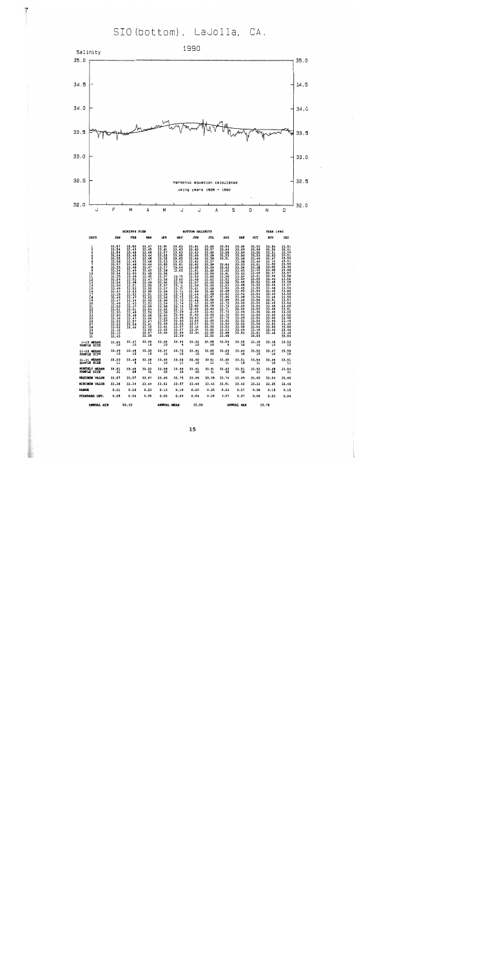SIO (bottom), LaJolla, CA.



|                                                       |                                                                                                                                                                                                                                                     | <b>SCRIPPS PIER</b>                                                                                                                                                                                                                                                                                        |                                                                                                                                                                                                                                                                                                                               |                                                                                          |                                                                                                                                                                                                                                                                               | <b>BOTTOM SALINITY</b>                                                                                                                                                                                                                                                                                   |                                                                                                                                                                                                                                                                                               |                                                                                                                                                                                                                                                                                                               |                                                                                                                                                                                                                                                                                                                                          |                                                                                                                                                                                                                                                                                                                  | <b>YEAR 1990</b>                                                                                                                                                                                                                                                                                   |                                                                                                                                                                                                                                                                                                                            |
|-------------------------------------------------------|-----------------------------------------------------------------------------------------------------------------------------------------------------------------------------------------------------------------------------------------------------|------------------------------------------------------------------------------------------------------------------------------------------------------------------------------------------------------------------------------------------------------------------------------------------------------------|-------------------------------------------------------------------------------------------------------------------------------------------------------------------------------------------------------------------------------------------------------------------------------------------------------------------------------|------------------------------------------------------------------------------------------|-------------------------------------------------------------------------------------------------------------------------------------------------------------------------------------------------------------------------------------------------------------------------------|----------------------------------------------------------------------------------------------------------------------------------------------------------------------------------------------------------------------------------------------------------------------------------------------------------|-----------------------------------------------------------------------------------------------------------------------------------------------------------------------------------------------------------------------------------------------------------------------------------------------|---------------------------------------------------------------------------------------------------------------------------------------------------------------------------------------------------------------------------------------------------------------------------------------------------------------|------------------------------------------------------------------------------------------------------------------------------------------------------------------------------------------------------------------------------------------------------------------------------------------------------------------------------------------|------------------------------------------------------------------------------------------------------------------------------------------------------------------------------------------------------------------------------------------------------------------------------------------------------------------|----------------------------------------------------------------------------------------------------------------------------------------------------------------------------------------------------------------------------------------------------------------------------------------------------|----------------------------------------------------------------------------------------------------------------------------------------------------------------------------------------------------------------------------------------------------------------------------------------------------------------------------|
| <b>DAYS</b>                                           | JAN                                                                                                                                                                                                                                                 | <b>FEB</b>                                                                                                                                                                                                                                                                                                 | <b>HAR</b>                                                                                                                                                                                                                                                                                                                    | <b>APR</b>                                                                               | MAY                                                                                                                                                                                                                                                                           | <b>JUN</b>                                                                                                                                                                                                                                                                                               | JUL                                                                                                                                                                                                                                                                                           | <b>AUG</b>                                                                                                                                                                                                                                                                                                    | <b>SEP</b>                                                                                                                                                                                                                                                                                                                               | oc <sub>T</sub>                                                                                                                                                                                                                                                                                                  | NOV                                                                                                                                                                                                                                                                                                | <b>DEC</b>                                                                                                                                                                                                                                                                                                                 |
| $\frac{1}{2}$<br>$\overline{ }$<br>8<br>9<br>30<br>3ĭ | 33.57<br>33.54<br>33.54<br>33.54<br>33.55 55.55<br>33.55 55.55 55.55<br>33.55 55.56<br>33.55 55.56<br>33.55 55.56<br>33.44<br>47.94<br>33.54<br>33.52<br>33.52<br>33.50<br>33.50<br>33.52<br>33.52<br>33.52<br>33.52<br>33.52<br>$33.43$<br>$33.45$ | 33.50<br>33.43<br>33.46<br>33.45<br>33.43<br>33.46<br>33.46<br>33.48<br>33.49<br>$\frac{33.50}{33.49}$<br>$\frac{33.52}{33.48}$<br>$\frac{33.51}{33.52}$<br>$\frac{33.53}{33.53}$<br>$\frac{33.47}{33.34}$<br>33.43<br>$\frac{33.47}{33.51}$<br>33.48<br>33.48<br>$33.47$<br>$33.57$<br>$33.50$<br>$33.46$ | $33.47$<br>$33.45$<br>$\frac{33.16}{33.44}$<br>33.48<br>33.46<br>33.44<br>33.47<br>33.45<br>33.49<br>33.45<br>33.47<br>33.49<br>33.50<br>33.50<br>$\frac{33}{33}$ . 51<br>$\frac{33}{33}$ . 52<br>$\frac{33}{33}$ . 53<br>$33.55$<br>$33.54$<br>33.56<br>33.56<br>33.60<br>33.67<br>33.61<br>33.55<br>33.60<br>33.57<br>33.58 | 33.59<br>33.60<br>33.57<br>33.52<br>$\frac{33.52}{33.53}$<br>$33.61$<br>$33.62$<br>33.65 | $33.63$<br>$33.63$<br>33.63<br>33.65<br>33.65<br>33.63<br>33.61<br>$33 - 64$<br>33.65<br>33.75<br>33.69<br>33.70<br>33.71<br>33.72<br>33.72<br>33.72<br>33.73<br>33.74<br>33.74<br>33.75<br>33.59<br>33.59<br>33.58<br>33.58<br>33.62<br>33.57<br>33.57<br>$33.59$<br>$33.59$ | $33.61$<br>$33.63$<br>33.63<br>33.65<br>33.64<br>33.62<br>$33.62$<br>33.65<br>33.61<br>33.55<br>33.52<br>33.49<br>33.57<br>33.59<br>33.61<br>$33.69$<br>$33.64$<br>33.65<br>$33.66$<br>33.63<br>$33.60$<br>$33.65$<br>33.59<br>33.63<br>$\frac{33.63}{33.59}$<br>$\frac{33.59}{33.57}$<br>33.54<br>33.59 | 33,60<br>33.57<br>33.60<br>33.58<br>33.59<br>33.57<br>33.58<br>33.59<br>33.60<br>33.56<br>33.60<br>33.62<br>33.62<br>33.65<br>33.68<br>33.65<br>33.68<br>33.67<br>$33.69$<br>$33.59$<br>33.78<br>33.66<br>33.43<br>$33.59$<br>$33.67$<br>$33.65$<br>33.73<br>33.56<br>33.55<br>33.55<br>33.55 | 33.54<br>33.63<br>33.58<br>33.53<br>33.51<br>33.64<br>33.62<br>33.62<br>33.61<br>33.56<br>$33.52$<br>$33.58$<br>33.63<br>$\frac{33.62}{33.68}$<br>33.63<br>33.66<br>33.69<br>33.72<br>$\frac{33.73}{33.71}$<br>33.74<br>$\frac{33}{33}.72$<br>$\frac{33}{33}.52$<br>33.54<br>33.53<br>33.63<br>33.68<br>33.66 | 33.60<br>33.69<br>33.69<br>33.50<br>33.46<br>33.58<br>$\frac{33.53}{33.56}$<br>33.45<br>33.42<br>33.44<br>33.44<br>33.46<br>33.48<br>33.45<br>33.45<br>33.42<br>$33.48$<br>$33.46$<br>33.50<br>$33.49$<br>$33.55$<br>33.49<br>33.53<br>$\frac{33}{33}$ . $\frac{49}{32}$<br>$\frac{33}{33}$ . $\frac{52}{32}$<br>33.50<br>33.49<br>33.52 | 33.52<br>33.56<br>33.55<br>33.53<br>33.49<br>33.46<br>$33.51$<br>$33.38$<br>33.32<br>$33.46$<br>$33.41$<br>33.50<br>33.52<br>33.53<br>33.55<br>33.54<br>33.54<br>33.54<br>33.56<br>33.55<br>33.59<br>33.59<br>33,60<br>$\frac{13.56}{33.52}$<br>$\frac{33.52}{33.54}$<br>33.56<br>33.48<br>$\frac{33.51}{33.54}$ | 33.54<br>33.50<br>33.51<br>33.53<br>$\frac{13}{3}.47$<br>$\frac{13.50}{13.35}$<br>$\frac{13.47}{13.49}$<br>$\frac{13.49}{13.48}$<br>$\frac{33}{33}$ , 46<br>33.44<br>$\frac{33.16}{33.51}$<br>33.46<br>$\frac{33.48}{33.48}$<br>33.49<br>$\frac{33.49}{33.50}$<br>33.52<br>33.50<br>33.49<br>33.48 | 33.51<br>33.51<br>33.52<br>$\frac{33.51}{33.52}$<br>$\frac{33.51}{33.51}$<br>33.50<br>33.49<br>33.56<br>$\frac{33.57}{33.58}$<br>33.56<br>33.58<br>33.57<br>33.59<br>33.60<br>33.59<br>$\frac{33.59}{33.57}$<br>33.56<br>33.60<br>$\frac{33.55}{33.52}$<br>33.52<br>33.49<br>33.45<br>33.50<br>33.46<br>$33.49$<br>$33.54$ |
| $1 - 10$ MEANS<br>SAMPLE SIZE                         | $33.55$<br>10                                                                                                                                                                                                                                       | $33,47$<br>10                                                                                                                                                                                                                                                                                              | $33.46$<br>10                                                                                                                                                                                                                                                                                                                 | 33.56                                                                                    | 33.64<br>- 9                                                                                                                                                                                                                                                                  | $33 - 62$<br>10                                                                                                                                                                                                                                                                                          | 33.58<br>10                                                                                                                                                                                                                                                                                   | 33.59<br>$\overline{9}$                                                                                                                                                                                                                                                                                       | 33.55                                                                                                                                                                                                                                                                                                                                    | 33.48<br>10                                                                                                                                                                                                                                                                                                      | 33.48<br>10                                                                                                                                                                                                                                                                                        | 33.52<br>10                                                                                                                                                                                                                                                                                                                |
| 11-20 MEANS<br>SAMPLE STZE                            | 33.49                                                                                                                                                                                                                                               | 33.48<br>$-10$                                                                                                                                                                                                                                                                                             | 33.50                                                                                                                                                                                                                                                                                                                         | $33.57$<br>10                                                                            | 33.72                                                                                                                                                                                                                                                                         | $33.61$<br>10                                                                                                                                                                                                                                                                                            | 33.65<br>10                                                                                                                                                                                                                                                                                   | 33.63<br>آ10                                                                                                                                                                                                                                                                                                  | 33.46<br>10                                                                                                                                                                                                                                                                                                                              | $33.52$<br>$10$                                                                                                                                                                                                                                                                                                  | 33.47<br>10                                                                                                                                                                                                                                                                                        | 33.58                                                                                                                                                                                                                                                                                                                      |
| 21-31 HEANS<br>SAMPLE SIZE                            | $33.50$<br>$11$                                                                                                                                                                                                                                     | 33.49                                                                                                                                                                                                                                                                                                      | 33,58                                                                                                                                                                                                                                                                                                                         | $33.60$<br>10                                                                            | $33.62$<br>$11$                                                                                                                                                                                                                                                               | $33.60$<br>$10$                                                                                                                                                                                                                                                                                          | $33.61$<br>$11$                                                                                                                                                                                                                                                                               | 33.65<br>11                                                                                                                                                                                                                                                                                                   | 33.51                                                                                                                                                                                                                                                                                                                                    | $33.54$<br>$11$                                                                                                                                                                                                                                                                                                  | 33.49<br>10                                                                                                                                                                                                                                                                                        | $33.51$<br>$11$                                                                                                                                                                                                                                                                                                            |
| MONTRLY NEANS<br>SAMPLE SIZE                          | $33.51$<br>$31$                                                                                                                                                                                                                                     | $33.48$<br>$28$                                                                                                                                                                                                                                                                                            | $33.52$<br>$31$                                                                                                                                                                                                                                                                                                               | 33.58                                                                                    | 33.66<br>30                                                                                                                                                                                                                                                                   | $33.61$<br>$30$                                                                                                                                                                                                                                                                                          | $33.61$<br>$31$                                                                                                                                                                                                                                                                               | 33.63<br>30                                                                                                                                                                                                                                                                                                   | 33.51                                                                                                                                                                                                                                                                                                                                    | $33.52$<br>$31$                                                                                                                                                                                                                                                                                                  | 33.48<br>30                                                                                                                                                                                                                                                                                        | 33.54                                                                                                                                                                                                                                                                                                                      |
| HAXIMUM VALUE                                         | 33.57                                                                                                                                                                                                                                               | 33.57                                                                                                                                                                                                                                                                                                      | 33.67                                                                                                                                                                                                                                                                                                                         | 33.65                                                                                    | 33.75                                                                                                                                                                                                                                                                         | 33.69                                                                                                                                                                                                                                                                                                    | 33.78                                                                                                                                                                                                                                                                                         | 33.74                                                                                                                                                                                                                                                                                                         | 33.69                                                                                                                                                                                                                                                                                                                                    | 33.60                                                                                                                                                                                                                                                                                                            | 33.54                                                                                                                                                                                                                                                                                              | 33,60                                                                                                                                                                                                                                                                                                                      |
| <b>MINIMUM VALUE</b>                                  | 33.36                                                                                                                                                                                                                                               | 33.34                                                                                                                                                                                                                                                                                                      | 33.44                                                                                                                                                                                                                                                                                                                         | 33.52                                                                                    | 33.57                                                                                                                                                                                                                                                                         | 33.49                                                                                                                                                                                                                                                                                                    | 33.43                                                                                                                                                                                                                                                                                         | 33.51                                                                                                                                                                                                                                                                                                         | 33.42                                                                                                                                                                                                                                                                                                                                    | 33.32                                                                                                                                                                                                                                                                                                            | 33.35                                                                                                                                                                                                                                                                                              | 33.45                                                                                                                                                                                                                                                                                                                      |
| <b>RANGE</b>                                          | 0.21                                                                                                                                                                                                                                                | 0.23                                                                                                                                                                                                                                                                                                       | 0.23                                                                                                                                                                                                                                                                                                                          | 0.13                                                                                     | 0.18                                                                                                                                                                                                                                                                          | 0.20                                                                                                                                                                                                                                                                                                     | 0.35                                                                                                                                                                                                                                                                                          | 0.23                                                                                                                                                                                                                                                                                                          | 0.27                                                                                                                                                                                                                                                                                                                                     | 0.28                                                                                                                                                                                                                                                                                                             | 0.19                                                                                                                                                                                                                                                                                               | 0.15                                                                                                                                                                                                                                                                                                                       |
| STANDARD DEV.                                         | 0.05                                                                                                                                                                                                                                                | 0.04                                                                                                                                                                                                                                                                                                       | 0.05                                                                                                                                                                                                                                                                                                                          | 0.03                                                                                     | 0.06                                                                                                                                                                                                                                                                          | 0.04                                                                                                                                                                                                                                                                                                     | 0.06                                                                                                                                                                                                                                                                                          | 0.07                                                                                                                                                                                                                                                                                                          | 0.07                                                                                                                                                                                                                                                                                                                                     | 0.06                                                                                                                                                                                                                                                                                                             | 0.03                                                                                                                                                                                                                                                                                               | 0.04                                                                                                                                                                                                                                                                                                                       |
| <b>SAMPLE LITAL</b>                                   |                                                                                                                                                                                                                                                     | 33.32                                                                                                                                                                                                                                                                                                      |                                                                                                                                                                                                                                                                                                                               | SANDREY LOOKA                                                                            |                                                                                                                                                                                                                                                                               | <b>33.66</b>                                                                                                                                                                                                                                                                                             |                                                                                                                                                                                                                                                                                               |                                                                                                                                                                                                                                                                                                               | <b>SUSPIST HAM</b>                                                                                                                                                                                                                                                                                                                       | $\sim$                                                                                                                                                                                                                                                                                                           |                                                                                                                                                                                                                                                                                                    |                                                                                                                                                                                                                                                                                                                            |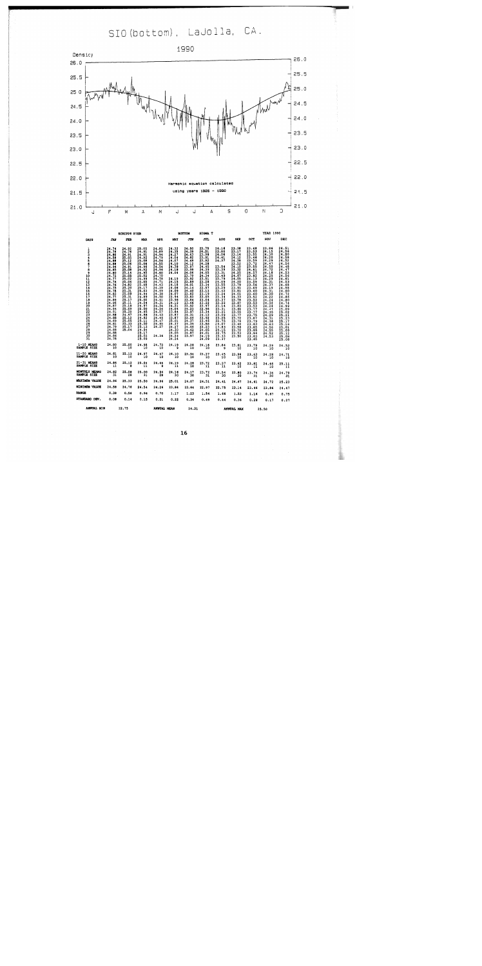SIO (bottom), LaJolla, CA.



|                                |                                                                                                                                                                                                                                                             | <b>SCRIPPS PIER</b>                                                                                                                                                                                                                                                           |                                                                                                                                                                                                                                                                                                                     |                                                                                                                                                                                                                                                                                                             |                                                                                                                                                                                                                                                                                                                                          | <b>BOTTOM</b>                                                                                                                                                                                                                                                                                                   | SIGNA T                                                                                                                                                                                                                                                                                                                                |                                                                                                                                                                                                                                                                                                                                                                                                                                                                                                 |                                                                                                                                                                                                                                                                                                                                                                                        |                                                                                                                                                                                                                                                                                                                                | <b>YEAR 1990</b>                                                                                                                                                                                                                                                                                                                                                                               |                                                                                                                   |
|--------------------------------|-------------------------------------------------------------------------------------------------------------------------------------------------------------------------------------------------------------------------------------------------------------|-------------------------------------------------------------------------------------------------------------------------------------------------------------------------------------------------------------------------------------------------------------------------------|---------------------------------------------------------------------------------------------------------------------------------------------------------------------------------------------------------------------------------------------------------------------------------------------------------------------|-------------------------------------------------------------------------------------------------------------------------------------------------------------------------------------------------------------------------------------------------------------------------------------------------------------|------------------------------------------------------------------------------------------------------------------------------------------------------------------------------------------------------------------------------------------------------------------------------------------------------------------------------------------|-----------------------------------------------------------------------------------------------------------------------------------------------------------------------------------------------------------------------------------------------------------------------------------------------------------------|----------------------------------------------------------------------------------------------------------------------------------------------------------------------------------------------------------------------------------------------------------------------------------------------------------------------------------------|-------------------------------------------------------------------------------------------------------------------------------------------------------------------------------------------------------------------------------------------------------------------------------------------------------------------------------------------------------------------------------------------------------------------------------------------------------------------------------------------------|----------------------------------------------------------------------------------------------------------------------------------------------------------------------------------------------------------------------------------------------------------------------------------------------------------------------------------------------------------------------------------------|--------------------------------------------------------------------------------------------------------------------------------------------------------------------------------------------------------------------------------------------------------------------------------------------------------------------------------|------------------------------------------------------------------------------------------------------------------------------------------------------------------------------------------------------------------------------------------------------------------------------------------------------------------------------------------------------------------------------------------------|-------------------------------------------------------------------------------------------------------------------|
| DAYS                           | JAN                                                                                                                                                                                                                                                         | FEB                                                                                                                                                                                                                                                                           | <b>MAR</b>                                                                                                                                                                                                                                                                                                          | <b>APR</b>                                                                                                                                                                                                                                                                                                  | MAY                                                                                                                                                                                                                                                                                                                                      | JUN                                                                                                                                                                                                                                                                                                             | JUL                                                                                                                                                                                                                                                                                                                                    | <b>AUG</b>                                                                                                                                                                                                                                                                                                                                                                                                                                                                                      | SEP                                                                                                                                                                                                                                                                                                                                                                                    | OCT                                                                                                                                                                                                                                                                                                                            | NOV                                                                                                                                                                                                                                                                                                                                                                                            | DEC                                                                                                               |
| $\frac{1}{2}$<br>ē<br>30<br>3ī | 24.76<br>24.76<br>24.80<br>24.58<br>24.88<br>24.24.85224.24.778.277.24.7778.7578.7778.7578.27778.4.7778.27778.27778.27778.27778.27778.27778.27778<br>24.94<br>24.91<br>24.88<br>24.88<br>24.89<br>24.79<br>24.88<br>24.88<br>24.88<br>$\frac{24.86}{24.78}$ | $24.92$<br>24.76<br>24.91<br>25.05<br>25.12<br>25.06<br>$\frac{24.91}{25.08}$<br>25.14<br>25.05<br>25.02<br>25.04<br>24.82<br>25.20<br>25.31<br>25.91<br>$\frac{25.17}{25.11}$<br>$\frac{25.11}{25.18}$<br>25.09<br>24.97<br>25.12<br>25.05<br>25.33<br>$\frac{25.17}{25.04}$ | 25.05<br>24.91<br>24.91<br>24.92<br>25.08<br>25.06<br>24.96<br>24.92<br>24.95<br>$\frac{25.02}{24.99}$<br>25.05<br>$\frac{25.08}{25.17}$<br>25.03<br>$\frac{24.94}{24.89}$<br>25.00<br>24.54<br>24.97<br>25.00<br>24.85<br>24.86<br>24.82<br>$\frac{25.11}{25.50}$<br>25.13<br>24.94<br>25.17<br>$25.02$<br>$25.09$ | 24.82<br>$\frac{24.94}{24.79}$<br>24.56<br>$24.55$<br>$24.54$<br>24.60<br>$24.70$<br>$24.71$<br>$24.43$<br>$24.43$<br>$24.39$<br>$24.38$<br>$24.38$<br>$24.50$<br>$24.50$<br>24.41<br>24.31<br>24.34<br>$\frac{24.26}{24.57}$<br>24.43<br>$\frac{24.46}{24.47}$<br>$\frac{24}{24}$ $\frac{85}{27}$<br>24.36 | 24.32<br>24.27<br>24.04<br>24.07<br>$\frac{24.10}{24.38}$<br>24.18<br>24.04<br>24.19<br>$\frac{24.15}{24.18}$<br>24.06<br>24.09<br>$\frac{24.07}{23.94}$<br>23.98<br>$\frac{24.12}{24.21}$<br>24.04<br>23.84<br>23.87<br>$\frac{23.87}{25.01}$<br>24.37<br>$\frac{24}{24}$ , $\frac{27}{30}$<br>24.05<br>$\frac{24}{24}$ $\frac{24}{24}$ | $24:39$<br>24.39<br>24.63<br>$\frac{24.82}{24.49}$<br>24.12<br>23.97<br>23.99<br>24.06<br>$23.79$<br>$23.92$<br>23.89<br>$\frac{24.01}{24.14}$<br>24.40<br>23.82<br>23.83<br>23.84<br>23.66<br>23.92<br>$\frac{24}{23}$ : $\frac{25}{97}$<br>24.31<br>$\frac{23.64}{24.37}$<br>24.46<br>24.62<br>24.87<br>23.97 | $23.75$<br>24.51<br>$\frac{23.98}{23.91}$<br>23.92<br>$\frac{24.28}{24.45}$<br>24.39<br>$24.34$<br>$23.51$<br>$23.28$<br>$22.34$<br>$22.97$<br>$23.13$<br>$23.13$<br>23.05<br>$\frac{23.01}{23.22}$<br>23.97<br>$22.98$<br>$23.34$<br>$24.12$<br>$23.92$<br>$23.46$<br>$23.58$<br>$23.23$<br>$24.05$<br>24.01<br>$\frac{24.19}{24.09}$ | $\frac{24.16}{23.80}$<br>24.06<br>$\frac{24.11}{24.37}$<br>$23.54$<br>23.39<br>$\frac{23}{23} \cdot \frac{31}{49}$<br>$\frac{23}{23} \cdot \frac{79}{79}$<br>24.09<br>23.555<br>23.42<br>23.42<br>23.43<br>23.32<br>23.55<br>23.55<br>23.55<br>23.55<br>23.55<br>23.55<br>23.55<br>23.55<br>23.55<br>23.55<br>23.55<br>23.55<br>23.55<br>23.55<br>23.54<br>23.55<br>23.55<br>23.55<br>23.55<br>23.55<br>23.55<br>23.55<br>23.55<br>23.55<br>23.55<br>23.55<br>$\frac{23}{23}$ : $\frac{33}{37}$ | $23.38$<br>$23.17$<br>23.14<br>$\frac{24.12}{24.38}$<br>23.52<br>24.10<br>23.32<br>$\frac{24}{24}$ : $\frac{25}{67}$<br>24.05<br>$24.20$<br>$23.79$<br>$\frac{23.91}{23.81}$<br>$\frac{24.01}{24.33}$<br>$\frac{23}{23}$ , $\frac{78}{87}$<br>$\frac{23}{23}$ , $\frac{87}{83}$<br>$\frac{23.64}{23.55}$<br>$23.72$<br>$23.74$<br>$23.48$<br>$23.58$<br>$\frac{23.72}{23.53}$<br>23.50 | $23.48$<br>23.53<br>23.55<br>23.46<br>23.59<br>$\frac{23.72}{23.55}$<br>24.61<br>$\frac{24.57}{23.82}$<br>23.59<br>$\frac{23.56}{23.69}$<br>23.60<br>$23.60$<br>$23.52$<br>$23.52$<br>$23.53$<br>$23.77$<br>$23.77$<br>$23.77$<br>$23.75$<br>$\frac{23.87}{23.79}$<br>23.83<br>23.85<br>$\frac{23}{23}$ : 85<br>23.83<br>23.65 | $23.86$<br>24.15<br>$\frac{21.30}{24.20}$<br>$\frac{24.29}{24.47}$<br>$\frac{24.50}{24.72}$<br>$\frac{24}{24}$ : $\frac{18}{25}$<br>$\frac{24}{24}$ : $\frac{25}{29}$<br>$\frac{24.31}{24.37}$<br>$\frac{24}{24}$ : $\frac{31}{30}$<br>$24.22$<br>$24.24$<br>$24.32$<br>$24.47$<br>$24.47$<br>$24.35$<br>$24.35$<br>$24.31$<br>$24.31$<br>$24.36$<br>24.63<br>24.56<br>24.55<br>24.52<br>24.53 | 24.80<br>24.74<br>24.99<br>25.02<br>25.21<br>25.21<br>25.17<br>25.16<br>25.01<br>25.09<br>25.12<br>25.08<br>25.08 |
| $1-10$ MEANS<br>SAMPLE SIZE    | 24.80                                                                                                                                                                                                                                                       | 25.00                                                                                                                                                                                                                                                                         | 24.98                                                                                                                                                                                                                                                                                                               | 24.73                                                                                                                                                                                                                                                                                                       | 24.19                                                                                                                                                                                                                                                                                                                                    | $24.28$<br>10                                                                                                                                                                                                                                                                                                   | 24.16                                                                                                                                                                                                                                                                                                                                  | 23.84                                                                                                                                                                                                                                                                                                                                                                                                                                                                                           | 23.81                                                                                                                                                                                                                                                                                                                                                                                  | $23.79$<br>10                                                                                                                                                                                                                                                                                                                  | 24.29<br>10                                                                                                                                                                                                                                                                                                                                                                                    | 24.53                                                                                                             |
| 11-20 MEANS<br>SAMPLE SIZE     | 24.81                                                                                                                                                                                                                                                       | 25.13                                                                                                                                                                                                                                                                         | 24.97                                                                                                                                                                                                                                                                                                               | $24.47$ <sub>10</sub>                                                                                                                                                                                                                                                                                       | 24.10                                                                                                                                                                                                                                                                                                                                    | 23.94                                                                                                                                                                                                                                                                                                           | $23.27$<br>10                                                                                                                                                                                                                                                                                                                          | $23.45$<br>$10$                                                                                                                                                                                                                                                                                                                                                                                                                                                                                 | 23.96                                                                                                                                                                                                                                                                                                                                                                                  | $23, 63$<br>$10$                                                                                                                                                                                                                                                                                                               | 24.28<br>10                                                                                                                                                                                                                                                                                                                                                                                    | 24.71                                                                                                             |
| 21-31 MEANS<br>SAMPLE SIZE     | 24.84                                                                                                                                                                                                                                                       | 25.12                                                                                                                                                                                                                                                                         | 25.04                                                                                                                                                                                                                                                                                                               | 24.46                                                                                                                                                                                                                                                                                                       | 24.19                                                                                                                                                                                                                                                                                                                                    | $24.28$<br>10                                                                                                                                                                                                                                                                                                   | 23.72                                                                                                                                                                                                                                                                                                                                  | $23.37$<br>$11$                                                                                                                                                                                                                                                                                                                                                                                                                                                                                 | $23.62$<br>10                                                                                                                                                                                                                                                                                                                                                                          | 23.81                                                                                                                                                                                                                                                                                                                          | 24.46                                                                                                                                                                                                                                                                                                                                                                                          | 25.11                                                                                                             |
| MONTHLY KEANS<br>SAMPLE SIZE   | $24.82$<br>$31$                                                                                                                                                                                                                                             | $25.08$<br>$28$                                                                                                                                                                                                                                                               | $25.00$<br>$31$                                                                                                                                                                                                                                                                                                     | $24.56$<br>$28$                                                                                                                                                                                                                                                                                             | 24.16                                                                                                                                                                                                                                                                                                                                    | 24.17                                                                                                                                                                                                                                                                                                           | $23.72$<br>$31$                                                                                                                                                                                                                                                                                                                        | $23.54$<br>$30$                                                                                                                                                                                                                                                                                                                                                                                                                                                                                 | $23.80$<br>$30$                                                                                                                                                                                                                                                                                                                                                                        | $23.74$<br>$31$                                                                                                                                                                                                                                                                                                                | 24.34                                                                                                                                                                                                                                                                                                                                                                                          | $24.79$<br>$31$                                                                                                   |
| <b>MAXIMUM VALUE</b>           | 24.96                                                                                                                                                                                                                                                       | 25.33                                                                                                                                                                                                                                                                         | 25.50                                                                                                                                                                                                                                                                                                               | 24.96                                                                                                                                                                                                                                                                                                       | 25.01                                                                                                                                                                                                                                                                                                                                    | 24.87                                                                                                                                                                                                                                                                                                           | 24.51                                                                                                                                                                                                                                                                                                                                  | 24.41                                                                                                                                                                                                                                                                                                                                                                                                                                                                                           | 24.67                                                                                                                                                                                                                                                                                                                                                                                  | 24.61                                                                                                                                                                                                                                                                                                                          | 24.72                                                                                                                                                                                                                                                                                                                                                                                          | 25.23                                                                                                             |
| <b>KININGH VALUE</b>           | 24.58                                                                                                                                                                                                                                                       | 24.76                                                                                                                                                                                                                                                                         | 24.54                                                                                                                                                                                                                                                                                                               | 24.26                                                                                                                                                                                                                                                                                                       | 23.84                                                                                                                                                                                                                                                                                                                                    | 23.64                                                                                                                                                                                                                                                                                                           | 22.97                                                                                                                                                                                                                                                                                                                                  | 22.75                                                                                                                                                                                                                                                                                                                                                                                                                                                                                           | 23.14                                                                                                                                                                                                                                                                                                                                                                                  | 23.46                                                                                                                                                                                                                                                                                                                          | 23.86                                                                                                                                                                                                                                                                                                                                                                                          | 24.47                                                                                                             |
| <b>RANGE</b>                   | 0.38                                                                                                                                                                                                                                                        | 0.56                                                                                                                                                                                                                                                                          | 0.96                                                                                                                                                                                                                                                                                                                | 0.70                                                                                                                                                                                                                                                                                                        | 1.17                                                                                                                                                                                                                                                                                                                                     | 1.23                                                                                                                                                                                                                                                                                                            | 1.54                                                                                                                                                                                                                                                                                                                                   | 1.66                                                                                                                                                                                                                                                                                                                                                                                                                                                                                            | 1.53                                                                                                                                                                                                                                                                                                                                                                                   | 1.16                                                                                                                                                                                                                                                                                                                           | 0.87                                                                                                                                                                                                                                                                                                                                                                                           | 0.75                                                                                                              |
| STANDARD DEV.                  | 0.08                                                                                                                                                                                                                                                        | 0.14                                                                                                                                                                                                                                                                          | 0.15                                                                                                                                                                                                                                                                                                                | 0.21                                                                                                                                                                                                                                                                                                        | 0.22                                                                                                                                                                                                                                                                                                                                     | 0.34                                                                                                                                                                                                                                                                                                            | 0.49                                                                                                                                                                                                                                                                                                                                   | 0.44                                                                                                                                                                                                                                                                                                                                                                                                                                                                                            | 0.36                                                                                                                                                                                                                                                                                                                                                                                   | 0.28                                                                                                                                                                                                                                                                                                                           | 0.17                                                                                                                                                                                                                                                                                                                                                                                           | 0.27                                                                                                              |
| <b>ANNUAL MIN</b>              |                                                                                                                                                                                                                                                             | 22.75                                                                                                                                                                                                                                                                         |                                                                                                                                                                                                                                                                                                                     | ANNUAL MEAN                                                                                                                                                                                                                                                                                                 |                                                                                                                                                                                                                                                                                                                                          | 24.31                                                                                                                                                                                                                                                                                                           |                                                                                                                                                                                                                                                                                                                                        | ANNUAL MAY                                                                                                                                                                                                                                                                                                                                                                                                                                                                                      |                                                                                                                                                                                                                                                                                                                                                                                        |                                                                                                                                                                                                                                                                                                                                | 25.50                                                                                                                                                                                                                                                                                                                                                                                          |                                                                                                                   |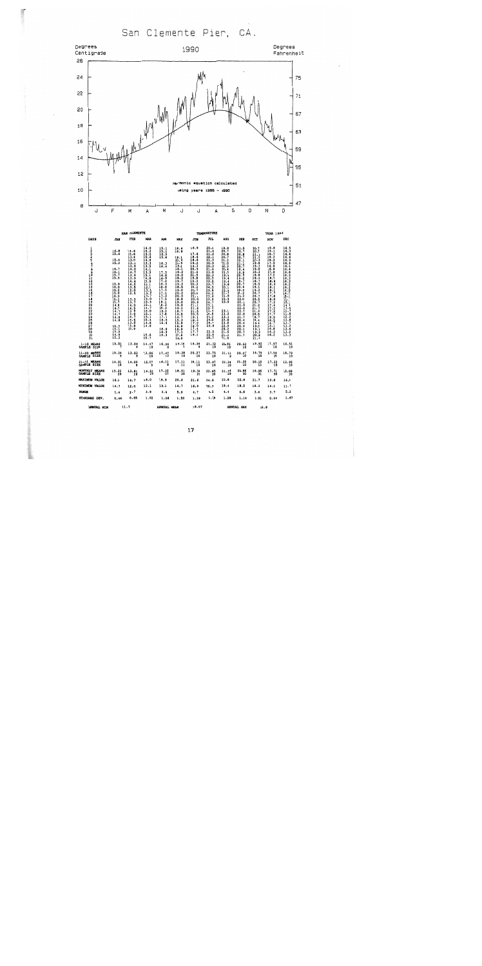San Clemente Pier, CA.



|                                                |                                                                                                                                                                                                                                                           | SAN CLEMENTE                                                                                                                                                                                                                                                   |                                                                                                                                                                                                                                                                                                                            |                                                                                                                                                                                                                                                                             |                                                                                                                                                                                                                                                                                                                  |                                                                                                                                                                                                                                                                                                  | <b>TEMPERATURE</b>                                                                                                                                                                                                                                                                                      |                                                                                                                                                                                                                                                              |                                                                                                                                                                                                                                                                                                                 |                                                                                                                                                                                                                                                            | <b>YEAR 1990</b>                                                                                                                                                                                                                                                        |                                                                                                                                                                                                                                                                                                                    |
|------------------------------------------------|-----------------------------------------------------------------------------------------------------------------------------------------------------------------------------------------------------------------------------------------------------------|----------------------------------------------------------------------------------------------------------------------------------------------------------------------------------------------------------------------------------------------------------------|----------------------------------------------------------------------------------------------------------------------------------------------------------------------------------------------------------------------------------------------------------------------------------------------------------------------------|-----------------------------------------------------------------------------------------------------------------------------------------------------------------------------------------------------------------------------------------------------------------------------|------------------------------------------------------------------------------------------------------------------------------------------------------------------------------------------------------------------------------------------------------------------------------------------------------------------|--------------------------------------------------------------------------------------------------------------------------------------------------------------------------------------------------------------------------------------------------------------------------------------------------|---------------------------------------------------------------------------------------------------------------------------------------------------------------------------------------------------------------------------------------------------------------------------------------------------------|--------------------------------------------------------------------------------------------------------------------------------------------------------------------------------------------------------------------------------------------------------------|-----------------------------------------------------------------------------------------------------------------------------------------------------------------------------------------------------------------------------------------------------------------------------------------------------------------|------------------------------------------------------------------------------------------------------------------------------------------------------------------------------------------------------------------------------------------------------------|-------------------------------------------------------------------------------------------------------------------------------------------------------------------------------------------------------------------------------------------------------------------------|--------------------------------------------------------------------------------------------------------------------------------------------------------------------------------------------------------------------------------------------------------------------------------------------------------------------|
| <b>DAYS</b>                                    | <b>JAN</b>                                                                                                                                                                                                                                                | FEB                                                                                                                                                                                                                                                            | <b>HAR</b>                                                                                                                                                                                                                                                                                                                 | <b>APR</b>                                                                                                                                                                                                                                                                  | MAY                                                                                                                                                                                                                                                                                                              | <b>JUM</b>                                                                                                                                                                                                                                                                                       | JUL                                                                                                                                                                                                                                                                                                     | <b>AUG</b>                                                                                                                                                                                                                                                   | <b>SEP</b>                                                                                                                                                                                                                                                                                                      | $_{\text{OCT}}$                                                                                                                                                                                                                                            | NOV                                                                                                                                                                                                                                                                     | <b>DEC</b>                                                                                                                                                                                                                                                                                                         |
| ا<br>3<br>4<br>8901123456789021223456789<br>30 | 15.8<br>15.6<br>$15.4$<br>15.3<br>$\frac{1}{16}$ : 7<br>$\frac{15.7}{15.5}$<br>$\frac{15.9}{16.0}$<br>$15.2$<br>$15.0$<br>$14.9$<br>$15.1$<br>$15.7$<br>$14.8$<br>$\frac{11}{14}$<br>$\frac{14.8}{14.8}$<br>$15.2$<br>15.1<br>14.9<br>$\frac{14.9}{15.3}$ | 14.6<br>$\frac{13.8}{13.4}$<br>13.0<br>13.3<br>$\frac{13.8}{14.0}$<br>$\frac{1}{13}$ . $\frac{7}{9}$<br>14.4<br>$\frac{11.5}{13.5}$<br>$\frac{12.0}{12.5}$<br>$\frac{13.3}{13.7}$<br>14.0<br>$\frac{14.5}{13.6}$<br>$\frac{14.7}{14.6}$<br>$\frac{13.8}{13.9}$ | $\frac{14.0}{15.2}$<br>$\frac{15.2}{15.6}$<br>14.8<br>13.3<br>$\begin{array}{c} 13.5 \\ 14.1 \\ 13.9 \\ 15.1 \\ 14.8 \end{array}$<br>$\frac{13.8}{12.1}$<br>$\frac{1}{13}$ .<br>$\frac{11}{13.7}$<br>$\frac{14.0}{15.6}$<br>15.1<br>$\frac{14.7}{16.0}$<br>$\frac{15.1}{15.1}$<br>15.4<br>14.8<br>14.8<br>$15.8$<br>$15.7$ | $\frac{15.1}{15.1}$<br>$\frac{16.9}{15.8}$<br>$\frac{16.3}{16.4}$<br>$\frac{17.5}{16.8}$<br>$\frac{16.8}{17.2}$<br>16.3<br>18.6<br>$\frac{17.5}{17.1}$<br>17.5<br>$\frac{18.1}{18.3}$<br>18.3<br>$\frac{18.3}{17.8}$<br>$\frac{17.7}{18.5}$<br>16.4<br>18.8<br>18.9<br>18.3 | 18.4<br>18.9<br>19.1<br>20.6<br>$20.4$<br>$19.1$<br>$18.5$<br>$19.2$<br>$\frac{19.5}{18.3}$<br>19.7<br>19.3<br>18.5<br>$\frac{19.0}{20.3}$<br>20.3<br>$\frac{10.8}{19.8}$<br>19.8<br>$\frac{19.3}{18.7}$<br>16.8<br>$\frac{14}{15}$ $\frac{7}{15}$<br>15.8<br>16.8<br>$\frac{16.9}{17.3}$<br>$\frac{17.3}{18.8}$ | 16.9<br>$17.8$<br>18.6<br>18.6<br>19.2<br>$\frac{19.5}{20.9}$<br>$\frac{21.1}{21.5}$<br>19.8<br>19.3<br>20.3<br>19.4<br>20.7<br>20.4<br>21.1<br>$\frac{20.0}{20.6}$<br>21.1<br>$\frac{21.6}{21.5}$<br>19.1<br>$\frac{18.3}{17.8}$<br>$\begin{array}{c} 18.0 \\ 17.4 \\ 17.7 \\ 19.1 \end{array}$ | $20.8$<br>21.4<br>$\frac{21.2}{22.1}$<br>20.9<br>20.3<br>$\frac{21.5}{21.5}$<br>$\frac{22.3}{22.5}$<br>$\frac{23.5}{23.7}$<br>24.5<br>$23.8$<br>$24.2$<br>$23.6$<br>$23.9$<br>24.7<br>23.1<br>23.4<br>24.4<br>24.8<br>24.2<br>24.0<br>$\frac{24.4}{23.8}$<br>$\frac{22.5}{22.5}$<br>$\frac{22.5}{20.7}$ | 19.8<br>20.7<br>20.8<br>20.7<br>21.2<br>21.0<br>$\frac{22.3}{20.4}$<br>21.3<br>19.9<br>19.4<br>19.4<br>19.8<br>20.1<br>$\frac{22}{21}$<br>21.8<br>22.9<br>23.0<br>23.1<br>23.0<br>23,3<br>22.6<br>$\frac{25.8}{22.9}$<br>20.2<br>21.6<br>$\frac{21.3}{21.6}$ | $\frac{21.5}{20.7}$<br>$\frac{20.8}{20.7}$<br>22.1<br>$\frac{21}{20}$ ; $\frac{1}{7}$<br>18.4<br>19.9<br>20.4<br>$\frac{18.2}{18.7}$<br>20.7<br>20.6<br>$\frac{20.4}{21.2}$<br>$\frac{22.0}{22.1}$<br>21.5<br>$\frac{22.6}{22.7}$<br>$\frac{22.8}{21.7}$<br>$\frac{20.4}{20.4}$<br>20.4<br>20.1<br>20.7<br>21.7 | 20.7<br>20.7<br>21.1<br>21.2<br>20.3<br>19.8<br>19.3<br>19.0<br>18.3<br>18.8<br>18.4<br>18.7<br>18.5<br>19.1<br>19.4<br>20.7<br>20.7<br>20,5<br>$\frac{20.7}{21.2}$<br>$\frac{21.7}{21.6}$<br>20.5<br>19.7<br>19.4<br>19.4<br>19.2<br>19.1<br>19.3<br>20.6 | 19.8<br>19.1<br>18.7<br>18.2<br>18.2<br>17.9<br>16.8<br>16.8<br>17.0<br>17.2<br>18.2<br>$\frac{18.6}{18.3}$<br>18.3<br>$\frac{18.1}{17.7}$<br>18.0<br>$\frac{17.2}{17.4}$<br>$\frac{17.2}{17.2}$<br>17.7<br>19.5<br>$\frac{18.5}{16.7}$<br>16.1<br>16.8<br>16.3<br>16.2 | $\frac{16.5}{16.3}$<br>16.6<br>16.6<br>16.9<br>$\frac{16.6}{16.1}$<br>16.4<br>16.8<br>$\frac{16.3}{16.3}$<br>$16.3$<br>$16.2$<br>$16.2$<br>$16.3$<br>$16.3$<br>$15.1$<br>15.1<br>14.3<br>$\frac{13.5}{11.7}$<br>īī.8<br>$\begin{array}{c} 12.2 \\ 13.8 \\ 13.7 \\ 13.2 \end{array}$<br>$\frac{13.6}{13.2}$<br>13.2 |
| 31<br>$1 - 10$ MEANS                           |                                                                                                                                                                                                                                                           |                                                                                                                                                                                                                                                                |                                                                                                                                                                                                                                                                                                                            |                                                                                                                                                                                                                                                                             |                                                                                                                                                                                                                                                                                                                  |                                                                                                                                                                                                                                                                                                  |                                                                                                                                                                                                                                                                                                         |                                                                                                                                                                                                                                                              |                                                                                                                                                                                                                                                                                                                 | 21.1<br>19.92                                                                                                                                                                                                                                              |                                                                                                                                                                                                                                                                         |                                                                                                                                                                                                                                                                                                                    |
| AMPLE SIZE                                     | 15.51                                                                                                                                                                                                                                                     | 13.84                                                                                                                                                                                                                                                          | $14.47$<br>$10$                                                                                                                                                                                                                                                                                                            | $16.24_{8}$                                                                                                                                                                                                                                                                 | 19.24                                                                                                                                                                                                                                                                                                            | 19.36                                                                                                                                                                                                                                                                                            | 21.32                                                                                                                                                                                                                                                                                                   | 20.81                                                                                                                                                                                                                                                        | 20.63                                                                                                                                                                                                                                                                                                           | -- 10                                                                                                                                                                                                                                                      | 17.97                                                                                                                                                                                                                                                                   | 16.51                                                                                                                                                                                                                                                                                                              |
| 1-20 MEANS<br><b>SAMPLE SIZE</b>               |                                                                                                                                                                                                                                                           | $15.34$ $13.53$<br>9                                                                                                                                                                                                                                           | $13.86$<br>10                                                                                                                                                                                                                                                                                                              | $17.47$ <sub>10</sub>                                                                                                                                                                                                                                                       | $19.38$<br>$10$                                                                                                                                                                                                                                                                                                  | 20.27                                                                                                                                                                                                                                                                                            | $23.75$<br>$10$                                                                                                                                                                                                                                                                                         | 21.13                                                                                                                                                                                                                                                        | 20.67                                                                                                                                                                                                                                                                                                           | 19,79<br>10                                                                                                                                                                                                                                                | 17.94<br>10                                                                                                                                                                                                                                                             | 15.79                                                                                                                                                                                                                                                                                                              |
| 1-31 MEANS<br><b>SAMPLE SIZE</b>               | $14.91$<br>$10$                                                                                                                                                                                                                                           | 14.09                                                                                                                                                                                                                                                          | 15.27                                                                                                                                                                                                                                                                                                                      | 18.11                                                                                                                                                                                                                                                                       | $17.11$<br>$11$                                                                                                                                                                                                                                                                                                  | 19.11                                                                                                                                                                                                                                                                                            | 23.47                                                                                                                                                                                                                                                                                                   | $22.34$<br>$10$                                                                                                                                                                                                                                              | 21,35                                                                                                                                                                                                                                                                                                           | 20.15                                                                                                                                                                                                                                                      | $17.22$<br>$10$                                                                                                                                                                                                                                                         | 12.95                                                                                                                                                                                                                                                                                                              |
| <b>JONTHLY MEANS</b><br><b>AMPLE SIZE</b>      | $15.22$<br>$26$                                                                                                                                                                                                                                           | $13.81$<br>$26$                                                                                                                                                                                                                                                | 14.51                                                                                                                                                                                                                                                                                                                      | 17.32                                                                                                                                                                                                                                                                       | $18.51$<br>$30$                                                                                                                                                                                                                                                                                                  | $19.59$<br>$29$                                                                                                                                                                                                                                                                                  | 22.85<br>30                                                                                                                                                                                                                                                                                             | $21.44$<br>$29$                                                                                                                                                                                                                                              | 20.88<br>30                                                                                                                                                                                                                                                                                                     | $19.96$<br>$31$                                                                                                                                                                                                                                            | 17.71<br>30                                                                                                                                                                                                                                                             | 15.08                                                                                                                                                                                                                                                                                                              |
| <b>GAXIMUM VALUE</b>                           | 16.1                                                                                                                                                                                                                                                      | 14.7                                                                                                                                                                                                                                                           | 16.0                                                                                                                                                                                                                                                                                                                       | 18.9                                                                                                                                                                                                                                                                        | 20.6                                                                                                                                                                                                                                                                                                             | 21.6                                                                                                                                                                                                                                                                                             | 24.8                                                                                                                                                                                                                                                                                                    | 23.8                                                                                                                                                                                                                                                         | 22.8                                                                                                                                                                                                                                                                                                            | 21.7                                                                                                                                                                                                                                                       | 19.8                                                                                                                                                                                                                                                                    | 16.9                                                                                                                                                                                                                                                                                                               |
| <b>ININUM VALUE</b>                            | 14.7                                                                                                                                                                                                                                                      | 12.0                                                                                                                                                                                                                                                           | 12.1                                                                                                                                                                                                                                                                                                                       | 15.1                                                                                                                                                                                                                                                                        | 14.7                                                                                                                                                                                                                                                                                                             | 16.9                                                                                                                                                                                                                                                                                             | 20.3                                                                                                                                                                                                                                                                                                    | 19.4                                                                                                                                                                                                                                                         | 18.2                                                                                                                                                                                                                                                                                                            | 18.3                                                                                                                                                                                                                                                       | 16.1                                                                                                                                                                                                                                                                    | 11.7                                                                                                                                                                                                                                                                                                               |
| WICE                                           | 1.4                                                                                                                                                                                                                                                       | 2.7                                                                                                                                                                                                                                                            | 3.9                                                                                                                                                                                                                                                                                                                        | 3.8                                                                                                                                                                                                                                                                         | 5.9                                                                                                                                                                                                                                                                                                              | 4.7                                                                                                                                                                                                                                                                                              | 4.5                                                                                                                                                                                                                                                                                                     | 4.4                                                                                                                                                                                                                                                          | 4.6                                                                                                                                                                                                                                                                                                             | 3.4                                                                                                                                                                                                                                                        | 3.7                                                                                                                                                                                                                                                                     | 5.2                                                                                                                                                                                                                                                                                                                |
| TANDARD DEV.                                   | 0.44                                                                                                                                                                                                                                                      | 0.65                                                                                                                                                                                                                                                           | 1.02                                                                                                                                                                                                                                                                                                                       | 1.06                                                                                                                                                                                                                                                                        | 1.50                                                                                                                                                                                                                                                                                                             | 1.39                                                                                                                                                                                                                                                                                             | 1.39                                                                                                                                                                                                                                                                                                    | 1.28                                                                                                                                                                                                                                                         | 1.14                                                                                                                                                                                                                                                                                                            | 1.01                                                                                                                                                                                                                                                       | 0.94                                                                                                                                                                                                                                                                    | 1.67                                                                                                                                                                                                                                                                                                               |
| AMMITAT, NTM                                   |                                                                                                                                                                                                                                                           | $11.7$ annual annual sea                                                                                                                                                                                                                                       |                                                                                                                                                                                                                                                                                                                            |                                                                                                                                                                                                                                                                             |                                                                                                                                                                                                                                                                                                                  |                                                                                                                                                                                                                                                                                                  | 18.07 ANNUAL MAY                                                                                                                                                                                                                                                                                        |                                                                                                                                                                                                                                                              |                                                                                                                                                                                                                                                                                                                 | 24.8                                                                                                                                                                                                                                                       |                                                                                                                                                                                                                                                                         |                                                                                                                                                                                                                                                                                                                    |

×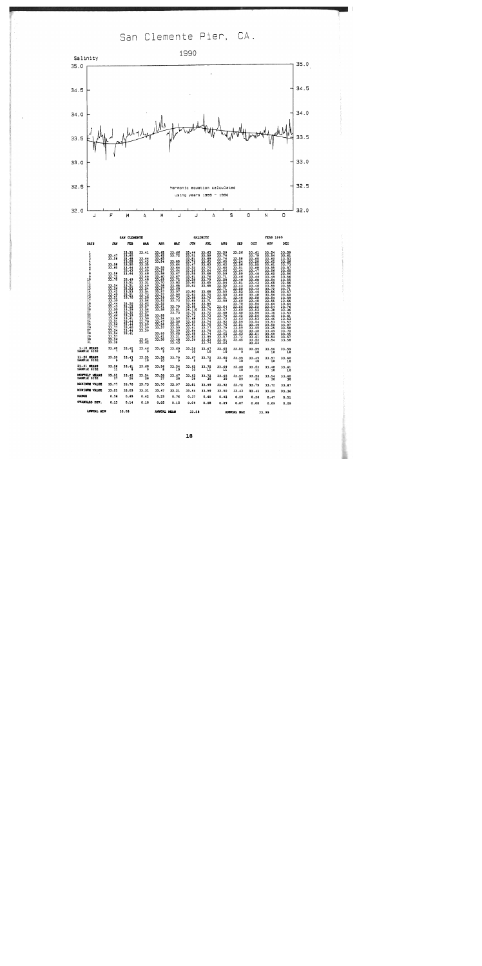San Clemente Pier, CA.



|                                                           |                                                                                                                                                                                                                                                                                                  |                                                                                                                                                                                                                                        |                                                                                                                                                                                                                                                                              | SALINITY                                                                                                                                                                                                                                                        |                                                                                                                                                                                                                                                              |                                                                                                                                                                                                                                                                                      |                                                                                                                                                                                                                                                                                                                         | <b>YEAR 1990</b>                                                                                                                                                                                                                                                                                                           |                                                                                                                                                                                                                                                                          |                                                                                                                                                                                                                                                                                                 |                                                                                                                                                                                                                                                                                                      |                                                                                                                                                                                                                                                                                                 |
|-----------------------------------------------------------|--------------------------------------------------------------------------------------------------------------------------------------------------------------------------------------------------------------------------------------------------------------------------------------------------|----------------------------------------------------------------------------------------------------------------------------------------------------------------------------------------------------------------------------------------|------------------------------------------------------------------------------------------------------------------------------------------------------------------------------------------------------------------------------------------------------------------------------|-----------------------------------------------------------------------------------------------------------------------------------------------------------------------------------------------------------------------------------------------------------------|--------------------------------------------------------------------------------------------------------------------------------------------------------------------------------------------------------------------------------------------------------------|--------------------------------------------------------------------------------------------------------------------------------------------------------------------------------------------------------------------------------------------------------------------------------------|-------------------------------------------------------------------------------------------------------------------------------------------------------------------------------------------------------------------------------------------------------------------------------------------------------------------------|----------------------------------------------------------------------------------------------------------------------------------------------------------------------------------------------------------------------------------------------------------------------------------------------------------------------------|--------------------------------------------------------------------------------------------------------------------------------------------------------------------------------------------------------------------------------------------------------------------------|-------------------------------------------------------------------------------------------------------------------------------------------------------------------------------------------------------------------------------------------------------------------------------------------------|------------------------------------------------------------------------------------------------------------------------------------------------------------------------------------------------------------------------------------------------------------------------------------------------------|-------------------------------------------------------------------------------------------------------------------------------------------------------------------------------------------------------------------------------------------------------------------------------------------------|
| DAYS                                                      | JAN                                                                                                                                                                                                                                                                                              | rza                                                                                                                                                                                                                                    | <b>IAR</b>                                                                                                                                                                                                                                                                   | <b>APR</b>                                                                                                                                                                                                                                                      | <b>IOY</b>                                                                                                                                                                                                                                                   | JUN                                                                                                                                                                                                                                                                                  | JUL                                                                                                                                                                                                                                                                                                                     | <b>AUG</b>                                                                                                                                                                                                                                                                                                                 | <b>SEP</b>                                                                                                                                                                                                                                                               | OCT                                                                                                                                                                                                                                                                                             | NOV                                                                                                                                                                                                                                                                                                  | <b>DEC</b>                                                                                                                                                                                                                                                                                      |
| $\frac{1}{2}$<br>5678901112345678922223456789<br>30<br>31 | 33.47<br>33.56<br>33.58<br>33.60<br>33.58<br>33.72<br>33.70<br>$\frac{33.54}{33.26}$<br>33.42<br>33.40<br>33,21<br>33.30<br>33.44<br>33.43<br>33.50<br>33.48<br>$\frac{11}{13}$ , $\frac{66}{54}$<br>13.51<br>$\frac{55}{33}, \frac{56}{77}$<br>$\frac{33.54}{33.54}$<br>33.57<br>33.56<br>33.39 | 33.32<br>33.60<br>33.48<br>33.05<br>33.50<br>33.44<br>33.43<br>33.44<br>33.49<br>33.51<br>33.51<br>33.53<br>33.53<br>33.51<br>33.70<br>33.20<br>33.12<br>33.29<br>33.32<br>33.39<br>33.41<br>33.44<br>33.44<br>33.40<br>33.44<br>33.41 | 33.41<br>33.44<br>33.43<br>33.35<br>33.49<br>33.60<br>33.48<br>33.49<br>33.48<br>33.31<br>33.49<br>33.54<br>33.54<br>33.73<br>33.58<br>33.56<br>33.62<br>$\frac{33.57}{33.56}$<br>33.57<br>33.58<br>$\frac{33.59}{33.70}$<br>33,59<br>33.59<br>33.59<br>$\frac{33}{33}$ , 61 | 33.62<br>33.62<br>33.65<br>33.54<br>33.55<br>33.57<br>33.58<br>33.60<br>33.69<br>33.70<br>33.58<br>$\frac{33}{33}, \frac{57}{57}$<br>33,57<br>33.59<br>33.52<br>33.52<br>33.61<br>33.58<br>33.55<br>33.54<br>33.47<br>33.56<br>33.57<br>33.59<br>33.61<br>33.58 | $33.66$<br>$33.72$<br>33.65<br>55.64<br>33.64<br>33.64<br>33.67<br>33.67<br>33.72<br>33.82<br>33.68<br>33.68<br>33.97<br>33.96<br>33.73<br>33.73<br>33.70<br>33.81<br>33.73<br>33.57<br>33.56<br>33.61<br>33.59<br>33.59<br>33.65<br>33.21<br>33.48<br>33.43 | 33.44<br>33.51<br>$33.81$<br>$33.76$<br>$\frac{33.47}{33.33}$<br>$\frac{13.56}{13.55}$<br>33.61<br>13.58<br>33.60<br>33.62<br>33.80<br>33.63<br>33.68<br>33.65<br>33.66<br>11.60<br>14.110<br>33.70<br>33.73<br>33.68<br>33.65<br>33.61<br>33.61<br>33.64<br>33.65<br>33,63<br>33.59 | 33.63<br>33.59<br>33.69<br>33.63<br>33.63<br>33.70<br>33.64<br>33.68<br>33.76<br>33.79<br>33.65<br>33,68<br>33.68<br>33.70<br>33.76<br>33.71<br>33.84<br>$\frac{1}{33}$ , $\frac{7}{74}$<br>$\frac{33.72}{33.73}$<br>$\frac{33.74}{33.74}$<br>$\frac{33.74}{33.75}$<br>$\frac{33.75}{33.74}$<br>33.99<br>33.63<br>33.74 | 33.59<br>33.76<br>33.74<br>33.65<br>33.62<br>33.60<br>33.66<br>33.59<br>33.71<br>33.58<br>$\frac{33.54}{33.52}$<br>33.71<br>33.59<br>33.50<br>33,61<br>33.59<br>33.64<br>33.67<br>33.68<br>33.70<br>33.72<br>$\frac{33}{33}, \frac{92}{76}$<br>$\frac{33}{33}, \frac{76}{75}$<br>33.71<br>33.62<br>33.57<br>33.61<br>33.56 | 33.56<br>33.58<br>33.54<br>33.56<br>33.51<br>33.64<br>33.59<br>33.46<br>33.48<br>33.51<br>33.43<br>33.50<br>33.53<br>33.60<br>33.48<br>33.60<br>33.70<br>33.56<br>33.60<br>33.60<br>33.62<br>33.62<br>33.59<br>33.51<br>33.59<br>33.52<br>33.63<br>$\frac{33.72}{33.65}$ | 33.61<br>33.79<br>33.60<br>33.58<br>33.55<br>33,68<br>33.47<br>33.49<br>33.44<br>33.68<br>33.43<br>33.46<br>33.43<br>33.44<br>33.48<br>33.58<br>33.48<br>$\frac{33.54}{33.52}$<br>33.55<br>$\frac{33.56}{33.53}$<br>33.54<br>33.49<br>33.55<br>33.48<br>33.51<br>33.61<br>$\frac{33.52}{33.53}$ | 33.54<br>33.54<br>33.60<br>33.62<br>33.61<br>33.55<br>33.56<br>33.60<br>33.49<br>33.54<br>33.65<br>$\frac{11.59}{33.72}$<br>33.56<br>33.56<br>33.54<br>33.55<br>$33.64$<br>$33.54$<br>$33.38$<br>33.36<br>$\frac{33}{33}.45$<br>33.46<br>33.53<br>33.56<br>33.25<br>33.49<br>33.58<br>33.54<br>33.54 | 33.59<br>33.61<br>$\frac{33.53}{33.56}$<br>33.57<br>33.65<br>33.56<br>33.56<br>33.55<br>33.56<br>33.55<br>33.71<br>$\frac{33.60}{33.59}$<br>33.66<br>33.64<br>33.76<br>33.36<br>33.53<br>$\frac{33}{33}$ . 51<br>$\frac{51}{33}$ . 53<br>33.87<br>33.58<br>33.70<br>$\frac{33}{33}.55$<br>33.58 |
| 1-10 MEANS<br>SAMPLE SIZE                                 | 33.60                                                                                                                                                                                                                                                                                            | 33.42                                                                                                                                                                                                                                  | 33.46                                                                                                                                                                                                                                                                        | $33.60$ $33.69$                                                                                                                                                                                                                                                 |                                                                                                                                                                                                                                                              | 33.58<br>10                                                                                                                                                                                                                                                                          | $33.67$<br>10                                                                                                                                                                                                                                                                                                           | $33.65$<br>10                                                                                                                                                                                                                                                                                                              | 33.55                                                                                                                                                                                                                                                                    | 33.59<br>-- 10                                                                                                                                                                                                                                                                                  | 33.56<br>10                                                                                                                                                                                                                                                                                          | 33.59<br>10                                                                                                                                                                                                                                                                                     |
| <b>11-20 NEAMS</b><br>SAMPLE SIZE                         |                                                                                                                                                                                                                                                                                                  | $\begin{array}{cccc} 33.39 & & 33.43 & & 33.55 \\ 9 & & 9 & & 10 \end{array}$                                                                                                                                                          |                                                                                                                                                                                                                                                                              | $33.58$<br>$10$                                                                                                                                                                                                                                                 | 33.79<br>9                                                                                                                                                                                                                                                   | 33.67                                                                                                                                                                                                                                                                                | 33.72<br>$\bullet$                                                                                                                                                                                                                                                                                                      |                                                                                                                                                                                                                                                                                                                            | $33.60$ $33.55$<br>9 10                                                                                                                                                                                                                                                  | 33.49<br>$\overline{10}$                                                                                                                                                                                                                                                                        | 33.57<br>10                                                                                                                                                                                                                                                                                          | 33.60<br>ΪŌ                                                                                                                                                                                                                                                                                     |
| 21-31 NEANS<br>SAMPLE SIZE                                | $33.56$<br>$11$                                                                                                                                                                                                                                                                                  | 33.41                                                                                                                                                                                                                                  | 33.60                                                                                                                                                                                                                                                                        | 33.56                                                                                                                                                                                                                                                           | $33.54$<br>$10$                                                                                                                                                                                                                                              | $33.65$<br>$10$                                                                                                                                                                                                                                                                      | 33.75<br>11                                                                                                                                                                                                                                                                                                             | $33.69$<br>$11$                                                                                                                                                                                                                                                                                                            | $33.60$<br>$10$                                                                                                                                                                                                                                                          | $33.53$<br>$11$                                                                                                                                                                                                                                                                                 | 33.48<br>10                                                                                                                                                                                                                                                                                          | $33.61$<br>$10$                                                                                                                                                                                                                                                                                 |
| MONTHLY MEANS<br><b>SAMPLE SIZE</b>                       | 33.51                                                                                                                                                                                                                                                                                            | $33.42$<br>$26$                                                                                                                                                                                                                        | $33.54$<br>$28$                                                                                                                                                                                                                                                              | $33.58$<br>$27$                                                                                                                                                                                                                                                 | $33.67$<br>$20$                                                                                                                                                                                                                                              | $33.63$<br>$28$                                                                                                                                                                                                                                                                      | 33.72<br>30                                                                                                                                                                                                                                                                                                             | $33.65$<br>$30$                                                                                                                                                                                                                                                                                                            | $33.57$<br>29                                                                                                                                                                                                                                                            | $33.54$<br>$31$                                                                                                                                                                                                                                                                                 | 33.54<br>30                                                                                                                                                                                                                                                                                          | $33.60$<br>$30$                                                                                                                                                                                                                                                                                 |
| KAXINUN VALUE                                             | 33.77                                                                                                                                                                                                                                                                                            | 33.70                                                                                                                                                                                                                                  | 33.73                                                                                                                                                                                                                                                                        | 33.70                                                                                                                                                                                                                                                           | 33.97                                                                                                                                                                                                                                                        | 33.61                                                                                                                                                                                                                                                                                | 33.99                                                                                                                                                                                                                                                                                                                   | 33.92                                                                                                                                                                                                                                                                                                                      | 33,72                                                                                                                                                                                                                                                                    | 33.79                                                                                                                                                                                                                                                                                           | 33.72                                                                                                                                                                                                                                                                                                | 33.67                                                                                                                                                                                                                                                                                           |
| <b>MINIMUM VALUE</b>                                      | 33.21                                                                                                                                                                                                                                                                                            | 33.05                                                                                                                                                                                                                                  | 33.31                                                                                                                                                                                                                                                                        | 33.47                                                                                                                                                                                                                                                           | 33.21                                                                                                                                                                                                                                                        | 33.44                                                                                                                                                                                                                                                                                | 33.59                                                                                                                                                                                                                                                                                                                   | 33.50                                                                                                                                                                                                                                                                                                                      | 33.43                                                                                                                                                                                                                                                                    | 33.43                                                                                                                                                                                                                                                                                           | 33.25                                                                                                                                                                                                                                                                                                | 33.36                                                                                                                                                                                                                                                                                           |
| RANGE                                                     | 0.56                                                                                                                                                                                                                                                                                             | 0.65                                                                                                                                                                                                                                   | 0.42                                                                                                                                                                                                                                                                         | 0.23                                                                                                                                                                                                                                                            | 0.76                                                                                                                                                                                                                                                         | 0.37                                                                                                                                                                                                                                                                                 | 0.40                                                                                                                                                                                                                                                                                                                    | 0.42                                                                                                                                                                                                                                                                                                                       | 0.29                                                                                                                                                                                                                                                                     | 0.36                                                                                                                                                                                                                                                                                            | 0.47                                                                                                                                                                                                                                                                                                 | 0.51                                                                                                                                                                                                                                                                                            |
| <b>STANDARD DEV.</b>                                      | 0.13                                                                                                                                                                                                                                                                                             | 0.14                                                                                                                                                                                                                                   | 0.10                                                                                                                                                                                                                                                                         | 0.05                                                                                                                                                                                                                                                            | 0.15                                                                                                                                                                                                                                                         | 0.09                                                                                                                                                                                                                                                                                 | 0.08                                                                                                                                                                                                                                                                                                                    | 0.09                                                                                                                                                                                                                                                                                                                       | 0.07                                                                                                                                                                                                                                                                     | 0.08                                                                                                                                                                                                                                                                                            | 0.09                                                                                                                                                                                                                                                                                                 | 0.09                                                                                                                                                                                                                                                                                            |
| <b>ANNUAL NIN</b>                                         | 33.05                                                                                                                                                                                                                                                                                            |                                                                                                                                                                                                                                        |                                                                                                                                                                                                                                                                              | ANNUAL MEAN                                                                                                                                                                                                                                                     |                                                                                                                                                                                                                                                              | 33.58                                                                                                                                                                                                                                                                                |                                                                                                                                                                                                                                                                                                                         | AMMITAT. MAY                                                                                                                                                                                                                                                                                                               |                                                                                                                                                                                                                                                                          | $\overline{11}$ $\overline{00}$                                                                                                                                                                                                                                                                 |                                                                                                                                                                                                                                                                                                      |                                                                                                                                                                                                                                                                                                 |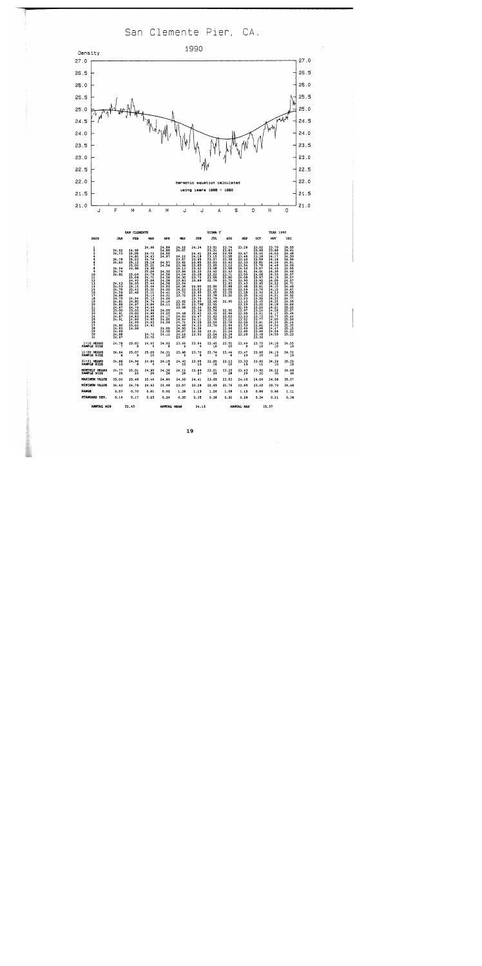San Clemente Pier, CA.



|                                     |                                                                                                                                                                                                                                 |                                                                                                                                                                                                                               |                                                                                                                                                                                                                                                                             | SIGM T                                                                                                                                                                                                                                                    |                                                                                                                                                                                                                                                                                           |                                                                                                                                                                                                                                                                  |                                                                                                                                                                                                                                                                          | <b>YEAR 1990</b>                                                                                                                                                                                                                                                          |                                                                                                                                                                                                                                                                                    |                                                                                                                                                                                                                                                                                     |                                                                                                                                                                                                                                                                                               |                                                                                                                                                                                                                                                                                                                          |
|-------------------------------------|---------------------------------------------------------------------------------------------------------------------------------------------------------------------------------------------------------------------------------|-------------------------------------------------------------------------------------------------------------------------------------------------------------------------------------------------------------------------------|-----------------------------------------------------------------------------------------------------------------------------------------------------------------------------------------------------------------------------------------------------------------------------|-----------------------------------------------------------------------------------------------------------------------------------------------------------------------------------------------------------------------------------------------------------|-------------------------------------------------------------------------------------------------------------------------------------------------------------------------------------------------------------------------------------------------------------------------------------------|------------------------------------------------------------------------------------------------------------------------------------------------------------------------------------------------------------------------------------------------------------------|--------------------------------------------------------------------------------------------------------------------------------------------------------------------------------------------------------------------------------------------------------------------------|---------------------------------------------------------------------------------------------------------------------------------------------------------------------------------------------------------------------------------------------------------------------------|------------------------------------------------------------------------------------------------------------------------------------------------------------------------------------------------------------------------------------------------------------------------------------|-------------------------------------------------------------------------------------------------------------------------------------------------------------------------------------------------------------------------------------------------------------------------------------|-----------------------------------------------------------------------------------------------------------------------------------------------------------------------------------------------------------------------------------------------------------------------------------------------|--------------------------------------------------------------------------------------------------------------------------------------------------------------------------------------------------------------------------------------------------------------------------------------------------------------------------|
| <b>DAYS</b>                         | JAN                                                                                                                                                                                                                             | FEB                                                                                                                                                                                                                           | <b>MAR</b>                                                                                                                                                                                                                                                                  | <b>APR</b>                                                                                                                                                                                                                                                | MAY                                                                                                                                                                                                                                                                                       | JUN                                                                                                                                                                                                                                                              | JUL                                                                                                                                                                                                                                                                      | <b>AUG</b>                                                                                                                                                                                                                                                                | <b>SEP</b>                                                                                                                                                                                                                                                                         | <b>OCT</b>                                                                                                                                                                                                                                                                          | NOV                                                                                                                                                                                                                                                                                           | DEC                                                                                                                                                                                                                                                                                                                      |
| $\frac{1}{2}$<br>567<br>8<br>9      | 24.62<br>24.73<br>24.79<br>24.83<br>24.94<br>24.74<br>24.82<br>24.43<br>24.53<br>24.70<br>24.59<br>24.68<br>24.75<br>24.61<br>24.86<br>24.87<br>25.00<br>24.91<br>24.87<br>24.91<br>24.80<br>24.83<br>24.89<br>$24.88$<br>24.67 | 24.98<br>25.05<br>24,80<br>25.23<br>25.13<br>25.00<br>24.98<br>25.04<br>25.06<br>24.95<br>24.95<br>25.15<br>25.43<br>25.48<br>24.94<br>24.80<br>24.87<br>24.78<br>25.03<br>25.00<br>24.83<br>24.86<br>24.99<br>25.02<br>24.98 | 24.96<br>24.73<br>24.63<br>24.74<br>25.16<br>25.21<br>24.99<br>25.04<br>24.78<br>24.71<br>25.06<br>25.44<br>25.44<br>25.31<br>25.11<br>25.14<br>$\frac{25}{24}$ , $\frac{12}{74}$<br>24.84<br>24.94<br>24.66<br>24,86<br>24.95<br>24.80<br>24.93<br>24.93<br>24.72<br>24.75 | 24.89<br>24.89<br>24.50<br>24.67<br>24.57<br>24.56<br>24,32<br>24.56<br>24.56<br>24.38<br>24.58<br>24.03<br>24.30<br>24.41<br>24.31<br>24.26<br>$\frac{24}{24}$ , $\frac{18}{11}$<br>24.09<br>24.20<br>24.17<br>24.05<br>24.56<br>24.00<br>23.99<br>24.11 | 24.15<br>24.07<br>24.12<br>23.57<br>23.62<br>$\frac{23.96}{24.13}$<br>23.96<br>$\frac{24.04}{24.30}$<br>23.83<br>23.94<br>24.36<br>$\frac{24}{23}$ ; $\frac{23}{72}$<br>23.72<br>23.82<br>23.91<br>23.98<br>24.46<br>24.93<br>24.84<br>24.71<br>24.48<br>24.50<br>24.07<br>24.16<br>23.87 | 24.34<br>24.41<br>24.18<br>23.95<br>23.85<br>23.85<br>23.42<br>23.33<br>23.28<br>23.75<br>23.89<br>24.00<br>23.53<br>23.65<br>23.44<br>23.74<br>23.60<br>23.790<br>23.34<br>$\frac{23.39}{23.62}$<br>23.97<br>24.11<br>24.26<br>24.23<br>24.38<br>24.30<br>23.92 | 23.51<br>23.31<br>23.44<br>23.15<br>23.37<br>23.53<br>23.65<br>23.38<br>23.42<br>23.22<br>23.05<br>22.79<br>22.50<br>22.72<br>22.65<br>22.78<br>22.79<br>$\frac{22.46}{22.95}$<br>22.85<br>22.56<br>22.45<br>22.63<br>22.70<br>22.59<br>22.76<br>23.31<br>23.04<br>23.62 | 23.74<br>23.63<br>23.59<br>23.55<br>23.39<br>23.43<br>$\frac{23.12}{23.58}$<br>23.43<br>$\frac{23}{23}$ . $\frac{71}{80}$<br>23.79<br>23.83<br>23.66<br>23.05<br>23.25<br>23.20<br>22.90<br>22.92<br>22.96<br>23.03<br>22.76<br>22.99<br>23.66<br>23.24<br>23.36<br>23.24 | 23.26<br>23.47<br>23.46<br>23.10<br>23.33<br>23.54<br>24.10<br>23.61<br>23.50<br>24.08<br>23.90<br>23.43<br>23.48<br>23,59<br>23.28<br>23.35<br>23.23<br>$\frac{23.10}{23.29}$<br>$22.99$<br>$22.97$<br>$22.95$<br>$23.23$<br>$23.52$<br>23.58<br>23.53<br>23.69<br>23.60<br>23.28 | 23.52<br>23.66<br>23.40<br>23.36<br>23.58<br>23.81<br>23.78<br>23.87<br>24.01<br>24.06<br>23.97<br>23.92<br>23.95<br>23.81<br>23.76<br>23.50<br>23.42<br>23.52<br>23.45<br>23.32<br>23.20<br>23.24<br>23.51<br>23.73<br>23.77<br>23.81<br>23.81<br>23.86<br>23.88<br>23.48<br>23.35 | 23.70<br>23.88<br>$24.03$<br>24.17<br>24.16<br>24.19<br>24.46<br>24.49<br>24,36<br>24.35<br>24.19<br>24.05<br>24.22<br>24.15<br>24.15<br>24.23<br>24.21<br>24.23<br>24.35<br>24.18<br>24.21<br>24.28<br>$\frac{24}{23}$ $\frac{17}{77}$<br>24.05<br>24.24<br>24.56<br>24.47<br>24.56<br>24.58 | 24.55<br>24.61<br>24.48<br>24.50<br>24.56<br>$\frac{24.51}{24.69}$<br>24.55<br>$\frac{24.16}{24.57}$<br>$\frac{24.57}{24.71}$<br>24.60<br>24.67<br>24.55<br>$\frac{24.92}{24.77}$<br>$24.95$<br>$24.86$<br>$25.25$<br>$25.57$<br>25.49<br>$\frac{25}{25}$ , $\frac{14}{36}$<br>25.15<br>25.35<br>25.15<br>25.25<br>25.23 |
| 1-10 HEANS<br><b>SAMPLE SIZE</b>    | 24.78                                                                                                                                                                                                                           | 25.03                                                                                                                                                                                                                         | 24.92                                                                                                                                                                                                                                                                       | 24.62                                                                                                                                                                                                                                                     | 23.96                                                                                                                                                                                                                                                                                     | 23.84                                                                                                                                                                                                                                                            | $23.40$<br>$10$                                                                                                                                                                                                                                                          | 23.52                                                                                                                                                                                                                                                                     | 23.49<br>$\overline{9}$                                                                                                                                                                                                                                                            | 23.70<br>10                                                                                                                                                                                                                                                                         | 24.18<br>10                                                                                                                                                                                                                                                                                   | 24.55<br>-10                                                                                                                                                                                                                                                                                                             |
| 11-20 HEANS<br><b>SAMPLE SIZE</b>   |                                                                                                                                                                                                                                 | $24.64$ $25.07$                                                                                                                                                                                                               | 25.09                                                                                                                                                                                                                                                                       | 24.31<br>10                                                                                                                                                                                                                                               | 23.98                                                                                                                                                                                                                                                                                     | 23.70                                                                                                                                                                                                                                                            | 22.74<br>$\bullet$                                                                                                                                                                                                                                                       | 23.44                                                                                                                                                                                                                                                                     | 23.47<br>-10                                                                                                                                                                                                                                                                       | 23.66<br>10                                                                                                                                                                                                                                                                         | 24.19<br>10                                                                                                                                                                                                                                                                                   | 24.72<br>10                                                                                                                                                                                                                                                                                                              |
| 21-31 MEANS<br><b>SAMPLE SIZE</b>   | $24.86$<br>10                                                                                                                                                                                                                   | 24.94                                                                                                                                                                                                                         | 24.84                                                                                                                                                                                                                                                                       | 24.15                                                                                                                                                                                                                                                     | $24.40$<br>$10$                                                                                                                                                                                                                                                                           | 23.95                                                                                                                                                                                                                                                            | 22.85                                                                                                                                                                                                                                                                    | 23.13<br>10                                                                                                                                                                                                                                                               | 23,33<br>10                                                                                                                                                                                                                                                                        | 23.60<br>- 11                                                                                                                                                                                                                                                                       | 24.29<br>10                                                                                                                                                                                                                                                                                   | $25.32$<br>$10$                                                                                                                                                                                                                                                                                                          |
| <b>JOHTHLY HEANS</b><br>SAMPLE SIZE | $24.77$<br>$25$                                                                                                                                                                                                                 | 25.01<br>25                                                                                                                                                                                                                   | $24.95$<br>$28$                                                                                                                                                                                                                                                             | 24.36<br>26                                                                                                                                                                                                                                               | 24.12<br>28                                                                                                                                                                                                                                                                               | 23.84<br>27                                                                                                                                                                                                                                                      | 23.01<br>29                                                                                                                                                                                                                                                              | 23.35<br>28                                                                                                                                                                                                                                                               | 23.43<br>29                                                                                                                                                                                                                                                                        | 23,65<br>- 31                                                                                                                                                                                                                                                                       | 24.22<br>30                                                                                                                                                                                                                                                                                   | 24.86<br>30                                                                                                                                                                                                                                                                                                              |
| KAXIMUM VALUE                       | 25.00                                                                                                                                                                                                                           | 25.48                                                                                                                                                                                                                         | 25.44                                                                                                                                                                                                                                                                       | 24.89                                                                                                                                                                                                                                                     | 24.93                                                                                                                                                                                                                                                                                     | 24.41                                                                                                                                                                                                                                                            | 23.65                                                                                                                                                                                                                                                                    | 23.83                                                                                                                                                                                                                                                                     | 24.10                                                                                                                                                                                                                                                                              | 24.06                                                                                                                                                                                                                                                                               | 24.58                                                                                                                                                                                                                                                                                         | 25.57                                                                                                                                                                                                                                                                                                                    |
| <b>MINIMUM VALUE</b>                | 24.43                                                                                                                                                                                                                           | 24.78                                                                                                                                                                                                                         | 24.63                                                                                                                                                                                                                                                                       | 23.99                                                                                                                                                                                                                                                     | 23.57                                                                                                                                                                                                                                                                                     | 23.28                                                                                                                                                                                                                                                            | 22.45                                                                                                                                                                                                                                                                    | 22.76                                                                                                                                                                                                                                                                     | 22.95                                                                                                                                                                                                                                                                              | 23.20                                                                                                                                                                                                                                                                               | 23.70                                                                                                                                                                                                                                                                                         | 24,46                                                                                                                                                                                                                                                                                                                    |
| <b>AMGE</b>                         | 0.57                                                                                                                                                                                                                            | 0,70                                                                                                                                                                                                                          | 0.81                                                                                                                                                                                                                                                                        | 0.90                                                                                                                                                                                                                                                      | 1.36                                                                                                                                                                                                                                                                                      | 1.13                                                                                                                                                                                                                                                             | 1.20                                                                                                                                                                                                                                                                     | 1.08                                                                                                                                                                                                                                                                      | 1.15                                                                                                                                                                                                                                                                               | 0.86                                                                                                                                                                                                                                                                                | 0.88                                                                                                                                                                                                                                                                                          | 1.11                                                                                                                                                                                                                                                                                                                     |
| <b>STANDARD DEV.</b>                | 0.14                                                                                                                                                                                                                            | 0.17                                                                                                                                                                                                                          | 0.23                                                                                                                                                                                                                                                                        | 0.26                                                                                                                                                                                                                                                      | 0.35                                                                                                                                                                                                                                                                                      | 0.35                                                                                                                                                                                                                                                             | 0.38                                                                                                                                                                                                                                                                     | 0.32                                                                                                                                                                                                                                                                      | 0.29                                                                                                                                                                                                                                                                               | 0.24                                                                                                                                                                                                                                                                                | 0.21                                                                                                                                                                                                                                                                                          | 0.36                                                                                                                                                                                                                                                                                                                     |
| <b>ANNUAL WIN</b>                   |                                                                                                                                                                                                                                 | 22.45                                                                                                                                                                                                                         |                                                                                                                                                                                                                                                                             | ANNUAL MEAN                                                                                                                                                                                                                                               |                                                                                                                                                                                                                                                                                           | 24.13                                                                                                                                                                                                                                                            |                                                                                                                                                                                                                                                                          |                                                                                                                                                                                                                                                                           | ANNUAL HAX                                                                                                                                                                                                                                                                         |                                                                                                                                                                                                                                                                                     | 25.57                                                                                                                                                                                                                                                                                         |                                                                                                                                                                                                                                                                                                                          |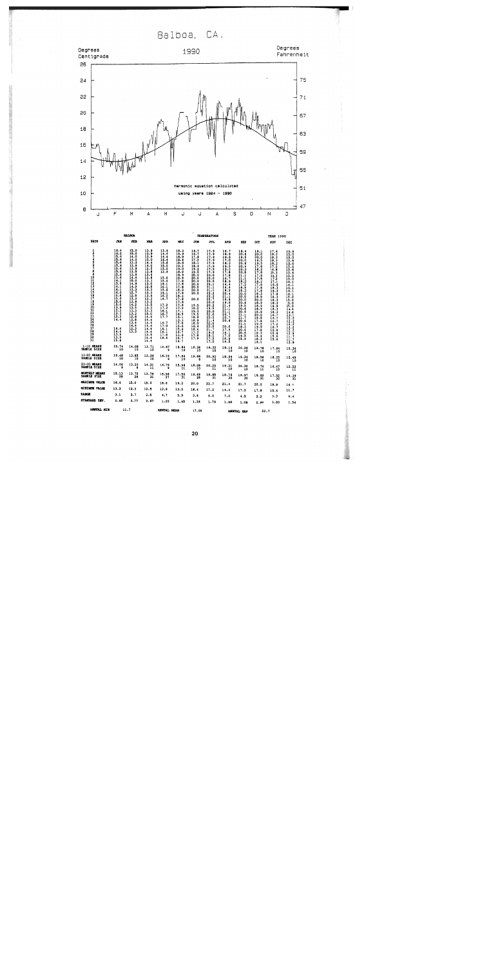Balboa, CA.

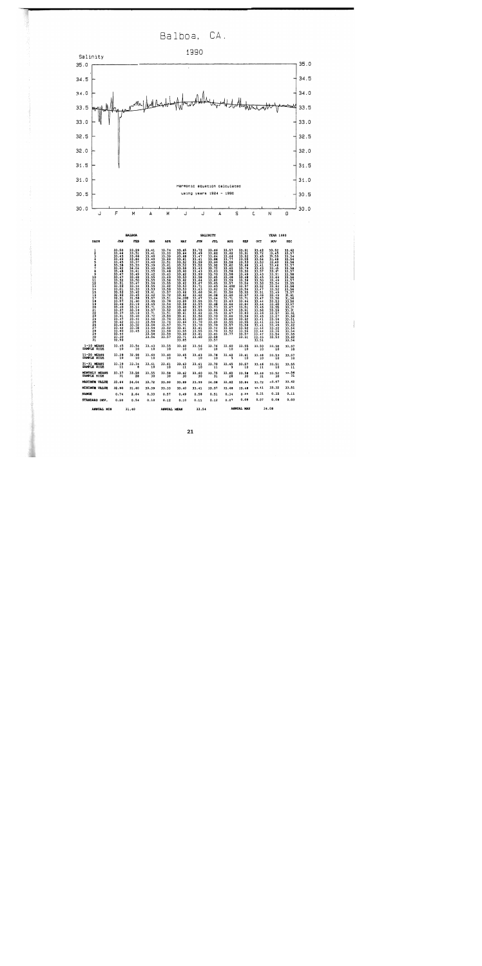Balboa, CA.



ANNOAL MEAN

33.54

ANNUAL HAX

34.08

 $31.40$ 

ANNUAL MIN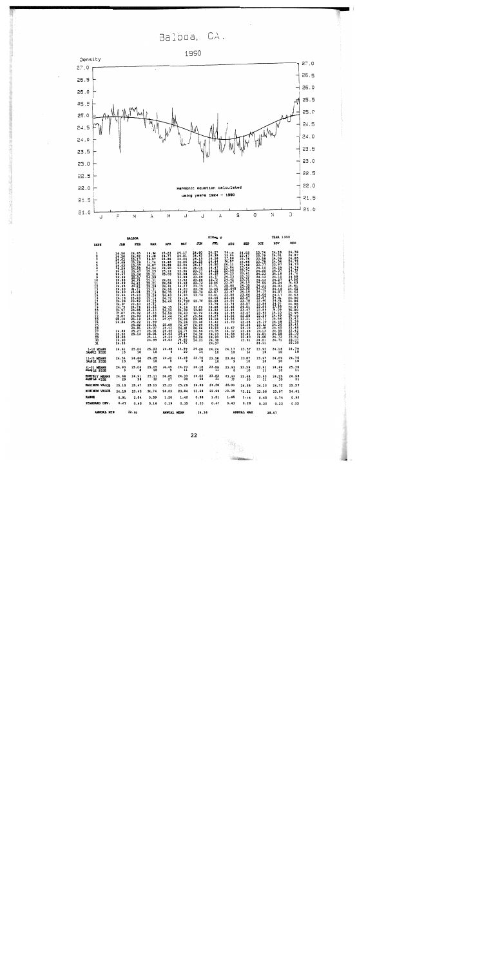Balboa, CA.



|                              | <b>BALBOA</b>                                                                                                                                                                                                                                                                                      |                                                                                                                                                                                                                                                                                                               |                                                                                                                                                                                                                                                                                                                               |                                                                                                                                                                                                                                                  |                                                                                                                                                                                                                                                                                                           | SIGMA T                                                                                                                                                                                                                                                                                      |                                                                                                                                                                                                                                                                                                                                                                                                      |                                                                                                                                                                                                                                                                     |                                                                                                                                                                                                                                                                                          | <b>YEAR 1990</b>                                                                                                                                                                                                                                                                                       |                                                                                                                                                                                                                                                                                                      |                                                                                                                                                                                                                                                                                                          |
|------------------------------|----------------------------------------------------------------------------------------------------------------------------------------------------------------------------------------------------------------------------------------------------------------------------------------------------|---------------------------------------------------------------------------------------------------------------------------------------------------------------------------------------------------------------------------------------------------------------------------------------------------------------|-------------------------------------------------------------------------------------------------------------------------------------------------------------------------------------------------------------------------------------------------------------------------------------------------------------------------------|--------------------------------------------------------------------------------------------------------------------------------------------------------------------------------------------------------------------------------------------------|-----------------------------------------------------------------------------------------------------------------------------------------------------------------------------------------------------------------------------------------------------------------------------------------------------------|----------------------------------------------------------------------------------------------------------------------------------------------------------------------------------------------------------------------------------------------------------------------------------------------|------------------------------------------------------------------------------------------------------------------------------------------------------------------------------------------------------------------------------------------------------------------------------------------------------------------------------------------------------------------------------------------------------|---------------------------------------------------------------------------------------------------------------------------------------------------------------------------------------------------------------------------------------------------------------------|------------------------------------------------------------------------------------------------------------------------------------------------------------------------------------------------------------------------------------------------------------------------------------------|--------------------------------------------------------------------------------------------------------------------------------------------------------------------------------------------------------------------------------------------------------------------------------------------------------|------------------------------------------------------------------------------------------------------------------------------------------------------------------------------------------------------------------------------------------------------------------------------------------------------|----------------------------------------------------------------------------------------------------------------------------------------------------------------------------------------------------------------------------------------------------------------------------------------------------------|
| DAYS                         | <b>JAN</b>                                                                                                                                                                                                                                                                                         | <b>FEB</b>                                                                                                                                                                                                                                                                                                    | <b>HAR</b>                                                                                                                                                                                                                                                                                                                    | <b>APR</b>                                                                                                                                                                                                                                       | MAY                                                                                                                                                                                                                                                                                                       | JUN                                                                                                                                                                                                                                                                                          | JUL                                                                                                                                                                                                                                                                                                                                                                                                  | <b>AUG</b>                                                                                                                                                                                                                                                          | <b>SEP</b>                                                                                                                                                                                                                                                                               | OCT                                                                                                                                                                                                                                                                                                    | NOV                                                                                                                                                                                                                                                                                                  | <b>DEC</b>                                                                                                                                                                                                                                                                                               |
| 1234567<br>ė                 | 24.30<br>$24.63$<br>$24.65$<br>$24.55$<br>$24.59$<br>$24.67$<br>$24.66$<br>$24.66$<br>$24.59$<br>$\frac{24.65}{24.20}$<br>$\frac{24.20}{24.61}$<br>$\frac{24.19}{24.36}$<br>24.87<br>24.79<br>24.97<br>25.07<br>25.10<br>25.10<br>24.84<br>24.88<br>$\frac{25.02}{25.00}$<br>$\frac{24.90}{24.22}$ | 24.65<br>24.82<br>25.17<br>25.29<br>25.07<br>24.92<br>25.47<br>25.06<br>25.04<br>24.93<br>24.82<br>24.82<br>24.71<br>25.04<br>25.23<br>$\frac{25.23}{23.69}$<br>$\frac{23}{24}$ : $\frac{13}{74}$<br>24.85<br>24.92<br>24.93<br>25.19<br>$\frac{25}{25}$ $\cdot \frac{22}{92}$<br>24.81<br>$25.27$<br>$25.13$ | 24.98<br>24.98<br>24.97<br>24.74<br>24.87<br>$24.94$<br>$25.25$<br>25.31<br>$24.99$<br>$25.31$<br>$25.21$<br>$25.28$<br>$25.31$<br>$25.19$<br>$25.26$<br>25.14<br>25.23<br>$\frac{25.31}{25.25}$<br>$\frac{25}{25}$ . $\frac{31}{23}$<br>24.98<br>25.11<br>24.99<br>25.01<br>25.07<br>$\frac{25.01}{25.01}$<br>25.11<br>24.99 | 25.23<br>24.77<br>24.86<br>24.46<br>24.69<br>24.90<br>25, 12<br>25.03<br>24.81<br>24.86<br>24.61<br>24.66<br>24.75<br>24.63<br>24.72<br>24.44<br>24.35<br>24.34<br>24.59<br>24.44<br>24.27<br>25.08<br>24.42<br>24.66<br>24.63<br>24.24<br>24.03 | 24.17<br>24.01<br>24.04<br>24.06<br>23.94<br>23.84<br>$\frac{23.94}{23.98}$<br>23.99<br>23.92<br>24.42<br>24.27<br>24.2D<br>24.07<br>24.30<br>24.14<br>24.710<br>24.47<br>$\frac{24.24}{24.39}$<br>24.43<br>24.47<br>24.66<br>25.26<br>24.47<br>24.85<br>24.77<br>24.47<br>24.97<br>$\frac{24.60}{24.70}$ | 24.60<br>24.43<br>$\frac{24 \cdot 15}{24 \cdot 25}$<br>$\frac{24.04}{23.77}$<br>$\frac{23.99}{23.68}$<br>$\frac{23.68}{23.73}$<br>$\frac{23.75}{23.78}$<br>23.74<br>23.75<br>23.79<br>23.80<br>23.79<br>23.84<br>23.95<br>23.98<br>$\frac{24.20}{24.66}$<br>24.59<br>24.36<br>24.26<br>24.23 | $24.27$<br>24.39<br>24.26<br>24.44<br>24.50<br>$\frac{24.47}{24.32}$<br>24.25<br>$\frac{23.77}{23.73}$<br>$\frac{23.73}{23.86}$<br>23.71<br>$\frac{23}{23}$ : 44<br>$\frac{23.41}{23.46}$<br>$\frac{22.99}{23.79}$<br>$\frac{23.68}{23.92}$<br>$\frac{23.89}{23.27}$<br>23.18<br>23.42<br>$\frac{23}{23}$ , $\frac{22}{23}$<br>$\frac{23}{23}$ , $\frac{23}{25}$<br>24.10<br>24.20<br>24.38<br>24.37 | 24.49<br>23.99<br>23.86<br>24.57<br>24.11<br>23.84<br>23.90<br>24.23<br>24.23<br>24.42<br>23.97<br>25.00<br>25.640<br>23.97<br>$23.56$<br>$23.40$<br>24.06<br>23.74<br>23.35<br>23.46<br>$23.46$<br>$23.56$<br>$23.56$<br>23.70<br>23.67<br>24.32<br>24.59<br>24.57 | 24.03<br>23.47<br>23.76<br>23.66<br>23.48<br>$\frac{23.64}{23.76}$<br>23.41<br>23.32<br>$\frac{23.31}{24.10}$<br>24.35<br>23.95<br>24.10<br>23.66<br>23.67<br>23.78<br>23.57<br>24.01<br>23.47<br>23.47<br>23.58<br>23.21<br>23.48<br>23.36<br>24.10<br>23.48<br>23.51<br>23.80<br>23.91 | 23.71<br>$\frac{23.58}{23.78}$<br>24.10<br>$\frac{24.00}{24.23}$<br>24.12<br>24.13<br>24.05<br>24.22<br>$\frac{24.19}{24.15}$<br>$24.06$<br>23.87<br>23.60<br>23.86<br>23.86<br>23.86<br>$\frac{23.95}{23.59}$<br>23.71<br>24.10<br>$\frac{23.68}{23.68}$<br>24.13<br>24.01<br>24.00<br>24.01<br>24.11 | $24:28$<br>24:01<br>24.09<br>24.04<br>23.97<br>$\frac{24.29}{24.37}$<br>24.18<br>24.10<br>24.27<br>24.24<br>24.03<br>24.16<br>24.07<br>$\frac{24.17}{24.04}$<br>24.05<br>$24.07$<br>$23.98$<br>$24.09$<br>24.10<br>24.49<br>24.56<br>$24.48$<br>$24.36$<br>$24.40$<br>$\frac{24.55}{24.58}$<br>24.71 | 24.78<br>24.87<br>$\frac{24.85}{24.72}$<br>24.73<br>24.74<br>$\frac{24.75}{24.74}$<br>$24.88$<br>24.86<br>24.63<br>24.61<br>24.62<br>24.62<br>24.63<br>24.90<br>24.86<br>24.86<br>24.87<br>25.00<br>$\frac{24.95}{25.19}$<br>$\frac{25.39}{25.41}$<br>25.41<br>25.42<br>25.30<br>25.52<br>25.57<br>25.30 |
| 1-10 MEANS<br>SAMPLE SIZE    | 24.61                                                                                                                                                                                                                                                                                              | 25.04                                                                                                                                                                                                                                                                                                         | 25.03                                                                                                                                                                                                                                                                                                                         | 24.88<br>$\bullet$                                                                                                                                                                                                                               | $23.99$<br>$10$                                                                                                                                                                                                                                                                                           | 24.08                                                                                                                                                                                                                                                                                        | 24.24                                                                                                                                                                                                                                                                                                                                                                                                | 24.17<br>10                                                                                                                                                                                                                                                         | $23,58$<br>10                                                                                                                                                                                                                                                                            | 23.92<br>10                                                                                                                                                                                                                                                                                            | 24.16<br>10                                                                                                                                                                                                                                                                                          | 24.79                                                                                                                                                                                                                                                                                                    |
| 11-20 HEANS<br>SAMPLE SIZE   | $24.54$<br>10                                                                                                                                                                                                                                                                                      | 24.66                                                                                                                                                                                                                                                                                                         | 25.25                                                                                                                                                                                                                                                                                                                         | 24.60                                                                                                                                                                                                                                            | 24.28                                                                                                                                                                                                                                                                                                     | 23.76                                                                                                                                                                                                                                                                                        | $23.58$<br>$10$                                                                                                                                                                                                                                                                                                                                                                                      | 23.84<br>9                                                                                                                                                                                                                                                          | $23.87$<br>10                                                                                                                                                                                                                                                                            | $23.97$<br>10                                                                                                                                                                                                                                                                                          | 24.09<br>$\overline{10}$                                                                                                                                                                                                                                                                             | 24.76<br>10                                                                                                                                                                                                                                                                                              |
| 21-31 HEANS<br>SAMPLE SIZE   | 24.90<br>9                                                                                                                                                                                                                                                                                         | 25.06                                                                                                                                                                                                                                                                                                         | 25.05<br>10                                                                                                                                                                                                                                                                                                                   | 24.49<br>9                                                                                                                                                                                                                                       | 24.70                                                                                                                                                                                                                                                                                                     | $24.18$<br>$10$                                                                                                                                                                                                                                                                              | $23.69$<br>11                                                                                                                                                                                                                                                                                                                                                                                        | 23.93                                                                                                                                                                                                                                                               | 23.59<br>10                                                                                                                                                                                                                                                                              | $23.91$<br>$11$                                                                                                                                                                                                                                                                                        | 24.49<br>10                                                                                                                                                                                                                                                                                          | $25.36$<br>$11$                                                                                                                                                                                                                                                                                          |
| HONTHLY HEANS<br>SAMPLE SIZE | $24.68$<br>$29$                                                                                                                                                                                                                                                                                    | $24.91$<br>$28$                                                                                                                                                                                                                                                                                               | $25.11$<br>$30$                                                                                                                                                                                                                                                                                                               | 24.65                                                                                                                                                                                                                                            | 24.33                                                                                                                                                                                                                                                                                                     | 24.02<br>28                                                                                                                                                                                                                                                                                  | $23.83$<br>$31$                                                                                                                                                                                                                                                                                                                                                                                      | 23.99<br>27                                                                                                                                                                                                                                                         | 23.68<br>30                                                                                                                                                                                                                                                                              | $23.93$<br>$31$                                                                                                                                                                                                                                                                                        | $24.25$<br>30                                                                                                                                                                                                                                                                                        | $24.98$<br>$31$                                                                                                                                                                                                                                                                                          |
| <b>NAXIMUM VALUE</b>         | 25.10                                                                                                                                                                                                                                                                                              | 25.47                                                                                                                                                                                                                                                                                                         | 25.33                                                                                                                                                                                                                                                                                                                         | 25.23                                                                                                                                                                                                                                            | 25.26                                                                                                                                                                                                                                                                                                     | 24.66                                                                                                                                                                                                                                                                                        | 24.50                                                                                                                                                                                                                                                                                                                                                                                                | 25.00                                                                                                                                                                                                                                                               | 24.35                                                                                                                                                                                                                                                                                    | 24.23                                                                                                                                                                                                                                                                                                  | 24.72                                                                                                                                                                                                                                                                                                | 25.57                                                                                                                                                                                                                                                                                                    |
| <b>MINIMUM VALUE</b>         | 24.19                                                                                                                                                                                                                                                                                              | 23.43                                                                                                                                                                                                                                                                                                         | 24.74                                                                                                                                                                                                                                                                                                                         | 24.03                                                                                                                                                                                                                                            | 23.84                                                                                                                                                                                                                                                                                                     | 23.68                                                                                                                                                                                                                                                                                        | 22.99                                                                                                                                                                                                                                                                                                                                                                                                | 23.35                                                                                                                                                                                                                                                               | 23.21                                                                                                                                                                                                                                                                                    | 23.58                                                                                                                                                                                                                                                                                                  | 23.97                                                                                                                                                                                                                                                                                                | 24.61                                                                                                                                                                                                                                                                                                    |
| <b>RANGE</b>                 | 0.91                                                                                                                                                                                                                                                                                               | 2.04                                                                                                                                                                                                                                                                                                          | 0.59                                                                                                                                                                                                                                                                                                                          | 1.20                                                                                                                                                                                                                                             | 1.42                                                                                                                                                                                                                                                                                                      | 0.98                                                                                                                                                                                                                                                                                         | 1.51                                                                                                                                                                                                                                                                                                                                                                                                 | 1.65                                                                                                                                                                                                                                                                | 1.14                                                                                                                                                                                                                                                                                     | 0.65                                                                                                                                                                                                                                                                                                   | 0.74                                                                                                                                                                                                                                                                                                 | 0.96                                                                                                                                                                                                                                                                                                     |
| STANDARD DEV.                | 0.27                                                                                                                                                                                                                                                                                               | 0.43                                                                                                                                                                                                                                                                                                          | 0.16                                                                                                                                                                                                                                                                                                                          | 0.29                                                                                                                                                                                                                                             | 0.35                                                                                                                                                                                                                                                                                                      | 0.30                                                                                                                                                                                                                                                                                         | 0.46                                                                                                                                                                                                                                                                                                                                                                                                 | 0.43                                                                                                                                                                                                                                                                | 0.28                                                                                                                                                                                                                                                                                     | 0.20                                                                                                                                                                                                                                                                                                   | 0.22                                                                                                                                                                                                                                                                                                 | 0.32                                                                                                                                                                                                                                                                                                     |
| AMMUAL MIN                   | 22.99                                                                                                                                                                                                                                                                                              |                                                                                                                                                                                                                                                                                                               |                                                                                                                                                                                                                                                                                                                               | ANNUAL HEAN                                                                                                                                                                                                                                      |                                                                                                                                                                                                                                                                                                           | 24.36                                                                                                                                                                                                                                                                                        |                                                                                                                                                                                                                                                                                                                                                                                                      |                                                                                                                                                                                                                                                                     | ANNUAL MAX                                                                                                                                                                                                                                                                               |                                                                                                                                                                                                                                                                                                        | 25.57                                                                                                                                                                                                                                                                                                |                                                                                                                                                                                                                                                                                                          |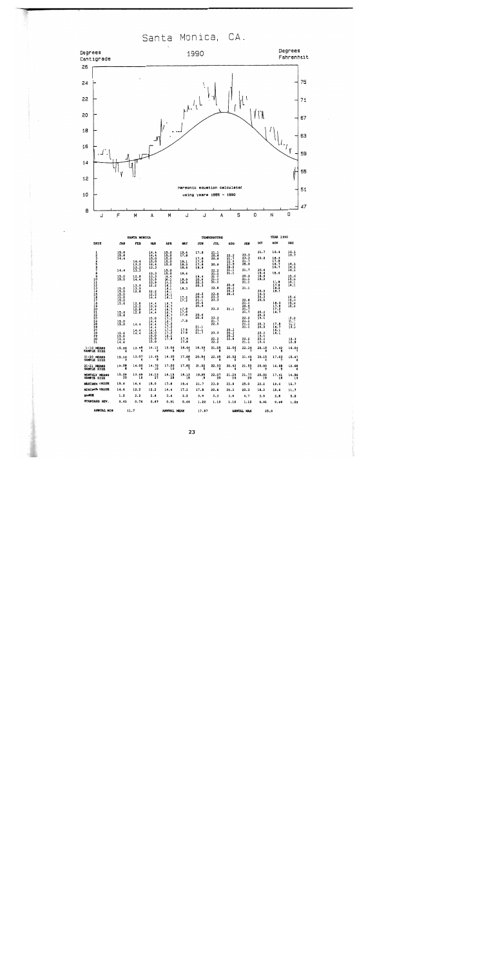Santa Monica, CA.



|                                     |                                     | SANTA HONICA                 |                                |                              |                          |                                     | <b><i>TEMPERATURE</i></b> |                              |                              |                             | <b>YEAR 1990</b>     |                                                   |
|-------------------------------------|-------------------------------------|------------------------------|--------------------------------|------------------------------|--------------------------|-------------------------------------|---------------------------|------------------------------|------------------------------|-----------------------------|----------------------|---------------------------------------------------|
| DAYS                                | JAN                                 | FEB                          | <b>MAR</b>                     | <b>APR</b>                   | <b>MAY</b>               | <b>JUN</b>                          | JUL                       | <b>ADG</b>                   | <b>SEP</b>                   | $_{\text{OCT}}$             | NOV                  | DEC                                               |
| $\frac{1}{2}$<br>з                  | 15.6<br>15.6<br>14.4                |                              | 14.4<br>14.4<br>$15.0$<br>15.0 | 15.0<br>15.0<br>15.0         | 19.1                     | 17.8<br>17.8                        | 21.1<br>20.6<br>20.6      | 22.2<br>21.7                 | 23.3<br>23.3                 | 21.7<br>22.2                | 19.4<br>18.3         | $\frac{16.1}{16.7}$                               |
| ŝ<br>$\frac{6}{7}$                  | 14.4                                | 14.4<br>13.3<br>13.3<br>13.3 | 14.4<br>13.3                   | 15.0<br>15.0<br>15.0         | 18.1<br>18.3<br>18.6     | 17.8<br>17.8<br>18.9                | 20.6<br>22.2              | 22.2<br>23.9<br>22.2<br>21.1 | 21.7<br>25.0<br>21.7         | 20.6                        | 17.8<br>16.7<br>16.7 | 16.1<br>$\frac{16}{16}$                           |
| 8<br>9                              | 15.0                                | $12.8$<br>14.4               | 13.3<br>13.3<br>13.9           | 15.0<br>14.4<br>16.1         | 19.4<br>18.9             | 19.4<br>20.6                        | 21.1<br>21.1<br>21.1      | 21.1                         | 20.3<br>21.1                 | 19.4<br>18.9<br>18.3        | 15.6<br>17.8         | $15.6$<br>$15.6$                                  |
|                                     | 15.0                                | 13.9<br>13.9<br>12.8         | 13.9<br>12.2<br>12.2           | 16.1<br>16.1<br>16.1<br>16.1 | 18.9<br>18.3             | 20.3<br>20.3                        | 21.1<br>22.8              | 20.6<br>20.3<br>20.3         | 21.1<br>21.1                 | 20.3                        | 17.8<br>18.3<br>18.3 | $\frac{16}{16}$                                   |
|                                     | 15.0<br><b>15.0</b><br>15.0<br>15.6 | 12.8                         | 12.2<br>14.4<br>14.4           | 16.1<br>16.1<br>16.7         | $\frac{17.2}{17.2}$      | $\frac{20.3}{20.6}$<br>21.1<br>20.6 | 23.9<br>23.3<br>23.3      | 20.3                         | 22.8<br>21.1                 | 19.4<br>20.3<br>20.6        | 18.3                 | $15.6$<br>$15.0$<br>$15.6$<br>$15.6$              |
|                                     | $15.6$<br>$15.8$                    | 12.2<br>12.8<br>12.8         | 13.9<br>14.4<br>14.4           | 16.7<br>16.7<br>16.7<br>16.7 | 17.8<br>17.8<br>17.8     | 20.6<br>20.6                        | 23.3                      | 21.1                         | 20.6<br>21.7<br>21.7         | 20.3<br>20.3                | 17.8<br>17.2<br>16.7 |                                                   |
|                                     | $15.0$<br>15.0                      | 14.4                         | 15.0<br>14.4<br>14.4<br>14.4   | 17.2<br>16.7<br>17.2<br>17.2 | 17.8                     | 20.6<br>21.1                        | 23.3<br>21.7<br>22.5      |                              | 22.2<br>21.1<br>21.1<br>21.1 | 19.4<br>$\frac{20.3}{20.3}$ | 17.8<br>16.7         | $^{12.6}_{11.9}$<br>$\frac{12}{13}$ $\frac{3}{3}$ |
| 101123456789021222222222222223      | 15.6<br>15.0<br>14.4                | 14.4<br>14.4                 | 14.4<br>15.0<br>15.0<br>15.0   | 17.2<br>17.2<br>16.1<br>17.8 | 17.8<br>17.8<br>17.8     | $\frac{21}{21}$                     | 23.3                      | 20.3<br>20.3<br>20.3<br>22.8 |                              | 20.3<br>19.4<br>20.3        | 16.1<br>16.1         | 13.3                                              |
| 31                                  | 14.4                                |                              | 15.0                           |                              | 17.8                     |                                     | 22.2                      |                              | $22.2$<br>21.1               | 19.4                        |                      | 12.8                                              |
| $1-10$ MEANS<br>SAMPLE SIZE         | 15.00<br>6                          | 13.58                        | 14.11<br>9                     | 15.06<br>9                   | 18.64                    | 18.59                               | 21.05<br>8                | 22.05                        | 22.34                        | 20.18                       | 17.42                | 16.04                                             |
| 11-20 MEANS<br>SAMPLE SIZE          | 15.10                               | 13.07                        | 13.45<br>å                     | 16.30                        | 17.88                    | 20.54                               | 22.95<br>6                | 20.52                        | 21.40                        | 20.15                       | 17.93                | 15.67                                             |
| 21-31 MEANS<br>SAMPLE SIZE          | 15.08                               | 14.00                        | 14.70                          | 17.90                        | 17.89                    | 21.02                               | 22.53                     | 20.92                        | 21.59                        | 20.00                       | 16.68                | 12.68                                             |
| <b>MONTHLY MEANS</b><br>SAMPLE SIZE | 15.96                               | 13.49<br>16                  | 14.13<br>27                    | 16.15                        | 18.13<br>$\overline{19}$ | 19.95<br>قآ                         | 22.07<br>20               | 21.29<br>$\overline{16}$     | 21.77                        | 20.09<br>19                 | 17.41<br>18          | 14.86<br>19                                       |
| HAXIMUM VALUE                       | 15.6                                | 14.4                         | 15.0                           | 17.8                         | 19.4                     | 21.7                                | 23.9                      | 23.9                         | 25.0                         | 22.2                        | 19.4                 | 16.7                                              |
| <b>NININUM VALUE</b>                | 14.4                                | 12.2                         | 12.2                           | 14.4                         | 17.2                     | 17.8                                | 20.6                      | 20.3                         | 20.3                         | 18.3                        | 15.6                 | 11.7                                              |
| <b>RANGE</b>                        | 1.2                                 | 2.2                          | 2.8                            | 3.4                          | 2.2                      | 3.9                                 | 3.3                       | 3.6                          | 4.7                          | 3.9                         | 3.8                  | 5.0                                               |
| STANDARD DEV.                       | 0.43                                | 0.76                         | 0.87                           | 0.91                         | 0.64                     | 1.29                                | 1.10                      | 1.10                         | 1,12                         | 0.91                        | 0.99                 | 1.59                                              |
| ANNUAL MIN                          |                                     | 11.7                         |                                | ANNUAL HEAN                  |                          | 17.87                               |                           |                              | ANNUAL KAX                   | 25.0                        |                      |                                                   |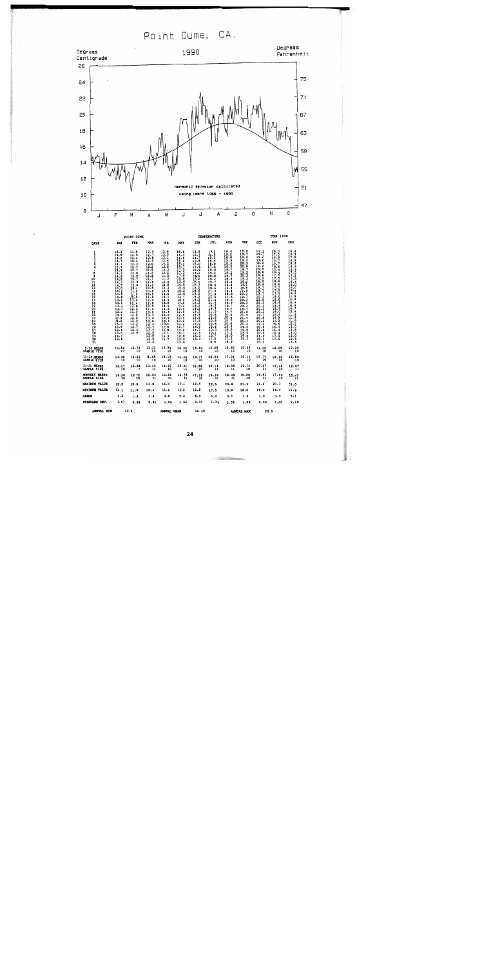Point Dume, CA.

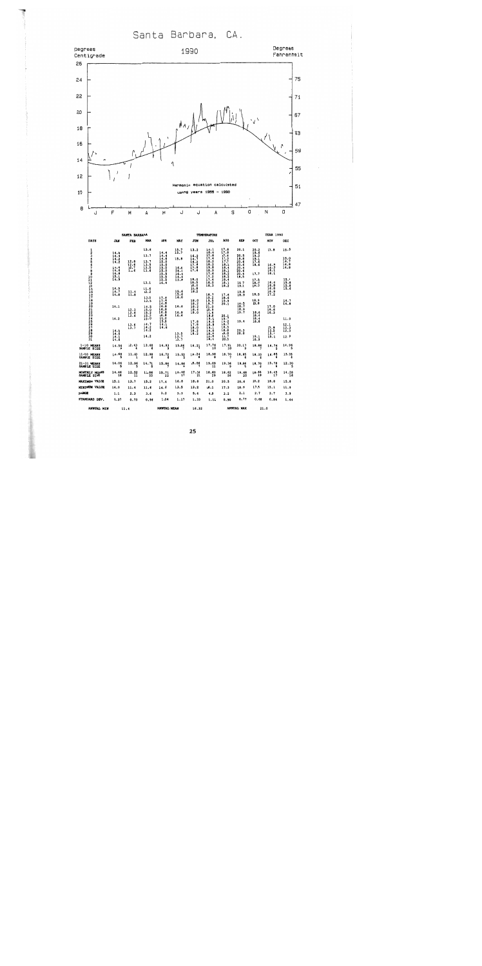Santa Barbara, CA.



|                                                 |                                             | SANTA BARBARA        |                              |                                      |                              |                                      | <b>TEMPERATURE</b>                   |                                       |                                      |                                      | <b>IEAR 1990</b>             |                                     |
|-------------------------------------------------|---------------------------------------------|----------------------|------------------------------|--------------------------------------|------------------------------|--------------------------------------|--------------------------------------|---------------------------------------|--------------------------------------|--------------------------------------|------------------------------|-------------------------------------|
| DAYS                                            | <b>JAN</b>                                  | FEB                  | <b>MAR</b>                   | <b>APR</b>                           | MAY                          | JUN                                  | JUL                                  | <b>AUG</b>                            | SEP                                  | OCT                                  | NOV                          | <b>DEC</b>                          |
| ı<br>234507                                     | 14.8<br>14.4<br>$\frac{14.2}{14.2}$         | 12.8                 | 13.6<br>13.7<br>13.7         | 14.4<br>14.4<br>14.6<br>15.0         | 15,7<br>15.7<br>15.8         | 13.2<br>$16.2$<br>14.7<br>16.2       | 16.1<br>16.4<br>17.8<br>17.4<br>18.2 | 17.8<br>17.8<br>$\frac{1}{1}$<br>17.7 | 20.1<br>20.5<br>19.8<br>20.6         | 20.2<br>19.6<br>19.2<br>19.1<br>17.6 | 18.8                         | 15.5<br>15.0<br>14.7                |
|                                                 | 14.4<br>14.6<br>14.8<br>$\frac{15.1}{14.9}$ | 12.6<br>12.7<br>11.6 | 13.5<br>13.5<br>13.6         | 15.0<br>15.0<br>15.0<br>15.5<br>15.5 | 16.4<br>T6.6<br>16.4<br>14.4 | 17.8<br>17.8<br>17.6                 | 18.2<br>19.8<br>18.9<br>17.6<br>17.2 | 18.2<br>18.4<br>18.1<br>18.2<br>18.2  | 20.6<br>20.4<br>20.6<br>20.4<br>18.5 | 18.6<br>17.7                         | 16.5<br>16.3<br>16.1<br>16.1 | 14.8<br>14.8                        |
|                                                 | 14.9                                        | 11.4                 | 13.1<br>11.6<br>12.2         | $\frac{15.5}{16.4}$                  | 13.8<br>15.6                 | 18.0<br>18.5<br>18.0<br>18.8<br>18.2 | 17.4<br>18.0<br>18.3                 | 18.4<br>18.1<br>18.2                  | 18.7<br>19.1<br>19.8                 | 17.5<br>18.0<br>10.3                 | 16.4<br>16.8<br>16.8         | 15.4<br>$\frac{15.8}{15.8}$<br>15.8 |
|                                                 | $\frac{1}{11.8}$                            | 11.8                 | 13.0<br>13.5                 | 17.4<br>17.4<br>16.8                 | 15.6<br>16.0                 | 18.0<br>18.2                         | 18.7<br>$\frac{19.2}{19.5}$          | 17.6<br>18.6<br>19.9<br>20.1          | 18.9<br>$\frac{18.5}{18.7}$          | 18.5<br>18.9<br>18.8                 | 15.2                         | 14.7<br>14.8                        |
|                                                 | 14.1                                        | 12.3<br>12.6<br>12.6 | 14.5<br>15.0<br>15.2<br>15.2 | 16.8<br>16.8<br>16.8<br>16.8         | 16.6<br>16.8<br>16.6         | 18.2<br>18.4<br>18.0                 | 21.0<br>20.9<br>19.6<br>10.8<br>19.0 | $20.1$<br>19.7                        | 18.9<br>19.7                         | 18.6<br>18.4                         | 17.0<br>16.6<br>16.3         |                                     |
|                                                 | 14.2<br>14.0                                | 13.6<br>13.7         | 15.0<br>14.7<br>14.2<br>14.2 | 16.0<br>15.8<br>14.6                 |                              | 17.8<br>17.8<br>18.0<br>18.2         | 19.0<br>18.8<br>19.1<br>19.0         | 19.2<br>18,7<br>18.5<br>18.8          | 19.4<br>20.3                         | 18.4<br>18.8                         | 15.8<br>15.5                 | 11.9<br>$\frac{12.1}{12.3}$<br>12.3 |
| 30<br>31                                        | 14.0<br>14.1<br>14.0                        |                      | 14.2                         |                                      | 13.5<br>13.7<br>13.7         | 18.2                                 | 18.8<br>18.6<br>18.4                 | 19.0<br>19.7<br>20.5                  | 20.0                                 | $\frac{19.1}{18.9}$                  | 15.4<br>15.1                 | 12.9                                |
| $1-10$ MEANS<br>SAMPLE SIZE                     | 14.56                                       | 12.43                | 13.60                        | 14.93                                | 15.86                        | 16.21                                | 17.76<br>10                          | 17.91<br>10                           | 20.17<br>۹                           | 18.86                                | 16.76                        | 14.96<br>5                          |
| 11-20 MEANS<br>SAMPLE SIZE                      | 14.68                                       | 11.60                | 12.98                        | 16.72                                | 15.52                        | 18.24                                | 18,98<br>a                           | 18.70                                 | 18.95                                | 18.33                                | 16.85                        | 15.35<br>6                          |
| 21-31 MEANS<br>SAMPLE SIZE                      | 14.06                                       | 12.96                | 14.71                        | 15.86                                | 14.86                        | 18.06                                | 19.09<br>11                          | 19.36<br>ğ                            | 19.66<br>5                           | 18,70                                | 15.78                        | 12.30<br>5                          |
| MONTHLY MEANS<br>SAMPLE SIZE                    | 14.46<br>18                                 | 12.52<br>11          | 13.86<br>20                  | 15.71<br>22                          | 15.46<br>17                  | 17.54<br>22                          | 18.60<br>29                          | 18.62<br>26                           | 19.68<br>20                          | 18.64<br>19                          | 16.45<br>17                  | $14.28$<br>16                       |
| <b>HAXIMUM VALUE</b>                            | 15.1                                        | 13.7                 | 15.2                         | 17.4                                 | 16.8                         | 18.8                                 | 21.0                                 | 20.5                                  | 20.6                                 | 20.2                                 | 18.8                         | 15.8                                |
| <b>NINIMUM VALUE</b>                            | 14.0                                        | 11.4                 | 11.6                         | 14.2                                 | 13.5                         | 13.2                                 | 16.1                                 | 17.3                                  | 18.5                                 | 17.5                                 | 15.1                         | 11,9                                |
| <b>RANGE</b>                                    | 1.1                                         | 2.3                  | 3.6                          | 3.2                                  | 3.3                          | 5.6                                  | 4.9                                  | 3.2                                   | 2.1                                  | 2.7                                  | 3.7                          | 3.9                                 |
| STANDARD DEV.<br><b><i>AMARTA T. LITTER</i></b> | 0.37                                        | 0.73<br>$\cdots$     | 0.96                         | 1.04<br><b><i>AMMERST MORNI</i></b>  | 1.17                         | 1.33<br>16.33                        | 1.12                                 | 0.90                                  | 0.77<br><b><i>SHOPPET MEV</i></b>    | 0.68<br>$\mathbf{a}$                 | 0.84                         | 1.44                                |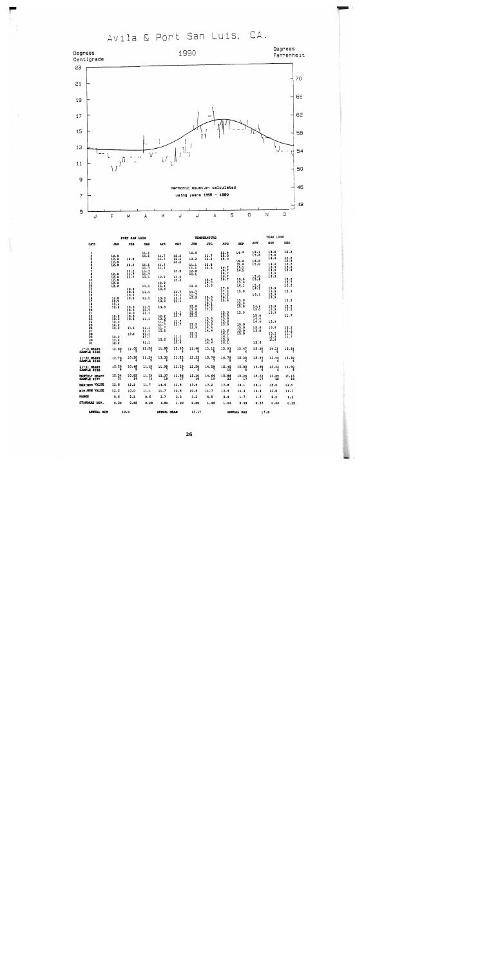Avila & Port San Luis, CA.



|                                           |                               | PORT SAM LUIS       |                     |                     |                     |                             | <b>TEMPERATURE</b>  |                           |                     |                | <b>YEAR 1990</b>    |                                                                                          |
|-------------------------------------------|-------------------------------|---------------------|---------------------|---------------------|---------------------|-----------------------------|---------------------|---------------------------|---------------------|----------------|---------------------|------------------------------------------------------------------------------------------|
| <b>DAYS</b>                               | <b>JAN</b>                    | <b>FEB</b>          | <b>MAR</b>          | <b>APR</b>          | <b>HAY</b>          | JUM                         | JUL                 | <b>AUG</b>                | <b>SEP</b>          | OCT            | NOV                 | <b>DEC</b>                                                                               |
|                                           |                               |                     | 11.1                |                     |                     | 10.6                        | 11.7                | 13.9<br>15.0              | 14.4                | 16.1<br>15.6   | $\frac{15.0}{15.0}$ | 12.2                                                                                     |
| 12345678901123456789012222222222345678901 | 12.8                          | 12.2                | HH                  | $\frac{11}{11}$ ;   | $\frac{12.2}{12.2}$ | 12.2                        | 12.2                | 15.0                      |                     |                | 14.4                |                                                                                          |
|                                           | $\frac{12.8}{12.8}$           |                     |                     |                     |                     |                             |                     |                           | 15.6<br>15.6        | 15.0<br>15.0   | 14.4                | $\begin{array}{c} 12\cdot 2\\ 12\cdot 2\\ 12\cdot 2\\ 12\cdot 2\\ 12\cdot 8 \end{array}$ |
|                                           |                               | 12.2                | 11.1                | 11.7<br>11.7        |                     | 11.1<br>11.1                | 12.8<br>13.3        | 16.7                      | 16.1                |                | 13.9                |                                                                                          |
|                                           |                               | $\frac{12.2}{11.7}$ | $\frac{11.7}{11.7}$ |                     | 13.9                | $\frac{1}{2}$ $\frac{1}{2}$ |                     | 16.7                      | 16.1                |                | 13.9                |                                                                                          |
|                                           | 12.8                          |                     | 11.7<br>11.1        | 12.2                |                     |                             |                     | 16.7<br>16.7              |                     |                | 13.9<br>13.3        |                                                                                          |
|                                           | $\frac{12.8}{12.8}$           | 11.7                |                     |                     | $\frac{13.9}{13.3}$ |                             | 15.6                | 16.7                      | 15.0                | $15.0$<br>15.6 |                     |                                                                                          |
|                                           |                               |                     |                     | 12.2                |                     |                             | 15.0                |                           | 15.6                |                |                     | $\frac{12.2}{12.2}$                                                                      |
|                                           | 12.8                          | 10.6                | 11.1                | 11.1                |                     | 12.2                        | 15.0                | 17.8                      | 16.1                | 15.6<br>16.1   | 13.9                |                                                                                          |
|                                           |                               | 10.6                | 11.1                |                     | 11.7                | $\frac{11}{11}$ ; 7<br>12.2 |                     | 11.2                      | 15.0                |                | 13.9                | 12.2                                                                                     |
|                                           |                               | 10.0                | 11.1                |                     | ⊞                   |                             | 15.0                | 17.2<br>$\overline{16.1}$ |                     | 16.1           | 13.9<br>13.9        |                                                                                          |
|                                           | $\frac{12.8}{12.8}$           | 10.0                |                     | $\frac{13.3}{13.3}$ | 11.1                |                             | 15.0                | 15.6                      | 15.0                |                |                     | 12.2                                                                                     |
|                                           | $\frac{1}{2}$ : $\frac{8}{2}$ |                     |                     |                     |                     |                             | 16.1                |                           | $\frac{15.0}{15.0}$ |                | 13.9                |                                                                                          |
|                                           |                               | 10.0<br>10.0        | $\frac{11}{11}$ ;   | 13.3                |                     | $\frac{12.8}{12.8}$         | $\frac{17.2}{17.2}$ |                           |                     | 14.4<br>15.0   | 13.9                | $\frac{12.2}{12.2}$                                                                      |
|                                           |                               | 10.0                | 11.7                |                     | ₩;                  | $\frac{12.8}{12.2}$         |                     | 15.0                      | 15.0                |                | 13.9                |                                                                                          |
|                                           | $\frac{12}{12}$ . 2           | 10.6<br>10.6        | 11.1                | $\frac{12.2}{12.2}$ |                     |                             | 15.6                | 15.0<br>15.6              |                     | 15.0<br>14.4   |                     | 11.7                                                                                     |
|                                           |                               |                     |                     | 11.7                | $\frac{11}{11}$ :   |                             | 15.0                | 15.6                      |                     | 14.4           | 13.9                |                                                                                          |
|                                           | $\frac{12.2}{12.2}$           | 10.6                |                     | 11.7<br>11.7        |                     | $\frac{12.2}{13.9}$         | 13.9<br>14.4        | 13.9                      | 15.0<br>15.0        |                | 13.9                |                                                                                          |
|                                           |                               |                     | 11.1<br>11.1        | 12.2                |                     |                             | 14.4                | 15.6                      | 15.0                | $15.0$<br>15.0 |                     |                                                                                          |
|                                           |                               | 10.6                | 11.1                |                     |                     | $\frac{12.2}{12.2}$         |                     | 16.1                      | 15.0                |                | 13.3<br>12.8        | $\begin{array}{c} 12.2 \\ 12.2 \\ 11.7 \\ 11.7 \\ 11.7 \end{array}$                      |
|                                           | $\frac{12.2}{12.2}$           |                     | 11.1                | 12.2                | 11.1<br>11.1        |                             | 14.4                | 16.1<br>15.0              |                     |                | 12.8                |                                                                                          |
|                                           |                               |                     | 11.1                |                     | 10.6                |                             | 14.4                | 16.1                      |                     | 15.6           |                     |                                                                                          |
| $1 - 10$ <b>HEANS</b><br>SAMPLE SIZE      | 12.80                         | 12.00<br>5          | 11.36               | 11.80               | 12.95               | 11.48                       | 13.12               | 15.93<br>8                | 15.47<br>6          | 15.38          | 14.23               | 12.29                                                                                    |
|                                           |                               |                     |                     |                     |                     |                             |                     | 16.78                     |                     |                | 13.90               | 12.20                                                                                    |
| 11-20 HEANS<br>SAMPLE SIZE                | 12.70                         | 10.20               | 11.39               | 13.30               | 11.25               | 12.23                       | 15.79               |                           | 15.28               | 15.44          |                     |                                                                                          |
| 21-31 MEANS<br>SAMPLE SIZE                | 12.20                         | 10.48<br>5          | 11.19               | 11,99               | 11.29               | 12.58                       | 14.59               | 15.40<br>10               | 15.00               | 14.90          | 13.43<br>6          | 11.90<br>Ŝ                                                                               |
| <b>HONTHLY HEANS</b><br>SAMPLE SIZE       | 12.54<br>21                   | 10.85<br>16         | 11.29<br>19         | 12.37<br>18         | 11.86<br>17         | 12.10<br>18                 | 14.64<br>19         | 15.88<br>23               | 15.26<br>17         | 15.23          | 13.89<br>20         | 12.15                                                                                    |
| <b>MAXIMUM VALUE</b>                      | 12.8                          | 12.2                | 11.7                | 14.4                | 13.9                | 13.9                        | 17.2                | 17.8                      | 16.1                | 16.1           | 15.0                | 12.8                                                                                     |
| MINIMUM VALUE                             | 12.2                          | 10.0                | 11.1                | 11.7                | 10.6                | 10.6                        | 11.7                | 13.9                      | 14.4                | 14.4           | 12.8                | 11.7                                                                                     |
| <b>RANGE</b>                              | 0.6                           | 2.2                 | 0.6                 | 2.7                 | 3.3                 | 3.3                         | 5.5                 | 3.9                       | 1.7                 | 1.7            | 2.2                 | 1.1                                                                                      |
| STANDARD DEV.                             | 0.30                          | 0.85                | 0.29                | 0.80                | 1.00                | 0.80                        | 1.46                | 1.02                      | 0.49                | 0.57           | 0.56                | 0.25                                                                                     |
| <b>ANNUAL NIN</b>                         |                               | 10.0                |                     | ANNUAL KEAN         |                     | 13.17                       |                     |                           | ANNUAL HAX          | 17.8           |                     |                                                                                          |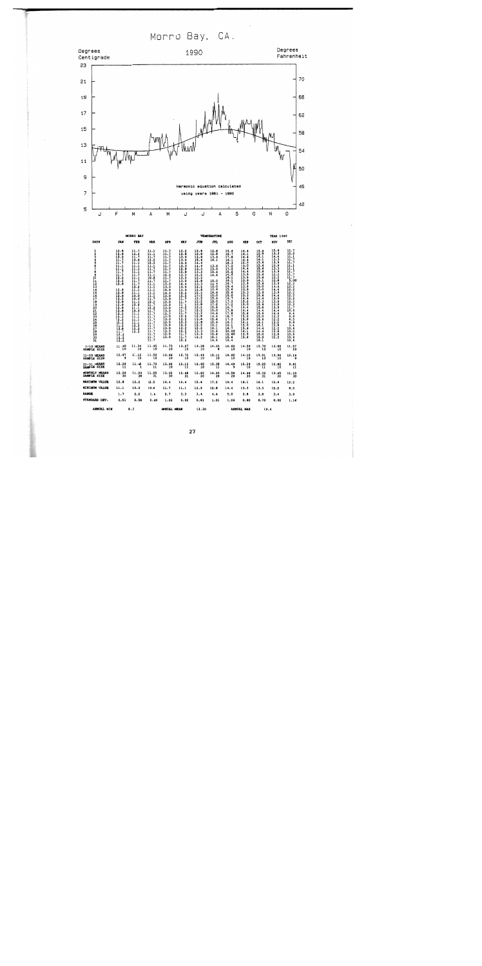Morro Bay, CA.

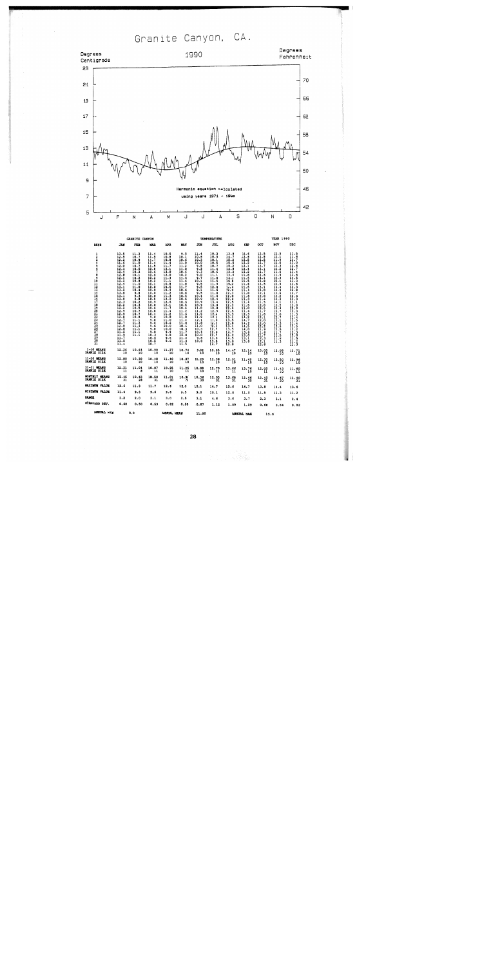Granite Canyon, CA.



| $\frac{1}{2}$<br><b>Separa</b><br>ğ<br>30<br>31 | 13.5<br>12.5<br>12.2<br>11.6<br>12.0<br>12.3<br>12.4<br>12.8<br>12.1<br>12.2<br>12.4<br>13.1<br>13.2<br>13.6<br>13.1<br>13.0<br>12.3<br>12.2<br>12.2<br>12.9<br>$\frac{12.9}{12.8}$<br>12.7<br>12.7<br>12.8<br>12.8<br>11.5<br>$\frac{11.5}{11.7}$<br>11.5<br>11.4 | 11.3<br>10.7<br>10.9<br>11.0<br>10.7<br>10.5<br>10.2<br>10.1<br>10.2<br>10.8<br>11.0<br>11.0<br>10.4<br>9.8<br>9.3<br>9.8<br>10.2<br>10.3<br>10.5<br>10.7<br>10.7<br>10.8<br>11.1<br>11.2<br>$\frac{11.2}{11.1}$<br>11.1<br>11.1 | 11.4<br>11.5<br>11.7<br>11.4<br>11.5<br>10.8<br>10.6<br>10.6<br>10.2<br>10.2<br>10.1<br>10.0<br>10.0<br>10.0<br>10.8<br>10.8<br>10.9<br>10.8<br>10.6<br>10.8<br>10.4<br>9.8<br>9.8<br>9.6<br>9.6<br>9.8<br>9.8<br>10.3<br>10.5<br>10.5<br>10.7 | 10.5<br>10.8<br>10.8<br>11.4<br>11.7<br>12.1<br>12.0<br>12.0<br>$\frac{11}{11}$ .<br>10.8<br>10.5<br>10.4<br>11.2<br>11.3<br>12.0<br>12.6<br>12.1<br>11.7<br>11.4<br>11.2<br>10.8<br>11.0<br>10.6<br>10.0<br>10.0<br>9.9<br>9.8<br>9.6<br>9.6 | 9.5<br>10.1<br>10.6<br>11.0<br>11.2<br>11.0<br>10.6<br>10.2<br>11.6<br>11.6<br>11.8<br>11.7<br>10.6<br>10.6<br>10.5<br>10.6<br>10.6<br>10.5<br>10.6<br>11.2<br>11.6<br>11.0<br>11.4<br>11.0<br>10.6<br>10.3<br>11.7<br>12.0<br>11.4<br>11.3<br>11.5 | 11.4<br>10.6<br>10.3<br>10.0<br>9.5<br>9.3<br>9.3<br>9.0<br>9.7<br>10.1<br>9.5<br>9.5<br>9.1<br>9.5<br>10.4<br>10.9<br>10.9<br>10.9<br>11.0<br>11.2<br>11.5<br>11.9<br>12.1<br>11.8<br>11.0<br>10.3<br>10.4<br>10.0<br>9.8<br>10.0 | 10.3<br>10.5<br>10.1<br>10.5<br>10.7<br>11.4<br>10.6<br>11.1<br>11.8<br>11.5<br>11.9<br>12.0<br>11.6<br>11.8<br>11.6<br>12.4<br>13.4<br>13.8<br>12.8<br>12.5<br>12.4<br>12.1<br>11.9<br>12.1<br>12.1<br>12.7<br>12.6<br>12.7<br>13.6<br>13.8<br>14.7 | 13.8<br>14.7<br>15.2<br>15.5<br>15.2<br>13.8<br>13.2<br>13.4<br>14.3<br>15.6<br>15.2<br>14.4<br>12.9<br>12.3<br>12.0<br>12.4<br>12.5<br>12.3<br>12.6<br>12.5<br>13.3<br>13.1<br>13.5<br>$\frac{12.8}{13.1}$<br>14.7<br>15.2<br>14.5<br>13.8<br>12.8 | 12.6<br>12.6<br>12.5<br>12.2<br>12.1<br>12.4<br>12.2<br>11.8<br>11.5<br>11.5<br>11.6<br>11.5<br>11.4<br>11.8<br>11.8<br>11.3<br>11.4<br>11.5<br>11.0<br>11.6<br>12.3<br>$\frac{1}{1}$<br>14.2<br>14.5<br>14.0<br>13.8<br>13.0<br>13.1<br>13.8 | 13.5<br>12.8<br>12.5<br>12.7<br>13.7<br>13.1<br>12.7<br>12.6<br>13.1<br>13.8<br>13.5<br>13.1<br>13.0<br>12.1<br>12.0<br>11.6<br>11.5<br>12.0<br>$\frac{17.5}{11.7}$<br>11.8<br>12.1<br>12.0<br>12.0<br>12.2<br>11.9<br>11.6<br>11.7<br>12.3<br>12.1<br>12.8 | $\frac{12.5}{12.1}$<br>11.9<br>12.0<br>12.3<br>12.2<br>11.5<br>11.9<br>12.3<br>12.1<br>12.9<br>14.4<br>13.9<br>13.6<br>$\frac{13.2}{13.3}$<br>14.1<br>13.5<br>13.4<br>12.7<br>13.0<br>12.7<br>13.1<br>13.3<br>13.6<br>12.5<br>11.7<br>11.5<br>11.6<br>11.3 | 11.5<br>11.6<br>11.7<br>13.0<br>12.8<br>12.7<br>13.4<br>13.6<br>13.5<br>13.3<br>13.6<br>13.3<br>12.8<br>12.7<br>$\frac{12.6}{13.3}$<br>13.1<br>13.0<br>$\frac{12.9}{12.3}$<br>11.3<br>$\frac{11.7}{11.5}$<br>11.4<br>īī.š<br>$\frac{12.2}{12.3}$<br>12.0<br>11.5<br>$\frac{11.2}{11.3}$ |
|-------------------------------------------------|--------------------------------------------------------------------------------------------------------------------------------------------------------------------------------------------------------------------------------------------------------------------|----------------------------------------------------------------------------------------------------------------------------------------------------------------------------------------------------------------------------------|------------------------------------------------------------------------------------------------------------------------------------------------------------------------------------------------------------------------------------------------|-----------------------------------------------------------------------------------------------------------------------------------------------------------------------------------------------------------------------------------------------|-----------------------------------------------------------------------------------------------------------------------------------------------------------------------------------------------------------------------------------------------------|------------------------------------------------------------------------------------------------------------------------------------------------------------------------------------------------------------------------------------|------------------------------------------------------------------------------------------------------------------------------------------------------------------------------------------------------------------------------------------------------|-----------------------------------------------------------------------------------------------------------------------------------------------------------------------------------------------------------------------------------------------------|-----------------------------------------------------------------------------------------------------------------------------------------------------------------------------------------------------------------------------------------------|-------------------------------------------------------------------------------------------------------------------------------------------------------------------------------------------------------------------------------------------------------------|------------------------------------------------------------------------------------------------------------------------------------------------------------------------------------------------------------------------------------------------------------|-----------------------------------------------------------------------------------------------------------------------------------------------------------------------------------------------------------------------------------------------------------------------------------------|
| $1 - 10$ HEANS<br>SAMPLE SIZE                   | 12.36<br>10                                                                                                                                                                                                                                                        | 10.64<br>$\overline{10}$                                                                                                                                                                                                         | 10.99<br>ĩō                                                                                                                                                                                                                                    | 11.37<br>ïó                                                                                                                                                                                                                                   | 10.74<br>10                                                                                                                                                                                                                                         | 9.92<br>10                                                                                                                                                                                                                         | 10.85<br>10                                                                                                                                                                                                                                          | 14.47<br>10                                                                                                                                                                                                                                         | 12.14<br>īő                                                                                                                                                                                                                                   | 13.05<br>10                                                                                                                                                                                                                                                 | 12.08<br>10                                                                                                                                                                                                                                                | 12.71<br>10                                                                                                                                                                                                                                                                             |
| 11-20 HEAMS<br>SAMPLE SIZE                      | 12.80<br>10                                                                                                                                                                                                                                                        | 10.30<br>10                                                                                                                                                                                                                      | 10.48<br>10                                                                                                                                                                                                                                    | 11.40<br>10                                                                                                                                                                                                                                   | 10.87<br>10                                                                                                                                                                                                                                         | 10.29<br>$\overline{10}$                                                                                                                                                                                                           | 12.38<br>10                                                                                                                                                                                                                                          | 12.91<br>10                                                                                                                                                                                                                                         | 11.49<br>10                                                                                                                                                                                                                                   | 12.30<br>10                                                                                                                                                                                                                                                 | 13.50<br>10                                                                                                                                                                                                                                                | 12.96<br>10                                                                                                                                                                                                                                                                             |
| 21-31 HEAMS<br>SAMPLE SIZE                      | 12.21<br>$\overline{11}$                                                                                                                                                                                                                                           | 11.04<br>A                                                                                                                                                                                                                       | 10.07<br>11                                                                                                                                                                                                                                    | 10.25<br>10                                                                                                                                                                                                                                   | 11.25<br>īī                                                                                                                                                                                                                                         | 10.88<br>10                                                                                                                                                                                                                        | 12.79<br>11                                                                                                                                                                                                                                          | 13.66<br>11                                                                                                                                                                                                                                         | 13.76<br>10                                                                                                                                                                                                                                   | 12.05<br>11                                                                                                                                                                                                                                                 | 12.43<br>10                                                                                                                                                                                                                                                | 11.60<br>11                                                                                                                                                                                                                                                                             |
| HONTHLY NEAMS<br>SAMPLE SIZE                    | 12.45<br>31                                                                                                                                                                                                                                                        | 10.63<br>28                                                                                                                                                                                                                      | 10.50<br>31                                                                                                                                                                                                                                    | 11.01<br>30                                                                                                                                                                                                                                   | $10.96$<br>$31$                                                                                                                                                                                                                                     | 10.36<br>30                                                                                                                                                                                                                        | $12.03$<br>$31$                                                                                                                                                                                                                                      | 13.68<br>31                                                                                                                                                                                                                                         | 12.46<br>30                                                                                                                                                                                                                                   | 12.45<br>31                                                                                                                                                                                                                                                 | 12.67<br>30                                                                                                                                                                                                                                                | 12.40<br>Зī                                                                                                                                                                                                                                                                             |
| <b>MAXIMUM VALUE</b>                            | 13.6                                                                                                                                                                                                                                                               | 11.3                                                                                                                                                                                                                             | 11.7                                                                                                                                                                                                                                           | 12.6                                                                                                                                                                                                                                          | 12.0                                                                                                                                                                                                                                                | 12.1                                                                                                                                                                                                                               | 14.7                                                                                                                                                                                                                                                 | 15.6                                                                                                                                                                                                                                                | 14.7                                                                                                                                                                                                                                          | 13.8                                                                                                                                                                                                                                                        | 14.4                                                                                                                                                                                                                                                       | 13.6                                                                                                                                                                                                                                                                                    |
| <b>NINIMON VALUE</b>                            | 11.4                                                                                                                                                                                                                                                               | 9.3                                                                                                                                                                                                                              | 9.6                                                                                                                                                                                                                                            | 9.6                                                                                                                                                                                                                                           | 9.5                                                                                                                                                                                                                                                 | 9.0                                                                                                                                                                                                                                | 10.1                                                                                                                                                                                                                                                 | 12.0                                                                                                                                                                                                                                                | 11.0                                                                                                                                                                                                                                          | 11.5                                                                                                                                                                                                                                                        | 11.3                                                                                                                                                                                                                                                       | 11.2                                                                                                                                                                                                                                                                                    |
| <b>RANGE</b>                                    | 2.2                                                                                                                                                                                                                                                                | 2.0                                                                                                                                                                                                                              | 2.1                                                                                                                                                                                                                                            | 3.0                                                                                                                                                                                                                                           | 2.5                                                                                                                                                                                                                                                 | 3.1                                                                                                                                                                                                                                | 4.6                                                                                                                                                                                                                                                  | 3.6                                                                                                                                                                                                                                                 | 3.7                                                                                                                                                                                                                                           | 2.3                                                                                                                                                                                                                                                         | 3.1                                                                                                                                                                                                                                                        | 2.4                                                                                                                                                                                                                                                                                     |
| STANDARD DEV.                                   | 0.60                                                                                                                                                                                                                                                               | 0.50                                                                                                                                                                                                                             | 0.59                                                                                                                                                                                                                                           | 0.82                                                                                                                                                                                                                                          | 0.59                                                                                                                                                                                                                                                | 0.87                                                                                                                                                                                                                               | 1.12                                                                                                                                                                                                                                                 | 1.09                                                                                                                                                                                                                                                | 1.09                                                                                                                                                                                                                                          | 0.66                                                                                                                                                                                                                                                        | 0.84                                                                                                                                                                                                                                                       | 0.82                                                                                                                                                                                                                                                                                    |
| <b>ANNUAL NIN</b>                               |                                                                                                                                                                                                                                                                    | 9.0                                                                                                                                                                                                                              |                                                                                                                                                                                                                                                | ANNUAL MEAN                                                                                                                                                                                                                                   |                                                                                                                                                                                                                                                     | 11.80                                                                                                                                                                                                                              |                                                                                                                                                                                                                                                      |                                                                                                                                                                                                                                                     | AMMITAT, MAY                                                                                                                                                                                                                                  | 15 <sub>6</sub>                                                                                                                                                                                                                                             |                                                                                                                                                                                                                                                            |                                                                                                                                                                                                                                                                                         |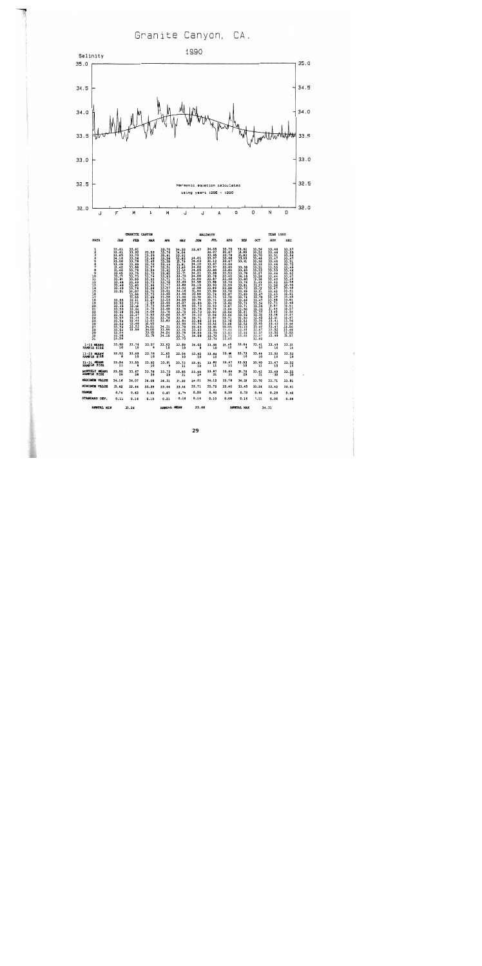# Granite Canyon, CA.



|                                                             |                                                                                                                                                                                                                                                                                                                            | GRANITE CANYON                                                                                                                                                                                                                                                         |                                                                                                                                                                                                                                                                                          |                                                                                                                                                                                                                                                                                     |                                                                                                                                                                                                                                                                                                                              |                                                                                                                                                                                                                                                                                                           | SALINITY                                                                                                                                                                                                                                                                                                          |                                                                                                                                                                                                                                                                                  |                                                                                                                                                                                                                                                                                                           |                                                                                                                                                                                                                                                                                                                                                                                                                                                                                                                                           | <b>YEAR 1990</b>                                                                                                                                                                                                                                                      |                                                                                                                                                                                                                                                                                                            |
|-------------------------------------------------------------|----------------------------------------------------------------------------------------------------------------------------------------------------------------------------------------------------------------------------------------------------------------------------------------------------------------------------|------------------------------------------------------------------------------------------------------------------------------------------------------------------------------------------------------------------------------------------------------------------------|------------------------------------------------------------------------------------------------------------------------------------------------------------------------------------------------------------------------------------------------------------------------------------------|-------------------------------------------------------------------------------------------------------------------------------------------------------------------------------------------------------------------------------------------------------------------------------------|------------------------------------------------------------------------------------------------------------------------------------------------------------------------------------------------------------------------------------------------------------------------------------------------------------------------------|-----------------------------------------------------------------------------------------------------------------------------------------------------------------------------------------------------------------------------------------------------------------------------------------------------------|-------------------------------------------------------------------------------------------------------------------------------------------------------------------------------------------------------------------------------------------------------------------------------------------------------------------|----------------------------------------------------------------------------------------------------------------------------------------------------------------------------------------------------------------------------------------------------------------------------------|-----------------------------------------------------------------------------------------------------------------------------------------------------------------------------------------------------------------------------------------------------------------------------------------------------------|-------------------------------------------------------------------------------------------------------------------------------------------------------------------------------------------------------------------------------------------------------------------------------------------------------------------------------------------------------------------------------------------------------------------------------------------------------------------------------------------------------------------------------------------|-----------------------------------------------------------------------------------------------------------------------------------------------------------------------------------------------------------------------------------------------------------------------|------------------------------------------------------------------------------------------------------------------------------------------------------------------------------------------------------------------------------------------------------------------------------------------------------------|
| DAYS                                                        | JAN                                                                                                                                                                                                                                                                                                                        | <b>FEB</b>                                                                                                                                                                                                                                                             | <b>HAR</b>                                                                                                                                                                                                                                                                               | <b>APR</b>                                                                                                                                                                                                                                                                          | MAY                                                                                                                                                                                                                                                                                                                          | <b>JUN</b>                                                                                                                                                                                                                                                                                                | JUL.                                                                                                                                                                                                                                                                                                              | <b>AUG</b>                                                                                                                                                                                                                                                                       | <b>SEP</b>                                                                                                                                                                                                                                                                                                | OCT                                                                                                                                                                                                                                                                                                                                                                                                                                                                                                                                       | NOV                                                                                                                                                                                                                                                                   | <b>DEC</b>                                                                                                                                                                                                                                                                                                 |
| ı<br>2<br>3<br>456789011234567<br>1201223456789<br>30<br>31 | 33.61<br>33.61<br>$33.65$<br>$34.16$<br>$33.50$<br>$33.49$<br>$33.42$<br>$33.46$<br>$33.45$<br>$33.57$<br>$33.66$<br>$33.46$<br>$33.46$<br>$33.49$<br>$33.51$<br>$33.55$<br>$33.52$<br>$\frac{33}{33}. \frac{49}{50}$<br>$\frac{33}{33}. \frac{49}{51}$<br>33.57<br>33.56<br>33.53<br>33.54<br>33.54<br>$33.56$<br>$33.56$ | 33.61<br>33.92<br>33.70<br>$\frac{33.56}{33.78}$<br>33.69<br>33.88<br>33.79<br>33.75<br>33.73<br>33.59<br>33.49<br>33.60<br>33.78<br>34.07<br>33.86<br>33.55<br>$\frac{33.61}{33.79}$<br>33.56<br>33.88<br>33.56<br>33.47<br>33.44<br>33.44<br>33.48<br>33.53<br>33.58 | $\begin{array}{c} 13.53 \\ 13.39 \\ 13.46 \\ 13.45 \end{array}$<br>33.70<br>33.57<br>$33.59$<br>$33.72$<br>33.74<br>33.92<br>33.73<br>33.96<br>33.96<br>33.72<br>33.73<br>33.65<br>$\frac{33.67}{33.93}$<br>13.75<br>14.08<br>13.93<br>4:03<br>33.95<br>34.02<br>34.00<br>33.85<br>33.70 | 33.70<br>33.76<br>33.61<br>33.56<br>33.58<br>33.44<br>33.51<br>33.62<br>33.62<br>$\frac{33.93}{33.71}$<br>$\frac{33.78}{33.77}$<br>33.57<br>33.51<br>33.65<br>33.58<br>33.53<br>33.66<br>33.69<br>33.68<br>33.78<br>33.66<br>$33.76$<br>$33.83$<br>34.31<br>33.95<br>34.24<br>34.10 | 34.20<br>34.04<br>33.92<br>$\frac{33.63}{33.79}$<br>33.81<br>33.96<br>$\frac{33.83}{33.75}$<br>33.75<br>33.71<br>$\frac{33}{33}, \frac{69}{88}$<br>33.92<br>34.16<br>33.96<br>33.96<br>34.09<br>34.07<br>$\frac{33.99}{33.76}$<br>33.75<br>33.67<br>$33.76$<br>$33.84$<br>33.90<br>33.70<br>33.46<br>33.76<br>33.71<br>33.73 | 33.87<br>34.01<br>34.03<br>34,10<br>34.02<br>34.05<br>34.21<br>34.08<br>34.00<br>$33.98$<br>$34.15$<br>33.98<br>33.94<br>33.88<br>$\frac{33.88}{33.79}$<br>$33.86$<br>$33.73$<br>$\frac{1}{3}$ $\frac{1}{3}$ $\frac{7}{3}$<br>34.10<br>33.71<br>$\frac{33.98}{33.79}$<br>34.03<br>33.93<br>34.09<br>34.08 | 34.05<br>34.07<br>$\frac{33.95}{33.97}$<br>34.12<br>33.87<br>33.97<br>33.80<br>33.88<br>33.78<br>33.87<br>33.88<br>33.93<br>33.89<br>$\frac{33.89}{33.74}$<br>$\frac{33.74}{33.75}$<br>33.74<br>33.79<br>33.93<br>33.79<br>33.83<br>33.86<br>33.87<br>33.94<br>33.86<br>33.83<br>33.83<br>33.79<br>33.72<br>33.74 | 33.75<br>33.67<br>33.78<br>33.68<br>33.67<br>33.66<br>33.65<br>33.64<br>33.53<br>33.42<br>33,40<br>33.78<br>33.59<br>33.68<br>33.76<br>33.67<br>$3.66$<br>$3.64$<br>$3.67$<br>3.66<br>33.66<br>33.66<br>33.71<br>33.70<br>33.68<br>$\frac{12}{11.66}$<br>11.61<br>33.73<br>33.45 | 33.82<br>33.89<br>33.83<br>$\frac{13.99}{33.81}$<br>33.58<br>33.65<br>33.78<br>34.18<br>33.80<br>$33.76$<br>$33.81$<br>$33.72$<br>$\frac{33.69}{33.69}$<br>$33.66$<br>$33.74$<br>$33.71$<br>$33.50$<br>$33.61$<br>33.59<br>33.50<br>33.54<br>33.52<br>$\frac{13}{22}$ . $\frac{15}{54}$<br>13.46<br>13.62 | $\frac{33.56}{33.70}$<br>33.48<br>33.38<br>$\frac{33}{33}$ , $\frac{33}{31}$<br>$\frac{33}{33}$ , $\frac{33}{33}$<br>$33.27$<br>$33.26$<br>$33.36$<br>$\frac{33}{33}$ . $\frac{43}{37}$<br>$\frac{33}{33}$ . $\frac{47}{32}$<br>$\frac{33}{33}$ . $\frac{51}{47}$<br>$\frac{33}{33}$ . $\frac{47}{70}$<br>$\frac{33.47}{33.34}$<br>$\frac{33.34}{33.35}$<br>$\frac{33.33}{33.34}$<br>$\frac{33.33}{33.32}$<br>$\frac{33}{33}. \frac{45}{35}$<br>$\frac{33}{33}. \frac{45}{45}$<br>$\frac{23}{23}$ . $\frac{13}{27}$<br>$33.47$<br>$33.40$ | 33.48<br>33.46<br>33.51<br>33.47<br>33.45<br>33.46<br>33.55<br>33.59<br>33.46<br>33.44<br>33.43<br>33.42<br>33.58<br>33.47<br>33.42<br>$\frac{33}{33}.43$<br>33.48<br>33.71<br>33.57<br>33.44<br>33.45<br>33.48<br>33.51<br>33.43<br>33.43<br>33.47<br>33.52<br>33.49 | 33.57<br>33.55<br>33.54<br>$\frac{33.47}{33.51}$<br>$\frac{33.51}{33.72}$<br>33.49<br>33.46<br>33.52<br>33.47<br>33.46<br>33.58<br>$\frac{33}{33}$ , 48<br>33.41<br>13. si<br>13. 45<br>13.81<br>3.48<br>3.51<br>3.57<br>3.54<br>3.47<br>13.47<br>13.56<br>3.46<br>J3.50<br>$\frac{11.49}{33.53}$<br>33.53 |
| $1-10$ MEANS<br>SAMPLE SIZE                                 | $33.60$<br>10                                                                                                                                                                                                                                                                                                              | 33.74<br>10                                                                                                                                                                                                                                                            | 33.57<br>۰                                                                                                                                                                                                                                                                               | $33.63$<br>$10$                                                                                                                                                                                                                                                                     | 33.89<br>10                                                                                                                                                                                                                                                                                                                  | 34.05<br><b>B</b>                                                                                                                                                                                                                                                                                         | $33.95$<br>$10$                                                                                                                                                                                                                                                                                                   | 33.65<br>10                                                                                                                                                                                                                                                                      | $33.84$ $33.41$<br>9 10                                                                                                                                                                                                                                                                                   |                                                                                                                                                                                                                                                                                                                                                                                                                                                                                                                                           | 33.49<br>10                                                                                                                                                                                                                                                           | 33.53<br>Ίŏ                                                                                                                                                                                                                                                                                                |
| $11-20$ <b>KEANS</b><br>SAMPLE SIZE                         |                                                                                                                                                                                                                                                                                                                            | $33.52$ $33.69$<br>8 10                                                                                                                                                                                                                                                | 33.78                                                                                                                                                                                                                                                                                    | $33.65$<br>10                                                                                                                                                                                                                                                                       | 33.94                                                                                                                                                                                                                                                                                                                        | $33.92$<br>$10$                                                                                                                                                                                                                                                                                           | 33.84                                                                                                                                                                                                                                                                                                             | $33.66$<br>10                                                                                                                                                                                                                                                                    | 33.73                                                                                                                                                                                                                                                                                                     | 33.44                                                                                                                                                                                                                                                                                                                                                                                                                                                                                                                                     | 33.50                                                                                                                                                                                                                                                                 | 33.52                                                                                                                                                                                                                                                                                                      |
| 21-31 MEANS<br>SAMPLE SIZE                                  | 33.54                                                                                                                                                                                                                                                                                                                      | $33.55$ $33.92$<br>8 $10$                                                                                                                                                                                                                                              |                                                                                                                                                                                                                                                                                          | 33.92                                                                                                                                                                                                                                                                               | $33.73$<br>$11$                                                                                                                                                                                                                                                                                                              | $33.91$<br>$10$                                                                                                                                                                                                                                                                                           | $33.82$<br>11                                                                                                                                                                                                                                                                                                     | 33.67<br>- 11                                                                                                                                                                                                                                                                    | 33.53                                                                                                                                                                                                                                                                                                     | $33.40$<br>$11$                                                                                                                                                                                                                                                                                                                                                                                                                                                                                                                           | 33,47                                                                                                                                                                                                                                                                 | 33.52<br>10                                                                                                                                                                                                                                                                                                |
| HONTHLY MEANS<br>SAMPLE SIZE                                | 33.55                                                                                                                                                                                                                                                                                                                      | $33,67$<br>$28$                                                                                                                                                                                                                                                        | $33.76$<br>$29$                                                                                                                                                                                                                                                                          | $33.73$<br>29                                                                                                                                                                                                                                                                       | $33, 85$<br>$31$                                                                                                                                                                                                                                                                                                             | $33.95$<br>$20$                                                                                                                                                                                                                                                                                           | $33.87$<br>$31$                                                                                                                                                                                                                                                                                                   | $33, 66$<br>$31$                                                                                                                                                                                                                                                                 | 33.70                                                                                                                                                                                                                                                                                                     | 33.42                                                                                                                                                                                                                                                                                                                                                                                                                                                                                                                                     | 33.49<br>30                                                                                                                                                                                                                                                           | $33.52$<br>$30$                                                                                                                                                                                                                                                                                            |
| HAXIMUM VALUE                                               | 34.16                                                                                                                                                                                                                                                                                                                      | 34.07                                                                                                                                                                                                                                                                  | 34.08                                                                                                                                                                                                                                                                                    | 34.31                                                                                                                                                                                                                                                                               | 34.20                                                                                                                                                                                                                                                                                                                        | 34.21                                                                                                                                                                                                                                                                                                     | 34.12                                                                                                                                                                                                                                                                                                             | 33.78                                                                                                                                                                                                                                                                            | 34.18                                                                                                                                                                                                                                                                                                     | 33.70                                                                                                                                                                                                                                                                                                                                                                                                                                                                                                                                     | 33.71                                                                                                                                                                                                                                                                 | 33.81                                                                                                                                                                                                                                                                                                      |
| MINIMUM VALUE                                               | 33.42                                                                                                                                                                                                                                                                                                                      | 33.44                                                                                                                                                                                                                                                                  | 33.39                                                                                                                                                                                                                                                                                    | 33.44                                                                                                                                                                                                                                                                               | 33.46                                                                                                                                                                                                                                                                                                                        | 33.71                                                                                                                                                                                                                                                                                                     | 33.72                                                                                                                                                                                                                                                                                                             | 33.40                                                                                                                                                                                                                                                                            | 33.45                                                                                                                                                                                                                                                                                                     | 33.26                                                                                                                                                                                                                                                                                                                                                                                                                                                                                                                                     | 33.42                                                                                                                                                                                                                                                                 | 33.41                                                                                                                                                                                                                                                                                                      |
| <b>RANGE</b>                                                | 0.74                                                                                                                                                                                                                                                                                                                       | 0.63                                                                                                                                                                                                                                                                   | 0.69                                                                                                                                                                                                                                                                                     | 0.87                                                                                                                                                                                                                                                                                | 0.74                                                                                                                                                                                                                                                                                                                         | 0.50                                                                                                                                                                                                                                                                                                      | 0.40                                                                                                                                                                                                                                                                                                              | 0.38                                                                                                                                                                                                                                                                             | 0.73                                                                                                                                                                                                                                                                                                      | 0.44                                                                                                                                                                                                                                                                                                                                                                                                                                                                                                                                      | 0.29                                                                                                                                                                                                                                                                  | 0.40                                                                                                                                                                                                                                                                                                       |
| STANDARD DEV.                                               | 0.13                                                                                                                                                                                                                                                                                                                       | 0.16                                                                                                                                                                                                                                                                   | 0.19                                                                                                                                                                                                                                                                                     | 0.21                                                                                                                                                                                                                                                                                | 0.16                                                                                                                                                                                                                                                                                                                         | 0.14                                                                                                                                                                                                                                                                                                      | 0.10                                                                                                                                                                                                                                                                                                              | 0.08                                                                                                                                                                                                                                                                             | 0.16                                                                                                                                                                                                                                                                                                      | 0.11                                                                                                                                                                                                                                                                                                                                                                                                                                                                                                                                      | 0.06                                                                                                                                                                                                                                                                  | 0.08                                                                                                                                                                                                                                                                                                       |
| <b>ANNUAL HIN</b>                                           | 33.26                                                                                                                                                                                                                                                                                                                      |                                                                                                                                                                                                                                                                        |                                                                                                                                                                                                                                                                                          | annual mean                                                                                                                                                                                                                                                                         |                                                                                                                                                                                                                                                                                                                              | 33.68                                                                                                                                                                                                                                                                                                     |                                                                                                                                                                                                                                                                                                                   |                                                                                                                                                                                                                                                                                  | annual hax                                                                                                                                                                                                                                                                                                |                                                                                                                                                                                                                                                                                                                                                                                                                                                                                                                                           | 34.31                                                                                                                                                                                                                                                                 |                                                                                                                                                                                                                                                                                                            |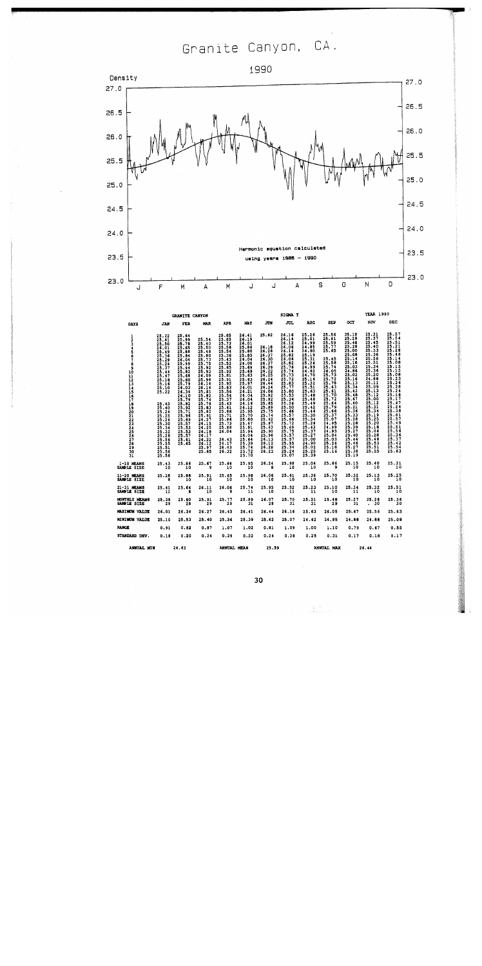Granite Canyon, CA.



|                                                | GRANITE CANYON                                                                                                                                     |                                                                                                                                                              |                                                                                                                                                     |                                                                                                                                                     |                                                                                                                                                       |                                                                                                                                     | SIGIA T                                                                                                                                                                  |                                                                                                                                                                                  |                                                                                                                                            |                                                                                                                                                       | YEAR 1990                                                                                                                                                               |                                                                                                                                                     |
|------------------------------------------------|----------------------------------------------------------------------------------------------------------------------------------------------------|--------------------------------------------------------------------------------------------------------------------------------------------------------------|-----------------------------------------------------------------------------------------------------------------------------------------------------|-----------------------------------------------------------------------------------------------------------------------------------------------------|-------------------------------------------------------------------------------------------------------------------------------------------------------|-------------------------------------------------------------------------------------------------------------------------------------|--------------------------------------------------------------------------------------------------------------------------------------------------------------------------|----------------------------------------------------------------------------------------------------------------------------------------------------------------------------------|--------------------------------------------------------------------------------------------------------------------------------------------|-------------------------------------------------------------------------------------------------------------------------------------------------------|-------------------------------------------------------------------------------------------------------------------------------------------------------------------------|-----------------------------------------------------------------------------------------------------------------------------------------------------|
| DAYS                                           | JAN                                                                                                                                                | FEB                                                                                                                                                          | <b>NAR</b>                                                                                                                                          | <b>APR</b>                                                                                                                                          | <b>MAY</b>                                                                                                                                            | JUN                                                                                                                                 | jul                                                                                                                                                                      | <b>AUG</b>                                                                                                                                                                       | <b>SEP</b>                                                                                                                                 | OCT                                                                                                                                                   | NOV                                                                                                                                                                     | DEC                                                                                                                                                 |
| $\frac{1}{2}$<br>3<br>1                        | $25.22$<br>25.41<br>25.50<br>26.01<br>25.49<br>25.36<br>25.29<br>25.24<br>25.37<br>$\frac{25}{25}$ . 41<br>$\frac{25.18}{25.16}$<br>25.10<br>25.22 | 25.64<br>25.99<br>25.76<br>25.65<br>25.68<br>25.84<br>26.04<br>25.99<br>$\frac{25.94}{25.82}$<br>25.68<br>25.60<br>25.79<br>26.03<br>26.34<br>26.10<br>25.79 | 25.54<br>25.40<br>25.50<br>25.48<br>25.80<br>25.73<br>25.75<br>$\frac{25.92}{25.93}$<br>26,09<br>25.96<br>26,14<br>26.14<br>25,81<br>25.02<br>25.74 | 25.85<br>25.85<br>25.73<br>25.56<br>25.54<br>25.36<br>25.43<br>25.52<br>25.65<br>25.92<br>25.81<br>25.91<br>25.92<br>25.63<br>$\frac{25.56}{25.54}$ | 26.41<br>26.19<br>26.01<br>25.86<br>25.80<br>25.85<br>26.04<br>26.00<br>25.69<br>25.69<br>25.63<br>25.63<br>25.97<br>26.01<br>26.21<br>26.04<br>26.04 | 25.82<br>26.18<br>26.28<br>26.37<br>26.30<br>26.37<br>26.39<br>26.22<br>26.25<br>26.24<br>26.44<br>26.24<br>26.06<br>25.92<br>25.92 | $26.16$<br>26.14<br>26.12<br>26.06<br>26.14<br>25.82<br>26.04<br>$\frac{25.82}{25.76}$<br>$25.74$<br>$25.73$<br>$25.72$<br>$25.83$<br>$25.77$<br>25.80<br>25.53<br>25.34 | $25.26$<br>$25.01$<br>24.99<br>24.85<br>24.90<br>$\frac{25.19}{25.31}$<br>$\frac{25.31}{25.26}$<br>24.99<br>24.62<br>24.70<br>25.16<br>25.32<br>25.51<br>25.63<br>25.48<br>25.48 | 25.56<br>25.61<br>25.59<br>25.77<br>25.65<br>25.45<br>25.58<br>25.74<br>26.05<br>25.73<br>25.72<br>25.63<br>$\frac{25.61}{25.70}$<br>25.72 | 25,18<br>25.29<br>25.48<br>25.28<br>25.00<br>25.08<br>25.14<br>25,18<br>25.03<br>24.86<br>25,02<br>25.16<br>25.13<br>25.34<br>25.43<br>25.48<br>25.67 | $25.31$<br>$25.37$<br>25.45<br>25.40<br>25.33<br>25.36<br>25.56<br>25.51<br>25.34<br>25.36<br>25.20<br>24.86<br>25.11<br>$\frac{25.09}{25.13}$<br>$\frac{25.12}{25.00}$ | 25.57<br>25.54<br>25.51<br>$\frac{25.21}{25.28}$<br>25.46<br>25.14<br>25.15<br>25.15<br>25.15<br>26.26<br>25.26<br>25.26<br>25.26<br>25.18<br>25.17 |
| 678910112345678922223456789<br>$\frac{30}{31}$ | 25.43<br>25.40<br>$\frac{25.25}{25.26}$<br>25.30<br>25.34<br>$\frac{25}{25}.32$<br>25.56<br>25.51<br>25.56<br>25.58                                | 25.82<br>$\frac{25.92}{25.71}$<br>25.96<br>25.69<br>25.57<br>25.53<br>25.53<br>25.57<br>25.61<br>25.65                                                       | 25.78<br>25.82<br>25.91<br>26.27<br>26.15<br>26.25<br>26.18<br>26.17<br>26.22<br>$\frac{26.12}{25.97}$<br>25.85                                     | $\frac{25}{25}, \frac{43}{61}$<br>25,68<br>25.71<br>25.86<br>25.73<br>25.88<br>26.04<br>26.43<br>26.17<br>26.13<br>26.32                            | 26.16<br>26.12<br>25.95<br>25.70<br>25.80<br>25.67<br>25.81<br>25.94<br>26.04<br>25.64<br>25.39<br>25.74<br>25.72<br>25.70                            | 25.85<br>25.89<br>25.75<br>25.74<br>25.62<br>25.87<br>25.63<br>25.90<br>25.96<br>26.13<br>26,12<br>26.28<br>26.23                   | 25.26<br>25.50<br>25.66<br>25.57<br>25.66<br>25.72<br>25.69<br>25.75<br>25.57<br>25.57<br>25.55<br>25.34<br>25.24<br>25.07                                               | 25.49<br>$\frac{25.12}{25.16}$<br>25.30<br>25.34<br>25.26<br>25.43<br>$\frac{25}{25}$ $\frac{37}{27}$<br>25.00<br>24.90<br>25.02<br>25,25<br>25.39                               | $\frac{25.64}{25.79}$<br>25.66<br>25.37<br>25.07<br>24.95<br>24.99<br>24.95<br>25.04<br>25.03<br>25.26<br>25.18<br>25.16                   | 25.40<br>$\frac{25.21}{25.36}$<br>25.33<br>25.28<br>25.28<br>25.39<br>25.27<br>25.40<br>25.44<br>25.46<br>25.27<br>25.38<br>25.19                     | $\frac{25.12}{25.31}$<br>25.19<br>25.25<br>25.20<br>25.18<br>25.06<br>25.28<br>25.46<br>25.53<br>25.51<br>25.55                                                         | 25.47<br>$\frac{25.24}{25.38}$<br>$\frac{25.61}{25.57}$<br>25.49<br>$\frac{25.51}{25.56}$<br>25.36<br>25.37<br>$\frac{25.72}{25.54}$<br>25.63       |
| 1-10 MEANS<br>SAMPLE SIZE                      | $25.43$<br>$10$                                                                                                                                    | $25.86$<br>10                                                                                                                                                | 25.67<br>9                                                                                                                                          | 25.64<br>10                                                                                                                                         | 25.95<br>10                                                                                                                                           | 26,24<br>8                                                                                                                          | 25.98<br>10                                                                                                                                                              | 25.04<br>10                                                                                                                                                                      | 25.66<br>۰                                                                                                                                 | 25.15<br>10                                                                                                                                           | 25.40<br>10                                                                                                                                                             | 25.31<br>10                                                                                                                                         |
| 11-20 MEANS<br>SAMPLE SIZE                     | 25.28<br>8                                                                                                                                         | 25.88<br>10                                                                                                                                                  | 25.91<br>10                                                                                                                                         | 25.65<br>10                                                                                                                                         | 25.96<br>10                                                                                                                                           | 26.06<br>10                                                                                                                         | 25.61<br>10                                                                                                                                                              | 25.36<br>10                                                                                                                                                                      | 25.70<br>10                                                                                                                                | 25.32<br>10                                                                                                                                           | 25.13<br>10                                                                                                                                                             | 25.25                                                                                                                                               |
| 21-31 MEANS<br>SAMPLE SIZE                     | 25.41<br>11                                                                                                                                        | 25.64<br>в                                                                                                                                                   | 26.11<br>10                                                                                                                                         | 26.06<br>9                                                                                                                                          | 25.74<br>11                                                                                                                                           | 25.95<br>10                                                                                                                         | 25.52<br>11                                                                                                                                                              | 25.23<br>11                                                                                                                                                                      | 25.10<br>10                                                                                                                                | 25.34<br>11                                                                                                                                           | 25.32<br>10                                                                                                                                                             | 25.51<br>10                                                                                                                                         |
| <b>MONTHLY MEANS</b><br>SAMPLE SIZE            | 25.36<br>29                                                                                                                                        | 25.80<br>28                                                                                                                                                  | 25.91<br>29                                                                                                                                         | 25.77<br>29                                                                                                                                         | 25.89<br>31                                                                                                                                           | 26.07<br>28                                                                                                                         | 25.70<br>31                                                                                                                                                              | 25.21<br>31                                                                                                                                                                      | 25.48<br>29                                                                                                                                | 25.27<br>31                                                                                                                                           | 25.28<br>30<br>$\ddot{\phantom{0}}$                                                                                                                                     | 25.36<br>30                                                                                                                                         |
| MAXIMUM VALUE                                  | 26.01                                                                                                                                              | 26,34                                                                                                                                                        | 26.27                                                                                                                                               | 26.43                                                                                                                                               | 26.41                                                                                                                                                 | 26.44                                                                                                                               | 26.16                                                                                                                                                                    | 25.63                                                                                                                                                                            | 26.05                                                                                                                                      | 25:67                                                                                                                                                 | 25.56                                                                                                                                                                   | 25.63                                                                                                                                               |
| MINIMUM VALUE                                  | 25.10                                                                                                                                              | 25.53                                                                                                                                                        | 25.40                                                                                                                                               | 25.36                                                                                                                                               | 25.39                                                                                                                                                 | 25.62                                                                                                                               | 25.07                                                                                                                                                                    | 24.62                                                                                                                                                                            | 24.95                                                                                                                                      | 24.88                                                                                                                                                 | 24.88                                                                                                                                                                   | 25.08                                                                                                                                               |
| <b>RANGE</b>                                   | 0.91                                                                                                                                               | 0.32                                                                                                                                                         | 0.87                                                                                                                                                | 1.07                                                                                                                                                | 1.02                                                                                                                                                  | 0.81                                                                                                                                | 1.09                                                                                                                                                                     | 1.00                                                                                                                                                                             | 1,10                                                                                                                                       | 0.79                                                                                                                                                  | 0.67                                                                                                                                                                    | 0.55                                                                                                                                                |
| STANDARD DEV.                                  | 0.18                                                                                                                                               | 0.20                                                                                                                                                         | 0.24                                                                                                                                                | 0.29                                                                                                                                                | 0.22                                                                                                                                                  | 0.24                                                                                                                                | 0.28                                                                                                                                                                     | 0.25                                                                                                                                                                             | 0.31                                                                                                                                       | 0.17                                                                                                                                                  | 0.18                                                                                                                                                                    | 0.17                                                                                                                                                |
| <b>ANNUAL MIN</b>                              |                                                                                                                                                    | 24.62                                                                                                                                                        |                                                                                                                                                     | ANNUAL MEAN                                                                                                                                         |                                                                                                                                                       | 25.59                                                                                                                               |                                                                                                                                                                          |                                                                                                                                                                                  | ANNUAL MAX                                                                                                                                 |                                                                                                                                                       | 26.44                                                                                                                                                                   |                                                                                                                                                     |

XX<br>Alb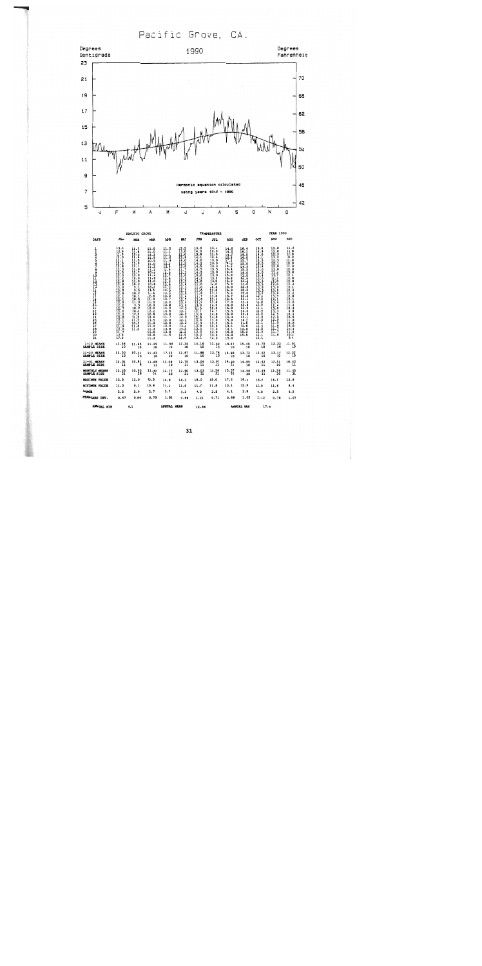Pacific Grove, CA.



31

12.86

ANNUAL MAX

ANNUAL MEAN

ANNUAL MIN

 $9.1$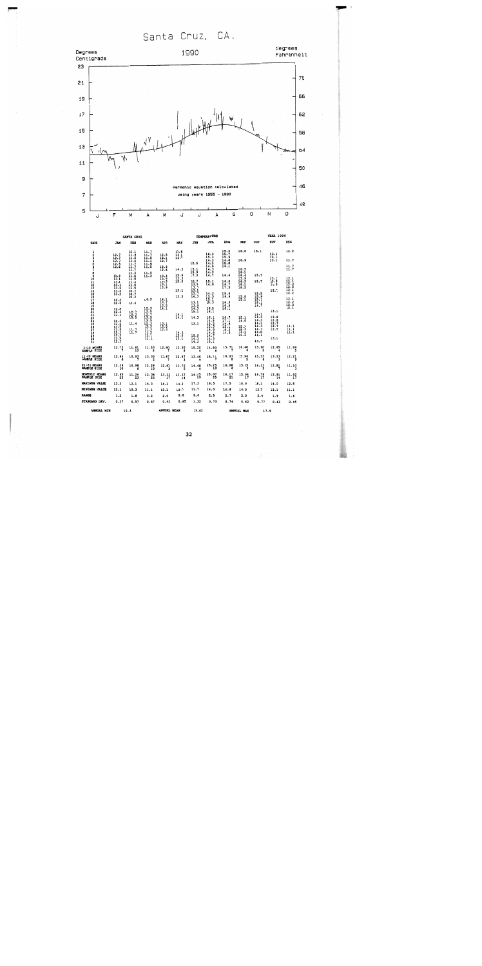Santa Cruz, CA.



|                                            |                               |                                                                                       |                                                             | <b>TEMPERATURE</b>          |                             |                     |                                      | <b>YEAR 1990</b>     |                                   |                                  |              |                     |
|--------------------------------------------|-------------------------------|---------------------------------------------------------------------------------------|-------------------------------------------------------------|-----------------------------|-----------------------------|---------------------|--------------------------------------|----------------------|-----------------------------------|----------------------------------|--------------|---------------------|
| <b>DAYS</b>                                | JAN                           | FEB                                                                                   | <b>HAR</b>                                                  | <b>APR</b>                  | <b>MAY</b>                  | JUN                 | JUL                                  | <b>AUG</b>           | SEP                               | OCT                              | NOV          | DEC                 |
| $\frac{1}{2}$                              | 12.7<br>12.7                  | $\frac{12.1}{11.9}$                                                                   | $\frac{11}{11}$<br>ii.5                                     | $\frac{12.5}{12.7}$         | $\frac{12.5}{13.1}$<br>13.7 |                     | 16.3<br>$\frac{15.5}{14.3}$          | 15.5<br>15.7<br>15.5 | 16.6                              | 16.1                             | 13.1<br>12.1 | 12.2                |
|                                            | 12.7                          |                                                                                       | 11.1<br>11.9                                                |                             |                             | 12.5                | 14.3                                 | 14.8<br>15.8         | 16.9                              |                                  | 13.1         | 11.7                |
| 456789                                     | $\frac{1}{2}$ : $\frac{1}{2}$ | $\begin{array}{c} 11.5 \\ 11.2 \\ 11.7 \\ 11.7 \\ 11.7 \\ 11.3 \\ \hline \end{array}$ | ii.5                                                        | $\frac{12.9}{12.6}$         | 14.3                        | 15.1                | 14.9<br>14.3                         | 16.1                 | 16.5                              |                                  |              | $\frac{11}{11}$ :   |
|                                            |                               |                                                                                       | $\frac{11.5}{11.3}$                                         |                             |                             | 15.9<br>17.3        | 14.3<br>14.7                         | 16.6                 | 16.1<br>16.4                      | 15.7                             |              |                     |
|                                            | 13.2<br>13.1                  | 11.5<br>$\frac{11.5}{11.4}$                                                           |                                                             | $\frac{13.3}{13.5}$         | 12.9<br>13.3                |                     |                                      |                      | 15.9                              |                                  | 13.1         | 12.1                |
|                                            | 13.1<br>13.1                  |                                                                                       |                                                             | 13.3                        | 12.3                        | 11.7<br>13.3        | 15.1<br>14.0                         | 16.8                 | 16.3<br>16.1                      | 15.7                             | 13.0<br>14.0 | 12.1<br>12.3        |
|                                            | 13.2                          | H.                                                                                    |                                                             | $\frac{13.1}{13.9}$         |                             | 13.7<br>13.1        |                                      | $\frac{16.7}{17.5}$  | 16.5                              |                                  | 12.7         | 12.5<br>12.1        |
|                                            | 13.2<br>13.3                  | 10.7<br>10.7                                                                          |                                                             |                             | 13.1                        | 13.7                | 14.3                                 | 15.9                 |                                   | 15.5                             |              | 12.2                |
|                                            | 12.3                          | 10.3                                                                                  | 14.3                                                        | 14.1                        | 13.5                        | 14.3                | 15.5<br>15.1                         | 16.9                 | $15.8$<br>15.1                    | 15.9<br>15.1                     |              | 12.1                |
|                                            | 12.5                          | 10.4                                                                                  |                                                             | 13.7                        |                             | 13.1                | 15.3                                 | 16.3                 |                                   | $\frac{15}{14}$                  |              | 12.2                |
|                                            | 12.8                          |                                                                                       |                                                             | 13.5<br>14.1                |                             | 13.9<br>14.3        | 16.5                                 | $\frac{16.8}{16.1}$  |                                   |                                  |              | $\frac{12.5}{12.1}$ |
|                                            | 12.3<br>12.1                  | 10.3<br>10,3                                                                          | $\begin{array}{c} 12.3 \\ 12.5 \\ 12.7 \\ 13.5 \end{array}$ |                             |                             | 15.1                | 16.3                                 |                      |                                   | 14.1                             | 13.1         |                     |
|                                            |                               | 10.5                                                                                  | 12.5                                                        |                             | $\frac{14.1}{14.1}$         | 14.3                | 16.1                                 | 16.7<br>17.1         | 15.1<br>14.9                      | 14.3<br>14.3                     | 12.8<br>12.8 |                     |
|                                            | $\frac{12}{12}$ : 5<br>12: 5  | 11.4                                                                                  | 12.3                                                        |                             |                             | 13.1                |                                      | 14.8                 |                                   | 14.1                             | 12.7         |                     |
|                                            | 12.5                          |                                                                                       | 13.3<br>12.3                                                | $\frac{13}{12}$ : 5<br>12.3 |                             |                     | $14.5$<br>$15.5$<br>$15.3$<br>$15.9$ | 15.1                 | $\frac{15}{15} \cdot \frac{1}{3}$ | 14.3<br>14.3                     | 12.7<br>12.5 | 11.1<br>11.1        |
|                                            | 12.3<br>12.3                  | $\frac{11}{11}.7$                                                                     | 11.5                                                        |                             | 14.3<br>12.9                | 15.9                | 14.8<br>14.7                         | $\frac{16.3}{16.5}$  | 16.1<br>16.2                      | 14.0                             |              | īī.ī                |
| 10<br>11231456789012<br>111201222345678901 | $\frac{12.5}{12.3}$           |                                                                                       | 11.1<br>11.1                                                |                             | 13.1                        | $\frac{14.3}{14.2}$ | 14.3                                 |                      |                                   | 14.1                             | 13.1         |                     |
|                                            |                               |                                                                                       |                                                             |                             |                             |                     | 15.1                                 |                      |                                   | 13.7                             |              |                     |
| 1-10 HEANS<br>SAMPLE SIZE                  | 12.73                         | 11.61                                                                                 | 11.53                                                       | 12.80                       | 13.30                       | 15.20               | 14.80                                | 15.71                | 16.40                             | 15.90<br>$\overline{\mathbf{2}}$ | 12.85        | 11.88               |
| 11-20 HEANS<br>SAMPLE SIZE                 | 12.94                         | 10.93                                                                                 | 13.30                                                       | 13.67                       | 12.97                       | 13.46               | 15.11                                | 16.63                | 15.96<br>5                        | 15,33<br>6                       | 13.23        | 12.21               |
| 21-31 HEAMS<br>SAMPLE SIZE                 | $12.36$<br>$10$               | 10.98                                                                                 | $12.28$<br>10                                               | 12.63                       | 13.7g                       | 14.48<br>Ġ          | 15.25<br>10                          | 16.086               | 15.45                             | 14.13<br>9                       | 12.81        | 11.19               |
| MONTHLY MEANS<br>SAMPLE SIZE               | $12.65$<br>$25$               | 11.24<br>23                                                                           | 12.08<br>20                                                 | 13.13                       | 13.37<br>14                 | 14.15<br>19         | $15.07$<br>$25$                      | 16.17                | 15.94<br>$\overline{17}$          | 14.76<br>17                      | 12.91<br>14  | 11.92               |
| <b>NAXIMUM VALUE</b>                       | 13.3                          | 12.1                                                                                  | 14.3                                                        | 14.1                        | 14.3                        | 17.3                | 16.5                                 | 17.5                 | 16.9                              | 16.1                             | 14.0         | 12.5                |
| <b>MINIMUM VALUE</b>                       | 12.1                          | 10.3                                                                                  | 11.1                                                        | 12.1                        | 12.3                        | 11.7                | 14.0                                 | 14.8                 | 14.9                              | 13.7                             | 12.1         | 11.1                |
| <b>RANGE</b>                               | 1.2                           | 1.8                                                                                   | 3.2                                                         | 2.0                         | 2.0                         | 5.6                 | 2.5                                  | 2.7                  | 2.0                               | 2.4                              | 1.9          | 1.4                 |
| STANDARD DEV.                              | 0.37                          | 0.57                                                                                  | 0.87                                                        | 0.62                        | 0.65                        | 1.32                | 0.73                                 | 0.74                 | 0.62                              | 0.77                             | 0.43         | 0.45                |
| ANNUAL MIN                                 |                               | 10.3                                                                                  |                                                             | ANNDAL HEAN                 |                             | 13.62               |                                      |                      | ANNUAL HAX                        | 17.5                             |              |                     |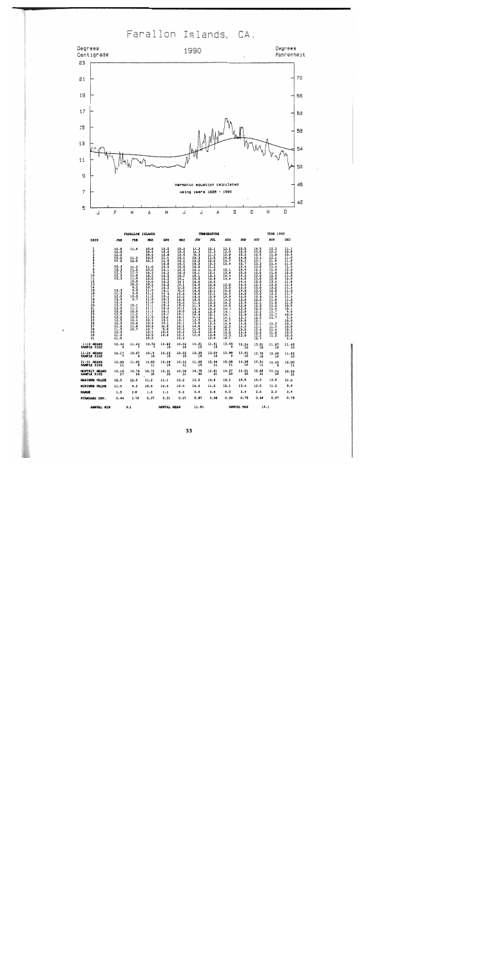Farallon Islands, CA.



 $500$ 

| DAYS                                                                                                                            | JAN                                                                                                                                                                                                                                                                                                                                  | <b>FEB</b>                                                                                                                                                                                                                              | <b>KAR</b>                                                                                                                                                                                                                                                 | <b>APR</b>                                                                                                                                                                                                                                                                                                     | <b>MAY</b>                                                                                                                                                                                                                                                     | JUN                                                                                                                                                                                                                                                                                                       | JUL                                                                                                                                                                                                                                                                                                                                                       | <b>AUG</b>                                                                                                                                                                                                                             | <b>SEP</b>                                                                                                                                                                                                                                                                     | oc <sub>T</sub>                                                                                                                                                                                                                                                           | NOV                                                                                                                                                                                                                                                                                       | DEC                                                                                                                                                                                                                                                       |
|---------------------------------------------------------------------------------------------------------------------------------|--------------------------------------------------------------------------------------------------------------------------------------------------------------------------------------------------------------------------------------------------------------------------------------------------------------------------------------|-----------------------------------------------------------------------------------------------------------------------------------------------------------------------------------------------------------------------------------------|------------------------------------------------------------------------------------------------------------------------------------------------------------------------------------------------------------------------------------------------------------|----------------------------------------------------------------------------------------------------------------------------------------------------------------------------------------------------------------------------------------------------------------------------------------------------------------|----------------------------------------------------------------------------------------------------------------------------------------------------------------------------------------------------------------------------------------------------------------|-----------------------------------------------------------------------------------------------------------------------------------------------------------------------------------------------------------------------------------------------------------------------------------------------------------|-----------------------------------------------------------------------------------------------------------------------------------------------------------------------------------------------------------------------------------------------------------------------------------------------------------------------------------------------------------|----------------------------------------------------------------------------------------------------------------------------------------------------------------------------------------------------------------------------------------|--------------------------------------------------------------------------------------------------------------------------------------------------------------------------------------------------------------------------------------------------------------------------------|---------------------------------------------------------------------------------------------------------------------------------------------------------------------------------------------------------------------------------------------------------------------------|-------------------------------------------------------------------------------------------------------------------------------------------------------------------------------------------------------------------------------------------------------------------------------------------|-----------------------------------------------------------------------------------------------------------------------------------------------------------------------------------------------------------------------------------------------------------|
| ı<br>$\overline{\mathbf{z}}$<br>$\overline{\phantom{a}}$<br>8<br>9<br>10<br>112<br>13<br>14<br>15<br>15<br>17<br>12222345678901 | $\begin{array}{l} 12.5 \\ 12.0 \\ 12.0 \\ 12.5 \\ 12.5 \\ 12.5 \end{array}$<br>$\begin{array}{r} 12.3 \\ 12.3 \\ 12.5 \\ 12.5 \\ 12.5 \\ 12.3 \\ \end{array}$<br>12.3<br>11.3<br>12.0<br>12.5<br>12.5<br>12.5<br>12.5<br>12.5<br>12.5<br>12.5<br>$\begin{array}{c} 11.5 \\ 11.5 \\ 12.0 \\ 11.5 \\ 11.5 \\ 11.5 \\ 11.0 \end{array}$ | 11.6<br>$\frac{11.3}{12.0}$<br>$\frac{11 \cdot 3}{11 \cdot 5}$<br>$\prod_{11.0}^{11.3}$<br>10.5<br>10.3<br>$\frac{9.2}{9.9}$<br>9.9<br>10.0<br>9.7<br>10.1<br>11.1<br>$\frac{1}{11}$ . 0<br>10.5<br>10.4<br>10.5<br>$\frac{11.8}{10.7}$ | $\frac{10.8}{10.6}$<br>10.9<br>$\frac{10.5}{10.3}$<br>11.0<br>10.3<br>10.5<br>10.0<br>10.0<br>10.2<br>10.7<br>11.0<br>11.2<br>11.2<br>$\frac{11.5}{11.8}$<br>$\prod_{i=1}^{n}$<br>11.1<br>$\frac{1}{11}$ .<br>10.9<br>10.9<br>10.8<br>10.7<br>10.5<br>10.8 | 10.5<br>10.6<br>$\frac{10.8}{11.1}$<br>11.0<br>$\frac{10.8}{10.9}$<br>10.2<br>$\frac{10.2}{10.2}$<br>10.2<br>10.2<br>10.2<br>$\begin{array}{c} 10.1 \\ 10.2 \\ 10.2 \\ 10.3 \\ 10.3 \end{array}$<br>10.3<br>10.4<br>10.2<br>$\frac{10.1}{10.2}$<br>$\frac{10.7}{10.1}$<br>10.1<br>10.0<br>10.0<br>10.0<br>10.0 | 10.0<br>10.0<br>10.0<br>$\frac{10.1}{10.1}$<br>10.1<br>10.0<br>$-10.0$<br>10.0<br>10.1<br>10.1<br>10.1<br>10.1<br>10.0<br>10.0<br>10.0<br>10.0<br>10.0<br>10.0<br>10.0<br>10.1<br>10.0<br>10.1<br>10.1<br>10.1<br>10.1<br>10.1<br>10.2<br>10.2<br>10.1<br>10.2 | $\frac{10.3}{10.3}$<br>10.3<br>10.3<br>$\frac{10.2}{10.2}$<br>$\frac{10.2}{10.1}$<br>10.1<br>10.1<br>10.0<br>10.0<br>10.0<br>$\frac{10.0}{10.0}$<br>10.5<br>10.5<br>$\frac{11.2}{11.3}$<br>10.4<br>$10.8$<br>$10.9$<br>$\frac{11.2}{12.5}$<br>$\begin{array}{c} 12.0 \\ 11.8 \\ 12.3 \\ 12.0 \end{array}$ | $\frac{12}{11}$<br>$\frac{11.3}{11.5}$<br>$12.0$<br>$12.3$<br>$11.2$<br>$11.0$<br>$12.1$<br>$13.3$<br>$14.6$<br>$\frac{14.5}{12.8}$<br>$\frac{1}{2}$ :<br>$12.9$<br>$13.1$<br>$13.2$<br>$13.2$<br>$13.9$<br>$13.9$<br>$13.1$<br>$\frac{12.1}{11.9}$<br>$\frac{12.0}{12.0}$<br>11.9<br>$\begin{array}{c} 12.8 \\ 12.8 \\ 13.8 \\ 13.8 \\ 13.9 \end{array}$ | $\frac{13.1}{13.0}$<br>13.8<br>$\frac{11.8}{14.7}$<br>13.1<br>12.1<br>13.6<br>14.4<br>13.4<br>13.8<br>13.0<br>$\frac{14.0}{14.5}$<br>$\frac{14.0}{14.3}$<br>R<br>$\frac{14}{14}$<br>$\frac{1}{15}$ . 5<br>16.1<br>16.0<br>16.0<br>16.1 | $\frac{15.5}{15.8}$<br>15.8<br>14.8<br>15.3<br>$15.7$<br>15.4<br>15.5<br>$\frac{15.5}{14.2}$<br>14.0<br>11:3<br>13.5<br>$\frac{11.0}{14.0}$<br>13.5<br>13.8<br>$13.5$<br>$13.8$<br>$13.5$<br>$13.8$<br>$15.0$<br>$13.4$<br>15.0<br>$\frac{14.8}{14.9}$<br>15.0<br>14.6<br>13.8 | $^{14.0}_{13.5}$<br>12.5<br>13.1<br>$\frac{13.1}{13.3}$<br>13.3<br>12.2<br>12.5<br>12.9<br>13.0<br>$\frac{11.0}{12.9}$<br>13.0<br>13.0<br>12.5<br>$\frac{12.5}{12.1}$<br>$\frac{12.0}{12.2}$<br>$\frac{12.5}{12.1}$<br>$\frac{1}{2}$ $\frac{1}{4}$<br>$\frac{12.5}{12.5}$ | $\frac{12.3}{12.1}$<br>11.8<br>$\begin{array}{c} 12.1 \\ 11.8 \\ 11.4 \\ 11.4 \\ 11.4 \\ 11.6 \end{array}$<br>$\frac{11.6}{12.6}$<br>12.8<br>13.4<br>13.5<br>13.2<br>$\frac{12.8}{12.2}$<br>11.9<br>$\frac{11.8}{11.8}$<br>Ħ.<br>Ħ.<br>$\frac{11.3}{11.3}$<br>11.4<br>$\frac{11.2}{11.2}$ | $\frac{11.1}{10.8}$<br>10.9<br>$\frac{11.6}{11.8}$<br>$\frac{11.5}{11.9}$<br>12.0<br>11.8<br>12.0<br>11.8<br>Ħ.<br>$\frac{11.7}{11.7}$<br>11.4<br>$\frac{11.5}{11.0}$<br>10.1<br>9.6<br>10.0<br>9.9<br>10.9<br>$\frac{10.7}{10.2}$<br>10.0<br>10.0<br>9.9 |
| $1-10$ MEANS<br>SAMPLE SIZE                                                                                                     | 12.34                                                                                                                                                                                                                                                                                                                                | 11.43                                                                                                                                                                                                                                   | 10.54                                                                                                                                                                                                                                                      | $10.62$<br>$10$                                                                                                                                                                                                                                                                                                | 10.04<br>$\overline{\textbf{10}}$                                                                                                                                                                                                                              | 10.21                                                                                                                                                                                                                                                                                                     | 11.81                                                                                                                                                                                                                                                                                                                                                     | 13.66                                                                                                                                                                                                                                  | 15.24                                                                                                                                                                                                                                                                          | 13.01<br>Ϊõ                                                                                                                                                                                                                                                               | $11.87$<br>10                                                                                                                                                                                                                                                                             | 11.46                                                                                                                                                                                                                                                     |
| 11-20 MEANS<br>SAMPLE SIZE                                                                                                      | 12.17                                                                                                                                                                                                                                                                                                                                | 10.07                                                                                                                                                                                                                                   | $10.74$<br>$10$                                                                                                                                                                                                                                            | 10.23                                                                                                                                                                                                                                                                                                          | 10.03                                                                                                                                                                                                                                                          | 10.35                                                                                                                                                                                                                                                                                                     | 13.04                                                                                                                                                                                                                                                                                                                                                     | 13.88                                                                                                                                                                                                                                  | 13.91                                                                                                                                                                                                                                                                          | 12.70<br>10                                                                                                                                                                                                                                                               | 12.46                                                                                                                                                                                                                                                                                     | 11.42                                                                                                                                                                                                                                                     |
| 21-31 MEANS<br>SAMPLE SIZE                                                                                                      | $12.00$<br>$11$                                                                                                                                                                                                                                                                                                                      | 11.03                                                                                                                                                                                                                                   | $10.85$<br>$11$                                                                                                                                                                                                                                            | 10.09                                                                                                                                                                                                                                                                                                          | $10.12$<br>$11$                                                                                                                                                                                                                                                | 11.59                                                                                                                                                                                                                                                                                                     | 12.94                                                                                                                                                                                                                                                                                                                                                     | $15.08$<br>$11$                                                                                                                                                                                                                        | $14.38$<br>$10$                                                                                                                                                                                                                                                                | 12.35<br>-- 11                                                                                                                                                                                                                                                            | 11.43                                                                                                                                                                                                                                                                                     | 10.00                                                                                                                                                                                                                                                     |
| <b>MONTHLY MEANS</b><br><b>SAMPLE SIZE</b>                                                                                      | 12.16                                                                                                                                                                                                                                                                                                                                | $10.78$<br>24                                                                                                                                                                                                                           | $10.72$<br>30                                                                                                                                                                                                                                              | 10.31                                                                                                                                                                                                                                                                                                          | $10.05$<br>31                                                                                                                                                                                                                                                  | $10.75$<br>$30$                                                                                                                                                                                                                                                                                           | $12.61$<br>$31$                                                                                                                                                                                                                                                                                                                                           | 14.27                                                                                                                                                                                                                                  | 14.51<br>30                                                                                                                                                                                                                                                                    | $12.68$<br>$31$                                                                                                                                                                                                                                                           | 11.94<br>39                                                                                                                                                                                                                                                                               | $10.93$<br>$31$                                                                                                                                                                                                                                           |
| <b>GAXIMUM VALUE</b>                                                                                                            | 12.5                                                                                                                                                                                                                                                                                                                                 | 12.0                                                                                                                                                                                                                                    | 11.2                                                                                                                                                                                                                                                       | 11.1                                                                                                                                                                                                                                                                                                           | 10.2                                                                                                                                                                                                                                                           | 13.0                                                                                                                                                                                                                                                                                                      | 14.6                                                                                                                                                                                                                                                                                                                                                      | 16.1                                                                                                                                                                                                                                   | 15.8                                                                                                                                                                                                                                                                           | 14.0                                                                                                                                                                                                                                                                      | 13.5                                                                                                                                                                                                                                                                                      | 12.0                                                                                                                                                                                                                                                      |
| <b>SULKV NUMINIM</b>                                                                                                            | 11.0                                                                                                                                                                                                                                                                                                                                 | 9.2                                                                                                                                                                                                                                     | 10.0                                                                                                                                                                                                                                                       | 10.0                                                                                                                                                                                                                                                                                                           | 10.0                                                                                                                                                                                                                                                           | 10.0                                                                                                                                                                                                                                                                                                      | 11.0                                                                                                                                                                                                                                                                                                                                                      | 12.1                                                                                                                                                                                                                                   | 13.4                                                                                                                                                                                                                                                                           | 12.0                                                                                                                                                                                                                                                                      | 11.2                                                                                                                                                                                                                                                                                      | 9.6                                                                                                                                                                                                                                                       |
| <b>NANGE</b>                                                                                                                    | 1.5                                                                                                                                                                                                                                                                                                                                  | 2.8                                                                                                                                                                                                                                     | 1.2                                                                                                                                                                                                                                                        | 1.1                                                                                                                                                                                                                                                                                                            | 0.2                                                                                                                                                                                                                                                            | 3.0                                                                                                                                                                                                                                                                                                       | 3.6                                                                                                                                                                                                                                                                                                                                                       | 4.0                                                                                                                                                                                                                                    | 2.4                                                                                                                                                                                                                                                                            | 2.0                                                                                                                                                                                                                                                                       | 2.3                                                                                                                                                                                                                                                                                       | 2.4                                                                                                                                                                                                                                                       |
| STANDARD DEV.                                                                                                                   | 0.44                                                                                                                                                                                                                                                                                                                                 | 0.76                                                                                                                                                                                                                                    | 0.37                                                                                                                                                                                                                                                       | 0.31                                                                                                                                                                                                                                                                                                           | 0.07                                                                                                                                                                                                                                                           | 0.87                                                                                                                                                                                                                                                                                                      | 0.98                                                                                                                                                                                                                                                                                                                                                      | 0.99                                                                                                                                                                                                                                   | 0.75                                                                                                                                                                                                                                                                           | 0.48                                                                                                                                                                                                                                                                      | 0.67                                                                                                                                                                                                                                                                                      | 0.79                                                                                                                                                                                                                                                      |
| <b>SAMPLE LITE</b>                                                                                                              |                                                                                                                                                                                                                                                                                                                                      | $^{\circ}$                                                                                                                                                                                                                              |                                                                                                                                                                                                                                                            | <b>AMMILI, MPAM</b>                                                                                                                                                                                                                                                                                            |                                                                                                                                                                                                                                                                | 11 81                                                                                                                                                                                                                                                                                                     |                                                                                                                                                                                                                                                                                                                                                           | AMMILL MAY                                                                                                                                                                                                                             |                                                                                                                                                                                                                                                                                | 16.1                                                                                                                                                                                                                                                                      |                                                                                                                                                                                                                                                                                           |                                                                                                                                                                                                                                                           |

**Contractor** 

J.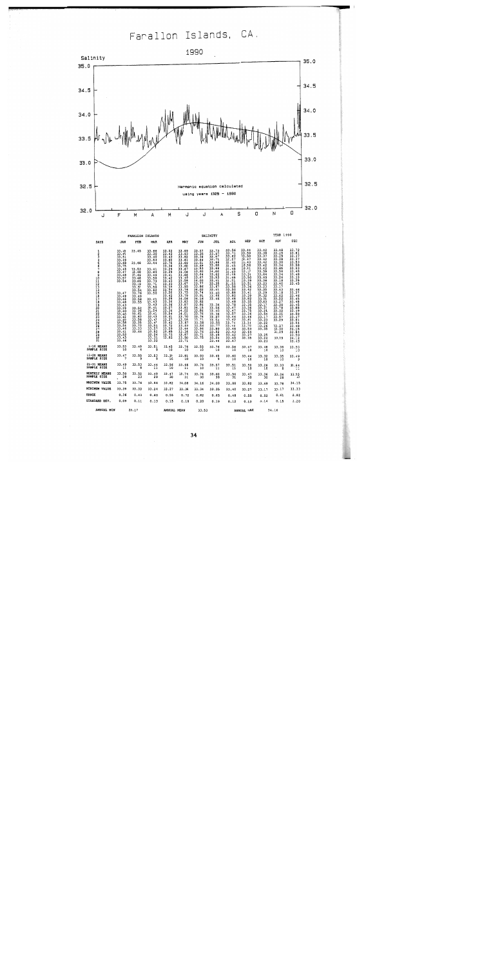Farallon Islands, CA.



| 25<br>2678<br>2229<br>33                   | -----<br>33.58<br>33.54<br>33.46<br>33.41<br>33.53<br>33.43<br>33.46 | 33.35<br>33.73<br>33.33<br>33.64 | 33.47<br>33.51<br>33.57<br>33.52<br>33.24<br>33.31<br>33.32 | 33.42<br>33.72<br>33.59<br>33.65<br>33.73<br>33.82 | 31.67<br>31.59<br>33.44<br>33.36<br>33.67<br>33.50<br>33,71 | $\frac{11.58}{13.56}$<br>33.96<br>33.76<br>33.71<br>33.75 | -----<br>33.55<br>13.77<br>33.80<br>33.52<br>33.49<br>33.54<br>33.44 | 33.74<br>33.48<br>33.48<br>33.43<br>33.42<br>33.45<br>33.47 | .<br>33.34<br>33.70<br>33.53<br>33.64<br>33.27<br>33.35 | 33.22<br>33.26<br>33.35<br>33.25<br>33.24<br>33.23 | 33.27<br>33.30<br>33.29<br>33.29 | 33.54<br>33.48<br>34.15<br>33.84<br>33.50<br>34.12<br>33.43 |
|--------------------------------------------|----------------------------------------------------------------------|----------------------------------|-------------------------------------------------------------|----------------------------------------------------|-------------------------------------------------------------|-----------------------------------------------------------|----------------------------------------------------------------------|-------------------------------------------------------------|---------------------------------------------------------|----------------------------------------------------|----------------------------------|-------------------------------------------------------------|
| 1-10 MEANS<br><b>SAMPLE SIZE</b>           | 33.53<br>10                                                          | 33.49<br>6                       | 33.51<br>٩                                                  | 33.45<br>10                                        | 33.76<br>10                                                 | 33.55<br>LO                                               | 33.76<br>10                                                          | 33.56<br>10                                                 | 33.47<br>10                                             | 33.48<br>10                                        | 33,38<br>10                      | 33.50<br>10                                                 |
| 1-20 MEANS<br><b>SAMPLE SIZE</b>           | 33.47                                                                | 33.55                            | 33.53<br>9                                                  | 33.39<br>10                                        | 33.81<br>10                                                 | 33.93<br>10                                               | 33.45<br>9                                                           | 33.60<br>10                                                 | 33.44<br>10                                             | 33.32<br>10                                        | 33.35<br>10                      | 33.49<br>ډ                                                  |
| 21-31 MEANS<br><b>SAMPLE SIZE</b>          | 33.49<br>11                                                          | 33.53<br>a                       | 33.44<br>11                                                 | 33.56<br>10                                        | 33.66<br>11                                                 | 33.74<br>10                                               | 33.57<br>11                                                          | 33.51<br>11                                                 | 33.50<br>10                                             | 33.28<br>10                                        | 33.33<br>8                       | 33.64<br>$\ddots$                                           |
| <b>HONTRLY HEANS</b><br><b>SAMPLE SIZE</b> | 33.50<br>28                                                          | 33.52<br>23                      | 33.49<br>29                                                 | 33.47<br>30                                        | 33.74<br>31                                                 | 33.74<br>30                                               | 33.60<br>30                                                          | 33.56<br>31                                                 | 33.47<br>30                                             | 33.36<br>30                                        | 33.36<br>28                      | 33.55<br>30                                                 |
| <b>GUXIMUM VALUE</b>                       | 33.75                                                                | 33.76                            | 33.84                                                       | 33.82                                              | 34.08                                                       | 34.16                                                     | 34.00                                                                | 33.88                                                       | 33.82                                                   | 33,69                                              | 33.78                            | 34.15                                                       |
| <b>INTHUM VALUE</b>                        | 33.39                                                                | 33.33                            | 33.24                                                       | 33,27                                              | 33.36                                                       | 33.34                                                     | 33.35                                                                | 33,40                                                       | 33.27                                                   | 33.17                                              | 33.17                            | 33.33                                                       |
| <b>UANGE</b>                               | 0.36                                                                 | 0.43                             | 0.60                                                        | 0.55                                               | 0.72                                                        | 0.82                                                      | 0.65                                                                 | 0.48                                                        | 0.55                                                    | 0.52                                               | 0.61                             | 0.82                                                        |
| <b>STANDARD DEV.</b>                       | 0.09                                                                 | 0.11                             | 0.13                                                        | 0.15                                               | 0.18                                                        | 0.20                                                      | 0.19                                                                 | 0.12                                                        | 0.13                                                    | 0.14                                               | 0.15                             | 3.20                                                        |
|                                            |                                                                      |                                  |                                                             |                                                    |                                                             |                                                           |                                                                      |                                                             |                                                         |                                                    |                                  |                                                             |

34

33.53

ANNITAT, MAY

34.16

**ANNITAT, MPAN** 

ANNUAL MIN

 $33.17$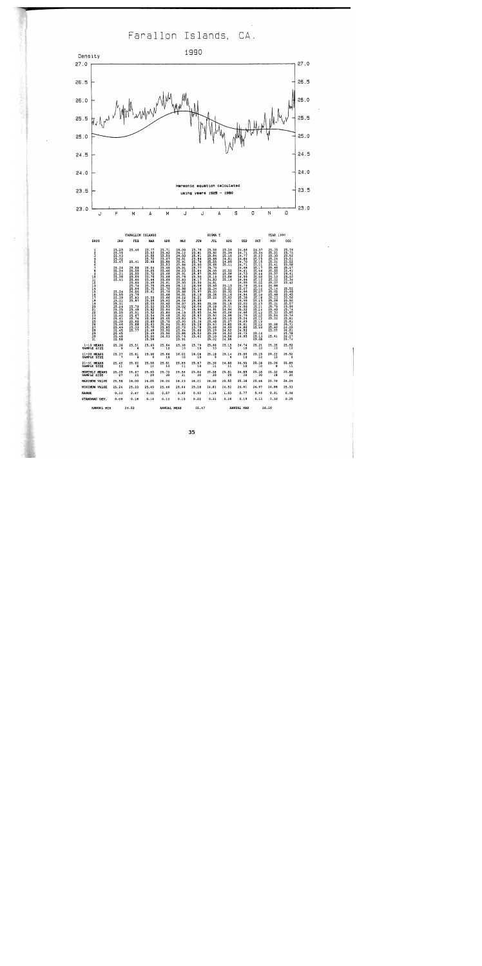# Farallon Islands, CA.



「まんずの状態をあるのです」というよう

|                                                                                                                   |                                                                                                                                                                                                                                                     | <b>FARALLON ISLANDS</b>                                                                                                                                                                                            |                                                                                                                                                                                                                                                               |                                                                                                                                                                                                                                                                                      |                                                                                                                                                                                                                                                                                         |                                                                                                                                                                                                                                                                            | SIGMA T                                                                                                                                                                                                                                                                                                           |                                                                                                                                                                                                                                                                                          |                                                                                                                                                                                                                                                                                                                       |                                                                                                                                                                                                                                                                                               | <b>YEAR 1990</b>                                                                                                                                                                                                                                                                                                                                                               |                                                                                                                                                                                                                                                          |
|-------------------------------------------------------------------------------------------------------------------|-----------------------------------------------------------------------------------------------------------------------------------------------------------------------------------------------------------------------------------------------------|--------------------------------------------------------------------------------------------------------------------------------------------------------------------------------------------------------------------|---------------------------------------------------------------------------------------------------------------------------------------------------------------------------------------------------------------------------------------------------------------|--------------------------------------------------------------------------------------------------------------------------------------------------------------------------------------------------------------------------------------------------------------------------------------|-----------------------------------------------------------------------------------------------------------------------------------------------------------------------------------------------------------------------------------------------------------------------------------------|----------------------------------------------------------------------------------------------------------------------------------------------------------------------------------------------------------------------------------------------------------------------------|-------------------------------------------------------------------------------------------------------------------------------------------------------------------------------------------------------------------------------------------------------------------------------------------------------------------|------------------------------------------------------------------------------------------------------------------------------------------------------------------------------------------------------------------------------------------------------------------------------------------|-----------------------------------------------------------------------------------------------------------------------------------------------------------------------------------------------------------------------------------------------------------------------------------------------------------------------|-----------------------------------------------------------------------------------------------------------------------------------------------------------------------------------------------------------------------------------------------------------------------------------------------|--------------------------------------------------------------------------------------------------------------------------------------------------------------------------------------------------------------------------------------------------------------------------------------------------------------------------------------------------------------------------------|----------------------------------------------------------------------------------------------------------------------------------------------------------------------------------------------------------------------------------------------------------|
| <b>DAYS</b>                                                                                                       | JAN                                                                                                                                                                                                                                                 | FEB                                                                                                                                                                                                                | MAR                                                                                                                                                                                                                                                           | <b>APR</b>                                                                                                                                                                                                                                                                           | MAY                                                                                                                                                                                                                                                                                     | JUN                                                                                                                                                                                                                                                                        | <b>JUL</b>                                                                                                                                                                                                                                                                                                        | <b>AUG</b>                                                                                                                                                                                                                                                                               | <b>SEP</b>                                                                                                                                                                                                                                                                                                            | OCT                                                                                                                                                                                                                                                                                           | NOV                                                                                                                                                                                                                                                                                                                                                                            | <b>DEC</b>                                                                                                                                                                                                                                               |
| 1<br>$\frac{2}{3}$<br>9836789<br>10<br>112<br>13<br>14<br>15<br>15<br>17<br>189012234567<br>$\frac{28}{29}$<br>3ŏ | $\frac{25.25}{25.39}$<br>$\frac{25.32}{25.47}$<br>25.34<br>25.34<br>25.31<br>25.38<br>25.41<br>25.34<br>25.55<br>25.33<br>25.31<br>25.31<br>25.24<br>25.24<br>25.42<br>25.43<br>25.43<br>25.43<br>25.43<br>$25.45$<br>$25.45$<br>$25.45$<br>$25.58$ | 25.46<br>25.41<br>25.58<br>25.50<br>25.55<br>25.59<br>25.60<br>25.69<br>25.74<br>25.94<br>26.00<br>25.79<br>$\frac{25.83}{25.87}$<br>25.79<br>25.48<br>25.51<br>25.67<br>25.76<br>25.60<br>25.88<br>25.33<br>25.77 | 25.77<br>25.52<br>$\frac{25.72}{25.68}$<br>25.54<br>26.05<br>25.72<br>25.70<br>25.96<br>25.95<br>25.75<br>25.75<br>25.61<br>25.50<br>25.55<br>25.55<br>25.52<br>25.52<br>25.54<br>25.54<br>25.54<br>25.60<br>25.63<br>25.70<br>25.68<br>$\frac{25.49}{25.50}$ | $25.71$<br>25.62<br>25.59<br>25.67<br>25.80<br>25.53<br>25.46<br>25.60<br>25.68<br>25.68<br>25.69<br>25.61<br>$25.56$<br>$25.70$<br>25.76<br>25.68<br>25.66<br>25.62<br>25.62<br>25.53<br>25.64<br>$25.80$<br>$25.68$<br>25.65<br>25.70<br>25.94<br>25.85<br>25.90<br>25.96<br>26.03 | 26.09<br>26.12<br>26.03<br>26.01<br>25.91<br>25.84<br>25.91<br>26.23<br>25.91<br>25.76<br>$\frac{25.83}{25.90}$<br>26.12<br>$\frac{25.98}{25.98}$<br>$26.01$<br>$26.22$<br>$26.04$<br>$26.07$<br>26.02<br>26.17<br>26.18<br>25.92<br>25.83<br>25.90<br>25.72<br>25.64<br>25.88<br>25.76 | $25.78$<br>$25.61$<br>$25.61$<br>25.84<br>25.76<br>25.90<br>25.84<br>25.87<br>$\frac{25.90}{26.17}$<br>26.06<br>$\frac{26.19}{25.97}$<br>26.10<br>26.21<br>25.95<br>25.85<br>25.85<br>26.99<br>25.83<br>25.74<br>25.74<br>$\frac{25.39}{25.28}$<br>25.66<br>25.53<br>25.62 | 25.58<br>25.92<br>25.84<br>25.68<br>$\frac{25.55}{25.66}$<br>25.70<br>26.00<br>25.50<br>$\frac{25.19}{24.83}$<br>24.81<br>$\frac{25.40}{25.34}$<br>$\frac{25.34}{25.33}$<br>$25.36$<br>$25.22$<br>25.08<br>25.28<br>24.91<br>24.94<br>25.50<br>25.44<br>$\frac{25.48}{25.63}$<br>25.68<br>25.29<br>25.26<br>25.10 | $25.26$<br>$25.39$<br>$25.16$<br>24.91<br>24.80<br>25.11<br>25.55<br>25.08<br>25.08<br>25.16<br>25.13<br>$\frac{25}{25}$ , $\frac{25}{32}$<br>25.16<br>$25.03$<br>$25.01$<br>$25.18$<br>$25.1$<br>24.94<br>25.06<br>24.98<br>25.10<br>25.07<br>24.82<br>24.69<br>24.52<br>24.53<br>24.56 | $24.56$<br>$24.71$<br>$24.77$<br>$\frac{24.84}{24.70}$<br>24.66<br>24.61<br>24.73<br>24.99<br>24.94<br>24.95<br>24.79<br>$\frac{25.07}{24.96}$<br>$\frac{24}{25}$ , $\frac{94}{38}$<br>24.95<br>$\frac{25.02}{24.96}$<br>25.32<br>$24.96$<br>$24.79$<br>$25.24$<br>24.69<br>25.01<br>24.86<br>24.92<br>24.73<br>24.95 | $24.97$<br>$25.94$<br>$25.83$<br>$25.15$<br>$25.15$<br>$25.11$<br>$25.11$<br>25.16<br>25.44<br>$25.18$<br>$25.12$<br>$25.02$<br>25.04<br>25.12<br>25.07<br>25.07<br>$\frac{25}{25}$<br>25.23<br>25.21<br>25.24<br>25.42<br>25.02<br>25.12<br>$\frac{25.19}{25.12}$<br>25.12<br>25.14<br>25.13 | $\frac{25}{25}$ , $\frac{35}{21}$<br>$\frac{25}{25}$ , $\frac{30}{20}$<br>$\frac{25}{25}$ , $\frac{24}{31}$<br>25.41<br>25.65<br>25.55<br>25.37<br>25.12<br>25.02<br>25.07<br>24.88<br>$\frac{25}{25}$ , $\frac{14}{02}$<br>25.48<br>$\frac{25}{25}$ , $\frac{23}{28}$<br>$\frac{25.31}{25.79}$<br>25.40<br>25.33<br>$\frac{25.54}{25.32}$<br>25.38<br>25.40<br>25.37<br>25.41 | 25.76<br>25.73<br>25.52<br>25.52<br>25.52<br>25.58<br>25.41<br>25.33<br>25.34<br>25.34<br>25.42<br>25.52<br>25.40<br>25.45<br>25.50<br>25.57<br>25.57<br>25.85<br>25.76<br>25.76<br>25.81<br>25.81<br>25.71<br>26.29<br>26.27<br>26.27<br>26.27<br>25.74 |
| 31<br>$1-10$ MEANS                                                                                                |                                                                                                                                                                                                                                                     |                                                                                                                                                                                                                    | 25.56                                                                                                                                                                                                                                                         | 25.64                                                                                                                                                                                                                                                                                | 25.91<br>25.98                                                                                                                                                                                                                                                                          | 25.79                                                                                                                                                                                                                                                                      | 25.02<br>25.66                                                                                                                                                                                                                                                                                                    | 24.55                                                                                                                                                                                                                                                                                    | 24.74                                                                                                                                                                                                                                                                                                                 | 25.08<br>25.21                                                                                                                                                                                                                                                                                | 25.35                                                                                                                                                                                                                                                                                                                                                                          | 25.52                                                                                                                                                                                                                                                    |
| SAMPLE SIZE                                                                                                       |                                                                                                                                                                                                                                                     | $25.36$ $25.51$<br>9 $25.5$                                                                                                                                                                                        | 25.69<br>و                                                                                                                                                                                                                                                    | 10                                                                                                                                                                                                                                                                                   | $\ddot{a}$                                                                                                                                                                                                                                                                              | 10                                                                                                                                                                                                                                                                         | 15                                                                                                                                                                                                                                                                                                                | 25.15                                                                                                                                                                                                                                                                                    | 10                                                                                                                                                                                                                                                                                                                    | 10                                                                                                                                                                                                                                                                                            | Ξō                                                                                                                                                                                                                                                                                                                                                                             | -15                                                                                                                                                                                                                                                      |
| 11-20 MEANS<br>SAMPLE SIZE                                                                                        |                                                                                                                                                                                                                                                     | $25.37$ $25.81$ $25.68$<br>9                                                                                                                                                                                       |                                                                                                                                                                                                                                                               | $25.66$<br>10                                                                                                                                                                                                                                                                        | 26.02<br>10                                                                                                                                                                                                                                                                             | 26.06<br>10                                                                                                                                                                                                                                                                | 25.18<br>9                                                                                                                                                                                                                                                                                                        |                                                                                                                                                                                                                                                                                          | $25.14$ $25.00$<br>9 10                                                                                                                                                                                                                                                                                               | 25.15<br>10                                                                                                                                                                                                                                                                                   | 25.22<br>10                                                                                                                                                                                                                                                                                                                                                                    | 25.52                                                                                                                                                                                                                                                    |
| 21-31 HEANS<br>SAMPLE STZE                                                                                        | $25.42$<br>$11$                                                                                                                                                                                                                                     | $25.62$ $25.58$<br>8 11                                                                                                                                                                                            |                                                                                                                                                                                                                                                               | 25.81<br>10                                                                                                                                                                                                                                                                          | 25.89<br>11                                                                                                                                                                                                                                                                             | 25.67<br>10                                                                                                                                                                                                                                                                | $25.30$<br>$11$                                                                                                                                                                                                                                                                                                   | 24.80<br>11                                                                                                                                                                                                                                                                              | 24.95<br>10                                                                                                                                                                                                                                                                                                           | 25.18<br>ïο                                                                                                                                                                                                                                                                                   | 25.39<br>$\mathbf{a}$                                                                                                                                                                                                                                                                                                                                                          | $25.89$<br>11                                                                                                                                                                                                                                            |
| MONTHLY MEANS<br>SAMPLE SIZE                                                                                      | 25.39<br>27                                                                                                                                                                                                                                         | 25.67<br>23                                                                                                                                                                                                        | 25.65<br>29                                                                                                                                                                                                                                                   | 25.70<br>30                                                                                                                                                                                                                                                                          | 25.96<br>31                                                                                                                                                                                                                                                                             | 25.84<br>30                                                                                                                                                                                                                                                                | 25.38<br>30                                                                                                                                                                                                                                                                                                       | $25.01$<br>$29$                                                                                                                                                                                                                                                                          | 24.89<br>30                                                                                                                                                                                                                                                                                                           | 25.18<br>30                                                                                                                                                                                                                                                                                   | $25.32$<br>$28$                                                                                                                                                                                                                                                                                                                                                                | $25.66$<br>$30$                                                                                                                                                                                                                                          |
| MAXIMUM VALUE                                                                                                     | 25.58                                                                                                                                                                                                                                               | 26.00                                                                                                                                                                                                              | 26.05                                                                                                                                                                                                                                                         | 26.03                                                                                                                                                                                                                                                                                | 26,23                                                                                                                                                                                                                                                                                   | 26.21                                                                                                                                                                                                                                                                      | 26.00                                                                                                                                                                                                                                                                                                             | 25.55                                                                                                                                                                                                                                                                                    | 25.38                                                                                                                                                                                                                                                                                                                 | 25.46                                                                                                                                                                                                                                                                                         | 25.79                                                                                                                                                                                                                                                                                                                                                                          | 26.29                                                                                                                                                                                                                                                    |
| MINIMUM VALUE                                                                                                     | 25.24                                                                                                                                                                                                                                               | 25.33                                                                                                                                                                                                              | 25.49                                                                                                                                                                                                                                                         | 25.46                                                                                                                                                                                                                                                                                | 25.64                                                                                                                                                                                                                                                                                   | 25.28                                                                                                                                                                                                                                                                      | 24,81                                                                                                                                                                                                                                                                                                             | 24.52                                                                                                                                                                                                                                                                                    | 24.61                                                                                                                                                                                                                                                                                                                 | 24.97                                                                                                                                                                                                                                                                                         | 24.88                                                                                                                                                                                                                                                                                                                                                                          | 25.33                                                                                                                                                                                                                                                    |
| <b>RANGE</b>                                                                                                      | 0.33                                                                                                                                                                                                                                                | 0.67                                                                                                                                                                                                               | 0.55                                                                                                                                                                                                                                                          | 0.57                                                                                                                                                                                                                                                                                 | 0.60                                                                                                                                                                                                                                                                                    | 0.93                                                                                                                                                                                                                                                                       | 1.19                                                                                                                                                                                                                                                                                                              | 1.03                                                                                                                                                                                                                                                                                     | 0.77                                                                                                                                                                                                                                                                                                                  | 0.49                                                                                                                                                                                                                                                                                          | 0.91                                                                                                                                                                                                                                                                                                                                                                           | 0.96                                                                                                                                                                                                                                                     |
| STANDARD DEV.                                                                                                     | 0.09                                                                                                                                                                                                                                                | 0.18                                                                                                                                                                                                               | 0.14                                                                                                                                                                                                                                                          | 0.13                                                                                                                                                                                                                                                                                 | 0.15                                                                                                                                                                                                                                                                                    | 0.22                                                                                                                                                                                                                                                                       | 0.31                                                                                                                                                                                                                                                                                                              | 0.26                                                                                                                                                                                                                                                                                     | 0.19                                                                                                                                                                                                                                                                                                                  | 0.13                                                                                                                                                                                                                                                                                          | 0.20                                                                                                                                                                                                                                                                                                                                                                           | 0.25                                                                                                                                                                                                                                                     |
| <b>AMMINT MTM</b>                                                                                                 | 24.52                                                                                                                                                                                                                                               |                                                                                                                                                                                                                    |                                                                                                                                                                                                                                                               |                                                                                                                                                                                                                                                                                      | <b>AMMIER MEAN</b>                                                                                                                                                                                                                                                                      | 25.47                                                                                                                                                                                                                                                                      |                                                                                                                                                                                                                                                                                                                   |                                                                                                                                                                                                                                                                                          | ANNITAT MAY 26.20                                                                                                                                                                                                                                                                                                     |                                                                                                                                                                                                                                                                                               |                                                                                                                                                                                                                                                                                                                                                                                |                                                                                                                                                                                                                                                          |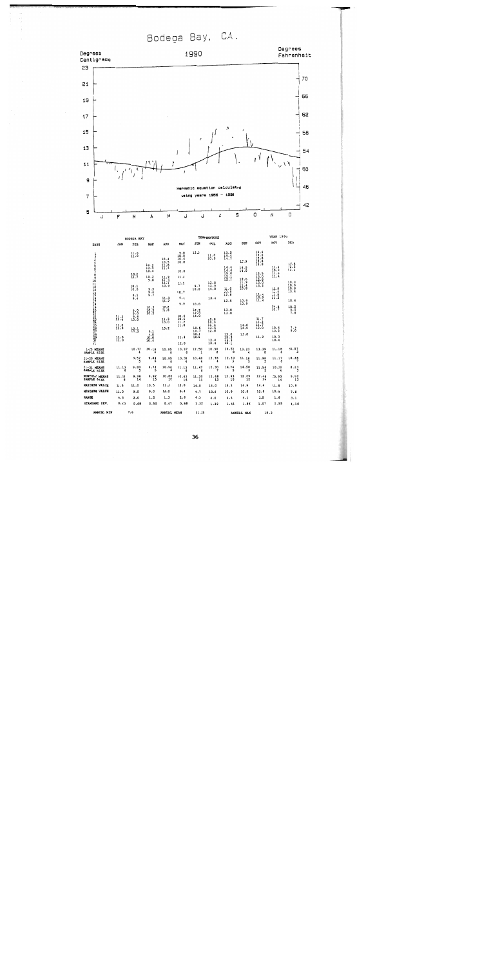Bodega Bay, CA.



|                                             |                                                     | <b>BODEGA BAY</b>               |                             |                                        |                              |                            | TEMPERATURE                       |                              |                                     |                                      | YEAR 1990                           |                        |
|---------------------------------------------|-----------------------------------------------------|---------------------------------|-----------------------------|----------------------------------------|------------------------------|----------------------------|-----------------------------------|------------------------------|-------------------------------------|--------------------------------------|-------------------------------------|------------------------|
| DAYS                                        | JAN                                                 | FEB                             | <b>HAR</b>                  | <b>APR</b>                             | <b>HAY</b>                   | JUN                        | JUL                               | <b>AUG</b>                   | <b>SEP</b>                          | <b>CCT</b>                           | NOV                                 | DEC                    |
| 1234567890111234567890122222222222234567890 |                                                     | $\frac{11}{11}$ .0              | 10.2                        | $10.4$<br>$10.5$<br>$\prod_{i=1}^{11}$ | 9.8<br>10.0<br>10.6<br>10.8  | 12.5                       | 11.0<br>10.0                      | 13.5<br>$\frac{14.4}{14.7}$  | 12.9                                | 14.4<br>13.0<br>12.8<br>13.8<br>13.8 |                                     | $10.8$<br>$10.5$       |
|                                             |                                                     | $\frac{10.2}{10.7}$             | 10.3<br>10.4<br>10.2        | 11.2                                   | 10.0<br>11.0                 |                            |                                   | 14.4<br>14.4<br>15.0<br>15.1 | 14.0<br>14.0                        | 13.5<br>13.0                         | 11.4<br>10.3<br>11.6<br>11.4        | 10.4                   |
|                                             |                                                     | $\frac{10}{10}$ , 0             | 9.8<br>9.3                  | $\frac{11.3}{11.1}$<br>10.9            | 11,1                         | 9.7<br>10.0                | $\frac{13.8}{13.9}$<br>14.0       | 15.1<br>11.0                 | $\frac{12.0}{11.9}$<br>11.4<br>10.8 | 12.8<br>$\frac{13.0}{13.2}$          | $\frac{11.8}{11.4}$                 | 10.9<br>10.6<br>10.8   |
|                                             |                                                     | 9.1<br>9.4                      | $\frac{9}{9}$ . 7           | 11.3<br>11.2                           | 10.7<br>9.4                  |                            | 13.4                              | 10.9<br>12.8<br>12.8         | $10.9$<br>$10.9$                    | 11.4<br>10.9<br>11.4                 | $\frac{11.0}{11.3}$                 | 10.4<br>10.6           |
|                                             |                                                     | 9.0                             | $\frac{10.3}{10.5}$<br>10.2 | $^{10.2}_{11.0}$                       | 9.9                          | 10.0<br>$\frac{12}{12}$ .2 |                                   | 13.0<br>13.0                 |                                     |                                      | 10.8<br>10.7                        | $10.2$<br>$9.0$<br>7.8 |
|                                             | $\frac{11}{11}$ $\frac{3}{5}$<br>$\frac{11}{11}$ .0 | $\frac{9.0}{9.6}$<br>10.0       |                             | 11.3<br>10.0                           | 10.6<br>10.6<br>11.2<br>11.0 | 14.0                       | 10.8<br>10.9<br>11.8              |                              | $\frac{14.8}{14.9}$                 | 11.7<br>$\frac{11.2}{11.7}$          |                                     |                        |
|                                             | 11.0                                                | $\frac{10}{10}$ : $\frac{1}{3}$ | 9.1<br>9.0<br>10.0          | 10.2                                   | 11.4                         | 10.5<br>10.9<br>10.6       | $\frac{13.0}{12.8}$               | $15.9$<br>$15.3$             | 13.8                                | 11.2                                 | 10.4<br>10.2<br>$\frac{10.3}{10.4}$ | 7.9<br>9.0             |
| 3í                                          | 11.0                                                |                                 | 10.4                        |                                        | 12.0                         |                            | 13.4<br>13.4                      | 15.3<br>15.1                 |                                     |                                      |                                     |                        |
| 1-10 MEANS<br>SAMPLE SIZE                   |                                                     | 10.73<br>4                      | 10.18<br>5                  | 10.95<br>6                             | 10.37<br>6                   | 12.50<br>$\mathbf{1}$      | 10.50<br>$\overline{\mathbf{z}}$  | 14.57<br>8                   | 13.23<br>4                          | 13.39<br>8                           | 11.18<br>4                          | 10.57<br>3             |
| 11-20 MEANS<br>SAMPLE SIZE                  |                                                     | 9.52<br>5                       | 9,84<br>5                   | 10.95<br>ĥ                             | 10.28<br>4                   | 10.48                      | 13.78<br>4                        | 12.10                        | 11.18<br>5                          | 11.98<br>5                           | 11.17                               | 10.35                  |
| 21-31 MEANS<br>SAMPLE SIZE                  | 11.13<br>$\overline{\phantom{a}}$                   | 9.80<br>5                       | 9.74<br>5                   | 10.50<br>$\overline{\mathbf{3}}$       | 11.13<br>Ġ                   | 11.47<br>6                 | 12.30<br>$\overline{\phantom{a}}$ | 14.74                        | 14.50<br>ä                          | 11.5g                                | 10.33                               | 8.23                   |
| MONTHLY MEANS<br>SAMPLE SIZE                | 11.13<br>6                                          | 9.96<br>14                      | 9.92<br>15                  | 10.86<br>15                            | 10.63<br>16                  | 11.20<br>$\overline{11}$   | 12.48<br>13                       | 13.93<br>18                  | 12.69<br>12                         | 12.49<br>18                          | 10.93<br>14                         | 9.92<br>13             |
| <b>MAXIMUM VALUE</b>                        | 11.5                                                | 11.0                            | 10.5                        | 11.3                                   | 12.0                         | 14.0                       | 14.0                              | 15.3                         | 14.9                                | 14.4                                 | 11.8                                | 10.9                   |
| <b>HININUM VALUE</b>                        | 11.0                                                | 9.0                             | 9.0                         | 10.0                                   | 9.4                          | 9.7                        | 10.0                              | 10.9                         | 10.8                                | 10.9                                 | 10.2                                | 7.8                    |
| <b>RANGE</b><br>STANDARD DEV.               | 0.5<br>0.22                                         | 2.0<br>0.68                     | 1.5<br>0.50                 | 1.3<br>0.47                            | 2.6<br>0.68                  | 4.3<br>1.32                | 4.0<br>1.39                       | 4.4<br>1.41                  | 4.1<br>1.56                         | 3.5<br>1.07                          | 1.6<br>0.55                         | 3.1<br>1.10            |
| ANNUAL MIN                                  |                                                     | 7.8                             |                             | ANNUAL MEAN                            |                              | 11.35                      |                                   |                              | ANNUAL MAX                          | 15.3                                 |                                     |                        |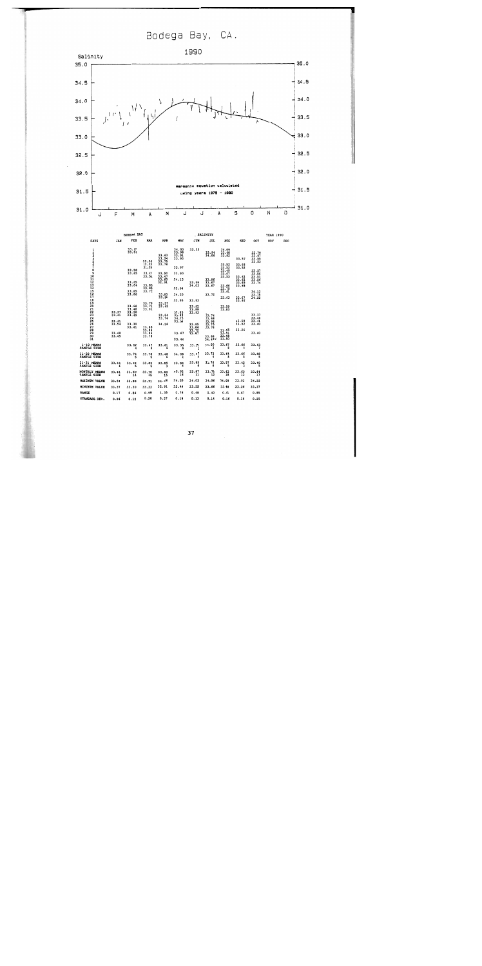Bodega Bay, CA.



|                                               |                         | BODEGA BAY              |                                  |                                  |                                  |                                  | SALINITY                          |                                  |                         |                                  | <b>YEAR 1990</b> |     |
|-----------------------------------------------|-------------------------|-------------------------|----------------------------------|----------------------------------|----------------------------------|----------------------------------|-----------------------------------|----------------------------------|-------------------------|----------------------------------|------------------|-----|
| DAYS                                          | JAN                     | FEB                     | <b>MAR</b>                       | <b>APR</b>                       | MAY                              | JUN                              | JUL                               | <b>ADG</b>                       | <b>SEP</b>              | OCT                              | NOV              | DEC |
| ı<br>2<br>3<br>367                            |                         | 33.67<br>33,58          | 33.36<br>33.33                   | 33.63<br>33.54<br>33.75<br>33.76 | 34.03<br>33.98<br>33.91<br>33.93 | 33.55                            | 33,94<br>34.06                    | 34.09<br>33.68<br>33.82<br>33.52 | 33.57<br>33.93          | 33.70<br>33.97<br>33.55<br>33.53 |                  |     |
| ġ                                             |                         | 33.58<br>33.65          | 33.39<br>33.67<br>33.58          | 33.50<br>33.47<br>33.60          | 33.97<br>33.90<br>34.13          |                                  | 33.86                             | 33.52<br>33.49<br>33.67<br>33.53 | 33.52<br>33.62<br>33.62 | 33,57<br>33.56<br>33.51<br>33,56 |                  |     |
| 10<br>112<br>13<br>14<br>15<br>15<br>15<br>17 |                         | 33.65<br>33.64<br>33.85 | 33.85<br>33.85<br>33.72          | 32.91                            | 33.94                            | 33.99<br>34.03                   | 33.67<br>33.67                    | 33.66<br>33.70<br>33.61          | 33.68<br>33.68          | 33.74<br>34.12                   |                  |     |
|                                               |                         | 33.86<br>33.68          | 33.79<br>33.71                   | 33.63<br>33.56<br>33.57<br>33.49 | 34.20<br>33.95                   | 33.93<br>33.92                   | 33.72                             | 33.63<br>33.59                   | 33.67<br>33.66          | 33.75<br>34,22                   |                  |     |
| 1890122234567                                 | 33.37<br>33.41<br>33.41 | 33.48<br>33.50<br>33.49 | 33.91                            | 33.54<br>33.74                   | 33.85<br>33.83<br>34.05<br>33.94 | 33.88<br>33.93                   | 33.74<br>33,68<br>33.98           | 33.83                            | 33.50                   | 33.37<br>33.44<br>33.41          |                  |     |
| $\overline{28}$<br>29<br>30<br>31             | 33.54<br>33,48<br>33.45 | 33.30<br>33.41          | 33.88<br>33.84<br>33.84<br>33.78 | 34.26                            | 33.67<br>33.44                   | 33.85<br>33.86<br>33.72<br>33.87 | 33.75<br>33.76<br>33.66<br>34.420 | 33.55<br>33.51<br>33,48<br>33.50 | 33.52<br>33.26          | 33.40<br>33.40                   |                  |     |
| $1-10$ MEANS<br>SAMPLE SIZE                   |                         | 33.62<br>4              | 33.47<br>5                       | 33.61<br>6                       | 33.95<br>6                       | 33.55<br>1                       | 34.00<br>$\overline{\mathbf{c}}$  | 33.67<br>8                       | 33.66                   | 33.63<br>7                       |                  |     |
| 11-20 MEANS<br>SAMPLE SIZE                    |                         | 33.74<br>5              | 33.78<br>5                       | 33.46                            | 34.06                            | 33.97<br>4                       | 33.73                             | 33.64<br>5                       | 33.66                   | 33.88<br>5                       |                  |     |
| 21-31 MEANS<br>SAMPLE SIZE                    | 33.44<br>6              | 33.44<br>5              | 33.85<br>5                       | 33.85<br>з                       | 33.80<br>6                       | 33.85<br>6                       | 33.76                             | 33.57<br>5                       | 33.43<br>3              | 33.40<br>5                       |                  |     |
| <b>MONTHLY MEANS</b><br>SAMPLE SIZE           | 33.44<br>6              | 33.60<br>14             | 33,70<br>15                      | 33.60<br>15                      | 33.92<br>16                      | 33.87<br>11                      | 33.79<br>12                       | 33.63<br>18                      | 33.60<br>12             | 33.64<br>17                      |                  |     |
| <b>NAXIMUM VALUE</b><br>MININUM VALUE         | 33.54<br>33.37          | 33.86<br>33.30          | 33.91<br>33.33                   | 34.26<br>32.91                   | 34.20<br>33.44                   | 34.03<br>33.55                   | 34.06<br>33.66                    | 34.09<br>33.48                   | 33.93<br>33.26          | 34.22<br>33,37                   |                  |     |
| <b>RANGE</b><br>STANDARD DEV.                 | 0.17<br>0.06            | 0.56<br>0.15            | 0.58<br>0.20                     | 1.35<br>0.27                     | 0.76<br>0.18                     | 0.48<br>0.13                     | 0.40<br>0.14                      | 0.61<br>0.16                     | 0.67<br>0.16            | 0.85<br>0.25                     |                  |     |
|                                               |                         |                         |                                  |                                  |                                  |                                  |                                   |                                  |                         |                                  |                  |     |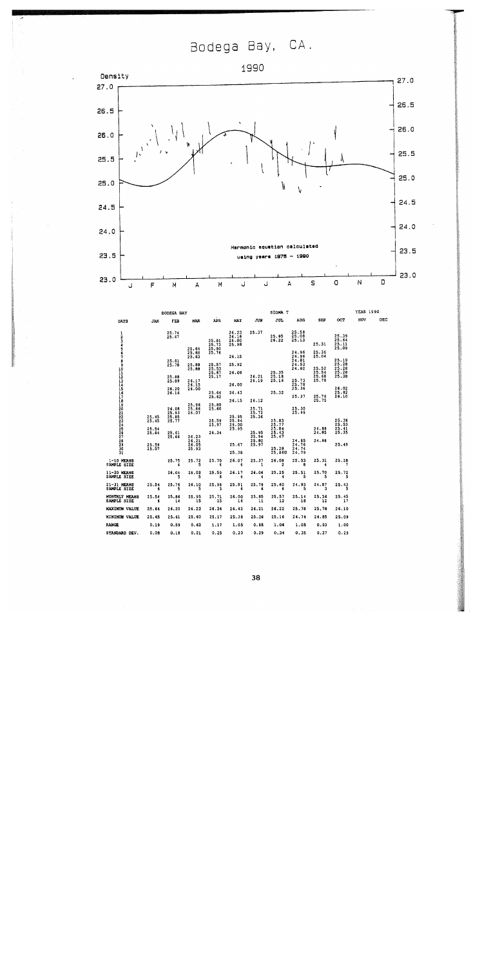Bodega Bay, CA.



|                                       |                         | BODEGA BAY              |                                  |                                  |                                  |                         | SIGNA T                          |                                  |                         |                                  | YEAR 1990 |     |
|---------------------------------------|-------------------------|-------------------------|----------------------------------|----------------------------------|----------------------------------|-------------------------|----------------------------------|----------------------------------|-------------------------|----------------------------------|-----------|-----|
| DAYS                                  | <b>JAN</b>              | FEB                     | <b>MAR</b>                       | APR                              | MAY                              | JUN                     | JUL                              | AUG                              | <b>SEP</b>              | OCT                              | NOV       | DEC |
| 1<br>$\frac{2}{3}$<br>$-1.5$          |                         | 25.74<br>25.67          | 25.64<br>25.60                   | 25.81<br>25.73<br>25.80<br>25.76 | 26.23<br>26.15<br>26.00<br>25.98 | 25.37                   | 25.95<br>26.22                   | 25.59<br>25.08<br>25.13<br>24.96 | 25.31<br>25.36          | 25.39<br>25.64<br>25.11<br>25.09 |           |     |
|                                       |                         | 25.81                   | 25.63                            |                                  | 26.15                            |                         |                                  | 24.96<br>24.81                   | 25,04                   | 25.19                            |           |     |
|                                       |                         | 25.78                   | 25.88<br>25.88                   | 25.57<br>25.53                   | 25.92                            |                         |                                  | 24.93<br>24.82                   | 25.52                   | 25.28<br>25.28                   |           |     |
| a<br>10<br>11<br>12<br>13<br>15<br>16 |                         | 25.88<br>25.89          | 26.17<br>26.15                   | 25,67<br>25.17                   | 26.08<br>26.00                   | 26.21<br>26,19          | 25,35<br>25.18<br>25.16          | 25.73<br>25.78                   | 25.54<br>25.68<br>25.78 | 25.28<br>25.38                   |           |     |
| īī                                    |                         | 26.20<br>26.16          | 26.00                            | 25.66<br>25.62                   | 26.43<br>26.15                   | 26.12                   | 25,32                            | 25,36<br>25.37                   | 25.76<br>25.75          | 26.02<br>25.82<br>26.10          |           |     |
|                                       | 25.45                   | 26.08<br>25.93<br>25.85 | 25.96<br>25.86<br>26.07          | 25.80<br>25.60                   | 25.95                            | 25.71<br>25.72<br>25.36 |                                  | 25,30<br>25.49                   |                         |                                  |           |     |
| 18<br>1922<br>2223<br>2223<br>2222    | 25.45<br>25.54<br>25.64 | 25.77<br>25,61          |                                  | 25.59<br>25.97<br>26.34          | 25.94<br>26.00<br>25.95          | 25.95                   | 25.83<br>25.77<br>25.84<br>25.43 |                                  | 24,86<br>24.85          | 25.38<br>25.53<br>25.41<br>25.35 |           |     |
| 28<br>$\frac{25}{30}$<br>31           | 25.59<br>25.57          | 25.66                   | 26.23<br>26.21<br>26.05<br>25.93 |                                  | 25.67<br>25.38                   | 25.94<br>25.80<br>25.97 | 25.47<br>25.28<br>25,860         | 24.85<br>24.76<br>24.74<br>24.79 | 24.88                   | 25.49                            |           |     |
| 1-10 HEANS<br><b>SAMPLE SIZE</b>      |                         | 25.75<br>4              | 25.72<br>5                       | 25.70<br>6                       | 26.07<br>6                       | 25.37<br>1              | 26.08<br>$\mathbf{2}$            | 25.03<br>8                       | 25.31<br>4              | 25.28                            |           |     |
| 11-20 MEANS<br><b>SAMPLE SIZE</b>     |                         | 26,04<br>5              | 26,03<br>s                       | 25.59<br>6                       | 26.17<br>4                       | 26.06<br>4              | 25.25                            | 25.51<br>5                       | 25.70<br>5              | 25.72<br>5                       |           |     |
| 21-31 MEANS<br><b>SAMPLE SIZE</b>     | 25.54<br>6              | 25.76<br>s              | 26.10<br>5                       | 25.96<br>1                       | 25.81<br>6                       | 25.79<br>6              | 25.60<br>6                       | 24.93<br>5                       | 24.87<br>з              | 25.43<br>5                       |           |     |
| MONTHLY MEANS<br><b>SAMPLE SIZE</b>   | 25.54<br>6              | 25.86<br>14             | 25,95<br>15                      | 25,71<br>15                      | 26.00<br>16                      | 25.85<br>11             | 25,57<br>12                      | 25.14<br>18                      | 25.36<br>12             | 25.45<br>17                      |           |     |
| MAXIMUM VALUE                         | 25.64                   | 26.20                   | 26.23                            | 26.34                            | 26.43                            | 26.21                   | 26.22                            | 25.78                            | 25,78                   | 26.10                            |           |     |
| MINIMUN VALUE                         | 25.45                   | 25.61                   | 25.60                            | 25.17                            | 25,38                            | 25.36                   | 25.16                            | 24.74                            | 24.85                   | 25.09                            |           |     |
| range                                 | 0.19                    | 0.59                    | 0.63                             | 1.17                             | 1.05                             | 0.85                    | 1.06                             | 1.05                             | 0.93                    | 1.00                             |           |     |
| <b>STANDARD DEV.</b>                  | 0.08                    | 0.18                    | 0.21                             | 0.25                             | 0.23                             | 0.29                    | 0.34                             | 0.35                             | 0.37                    | 0.29                             |           |     |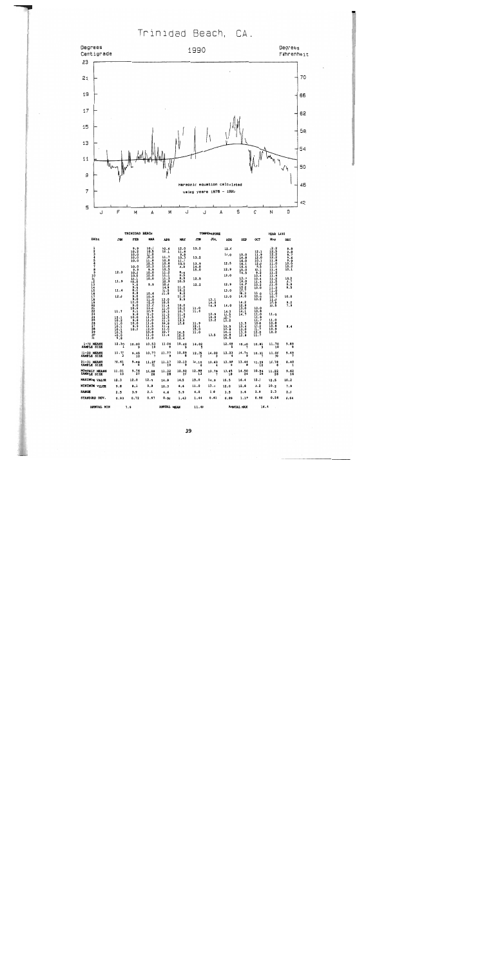Trinidad Beach, CA.



 $\overline{a}$ 

|                                     |                       | IRINIUAU                    | <b>BEACH</b>                 |                             |                             |                          | <b>TEMPERATURE</b>      |                                         |                      |                             | <b>YEAR</b><br>7990          |                                                           |
|-------------------------------------|-----------------------|-----------------------------|------------------------------|-----------------------------|-----------------------------|--------------------------|-------------------------|-----------------------------------------|----------------------|-----------------------------|------------------------------|-----------------------------------------------------------|
| DAYS                                | <b>JAN</b>            | FEB                         | <b>HAR</b>                   | <b>APR</b>                  | <b>MAY</b>                  | <b>JUN</b>               | JUL                     | <b>ADG</b>                              | SEP                  | OCT                         | NOV                          | DEC                                                       |
| 1<br>3                              |                       | 9.9<br>10.2<br>10.0<br>10.0 | 10.1<br>10.5<br>12.0<br>10.2 | 10.4<br>12.1<br>11.7        | 12.0<br>11.8<br>9.8<br>10.3 | 13.2<br>13.2             |                         | 12.0<br>13.0                            | 15.0<br>14.8         | 12.1<br>11.9<br>12.0        | 12.2<br>12.5<br>12.2<br>12.2 | 9.8<br>$\frac{9.8}{9.7}$                                  |
| 5<br>6<br>Ť                         |                       | 10.0<br>10.0                | 11.8<br>10.5<br>10.3         | 10.8<br>10.6<br>11.0        | 11.7<br>10.0<br>9.9         | 13.9<br>14.8             |                         | 12.5                                    | 16.0<br>16.1<br>16.4 | 10.1<br>12.0<br>9.5         | 11.8<br>11.0<br>11.1         | $\begin{array}{c} 0.6 \\ 0.9 \\ 10.0 \\ 10.2 \end{array}$ |
| 8<br>9                              | 12.3                  | 9.9<br>10.0<br>10.0         | 9.9<br>10.0<br>10.0          | 10.5<br>11.2<br>11.1        | 0.6<br>9.5                  | 15.0                     |                         | 12.9<br>13.0                            | 15.0<br>14.5         | 10.1<br>9.2<br>10.4         | 11.4<br>11.2<br>11.4         | 10.1                                                      |
| 10<br>11<br>12<br>13<br>14          | 11.9                  | 10.1<br>10.0<br>9.0         | 10.0<br>9.9                  | 11.3<br>10.9<br>10.6        | 8.9<br>10.5                 | 12.5<br>12.2             |                         | 12.9                                    | 13.7<br>16.0<br>14.8 | 10.4<br>11.4<br>10.2        | 11.2<br>11.5<br>11.0         | 10.2<br>9.7                                               |
| 15<br>$\overline{16}$               | 11.4                  | 9.5<br>0.1<br>0.8           | 10.6                         | 14.9<br>11.5<br>11.8        | 11.0<br>10.2<br>9.2         |                          |                         | 13.0                                    | 15.2<br>15.7<br>16.3 | 10.0<br>10.0                | 11.2<br>11.0<br>11.0         | 9.9<br>9.5                                                |
| 17<br>$\frac{18}{19}$               | 12.0                  | 9.0<br>9.0<br>12.0          | 10.9<br>$\frac{11.6}{12.0}$  | 13.0<br>10.5                | 11.0<br>9.9                 |                          | 13.1<br>14.0            | 13.0                                    | 14.0<br>14.2         | 10.0<br>10.2                | 10.7<br>11.0                 | 10.0                                                      |
|                                     | 11.7                  | 9.0<br>10.6<br>9.1          | 11.0<br>11.3<br>10.9         | 11.4<br>11.0<br>10.3        | 10.0<br>$\frac{10.2}{10.7}$ | 11.0<br>11.6             | 14.9                    | 14.0<br>14.3                            | 12.8<br>13.0<br>14.1 | 10.0<br>10.8                | 10.9<br>10.5                 | 9.2<br>7.9                                                |
| 20<br>21<br>22<br>23<br>24<br>3     | 12.1<br>10.2          | 9.6<br>10.0<br>9.6          | $\frac{11.3}{11.5}$<br>11.0  | 11.3<br>$\frac{12.5}{11.3}$ | 11.0<br>11.9<br>13.5        |                          | 13.8<br>14.0<br>13.2    | 13.5<br>$\frac{12}{13}$ : $\frac{7}{2}$ | 14.7                 | 11.0<br>11.8<br>11.9        | 11.0<br>11.0                 |                                                           |
| $\frac{26}{27}$                     | 11.0<br>10.1<br>10.1  | 10.0<br>9.9<br>10.2         | 11.5<br>11.5<br>12.0         | 10.8<br>11.4<br>11.0        | 12.8                        | 11.9<br>12.1<br>15.0     |                         | $\frac{13.5}{13.8}$                     | 13.5<br>13.4<br>13.0 | 10.8<br>$\frac{11.2}{11.7}$ | 10.8<br>10.8<br>10.9         | 8.4                                                       |
| $\frac{29}{30}$<br>31               | 10.5<br>10.0<br>9.8   |                             | 10.8<br>11.0<br>11.0         | 10.7<br>11.4                | 14.5<br>$\frac{12.2}{12.4}$ | 11.0                     | 13.5                    | 14.5<br>$\frac{14.8}{15.5}$             | 13.0<br>12.8         | $\frac{12.9}{11.7}$         | 10.2                         |                                                           |
| 1-10 HEANS<br>SAMPLE SIZE           | 12.30                 | 10.00<br>۰                  | $10.53$<br>$10$              | 11.04                       | 10.40                       | 14.02                    |                         | 12.68                                   | 15.49                | 10.81                       | 11.70<br>10                  | 9.89                                                      |
| 11-20 HEANS<br>SAMPLE SIZE          | 11.77<br>$\mathbf{a}$ | 9.45                        | 10,77<br>$\overline{ }$      | 11.77<br>9                  | 10.09                       | 12.35                    | 14.00                   | 13.23                                   | 14.74                | 10.31                       | 11.00<br>10                  | 9.49                                                      |
| 21-31 HEANS<br>SAMPLE SIZE          | 10.61                 | 9.88<br>8                   | $11.25$<br>$11$              | 11.17                       | 12.13                       | 12.10                    | 13.63                   | 13.98                                   | 13.44                | $11.29$<br>$10$             | 10.78                        | 8.40                                                      |
| <b>HONTHLY HEANS</b><br>SAMPLE SIZE | 11.01<br>13           | 9.76<br>$\overline{27}$     | 10.88<br>28                  | 11.32<br>28                 | 10.90<br>26                 | 12.88<br>$\overline{13}$ | 13,79<br>$\overline{ }$ | 13.45<br>18                             | 14.50<br>24          | 10.86<br>26                 | $11.22$<br>$26$              | $9.62$<br>16                                              |
| <b>MAXIMUM VALUE</b>                | 12.3                  | 12.0                        | 12.0                         | 14.9                        | 14.5                        | 15.0                     | 14.9                    | 15.5                                    | 16.4                 | 12.1                        | 12.5                         | 10.2                                                      |
| <b>MINIMUM VALUE</b>                | 9.8                   | 8.1                         | 9.9                          | 10.3                        | 8.6                         | 11.0                     | 13.1                    | 12.0                                    | 12.8                 | 9.2                         | 10.2                         | 7.9                                                       |
| <b>RANGE</b>                        | 2.5                   | 3.9                         | 2.1                          | 4.6                         | 5.9                         | 4.0                      | 1.8                     | 3.5                                     | 3.6                  | 2.9                         | 2.3                          | 2.3                                                       |
| STANDARD DEV.                       | 0.93                  | 0.72                        | 0.67                         | 0.94                        | 1.43                        | 1.44                     | 0.61                    | 0.89                                    | 1.19                 | 0.90                        | 0.56                         | 0.64                                                      |
| <b>SMOTSF MEM</b>                   |                       | $\sim$ $\sim$               |                              | <b>AMMER F. MESSI</b>       |                             |                          |                         |                                         | <b>AMMINE MAY</b>    | $\sim$                      |                              |                                                           |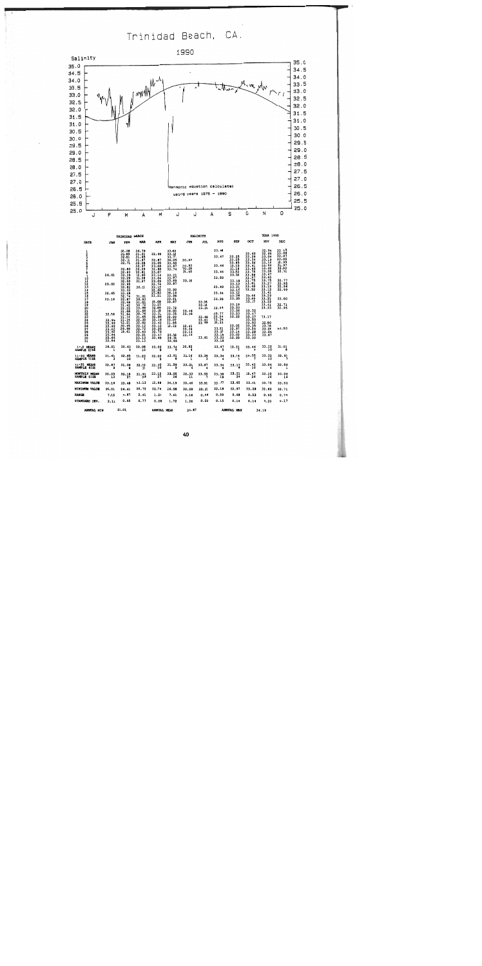Trinidad Beach, CA.



|                                     |                                                                                                                   | TRINIDAD BEACH                                                                                                                                                                                                                                |                                                                                                                                                                                                                                                          |                                                                                                                                                                                                                                                                      |                                                                                                                                                                                                                                        |                                                                                                          | <b>SALINITY</b>                                    |                                                                                                                                                                                                               |                                                                                                                                                                                                                                    |                                                                                                                                                                                                                                        | <b>YEAR 1990</b>                                                                                                                                                                                                                       |                                                                                                                                                               |
|-------------------------------------|-------------------------------------------------------------------------------------------------------------------|-----------------------------------------------------------------------------------------------------------------------------------------------------------------------------------------------------------------------------------------------|----------------------------------------------------------------------------------------------------------------------------------------------------------------------------------------------------------------------------------------------------------|----------------------------------------------------------------------------------------------------------------------------------------------------------------------------------------------------------------------------------------------------------------------|----------------------------------------------------------------------------------------------------------------------------------------------------------------------------------------------------------------------------------------|----------------------------------------------------------------------------------------------------------|----------------------------------------------------|---------------------------------------------------------------------------------------------------------------------------------------------------------------------------------------------------------------|------------------------------------------------------------------------------------------------------------------------------------------------------------------------------------------------------------------------------------|----------------------------------------------------------------------------------------------------------------------------------------------------------------------------------------------------------------------------------------|----------------------------------------------------------------------------------------------------------------------------------------------------------------------------------------------------------------------------------------|---------------------------------------------------------------------------------------------------------------------------------------------------------------|
| DAYS                                | <b>JAN</b>                                                                                                        | <b>FEB</b>                                                                                                                                                                                                                                    | <b>HAR</b>                                                                                                                                                                                                                                               | <b>APR</b>                                                                                                                                                                                                                                                           | MAY                                                                                                                                                                                                                                    | <b>JUN</b>                                                                                               | JUL                                                | <b>AUG</b>                                                                                                                                                                                                    | <b>SEP</b>                                                                                                                                                                                                                         | OCT                                                                                                                                                                                                                                    | NOV                                                                                                                                                                                                                                    | DEC                                                                                                                                                           |
| $\frac{1}{2}$<br>$\frac{30}{31}$    | 26.01<br>29.02<br>32.65<br>33.16<br>32.56<br>32.99<br>32.99<br>32.82<br>33.09<br>33.02<br>32.84<br>32.66<br>32.84 | 32.38<br>32.85<br>$\frac{32.91}{32.71}$<br>32.80<br>32.63<br>32.39<br>32.25<br>32.50<br>32.60<br>32.82<br>33.33<br>33.48<br>32.74<br>32.87<br>32.48<br>31.42<br>32.22<br>31.88<br>31.84<br>31.34<br>31.34<br>32.21<br>30.44<br>29.98<br>29.61 | 30.79<br>31.21<br>31.65<br>31.67<br>32.28<br>32.97<br>32.29<br>32.81<br>32.90<br>32.28<br>31.67<br>32.11<br>31.01<br>30.93<br>31.01<br>30.72<br>30.98<br>31.68<br>30.76<br>31.65<br>32.35<br>32.02<br>32.12<br>32,72<br>32.40<br>32.21<br>33.13<br>33.13 | 32.99<br>32.87<br>33.05<br>33.08<br>32.88<br>33.07<br>33.14<br>33.04<br>33.09<br>32.74<br>33.19<br>32.92<br>32.83<br>33.21<br>33.08<br>33.27<br>32.85<br>33.55<br>33.51<br>32.85<br>33.16<br>33.42<br>33.12<br>$\frac{33}{32}$ $\frac{20}{76}$<br>$33.47$<br>$33.98$ | 33.60<br>33.52<br>33.77<br>34.05<br>33.50<br>33.67<br>33.74<br>33.91<br>33.87<br>33.89<br>33.87<br>33.90<br>34.19<br>33.96<br>33.91<br>33.87<br>33.72<br>34.00<br>33.35<br>32.99<br>33.07<br>31.85<br>32.22<br>26.58<br>29.30<br>30.99 | 30.63<br>30.93<br>30.28<br>31.45<br>33.16<br>33.35<br>33.46<br>33.39<br>32.41<br>33.34<br>33.13<br>33.45 | 33.44<br>33.39<br>33.48<br>33.81<br>33.48<br>33.91 | 33,48<br>33.47<br>33.46<br>33.44<br>33.50<br>33.40<br>33.44<br>33.28<br>33.24<br>33.77<br>33.54<br>33.34<br>33.33<br>33,21<br>33.27<br>$\frac{33}{33}$ , $\frac{18}{22}$<br>$\frac{33}{33}$ , $\frac{22}{18}$ | $\frac{33.25}{33.25}$<br>33.65<br>33.15<br>33.16<br>33.52<br>33.20<br>33.18<br>33.12<br>33.21<br>33.16<br>$\frac{33.12}{33.28}$<br>33.20<br>33.19<br>33.23<br>33.26<br>33.23<br>33.22<br>33.02<br>32.97<br>33.14<br>33.03<br>33.20 | 33.40<br>33.29<br>33.34<br>33,36<br>33.41<br>33.49<br>33.75<br>33.56<br>33.57<br>33.75<br>33.81<br>33.48<br>33.52<br>33.46<br>33.49<br>33.37<br>33.52<br>33.47<br>33.37<br>33.55<br>33.50<br>33.35<br>33.54<br>33.28<br>33.33<br>33.30 | 32.96<br>32.99<br>33.04<br>33.19<br>33.12<br>33.44<br>33.32<br>33.28<br>33.47<br>33.40<br>33.75<br>33.27<br>33.19<br>33.12<br>33.41<br>33.29<br>33.21<br>33.22<br>33.41<br>33.33<br>33.17<br>32.80<br>33.08<br>33.06<br>33.06<br>33.07 | 33.15<br>33.06<br>33.07<br>33.05<br>32.99<br>32.97<br>32.92<br>32.91<br>$\frac{32.77}{32.95}$<br>32.99<br>33.00<br>$\frac{32}{32}$ , $\frac{71}{95}$<br>33.50 |
| 1-10 MEANS<br>SAMPLE SIZE           | 26.01<br>$\mathbf{1}$                                                                                             | 32.63<br>۰                                                                                                                                                                                                                                    | 32.08                                                                                                                                                                                                                                                    | 33.02                                                                                                                                                                                                                                                                | 33.74<br>۰                                                                                                                                                                                                                             | 30.82                                                                                                    |                                                    | 33.47                                                                                                                                                                                                         | 33.31                                                                                                                                                                                                                              | 33.46<br>٠                                                                                                                                                                                                                             | 33.22                                                                                                                                                                                                                                  | 33.01<br>8                                                                                                                                                    |
| 11-20 MEANS<br>SAMPLE SIZE          | 31.61                                                                                                             | 32.65<br>10                                                                                                                                                                                                                                   | 31.20                                                                                                                                                                                                                                                    |                                                                                                                                                                                                                                                                      | $33.02$ $33.91$                                                                                                                                                                                                                        | 33.16                                                                                                    |                                                    |                                                                                                                                                                                                               | $33.39$ $33.34$ $33.19$                                                                                                                                                                                                            | 33.55                                                                                                                                                                                                                                  | 33.32                                                                                                                                                                                                                                  | 32, 90                                                                                                                                                        |
| 21-31 HEANS<br>SAMPLE SIZE          | 32.87                                                                                                             | 31.08                                                                                                                                                                                                                                         | 32.20                                                                                                                                                                                                                                                    | 33.30                                                                                                                                                                                                                                                                | 31.59                                                                                                                                                                                                                                  | 33.20                                                                                                    | 33.67                                              |                                                                                                                                                                                                               | $33.34$ $33.13$                                                                                                                                                                                                                    | $33.42$<br>10                                                                                                                                                                                                                          | 33.04                                                                                                                                                                                                                                  | 33.50<br>1                                                                                                                                                    |
| <b>MONTHLY MEANS</b><br>SAMPLE SIZE | 32.05                                                                                                             | 32.18                                                                                                                                                                                                                                         | 31.91<br>20                                                                                                                                                                                                                                              | 33.12                                                                                                                                                                                                                                                                | 33.05<br>26                                                                                                                                                                                                                            | 32.33                                                                                                    | 33.55                                              | $33,38$<br>$18$                                                                                                                                                                                               | 33.21                                                                                                                                                                                                                              | $33.47$<br>$26$                                                                                                                                                                                                                        | 33.22<br>26                                                                                                                                                                                                                            | 33.00<br>16                                                                                                                                                   |
| <b>HAXIMUM VALUE</b>                | 33.16                                                                                                             | 33.48                                                                                                                                                                                                                                         | 33.13                                                                                                                                                                                                                                                    | 33.98                                                                                                                                                                                                                                                                | 34.19                                                                                                                                                                                                                                  | 33.46                                                                                                    | 33.91                                              | 33.77                                                                                                                                                                                                         | 33.65                                                                                                                                                                                                                              | 33.81                                                                                                                                                                                                                                  | 33.75                                                                                                                                                                                                                                  | 33.50                                                                                                                                                         |
| <b>MINIMUM VALUE</b>                | 26.01                                                                                                             | 29.61                                                                                                                                                                                                                                         | 30.72                                                                                                                                                                                                                                                    | 32.74                                                                                                                                                                                                                                                                | 26.58                                                                                                                                                                                                                                  | 30.28                                                                                                    | 33.35                                              | 33.18                                                                                                                                                                                                         | 32.97                                                                                                                                                                                                                              | 33.28                                                                                                                                                                                                                                  | 32.80                                                                                                                                                                                                                                  | 32.71                                                                                                                                                         |
| <b>RANGE</b>                        | 7.15                                                                                                              | 3.87                                                                                                                                                                                                                                          | 2.41                                                                                                                                                                                                                                                     | 1.24                                                                                                                                                                                                                                                                 | 7.61                                                                                                                                                                                                                                   | 3.18                                                                                                     | 0.56                                               | 0.59                                                                                                                                                                                                          | 0.68                                                                                                                                                                                                                               | 0.53                                                                                                                                                                                                                                   | 0.95                                                                                                                                                                                                                                   | 0.79                                                                                                                                                          |
| STANDARD DEV.                       | 2.11                                                                                                              | 0.95                                                                                                                                                                                                                                          | 0.77                                                                                                                                                                                                                                                     | 0.28                                                                                                                                                                                                                                                                 | 1.72                                                                                                                                                                                                                                   | 1.26                                                                                                     | 0.22                                               | 0.15                                                                                                                                                                                                          | 0.14                                                                                                                                                                                                                               | 0.14                                                                                                                                                                                                                                   | 0.20                                                                                                                                                                                                                                   | 0.17                                                                                                                                                          |
| <b>ANNOAL MIN</b>                   |                                                                                                                   | 26.01                                                                                                                                                                                                                                         | ANNUAL MEAN 32.87                                                                                                                                                                                                                                        |                                                                                                                                                                                                                                                                      |                                                                                                                                                                                                                                        |                                                                                                          |                                                    |                                                                                                                                                                                                               | ANNUAL MAX                                                                                                                                                                                                                         |                                                                                                                                                                                                                                        | 34.19                                                                                                                                                                                                                                  |                                                                                                                                                               |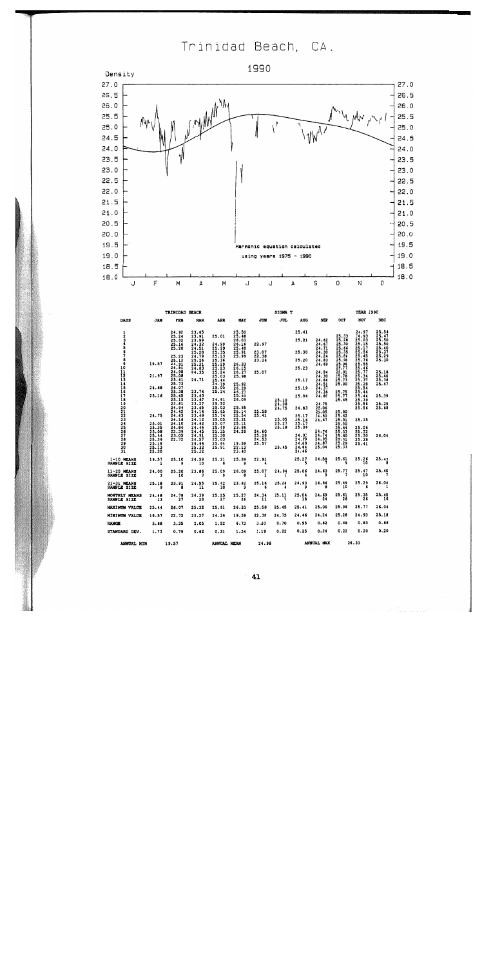Trinidad Beach, CA.



|                             |                                | TRINIDAD BEACH                    |                       |                   |                       |                   | SIGMA T               |                 |                                                             |                | <b>YEAR 1990</b> |                                  |
|-----------------------------|--------------------------------|-----------------------------------|-----------------------|-------------------|-----------------------|-------------------|-----------------------|-----------------|-------------------------------------------------------------|----------------|------------------|----------------------------------|
| DAYS                        | <b>JAN</b>                     | <b>TEB</b>                        | <b>MAR</b>            | <b>APR</b>        | <b>MAY</b>            | JUM               | JUL                   | <b>AUG</b>      | SEP                                                         | oc <b>T</b>    | NOV              | <b>DEC</b>                       |
| 1                           |                                | 24.92                             | 23.65                 |                   | 25.50                 |                   |                       | 25.41           |                                                             |                | 24.97            | 25.54<br>25.47<br>25.50          |
| 2<br>3                      |                                | 25.24<br>25.32                    | 23.91                 | 25.01             | 25.48                 |                   |                       | 25.21           |                                                             | 25.33<br>25.28 | 24.93<br>25.03   |                                  |
|                             |                                | 25.16                             | 23.99<br>24.32        | 24.99             | 26.03<br>26.16        | 22.97             |                       |                 | 24.62<br>24.67                                              | 25.30          | 25.15            | 25.50                            |
|                             |                                | 25.20                             | 24.51                 | 25.29             | 25.48                 |                   |                       |                 | 24.71                                                       | 25.66          | 25.17            | 25.40<br>25.37<br>25.29<br>25.30 |
|                             |                                |                                   | 25.28                 | 25.35             | $\frac{25.91}{25.99}$ | 23.07             |                       | 25.30           | 24.30                                                       | 25.35          | 25.56            |                                  |
|                             |                                | 25.23                             | 24.79<br>25.26        | 25.13<br>25.36    |                       | 22.38<br>23.24    |                       | 25.20           | 24.24<br>24.83                                              | 25.86<br>25.96 | 25.45<br>25.36   |                                  |
|                             | 19.57                          | 25.12<br>24.91                    | 25.31                 | 25.29             | 26.33                 |                   |                       |                 | 24.69                                                       | 25.96          | 25.55            |                                  |
|                             |                                | 24.81                             | 24.83                 | 25.23             | 26.15                 |                   |                       | 25.23           |                                                             | 25.77          | 25.46            |                                  |
|                             |                                | 24.98                             | 24.35                 | 25.24             | 26.27                 | 25.07             |                       |                 | 24.84                                                       | 25.91          | 25.77            | 25.18<br>25.40                   |
|                             | 21.97                          | 25.08<br>25.41                    | 24.71                 | 25.03<br>25.44    | 25.98                 |                   |                       | 25.17           | 24.30<br>24.64                                              | 25.78<br>25.73 | 25.34<br>25.37   |                                  |
|                             |                                | 25.73                             |                       | 24.39             | 25.92                 |                   |                       |                 | 24.51                                                       | 25.80          | 25.26            | 25.38<br>25.47                   |
| 890111234567890212234567830 | 24.88                          | 26.07                             |                       | 25.00             | 26.29                 |                   |                       | 25.19           | 24.37                                                       |                | 25.54            |                                  |
|                             |                                | 25.38                             | 23.74                 | 25.24             | 26.27                 |                   |                       |                 | 24.36                                                       | 25.75          | 25.44            |                                  |
|                             | 25.16                          | 25.45<br>25.15                    | 23.63                 |                   | 25.93<br>26.09        |                   | 25.10                 | 25.06           | 24.80                                                       | 25.77<br>25.65 | 25.44<br>25.39   | 25.39                            |
|                             |                                | 23.81                             | $\frac{23.67}{23.27}$ | 24.91<br>25.52    |                       | <b>Contractor</b> | 24.98                 |                 | 24.75                                                       |                | 25.56            | 25.29                            |
|                             |                                | 24.94                             | 23.65                 | 25.03             | 25.95                 |                   | 24.75                 | 24.83           | 25.06                                                       |                | 25.56            | 25.68                            |
|                             |                                | 24.42                             | 24.14                 | 25.65             | 26.14                 | 25.58             |                       |                 | 25.05                                                       | 25.80          |                  |                                  |
|                             | 24.75                          | 24.63                             | 23.49                 | 25.74<br>25.05    | 25.54<br>25.21        | 25.41             | 25.05                 | 25.17<br>25.16  | 24.80<br>24.67                                              | 25.62<br>25.51 | 25,35            |                                  |
|                             |                                | 24.16<br>24.10                    | 24.12<br>24.62        | 25.07             | 25.11                 |                   |                       | 25.17           |                                                             | 25.50          |                  |                                  |
|                             | 25.01<br>25.35                 | 24.84                             | 24.46                 | 25.49             | 23.86                 |                   | $\frac{25.27}{25.18}$ | 25.06           |                                                             | 25.44          | 25.06            |                                  |
|                             | 25.08                          | 23.39                             | 24.45                 | 25.35             | 24.28                 | 24.60             |                       |                 | $24.76$<br>24.74                                            | 25.53          | 25.32            |                                  |
|                             | $\frac{25.44}{25.39}$          | 23.05<br>22.72                    | 24.91<br>24.57        | 25.30<br>25.03    |                       | 25.28<br>24.53    |                       | 24.91<br>24.89  | 24.95                                                       | 25.60<br>25.31 | 25.30<br>25.28   | 26.04                            |
|                             |                                |                                   | 24.64                 | 25.64             | 19.59                 | 25.57             |                       | 24.68           | 24.87                                                       |                | 25.41            |                                  |
|                             | $\frac{25.18}{25.13}$<br>25.13 |                                   | 25.32<br>25.32        | 25.91             | 22.13                 |                   | 25.45                 | 24.64           | 25.04                                                       | 25.29<br>25.33 |                  |                                  |
| 31                          |                                |                                   |                       |                   | 23.40                 |                   |                       | 24.46           |                                                             |                |                  |                                  |
| 1-10 MEANS<br>SAMPLE SIZE   |                                | $19.57$ $25.10$ $24.59$<br>10     |                       | 25.21             |                       |                   |                       |                 | $25.89$ $22.91$ $25.27$ $24.58$ $25.61$ $25.26$<br>$9$ $10$ |                |                  | 25.42                            |
|                             |                                |                                   |                       |                   |                       |                   |                       |                 |                                                             |                |                  |                                  |
| 11-20 MEANS<br>SAMPLE SIZE  |                                | $24.00$ $25.20$ $23.86$<br>3 10 7 |                       | 25.09             | 26.099                | $25.07$ $24.94$   |                       |                 | 25.06 24.63 25.77 25.47<br>4 9 25.77 10                     |                |                  | 25.49                            |
|                             |                                |                                   |                       |                   |                       |                   |                       |                 |                                                             |                |                  |                                  |
| 21-31 MEANS                 | 25.18                          | 23.91                             | 24.55<br>11           | 25.42             | 23.92                 | 25.16             | 25.24                 |                 | $24.90$ $24.86$ $25.49$<br>9 8 10                           |                | 25.29            | 26.04                            |
| SAMPLE SIZE                 |                                |                                   |                       |                   |                       |                   |                       |                 |                                                             |                |                  |                                  |
| MONTHLY MEANS               |                                |                                   |                       |                   |                       |                   |                       |                 | $24.69$<br>24                                               | 25.61          | 25.35            | $25.45$<br>$16$                  |
| SAMPLE SIZE                 | $24.48$<br>13                  | 24.79                             | $24.39$<br>$28$       | 25.25             | $25.27$<br>$26$       | $24.34$<br>$11$   | 25.11                 | $25.04$ .<br>18 |                                                             | 26             | 26               |                                  |
| MAXIMUM VALUE               | 25.44                          | 26.07                             | 25.32                 | 25.91             | 26.33                 | 25.58             | 25.45                 | 25.41           | 25.06                                                       | 25.96          | 25.77            | 26.04                            |
| MINIMUM VALUE               | 19.57                          | 22.72                             | 23.27                 | 24.39             | 19.59                 | 22.38             | 24.75                 | 24.46           | 24.24                                                       | 25.28          | 24.93            | 25.18                            |
| <b>RANGE</b>                | 5.88                           | 3.35                              | 2.05                  | 1.52              | 6.73                  | 3.20              | 0.70                  | 0.95            | 0.82                                                        | 0.68           | 0.83             | 0.86                             |
|                             |                                |                                   |                       |                   |                       |                   |                       | 0.25            | 0.24                                                        | 0.22           | 0.20             | 0.20                             |
| STANDARD DEV.               | 1.73                           | 0.79                              | 0.62                  | 0.31              | 1.54                  | 1.19              | 0.22                  |                 |                                                             |                |                  |                                  |
| ANNUAL MIN                  |                                | 19.57                             |                       | ANNUAL MEAN 24.98 |                       |                   |                       |                 | ANNUAL HAX                                                  |                | 26.33            |                                  |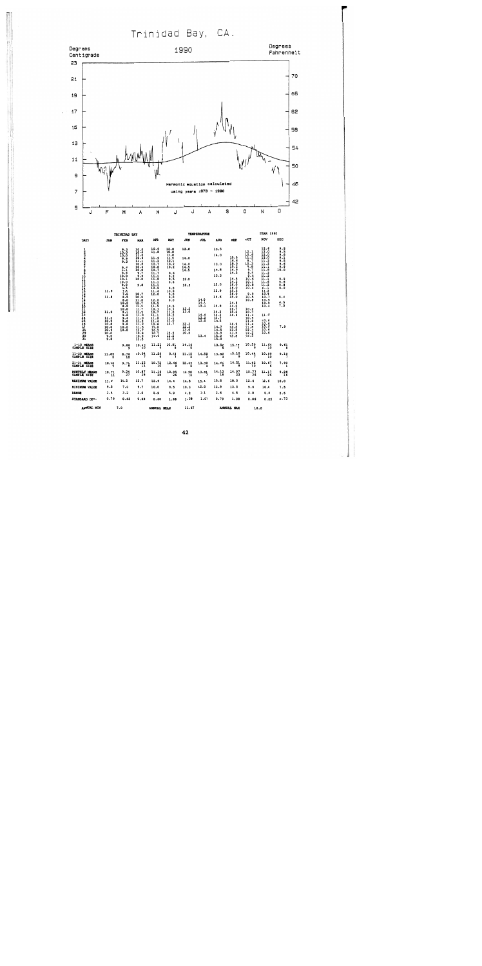Trinidad Bay, CA.



 $\ddot{\phantom{0}}$ 

|                                                         |                                                                                    | TRINIDAD BAY                                                                                                                                                                                                                  |                                                                                                                                                                                                                                                                                                            |                                                                                                                                                                                                                              |                                                                                                                                                                                                                         |                                                                                                             | <b>TEMPERATURE</b>                                                      | YEAR 1990                                                                                                                                          |                                                                                                                                                                                                    |                                                                                                                                                                                                                                |                                                                                                                                                                                                                                          |                                                                                                  |
|---------------------------------------------------------|------------------------------------------------------------------------------------|-------------------------------------------------------------------------------------------------------------------------------------------------------------------------------------------------------------------------------|------------------------------------------------------------------------------------------------------------------------------------------------------------------------------------------------------------------------------------------------------------------------------------------------------------|------------------------------------------------------------------------------------------------------------------------------------------------------------------------------------------------------------------------------|-------------------------------------------------------------------------------------------------------------------------------------------------------------------------------------------------------------------------|-------------------------------------------------------------------------------------------------------------|-------------------------------------------------------------------------|----------------------------------------------------------------------------------------------------------------------------------------------------|----------------------------------------------------------------------------------------------------------------------------------------------------------------------------------------------------|--------------------------------------------------------------------------------------------------------------------------------------------------------------------------------------------------------------------------------|------------------------------------------------------------------------------------------------------------------------------------------------------------------------------------------------------------------------------------------|--------------------------------------------------------------------------------------------------|
| DAYS                                                    | <b>JAN</b>                                                                         | <b>FEB</b>                                                                                                                                                                                                                    | <b>HAR</b>                                                                                                                                                                                                                                                                                                 | <b>APR</b>                                                                                                                                                                                                                   | HAY                                                                                                                                                                                                                     | JUN                                                                                                         | JUL                                                                     | <b>AUG</b>                                                                                                                                         | <b>SEP</b>                                                                                                                                                                                         | oc <sub>T</sub>                                                                                                                                                                                                                | NOV                                                                                                                                                                                                                                      | DEC                                                                                              |
| ı<br>3<br>$\frac{6}{7}$<br>8901112345678901222345678901 | 11.9<br>11.8<br>11.0<br>11.2<br>10.9<br>10.8<br>$\frac{10.0}{10.9}$<br>10.0<br>3.5 | 10.3<br>$\frac{10.0}{9.9}$<br>9.3<br>9.4<br>$\frac{9.1}{9.9}$<br>10.0<br>$\frac{10.1}{10.0}$<br>$\frac{8.5}{7.5}$<br>7.0<br>$\frac{8.5}{8.0}$<br>10.2<br>$\overline{8.8}$<br>10.0<br>9.6<br>9.4<br>9.8<br>9.8<br>10.0<br>10.0 | 10.0<br>$\begin{smallmatrix} 10.3 \\ 11.5 \\ 10.6 \end{smallmatrix}$<br>11.1<br>10.8<br>$10.4$<br>10.0<br>9.7<br>9, 9<br>10.0<br>9.8<br>10.7<br>10.9<br>12.7<br>11.5<br>11.7<br>11.0<br>11.0<br>11.0<br>$\begin{array}{c} 11.2 \\ 11.2 \\ 11.3 \\ 11.5 \\ 11.7 \end{array}$<br>10.8<br>$\frac{10.8}{11.5}$ | 10.9<br>11.8<br>11.9<br>11.3<br>10.7<br>10.8<br>10.7<br>11.7<br>11.1<br>11.8<br>11.1<br>11.1<br>12.9<br>11.4<br>12.0<br>12.0<br>10.5<br>11.5<br>10.3<br>10.7<br>11.1<br>11.8<br>11.4<br>10.8<br>10.8<br>10.3<br>10.0<br>10.0 | 12.0<br>10.8<br>10.8<br>11.9<br>12.6<br>10.2<br>10.2<br>9.6<br>9.2<br>8.5<br>9.6<br>9.0<br>10.8<br>9.0<br>9.0<br>9.0<br>10.5<br>10.3<br>11.0<br>10.9<br>13.1<br>13.0<br>13.7<br>$\frac{14 \cdot 4}{13 \cdot 2}$<br>12.5 | 13.8<br>14.0<br>14.0<br>14.5<br>14.5<br>12.0<br>10.3<br>13.5<br>13.0<br>$\frac{12.3}{12.3}$<br>13.0<br>10.5 | 14.0<br>14.4<br>15.1<br>$\frac{14}{12}$ : $\frac{6}{2}$<br>12.0<br>13.4 | 13.5<br>14.0<br>13.0<br>13.8<br>13.3<br>13.0<br>12.9<br>14.6<br>14.8<br>14.2<br>$\frac{14.2}{13.7}$<br>14.7<br>14.5<br>$\frac{15.5}{15.2}$<br>15.2 | 15.5<br>16.6<br>18.0<br>15.2<br>14.9<br>14.5<br>14.5<br>14.3<br>16.0<br>16.0<br>15.5<br>16.0<br>15.0<br>14.6<br>14.0<br>14.7<br>$\frac{15.2}{14.6}$<br>14.9<br>13.5<br>13.5<br>$\frac{13.5}{13.8}$ | $12.1$<br>$10.6$<br>$11.2$<br>$9.7$<br>$10.3$<br>9.8<br>9.7<br>9.6<br>9.6<br>10.6<br>10.1<br>10.4<br>9.9<br>10.5<br>10.8<br>10.2<br>10.7<br>11.4<br>10.9<br>11.0<br>11.4<br>$\frac{11.8}{12.4}$<br>$\frac{1}{2}$ $\frac{2}{2}$ | 12.6<br>$\frac{12.0}{12.0}$<br>$\frac{1}{11}$ $\frac{2}{2}$<br>$\frac{11.8}{11.2}$<br>$\frac{1}{11}$ .<br>11.2<br>$\frac{1}{11}$ . $\frac{1}{2}$<br>10.8<br>10.7<br>10.9<br>10.9<br>10.4<br>11.0<br>10.6<br>10.6<br>10.6<br>10.6<br>10.6 | <b>9.558</b><br>9.8156<br>9.869<br>10.0<br>9 - 9<br>9 - 6<br>9 - 8<br>9 - 0<br>9.4<br>7.5<br>7.9 |
| $1-10$ MEANS<br>SAMPLE SIZE                             |                                                                                    | 9.66<br>$\overline{9}$                                                                                                                                                                                                        | 10.43                                                                                                                                                                                                                                                                                                      | 11.21                                                                                                                                                                                                                        | 10.81                                                                                                                                                                                                                   | 14.16                                                                                                       |                                                                         | 13.52                                                                                                                                              | 15.78                                                                                                                                                                                              | 10.29<br>۰                                                                                                                                                                                                                     | 11.64                                                                                                                                                                                                                                    | 9.61                                                                                             |
| 11-20 MEANS<br>SAMPLE SIZE                              | 11.85                                                                              | 8.76<br>10                                                                                                                                                                                                                    | 10.94<br>$\overline{ }$                                                                                                                                                                                                                                                                                    | 11.59                                                                                                                                                                                                                        | 9.43                                                                                                                                                                                                                    | 11.15                                                                                                       | 14.59                                                                   | 13.82                                                                                                                                              | 15.10                                                                                                                                                                                              | 10.44                                                                                                                                                                                                                          | 10.99<br>10                                                                                                                                                                                                                              | 9.19                                                                                             |
| 21-31 MEANS<br>SAMPLE SIZE                              | 10.46                                                                              | 9.71                                                                                                                                                                                                                          | $11.22$<br>$11$                                                                                                                                                                                                                                                                                            | 10.72                                                                                                                                                                                                                        | 12.46                                                                                                                                                                                                                   | 12.43                                                                                                       | 13.30                                                                   | 14.61                                                                                                                                              | 14.21                                                                                                                                                                                              | 11.42                                                                                                                                                                                                                          | 10.67                                                                                                                                                                                                                                    | 7.90                                                                                             |
| <b>HONTHLY MEANS</b><br>SAMPLE SIZE                     | 10.71                                                                              | 9.34                                                                                                                                                                                                                          | 10.87<br>28                                                                                                                                                                                                                                                                                                | $11.16$<br>$28$                                                                                                                                                                                                              | 10.95<br>$-26$                                                                                                                                                                                                          | 12.90<br>$\overline{\phantom{1}}$ 13                                                                        | 13.81                                                                   | 14.13<br>18                                                                                                                                        | 14.97                                                                                                                                                                                              | 10.77<br>26                                                                                                                                                                                                                    | 11.17                                                                                                                                                                                                                                    | 9.28                                                                                             |
| <b>NAXIMUM VALUE</b>                                    | 11.9                                                                               | 10.2                                                                                                                                                                                                                          | 12.7                                                                                                                                                                                                                                                                                                       | 12.9                                                                                                                                                                                                                         | 14.4                                                                                                                                                                                                                    | 14.5                                                                                                        | 15.1                                                                    | 15.5                                                                                                                                               | 10.0                                                                                                                                                                                               | 12.4                                                                                                                                                                                                                           | 12.6                                                                                                                                                                                                                                     | 10.0                                                                                             |
| MINIMUM VALUE                                           | 9.5                                                                                | 7.0                                                                                                                                                                                                                           | 9.7                                                                                                                                                                                                                                                                                                        | 10.0                                                                                                                                                                                                                         | 8.5                                                                                                                                                                                                                     | 10.3                                                                                                        | 12.0                                                                    | 12.9                                                                                                                                               | 13.5                                                                                                                                                                                               | 9.6                                                                                                                                                                                                                            | 10.4                                                                                                                                                                                                                                     | 7.5                                                                                              |
| <b>RANGE</b>                                            | 2.4                                                                                | 3.2                                                                                                                                                                                                                           | 3.0                                                                                                                                                                                                                                                                                                        | 2.9                                                                                                                                                                                                                          | 5.9                                                                                                                                                                                                                     | 4.2                                                                                                         | 3.1                                                                     | 2.6                                                                                                                                                | 4.5                                                                                                                                                                                                | 2.8                                                                                                                                                                                                                            | 2.2                                                                                                                                                                                                                                      | 2.5                                                                                              |
| STANDARD DEV.                                           | 0.79                                                                               | 0.83                                                                                                                                                                                                                          | 0.69                                                                                                                                                                                                                                                                                                       | 0.68                                                                                                                                                                                                                         | 1.60                                                                                                                                                                                                                    | 1.30                                                                                                        | 1.04                                                                    | 0.79                                                                                                                                               | 1.08                                                                                                                                                                                               | 0.86                                                                                                                                                                                                                           | 0.55                                                                                                                                                                                                                                     | 0.73                                                                                             |
| <b>AMMUAL MIN</b>                                       |                                                                                    | 7.0<br>annual hean                                                                                                                                                                                                            |                                                                                                                                                                                                                                                                                                            |                                                                                                                                                                                                                              |                                                                                                                                                                                                                         | 11.67                                                                                                       |                                                                         |                                                                                                                                                    | <b>ANNUAL HAX</b><br>18.0                                                                                                                                                                          |                                                                                                                                                                                                                                |                                                                                                                                                                                                                                          |                                                                                                  |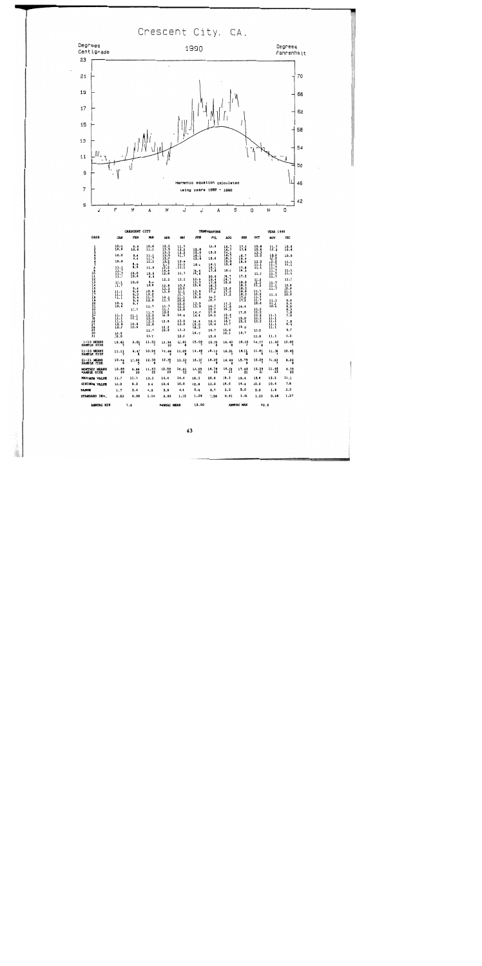Crescent City, CA.



|                                     |              | <b>CRESCENT CITY</b> |              |                                 |                | <b>TEMPERATURE</b> | <b>YEAR 1990</b> |              |              |              |                     |                                                                         |            |      |  |  |
|-------------------------------------|--------------|----------------------|--------------|---------------------------------|----------------|--------------------|------------------|--------------|--------------|--------------|---------------------|-------------------------------------------------------------------------|------------|------|--|--|
| DAYS                                | JAN          | FEB                  | <b>HAR</b>   | <b>APR</b>                      | MAY            | របាវ               | JUL              | <b>AUG</b>   | <b>SEP</b>   | OCT          | <b>NOV</b>          | <b>DEC</b>                                                              |            |      |  |  |
|                                     | 10.0<br>10.6 | 9.4<br>10.6          | 10.6<br>11.1 | $\frac{12}{13}$ , $\frac{2}{9}$ | 11.7<br>12.2   | 12.8               | 13.9             | 16.7<br>16.7 | 17.8<br>17.8 | 15.6<br>15.6 | 11.7<br>12.2        | $\frac{10.6}{10.6}$                                                     |            |      |  |  |
| 1233456780                          |              |                      |              | 13.3                            | 12.2           | 15.0               | 15.0             | 16.1         |              | 13.3         |                     |                                                                         |            |      |  |  |
|                                     | 10.0         | 9.4<br>9.4           | 11.1<br>11.7 | 13.9<br>12.8                    | 11.7           | 16.1<br>15.6       | 15.6             | 16.7<br>18.3 | 16.7<br>19.4 | 12.2         | $\frac{12.2}{12.2}$ | 10.0                                                                    |            |      |  |  |
|                                     | 10.6         |                      | 12.2         | $\frac{1}{11}$                  | 12.8           |                    |                  | 15.0         | 18.9         | 12.2         | $\frac{1}{11}$      | ⊞:                                                                      |            |      |  |  |
|                                     | 11.1         | 8.9<br>8.9           | 11.9         | 12.2                            | 11.1<br>. 11.1 | 16.1               | 16.1<br>16.1     | 15.6         | 17.8         | 11.1<br>11.1 | 11,7                |                                                                         |            |      |  |  |
|                                     | 11.7         | 10.0                 | 10.0         | 14.4<br>12.8                    | 11.7           | 14.4<br>15.6       | 17.8             | 16.1         | 18.3         | 11.1         | 11.7<br>11.7        | $\frac{11}{11}$                                                         |            |      |  |  |
|                                     | Ħ.           | 10.6                 | 9.4          |                                 |                |                    | 20.6             | 16.7         | 17.2         |              | 11.7                |                                                                         |            |      |  |  |
|                                     | 11.1         | 10.0                 | 9.4          | 12.2                            | 11.1           | 13.9<br>13.3       | 19.4<br>17.8     | 16.7<br>15.0 | 18.9         | 12.2<br>12.2 | 11.7                | 11.1                                                                    |            |      |  |  |
|                                     | 11.7         |                      | 10.6         | 12.8                            | 10.6           | 15.6               | 18.3             |              | 18.3         | 12.2         | 11.1                | 10.6                                                                    |            |      |  |  |
|                                     | 11.1         | 9.4<br>0.9           | 10.6         | 13.3<br>13.9                    | 10.0<br>11.1   | 13.9               | 18.3<br>17.2     | 15.6         | 18.3<br>18.9 | 11.7         | 11.7                | $\frac{10.6}{11.1}$                                                     |            |      |  |  |
|                                     | 11.1         | 8.3                  | 12.2         |                                 | 11.7           | 15.0               | 16.7             | 17.2         | 18.3         | 12.2         | 11.1                |                                                                         |            |      |  |  |
| 112134567819                        | 11.1         | 9.4<br>9.4           | 11.7<br>12.8 | 12.2<br>11.7                    | 11.1<br>10.6   | 15.6               | 16.7             |              | 17.8<br>17.2 | 11.7<br>11.7 | 11.1                | 3.4                                                                     |            |      |  |  |
| 201223456789                        | 10.6<br>10.6 | 9.4                  | 11.7         | 11.7                            | 12.2<br>12.2   | 13.9<br>13.9       | 16.7             | 17.2<br>17.8 | 14.4         | 10.6         | 11.1<br>10.6        |                                                                         |            |      |  |  |
|                                     |              | 11.7                 |              | 11.7                            | 12.8           |                    | 16.7             | 18.3         |              | 12.2         |                     |                                                                         |            |      |  |  |
|                                     |              |                      | 11.7<br>12.2 | 12.2<br>12.8                    | 14.4           | 14.4<br>14.4       | 17.8<br>16.1     | 15.6         | 17.8         | 12.2<br>12.2 | 11.1                | $\frac{8}{8}$<br>$\frac{3}{7}$<br>$\frac{3}{8}$<br>$\frac{3}{7}$<br>7.8 |            |      |  |  |
|                                     | ₩.           | $\frac{11}{11}$      | 13.3         |                                 |                |                    |                  | 16.7         | 15.0         | 12.2         | 11.1                |                                                                         |            |      |  |  |
|                                     | 11.1<br>10.6 | 10.6                 | 13.3<br>12.8 | 12.8                            | 13.9<br>13.9   | 14.4<br>15.0       | 14.4<br>15.6     | 16.7<br>16.7 | 15.6         | 12.2         | 11.1<br>11.1        | 7.8<br>8.3                                                              |            |      |  |  |
|                                     | 10.6         | 10.6                 |              | 12.2                            |                | 18.3               |                  |              | 15.0         |              | 11.1                |                                                                         |            |      |  |  |
| 30                                  | 10.0         |                      | 11.7         | 10.6                            | 13.3           | 16.7               | 16.7             | 15.6<br>16.1 | 16.7         | 12.2         |                     | 8.9                                                                     |            |      |  |  |
| 31                                  | 10.0         |                      | 11.7         |                                 | 12.8           |                    | 15.6             |              |              | 12.8         | 11.1                | 8.3                                                                     |            |      |  |  |
| 1-10 MEANS<br>SAMPLE SIZE           | 10.81        | 9.51                 | 11.23        | 12.94<br>10                     | 11.01          | 15.09              | 15.75            | 16.40        | 18.10        | 12.77        | 11.92<br>٩          | 10.80                                                                   |            |      |  |  |
| 11-20 MEANS<br>SAMPLE SIZE          | 11.11        | 9.43                 | 10.96        | 12.68                           | 11.05          | 14.46              | 18.13            | 16.51        | 18.11        | 11.81        | 11.36               | 10.40                                                                   |            |      |  |  |
| 21-31 MEANS<br>SAMPLE SIZE          | 10.64<br>a   | 11.02                | 12,30<br>8   | 12.00                           | 13.33          | 15.30              | 16.20            | 16.69<br>8   | 15.75        | 12.29        | 11.03               | 8.26                                                                    |            |      |  |  |
| <b>HONTHLY NEANS</b><br>SAMPLE SIZE | 10.85<br>22  | 9.86<br>20           | 11,53<br>22  | 12.59<br>23                     | 12.01<br>23    | 14,95<br>21        | 16.78<br>22      | 16.53<br>23  | 17.43<br>21  | 12.29<br>23  | 11.48<br>23         | 9.75<br>22                                                              |            |      |  |  |
| <b>HAXIMUM VALUE</b>                | 11.7         | 11.7                 | 13.3         | 14.4                            | 14.4           | 18.3               | 20.6             | 18.3         | 19.4         | 15.6         | 12.2                | 11.1                                                                    |            |      |  |  |
| <b>HINIMUM VALUE</b>                | 10.0         | 8.3                  | 9.4          | 10.6                            | 10.0           | 12.8               | 13.9             | 15.0         | 14.4         | 10.6         | 10.6                | 7.8                                                                     |            |      |  |  |
| <b>RANGE</b>                        | 1.7          | 3.4                  | 3.9          | 3.8                             | 4.4            | 5.5                | 6.7              | 3.3          | 5.0          | 5.0          | 1.6                 | 3.3                                                                     |            |      |  |  |
| <b>STANDARD DEV.</b>                | 0.53         | 0.90                 | 1.10         | 0.90                            | 1.15           | 1.26               | 1.58             | 0.91         | 1.41         | 1.20         | 0.46                | 1.27                                                                    |            |      |  |  |
| <b>AMMIRT, MTM</b>                  | 7.8          |                      |              |                                 |                |                    |                  | ANNUAL MEAN  |              | 13.00        |                     |                                                                         | ANNUAL HAX | 20.6 |  |  |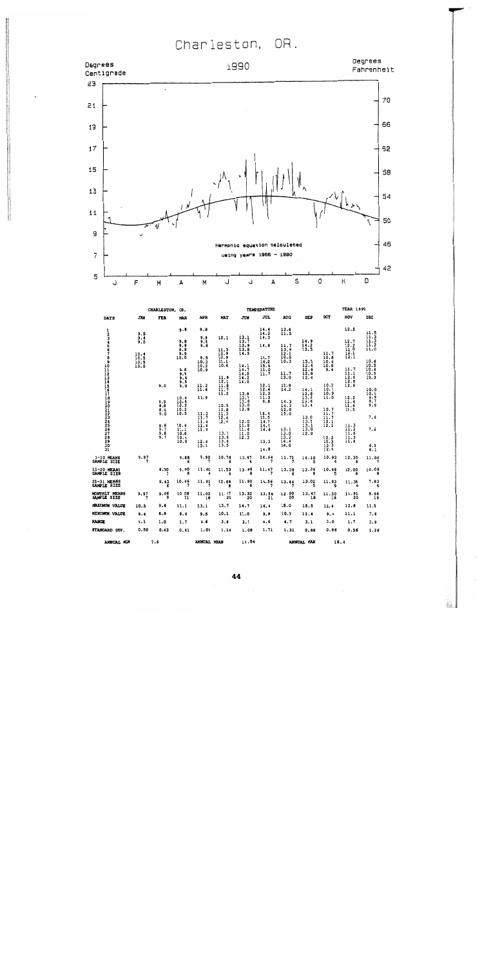Charleston, OR.



|                                         |                                                          | CHARLESTON,                                                        | OR.                                                                                                                                                                      |                                                                                                                                                                     |                                                                                                                                                                    |                                                                                                                                                                                                                                         | <b>TEMPERATURE</b>                                                                                                                                                                |                                                                                                                                                                                |                                                                                                                                                                            |                                                                                                                                                                                | <b>YEAR 1990</b>                                                                                                                                                                  |                                                                                                                                                                                 |  |  |
|-----------------------------------------|----------------------------------------------------------|--------------------------------------------------------------------|--------------------------------------------------------------------------------------------------------------------------------------------------------------------------|---------------------------------------------------------------------------------------------------------------------------------------------------------------------|--------------------------------------------------------------------------------------------------------------------------------------------------------------------|-----------------------------------------------------------------------------------------------------------------------------------------------------------------------------------------------------------------------------------------|-----------------------------------------------------------------------------------------------------------------------------------------------------------------------------------|--------------------------------------------------------------------------------------------------------------------------------------------------------------------------------|----------------------------------------------------------------------------------------------------------------------------------------------------------------------------|--------------------------------------------------------------------------------------------------------------------------------------------------------------------------------|-----------------------------------------------------------------------------------------------------------------------------------------------------------------------------------|---------------------------------------------------------------------------------------------------------------------------------------------------------------------------------|--|--|
| <b>DAYS</b>                             | JAN                                                      | FEB                                                                | MAR                                                                                                                                                                      | <b>APR</b>                                                                                                                                                          | <b>MAY</b>                                                                                                                                                         | JUN                                                                                                                                                                                                                                     | JUL                                                                                                                                                                               | <b>AUG</b>                                                                                                                                                                     | SEP                                                                                                                                                                        | œT                                                                                                                                                                             | NOV                                                                                                                                                                               | DEC                                                                                                                                                                             |  |  |
| 123456789011234567890122234567890<br>Ξī | 9.5<br>9.4<br>9.5<br>10.4<br>$\frac{10.5}{10.5}$<br>10.5 | 9.0<br>$\frac{8.9}{8.8}$<br>8.8<br>9.0<br>$\frac{9.6}{9.7}$<br>3.8 | 9.8<br>9.8<br>9.9<br>9.9<br>9.9<br>10.0<br>9.6<br>9.8<br>9.4<br>$\frac{9.5}{9.9}$<br>10.4<br>10.4<br>10.2<br>$\frac{10.2}{10.5}$<br>10.4<br>11.1<br>10.6<br>10.4<br>10.0 | 9.8<br>9.9<br>9.8<br>9.8<br>9.5<br>10.3<br>$\frac{10.2}{10.9}$<br>11.2<br>11.6<br>11.9<br>$\frac{11.3}{11.7}$<br>11.4<br>$\frac{11.6}{11.9}$<br>$\frac{12.4}{13.1}$ | 10.1<br>11.3<br>10.9<br>10.9<br>11.1<br>10.4<br>11.9<br>12.1<br>$\frac{11.9}{11.7}$<br>10.5<br>10.8<br>11.3<br>$\frac{12.4}{12.6}$<br>13.7<br>13.6<br>13.6<br>13.5 | $\frac{13.2}{13.7}$<br>13.9<br>13.8<br>14.5<br>$\frac{14 \cdot 1}{14 \cdot 7}$<br>14.5<br>$\frac{1}{14.2}$<br>$\begin{array}{c} 13.8 \\ 13.9 \\ 13.6 \end{array}$<br>13.0<br>12.8<br>12.0<br>$\frac{11.9}{11.4}$<br>$\frac{11.0}{12.3}$ | 14.4<br>14.2<br>14.3<br>14.9<br>14.7<br>14.2<br>15.8<br>11.0<br>11.7<br>12.1<br>12.4<br>12.0<br>$\frac{11.3}{9.8}$<br>16.4<br>13.5<br>14.7<br>$\frac{14.6}{14.6}$<br>13.3<br>14.8 | $\frac{12.4}{11.5}$<br>11.7<br>13.6<br>$\frac{12.1}{10.5}$<br>10.3<br>11.7<br>13.0<br>12.8<br>14.2<br>14.3<br>14.3<br>12.8<br>15.0<br>$13.1$<br>$13.0$<br>13.2<br>14.4<br>14.0 | 14.9<br>$\frac{1}{13}$ .<br>15.5<br>$\frac{12.4}{12.6}$<br>$\frac{1}{2}$ . 8<br>$\frac{14.1}{13.8}$<br>$\frac{13.2}{14.5}$<br>14.5<br>13.0<br>13.2<br>13.1<br>13.0<br>12.8 | 11.7<br>10.8<br>$\frac{10.4}{10.8}$<br>9.4<br>10.3<br>10.7<br>10.9<br>11.0<br>10.7<br>$\overline{\mathbf{ii}}$ .<br>$\frac{11.7}{12.1}$<br>$\frac{12.2}{12.2}$<br>12.3<br>12.4 | 12.5<br>12.7<br>12.2<br>$\frac{12.5}{12.1}$<br>12.3<br>11.7<br>11.1<br>12.6<br>12.0<br>12.6<br>$\frac{12.2}{11.4}$<br>11.6<br>11.5<br>$\frac{11.3}{11.2}$<br>11.6<br>11.3<br>11.4 | $\frac{11.5}{11.3}$<br>$\frac{11.5}{11.2}$<br>10.6<br>$\frac{10.5}{10.4}$<br>$\frac{10.5}{10.3}$<br>10.0<br>10.1<br>$\frac{9.9}{9.7}$<br>9.6<br>7.6<br>7.6<br>$\frac{8.0}{8.1}$ |  |  |
| 1-10 MEANS<br>SAMPLE SIZE               | 9.97                                                     |                                                                    | 9.88<br>6                                                                                                                                                                | 9.90                                                                                                                                                                | 10.78                                                                                                                                                              | 13.87                                                                                                                                                                                                                                   | 14.64                                                                                                                                                                             | 11.73                                                                                                                                                                          | 14.10                                                                                                                                                                      | 10.93                                                                                                                                                                          | 12.30                                                                                                                                                                             | 11.06                                                                                                                                                                           |  |  |
| 11-20 MEANS<br>SAMPLE SIZE              |                                                          | 8.90                                                               | 9.90<br>8                                                                                                                                                                | 11.40                                                                                                                                                               | 11.53                                                                                                                                                              | $13.96$ <sup>8</sup>                                                                                                                                                                                                                    | 11.47                                                                                                                                                                             | 13.38                                                                                                                                                                          | 13.36<br>8                                                                                                                                                                 | 10.46                                                                                                                                                                          | 12.009                                                                                                                                                                            | 10.068                                                                                                                                                                          |  |  |
| 21-31 MEANS<br>SAMPLE SIZE              |                                                          | 9.43                                                               | 10.46                                                                                                                                                                    | 11.91                                                                                                                                                               | 12.59                                                                                                                                                              | 11.90                                                                                                                                                                                                                                   | 14.56                                                                                                                                                                             | 13.64                                                                                                                                                                          | 13.02                                                                                                                                                                      | 11.93<br>9                                                                                                                                                                     | 11.38                                                                                                                                                                             | 7.83                                                                                                                                                                            |  |  |
| <b>HONTHLY MEANS</b><br>SAMPLE SIZE     | 9.97                                                     | 9.26<br>و                                                          | 10.08<br>21                                                                                                                                                              | 11.02<br>18                                                                                                                                                         | 11.77<br>20                                                                                                                                                        | $13.32$<br>$20$                                                                                                                                                                                                                         | 13.56<br>$\overline{21}$                                                                                                                                                          | 12.90<br>20                                                                                                                                                                    | 13.47<br>18                                                                                                                                                                | 11.30<br>$\overline{18}$                                                                                                                                                       | 11,91<br>20                                                                                                                                                                       | 9.96<br>9.                                                                                                                                                                      |  |  |
| MAXIMUM VALUE                           | 10.5                                                     | 9.8                                                                | 11.1                                                                                                                                                                     | 13.1                                                                                                                                                                | 13.7                                                                                                                                                               | 14.7                                                                                                                                                                                                                                    | 16.4                                                                                                                                                                              | 15.0                                                                                                                                                                           | 15.5                                                                                                                                                                       | 12.4                                                                                                                                                                           | 12.8                                                                                                                                                                              | 11.5                                                                                                                                                                            |  |  |
| <b>MINIMUM VALUE</b>                    | 9.4                                                      | 8,8                                                                | 9.4                                                                                                                                                                      | 9.5                                                                                                                                                                 | 10.1                                                                                                                                                               | 11.0                                                                                                                                                                                                                                    | 9.8                                                                                                                                                                               | 10.3                                                                                                                                                                           | 12.4                                                                                                                                                                       | 9.4                                                                                                                                                                            | 11,1                                                                                                                                                                              | 7.6                                                                                                                                                                             |  |  |
| RANGE                                   | 1.1                                                      | 1.0                                                                | 1.7                                                                                                                                                                      | 3.6                                                                                                                                                                 | 3.5                                                                                                                                                                | 3.7                                                                                                                                                                                                                                     | 6.6                                                                                                                                                                               | 4.7                                                                                                                                                                            | 3,1                                                                                                                                                                        | 3.0                                                                                                                                                                            | 1.7                                                                                                                                                                               | 3,9                                                                                                                                                                             |  |  |
| STANDARD DEV.                           | 0,50                                                     | 0.43                                                               | 0.41                                                                                                                                                                     | 1.04                                                                                                                                                                | 1.14                                                                                                                                                               | 1.08                                                                                                                                                                                                                                    | 1,71                                                                                                                                                                              | 1.31                                                                                                                                                                           | 0.88                                                                                                                                                                       | 0.86                                                                                                                                                                           | 0.56                                                                                                                                                                              | 1.26                                                                                                                                                                            |  |  |
| <b>ANNUAL MIN</b>                       | 7.6                                                      |                                                                    |                                                                                                                                                                          |                                                                                                                                                                     |                                                                                                                                                                    | ANNUAL MEAN                                                                                                                                                                                                                             |                                                                                                                                                                                   | 11.54                                                                                                                                                                          |                                                                                                                                                                            |                                                                                                                                                                                | annual hax                                                                                                                                                                        | 16.4                                                                                                                                                                            |  |  |

44

 $\mathcal{P}_{\text{eff}}$